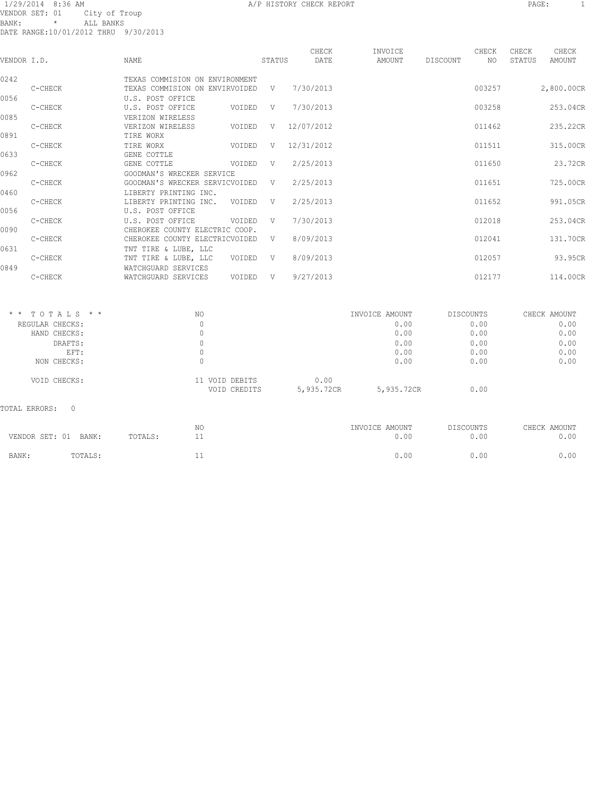#### 1/29/2014 8:36 AM A/P HISTORY CHECK REPORT PAGE: 1 VENDOR SET: 01 City of Troup BANK: \* ALL BANKS DATE RANGE:10/01/2012 THRU 9/30/2013

| VENDOR I.D. |         | <b>NAME</b>                                                      |        | STATUS | CHECK<br>DATE | INVOICE<br>AMOUNT | DISCOUNT | CHECK<br>NO | CHECK<br>STATUS | CHECK<br>AMOUNT |
|-------------|---------|------------------------------------------------------------------|--------|--------|---------------|-------------------|----------|-------------|-----------------|-----------------|
| 0242        | C-CHECK | TEXAS COMMISION ON ENVIRONMENT<br>TEXAS COMMISION ON ENVIRVOIDED |        | V      | 7/30/2013     |                   |          | 003257      |                 | 2,800.00CR      |
| 0056        |         | U.S. POST OFFICE                                                 |        |        |               |                   |          |             |                 |                 |
|             | C-CHECK | U.S. POST OFFICE                                                 | VOIDED | V      | 7/30/2013     |                   |          | 003258      |                 | 253.04CR        |
| 0085        |         | VERIZON WIRELESS                                                 |        |        |               |                   |          |             |                 |                 |
|             | C-CHECK | VERIZON WIRELESS                                                 | VOIDED | V      | 12/07/2012    |                   |          | 011462      |                 | 235.22CR        |
| 0891        |         | TIRE WORX                                                        |        |        |               |                   |          |             |                 |                 |
|             | C-CHECK | TIRE WORX                                                        | VOIDED | V      | 12/31/2012    |                   |          | 011511      |                 | 315.00CR        |
| 0633        |         | GENE COTTLE                                                      |        | V      |               |                   |          | 011650      |                 | 23.72CR         |
| 0962        | C-CHECK | GENE COTTLE<br>GOODMAN'S WRECKER SERVICE                         | VOIDED |        | 2/25/2013     |                   |          |             |                 |                 |
|             | C-CHECK | GOODMAN'S WRECKER SERVICVOIDED                                   |        | V      | 2/25/2013     |                   |          | 011651      |                 | 725.00CR        |
| 0460        |         | LIBERTY PRINTING INC.                                            |        |        |               |                   |          |             |                 |                 |
|             | C-CHECK | LIBERTY PRINTING INC.                                            | VOIDED | V      | 2/25/2013     |                   |          | 011652      |                 | 991.05CR        |
| 0056        |         | U.S. POST OFFICE                                                 |        |        |               |                   |          |             |                 |                 |
|             | C-CHECK | U.S. POST OFFICE                                                 | VOIDED | V      | 7/30/2013     |                   |          | 012018      |                 | 253.04CR        |
| 0090        |         | CHEROKEE COUNTY ELECTRIC COOP.                                   |        |        |               |                   |          |             |                 |                 |
|             | C-CHECK | CHEROKEE COUNTY ELECTRICVOIDED                                   |        | V      | 8/09/2013     |                   |          | 012041      |                 | 131.70CR        |
| 0631        |         | TNT TIRE & LUBE, LLC                                             |        |        |               |                   |          |             |                 |                 |
|             | C-CHECK | TNT TIRE & LUBE, LLC                                             | VOIDED | V      | 8/09/2013     |                   |          | 012057      |                 | 93.95CR         |
| 0849        |         | WATCHGUARD SERVICES                                              |        |        |               |                   |          |             |                 |                 |
|             | C-CHECK | WATCHGUARD SERVICES                                              | VOIDED | V      | 9/27/2013     |                   |          | 012177      |                 | 114.00CR        |
|             |         |                                                                  |        |        |               |                   |          |             |                 |                 |
|             |         |                                                                  |        |        |               |                   |          |             |                 |                 |

| $*$ * TOTALS * *   | NO                             |                    | INVOICE AMOUNT | DISCOUNTS | CHECK AMOUNT |
|--------------------|--------------------------------|--------------------|----------------|-----------|--------------|
| REGULAR CHECKS:    |                                |                    | 0.00           | 0.00      | 0.00         |
| HAND CHECKS:       |                                |                    | 0.00           | 0.00      | 0.00         |
| DRAFTS:            |                                |                    | 0.00           | 0.00      | 0.00         |
| EFT:               |                                |                    | 0.00           | 0.00      | 0.00         |
| NON CHECKS:        |                                |                    | 0.00           | 0.00      | 0.00         |
| VOID CHECKS:       | 11 VOID DEBITS<br>VOID CREDITS | 0.00<br>5,935.72CR | 5,935.72CR     | 0.00      |              |
| TOTAL ERRORS:<br>0 |                                |                    |                |           |              |
|                    |                                |                    |                |           |              |

| VENDOR SET: 01 | BANK:   | TOTALS: | ΝC | INVOICE AMOUNT<br>00.ر | DISCOUNTS<br>0.00 | CHECK AMOUNT<br>0.00 |
|----------------|---------|---------|----|------------------------|-------------------|----------------------|
| BANK:          | TOTALS: |         |    | ).00                   | 0.00              | 0.00                 |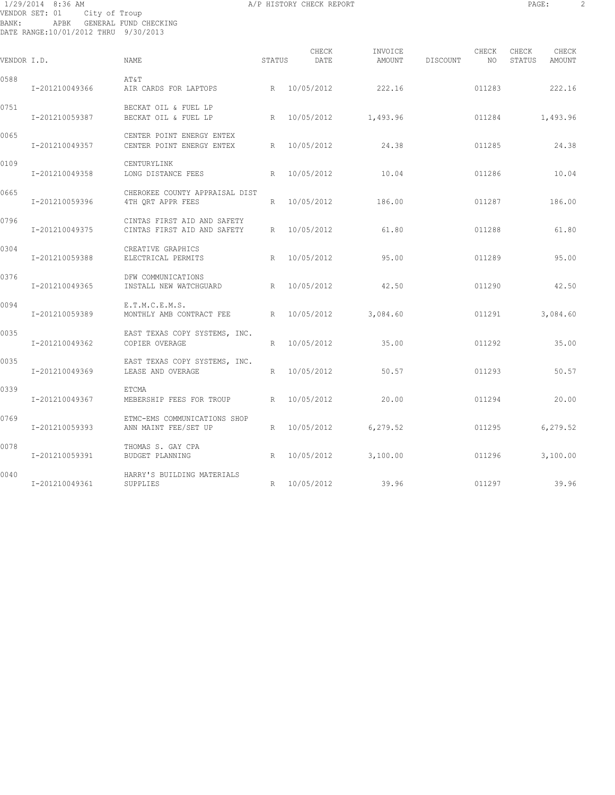# 1/29/2014 8:36 AM A/P HISTORY CHECK REPORT PAGE: 2 VENDOR SET: 01 City of Troup BANK: APBK GENERAL FUND CHECKING DATE RANGE:10/01/2012 THRU 9/30/2013

| VENDOR I.D. |                | NAME                                                       | STATUS | CHECK<br>DATE | INVOICE<br>AMOUNT     | DISCOUNT | CHECK<br>NO | CHECK<br>STATUS | CHECK<br>AMOUNT |
|-------------|----------------|------------------------------------------------------------|--------|---------------|-----------------------|----------|-------------|-----------------|-----------------|
| 0588        | I-201210049366 | AT&T<br>AIR CARDS FOR LAPTOPS                              |        | R 10/05/2012  | 222.16                |          | 011283      |                 | 222.16          |
| 0751        | I-201210059387 | BECKAT OIL & FUEL LP<br>BECKAT OIL & FUEL LP               |        |               | R 10/05/2012 1,493.96 |          | 011284      |                 | 1,493.96        |
| 0065        | I-201210049357 | CENTER POINT ENERGY ENTEX<br>CENTER POINT ENERGY ENTEX     |        | R 10/05/2012  | 24.38                 |          | 011285      |                 | 24.38           |
| 0109        | I-201210049358 | CENTURYLINK<br>LONG DISTANCE FEES                          | R      | 10/05/2012    | 10.04                 |          | 011286      |                 | 10.04           |
| 0665        | I-201210059396 | CHEROKEE COUNTY APPRAISAL DIST<br>4TH ORT APPR FEES        |        | R 10/05/2012  | 186.00                |          | 011287      |                 | 186.00          |
| 0796        | I-201210049375 | CINTAS FIRST AID AND SAFETY<br>CINTAS FIRST AID AND SAFETY |        | R 10/05/2012  | 61.80                 |          | 011288      |                 | 61.80           |
| 0304        | I-201210059388 | CREATIVE GRAPHICS<br>ELECTRICAL PERMITS                    | R      | 10/05/2012    | 95.00                 |          | 011289      |                 | 95.00           |
| 0376        | I-201210049365 | DFW COMMUNICATIONS<br>INSTALL NEW WATCHGUARD               |        | R 10/05/2012  | 42.50                 |          | 011290      |                 | 42.50           |
| 0094        | I-201210059389 | E.T.M.C.E.M.S.<br>MONTHLY AMB CONTRACT FEE                 |        | R 10/05/2012  | 3,084.60              |          | 011291      |                 | 3,084.60        |
| 0035        | I-201210049362 | EAST TEXAS COPY SYSTEMS, INC.<br>COPIER OVERAGE            |        | R 10/05/2012  | 35.00                 |          | 011292      |                 | 35.00           |
| 0035        | I-201210049369 | EAST TEXAS COPY SYSTEMS, INC.<br>LEASE AND OVERAGE         |        | R 10/05/2012  | 50.57                 |          | 011293      |                 | 50.57           |
| 0339        | I-201210049367 | ETCMA<br>MEBERSHIP FEES FOR TROUP R 10/05/2012             |        |               | 20.00                 |          | 011294      |                 | 20.00           |
| 0769        | I-201210059393 | ETMC-EMS COMMUNICATIONS SHOP<br>ANN MAINT FEE/SET UP       |        | R 10/05/2012  | 6, 279.52             |          | 011295      |                 | 6,279.52        |
| 0078        | I-201210059391 | THOMAS S. GAY CPA<br>BUDGET PLANNING                       | R      | 10/05/2012    | 3,100.00              |          | 011296      |                 | 3,100.00        |
| 0040        | I-201210049361 | HARRY'S BUILDING MATERIALS<br>SUPPLIES                     |        | R 10/05/2012  | 39.96                 |          | 011297      |                 | 39.96           |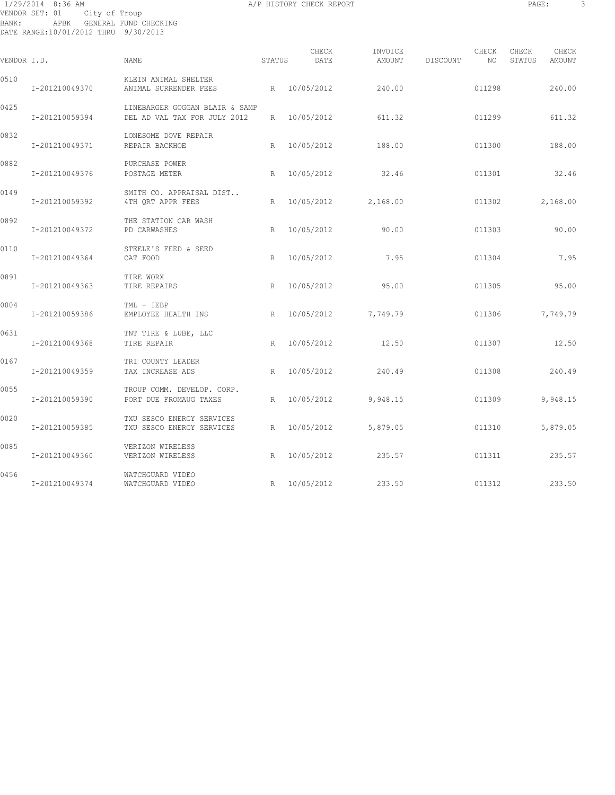# 1/29/2014 8:36 AM A/P HISTORY CHECK REPORT PAGE: 3 VENDOR SET: 01 City of Troup BANK: APBK GENERAL FUND CHECKING DATE RANGE:10/01/2012 THRU 9/30/2013

| VENDOR I.D. |                | <b>NAME</b>                                                    | STATUS | CHECK<br>DATE | INVOICE<br>AMOUNT   | DISCOUNT | CHECK<br>NO | CHECK<br>STATUS | CHECK<br>AMOUNT |
|-------------|----------------|----------------------------------------------------------------|--------|---------------|---------------------|----------|-------------|-----------------|-----------------|
| 0510        | I-201210049370 | KLEIN ANIMAL SHELTER<br>ANIMAL SURRENDER FEES                  |        | R 10/05/2012  | 240.00              |          | 011298      |                 | 240.00          |
| 0425        | I-201210059394 | LINEBARGER GOGGAN BLAIR & SAMP<br>DEL AD VAL TAX FOR JULY 2012 | R      | 10/05/2012    | 611.32              |          | 011299      |                 | 611.32          |
| 0832        | I-201210049371 | LONESOME DOVE REPAIR<br>REPAIR BACKHOE                         | R      | 10/05/2012    | 188.00              |          | 011300      |                 | 188.00          |
| 0882        | I-201210049376 | PURCHASE POWER<br>POSTAGE METER                                | R      | 10/05/2012    | 32.46               |          | 011301      |                 | 32.46           |
| 0149        | I-201210059392 | SMITH CO. APPRAISAL DIST<br>4TH QRT APPR FEES                  | R      |               | 10/05/2012 2,168.00 |          | 011302      |                 | 2,168.00        |
| 0892        | I-201210049372 | THE STATION CAR WASH<br>PD CARWASHES                           | R      | 10/05/2012    | 90.00               |          | 011303      |                 | 90.00           |
| 0110        | I-201210049364 | STEELE'S FEED & SEED<br>CAT FOOD                               | R      | 10/05/2012    | 7.95                |          | 011304      |                 | 7.95            |
| 0891        | I-201210049363 | TIRE WORX<br>TIRE REPAIRS                                      | R      | 10/05/2012    | 95.00               |          | 011305      |                 | 95.00           |
| 0004        | I-201210059386 | TML - IEBP<br>EMPLOYEE HEALTH INS                              | R      | 10/05/2012    | 7,749.79            |          | 011306      |                 | 7,749.79        |
| 0631        | I-201210049368 | TNT TIRE & LUBE, LLC<br>TIRE REPAIR                            | R      | 10/05/2012    | 12.50               |          | 011307      |                 | 12.50           |
| 0167        | I-201210049359 | TRI COUNTY LEADER<br>TAX INCREASE ADS                          | R      | 10/05/2012    | 240.49              |          | 011308      |                 | 240.49          |
| 0055        | I-201210059390 | TROUP COMM. DEVELOP. CORP.<br>PORT DUE FROMAUG TAXES           | R      | 10/05/2012    | 9,948.15            |          | 011309      |                 | 9,948.15        |
| 0020        | I-201210059385 | TXU SESCO ENERGY SERVICES<br>TXU SESCO ENERGY SERVICES         | R      | 10/05/2012    | 5,879.05            |          | 011310      |                 | 5,879.05        |
| 0085        | I-201210049360 | VERIZON WIRELESS<br>VERIZON WIRELESS                           | R      | 10/05/2012    | 235.57              |          | 011311      |                 | 235.57          |
| 0456        | I-201210049374 | WATCHGUARD VIDEO<br>WATCHGUARD VIDEO                           |        | R 10/05/2012  | 233.50              |          | 011312      |                 | 233.50          |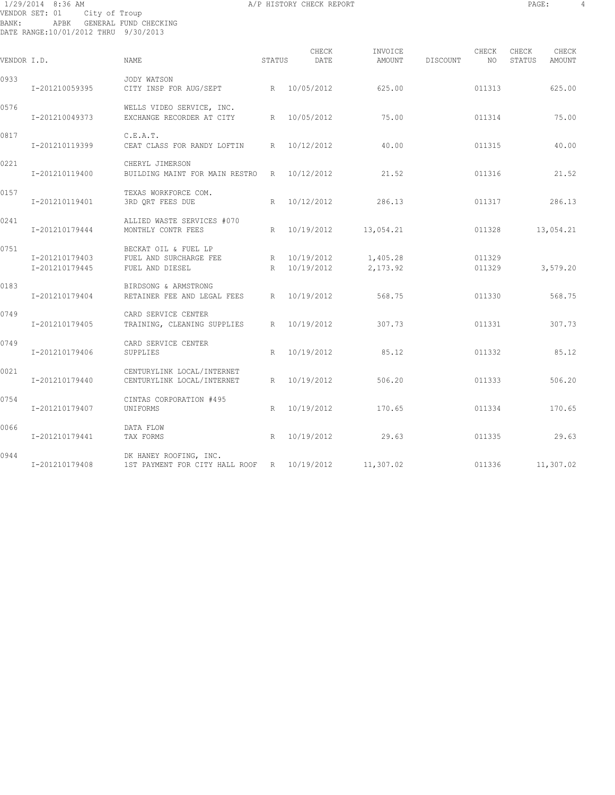1/29/2014 8:36 AM A/P HISTORY CHECK REPORT PAGE: 4 VENDOR SET: 01 City of Troup BANK: APBK GENERAL FUND CHECKING DATE RANGE:10/01/2012 THRU 9/30/2013

| PAGE: |  |
|-------|--|
|       |  |

| VENDOR I.D. |                                  | NAME                                                                  | STATUS | CHECK<br>DATE              | INVOICE<br>AMOUNT    | DISCOUNT | CHECK<br>NO      | CHECK<br>CHECK<br>STATUS<br>AMOUNT |  |
|-------------|----------------------------------|-----------------------------------------------------------------------|--------|----------------------------|----------------------|----------|------------------|------------------------------------|--|
| 0933        | I-201210059395                   | JODY WATSON<br>CITY INSP FOR AUG/SEPT                                 |        | R 10/05/2012               | 625.00               |          | 011313           | 625.00                             |  |
| 0576        | I-201210049373                   | WELLS VIDEO SERVICE, INC.<br>EXCHANGE RECORDER AT CITY                |        | R 10/05/2012               | 75.00                |          | 011314           | 75.00                              |  |
| 0817        | I-201210119399                   | C.E.A.T.<br>CEAT CLASS FOR RANDY LOFTIN                               | R      | 10/12/2012                 | 40.00                |          | 011315           | 40.00                              |  |
| 0221        | I-201210119400                   | CHERYL JIMERSON<br>BUILDING MAINT FOR MAIN RESTRO                     |        | R 10/12/2012               | 21.52                |          | 011316           | 21.52                              |  |
| 0157        | I-201210119401                   | TEXAS WORKFORCE COM.<br>3RD QRT FEES DUE                              | R      | 10/12/2012                 | 286.13               |          | 011317           | 286.13                             |  |
| 0241        | I-201210179444                   | ALLIED WASTE SERVICES #070<br>MONTHLY CONTR FEES                      | R      | 10/19/2012                 | 13,054.21            |          | 011328           | 13,054.21                          |  |
| 0751        | I-201210179403<br>I-201210179445 | BECKAT OIL & FUEL LP<br>FUEL AND SURCHARGE FEE<br>FUEL AND DIESEL     | R      | R 10/19/2012<br>10/19/2012 | 1,405.28<br>2,173.92 |          | 011329<br>011329 | 3,579.20                           |  |
| 0183        | I-201210179404                   | BIRDSONG & ARMSTRONG<br>RETAINER FEE AND LEGAL FEES                   | R      | 10/19/2012                 | 568.75               |          | 011330           | 568.75                             |  |
| 0749        | I-201210179405                   | CARD SERVICE CENTER<br>TRAINING, CLEANING SUPPLIES                    | R      | 10/19/2012                 | 307.73               |          | 011331           | 307.73                             |  |
| 0749        | I-201210179406                   | CARD SERVICE CENTER<br>SUPPLIES                                       | R      | 10/19/2012                 | 85.12                |          | 011332           | 85.12                              |  |
| 0021        | I-201210179440                   | CENTURYLINK LOCAL/INTERNET<br>CENTURYLINK LOCAL/INTERNET              | R      | 10/19/2012                 | 506.20               |          | 011333           | 506.20                             |  |
| 0754        | I-201210179407                   | CINTAS CORPORATION #495<br>UNIFORMS                                   | R      | 10/19/2012                 | 170.65               |          | 011334           | 170.65                             |  |
| 0066        | I-201210179441                   | DATA FLOW<br>TAX FORMS                                                | R      | 10/19/2012                 | 29.63                |          | 011335           | 29.63                              |  |
| 0944        | I-201210179408                   | DK HANEY ROOFING, INC.<br>1ST PAYMENT FOR CITY HALL ROOF R 10/19/2012 |        |                            | 11,307.02            |          | 011336           | 11,307.02                          |  |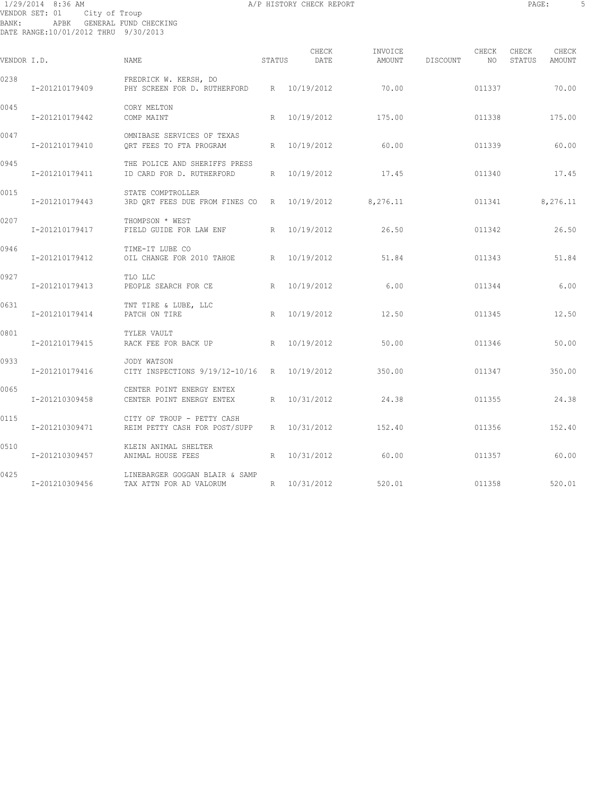1/29/2014 8:36 AM A/P HISTORY CHECK REPORT PAGE: 5 VENDOR SET: 01 City of Troup BANK: APBK GENERAL FUND CHECKING DATE RANGE:10/01/2012 THRU 9/30/2013

| PAGE: |  |
|-------|--|
|       |  |

| VENDOR I.D. |                | NAME                                                                      | STATUS | CHECK<br>DATE | INVOICE<br>AMOUNT | DISCOUNT | CHECK<br>NO | CHECK<br>STATUS | CHECK<br>AMOUNT |
|-------------|----------------|---------------------------------------------------------------------------|--------|---------------|-------------------|----------|-------------|-----------------|-----------------|
| 0238        | I-201210179409 | FREDRICK W. KERSH, DO<br>PHY SCREEN FOR D. RUTHERFORD R 10/19/2012        |        |               | 70.00             |          | 011337      |                 | 70.00           |
| 0045        | I-201210179442 | CORY MELTON<br>COMP MAINT                                                 |        | R 10/19/2012  | 175.00            |          | 011338      |                 | 175.00          |
| 0047        | I-201210179410 | OMNIBASE SERVICES OF TEXAS<br>ORT FEES TO FTA PROGRAM                     |        | R 10/19/2012  | 60.00             |          | 011339      |                 | 60.00           |
| 0945        | I-201210179411 | THE POLICE AND SHERIFFS PRESS<br>ID CARD FOR D. RUTHERFORD                |        | R 10/19/2012  | 17.45             |          | 011340      |                 | 17.45           |
| 0015        | I-201210179443 | STATE COMPTROLLER<br>3RD QRT FEES DUE FROM FINES CO R 10/19/2012 8,276.11 |        |               |                   |          | 011341      |                 | 8,276.11        |
| 0207        | I-201210179417 | THOMPSON * WEST<br>FIELD GUIDE FOR LAW ENF<br>R                           |        | 10/19/2012    | 26.50             |          | 011342      |                 | 26.50           |
| 0946        | I-201210179412 | TIME-IT LUBE CO<br>OIL CHANGE FOR 2010 TAHOE                              |        | R 10/19/2012  | 51.84             |          | 011343      |                 | 51.84           |
| 0927        | I-201210179413 | TLO LLC<br>PEOPLE SEARCH FOR CE                                           | R      | 10/19/2012    | 6.00              |          | 011344      |                 | 6.00            |
| 0631        | I-201210179414 | TNT TIRE & LUBE, LLC<br>PATCH ON TIRE                                     | R      | 10/19/2012    | 12.50             |          | 011345      |                 | 12.50           |
| 0801        | I-201210179415 | TYLER VAULT<br>RACK FEE FOR BACK UP                                       |        | R 10/19/2012  | 50.00             |          | 011346      |                 | 50.00           |
| 0933        | I-201210179416 | JODY WATSON<br>CITY INSPECTIONS 9/19/12-10/16 R 10/19/2012                |        |               | 350.00            |          | 011347      |                 | 350.00          |
| 0065        | I-201210309458 | CENTER POINT ENERGY ENTEX<br>CENTER POINT ENERGY ENTEX                    | R      | 10/31/2012    | 24.38             |          | 011355      |                 | 24.38           |
| 0115        | I-201210309471 | CITY OF TROUP - PETTY CASH<br>REIM PETTY CASH FOR POST/SUPP               |        | R 10/31/2012  | 152.40            |          | 011356      |                 | 152.40          |
| 0510        | I-201210309457 | KLEIN ANIMAL SHELTER<br>ANIMAL HOUSE FEES                                 | R      | 10/31/2012    | 60.00             |          | 011357      |                 | 60.00           |
| 0425        | I-201210309456 | LINEBARGER GOGGAN BLAIR & SAMP<br>TAX ATTN FOR AD VALORUM                 | R      | 10/31/2012    | 520.01            |          | 011358      |                 | 520.01          |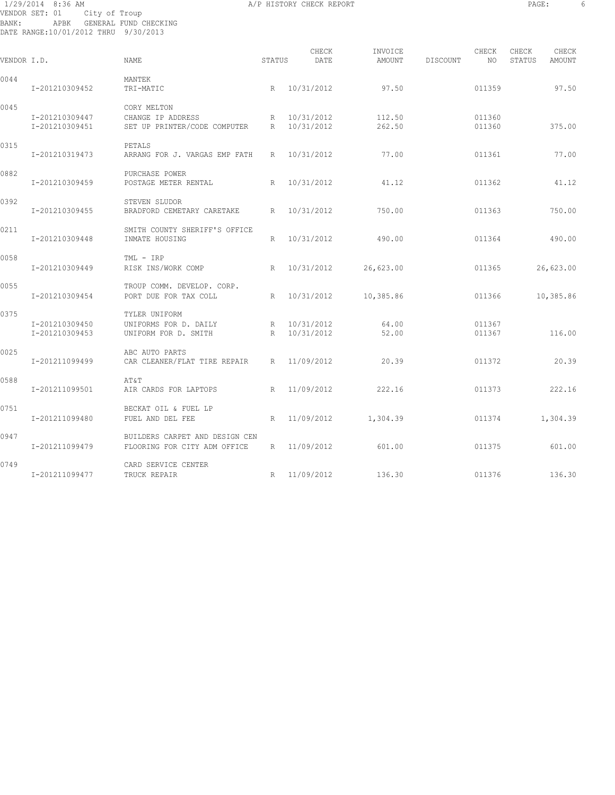# 1/29/2014 8:36 AM A/P HISTORY CHECK REPORT PAGE: 6 VENDOR SET: 01 City of Troup BANK: APBK GENERAL FUND CHECKING DATE RANGE:10/01/2012 THRU 9/30/2013

| VENDOR I.D. |                                  | NAME.                                                            | STATUS | CHECK<br>DATE              | INVOICE<br>AMOUNT | DISCOUNT | CHECK<br>NO.     | CHECK<br>STATUS | CHECK<br>AMOUNT |
|-------------|----------------------------------|------------------------------------------------------------------|--------|----------------------------|-------------------|----------|------------------|-----------------|-----------------|
| 0044        | I-201210309452                   | MANTEK<br>TRI-MATIC                                              |        | R 10/31/2012               | 97.50             |          | 011359           |                 | 97.50           |
| 0045        | I-201210309447<br>I-201210309451 | CORY MELTON<br>CHANGE IP ADDRESS<br>SET UP PRINTER/CODE COMPUTER | R      | R 10/31/2012<br>10/31/2012 | 112.50<br>262.50  |          | 011360<br>011360 |                 | 375.00          |
| 0315        | I-201210319473                   | PETALS<br>ARRANG FOR J. VARGAS EMP FATH                          | R      | 10/31/2012                 | 77.00             |          | 011361           |                 | 77.00           |
| 0882        | I-201210309459                   | PURCHASE POWER<br>POSTAGE METER RENTAL                           | R      | 10/31/2012                 | 41.12             |          | 011362           |                 | 41.12           |
| 0392        | I-201210309455                   | STEVEN SLUDOR<br>BRADFORD CEMETARY CARETAKE                      | R      | 10/31/2012                 | 750.00            |          | 011363           |                 | 750.00          |
| 0211        | I-201210309448                   | SMITH COUNTY SHERIFF'S OFFICE<br>INMATE HOUSING                  | R      | 10/31/2012                 | 490.00            |          | 011364           |                 | 490.00          |
| 0058        | I-201210309449                   | TML - IRP<br>RISK INS/WORK COMP                                  | R      | 10/31/2012                 | 26,623.00         |          | 011365           |                 | 26,623.00       |
| 0055        | I-201210309454                   | TROUP COMM. DEVELOP. CORP.<br>PORT DUE FOR TAX COLL              |        | R 10/31/2012               | 10,385.86         |          | 011366           |                 | 10,385.86       |
| 0375        | I-201210309450<br>I-201210309453 | TYLER UNIFORM<br>UNIFORMS FOR D. DAILY<br>UNIFORM FOR D. SMITH   | R      | R 10/31/2012<br>10/31/2012 | 64.00<br>52.00    |          | 011367<br>011367 |                 | 116.00          |
| 0025        | I-201211099499                   | ABC AUTO PARTS<br>CAR CLEANER/FLAT TIRE REPAIR                   | R      | 11/09/2012                 | 20.39             |          | 011372           |                 | 20.39           |
| 0588        | I-201211099501                   | AT&T<br>AIR CARDS FOR LAPTOPS                                    | R      | 11/09/2012                 | 222.16            |          | 011373           |                 | 222.16          |
| 0751        | I-201211099480                   | BECKAT OIL & FUEL LP<br>FUEL AND DEL FEE                         | R      | 11/09/2012                 | 1,304.39          |          | 011374           |                 | 1,304.39        |
| 0947        | I-201211099479                   | BUILDERS CARPET AND DESIGN CEN<br>FLOORING FOR CITY ADM OFFICE   |        | R 11/09/2012               | 601.00            |          | 011375           |                 | 601.00          |
| 0749        | I-201211099477                   | CARD SERVICE CENTER<br>TRUCK REPAIR                              | R      | 11/09/2012                 | 136.30            |          | 011376           |                 | 136.30          |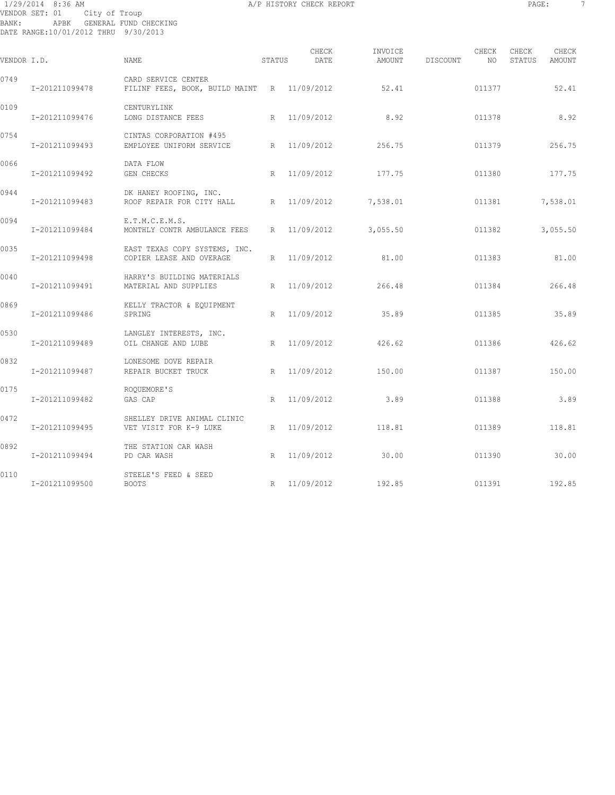# 1/29/2014 8:36 AM A/P HISTORY CHECK REPORT PAGE: 7 VENDOR SET: 01 City of Troup BANK: APBK GENERAL FUND CHECKING DATE RANGE:10/01/2012 THRU 9/30/2013

| VENDOR I.D. |                | <b>NAME</b>                                                        | STATUS | CHECK<br>DATE | INVOICE<br>AMOUNT | DISCOUNT | CHECK<br>NO. | CHECK<br>STATUS | CHECK<br>AMOUNT |
|-------------|----------------|--------------------------------------------------------------------|--------|---------------|-------------------|----------|--------------|-----------------|-----------------|
| 0749        | I-201211099478 | CARD SERVICE CENTER<br>FILINF FEES, BOOK, BUILD MAINT R 11/09/2012 |        |               | 52.41             |          | 011377       |                 | 52.41           |
| 0109        | I-201211099476 | CENTURYLINK<br>LONG DISTANCE FEES                                  |        | R 11/09/2012  | 8.92              |          | 011378       |                 | 8.92            |
| 0754        | I-201211099493 | CINTAS CORPORATION #495<br>EMPLOYEE UNIFORM SERVICE                |        | R 11/09/2012  | 256.75            |          | 011379       |                 | 256.75          |
| 0066        | I-201211099492 | DATA FLOW<br>GEN CHECKS                                            | R      | 11/09/2012    | 177.75            |          | 011380       |                 | 177.75          |
| 0944        | I-201211099483 | DK HANEY ROOFING, INC.<br>ROOF REPAIR FOR CITY HALL                |        | R 11/09/2012  | 7,538.01          |          | 011381       |                 | 7,538.01        |
| 0094        | I-201211099484 | E.T.M.C.E.M.S.<br>MONTHLY CONTR AMBULANCE FEES                     |        | R 11/09/2012  | 3,055.50          |          | 011382       |                 | 3,055.50        |
| 0035        | I-201211099498 | EAST TEXAS COPY SYSTEMS, INC.<br>COPIER LEASE AND OVERAGE          | R      | 11/09/2012    | 81.00             |          | 011383       |                 | 81.00           |
| 0040        | I-201211099491 | HARRY'S BUILDING MATERIALS<br>MATERIAL AND SUPPLIES                |        | R 11/09/2012  | 266.48            |          | 011384       |                 | 266.48          |
| 0869        | I-201211099486 | KELLY TRACTOR & EQUIPMENT<br>SPRING                                | R      | 11/09/2012    | 35.89             |          | 011385       |                 | 35.89           |
| 0530        | I-201211099489 | LANGLEY INTERESTS, INC.<br>OIL CHANGE AND LUBE                     | R      | 11/09/2012    | 426.62            |          | 011386       |                 | 426.62          |
| 0832        | I-201211099487 | LONESOME DOVE REPAIR<br>REPAIR BUCKET TRUCK                        | R      | 11/09/2012    | 150.00            |          | 011387       |                 | 150.00          |
| 0175        | I-201211099482 | ROQUEMORE'S<br>GAS CAP                                             | R      | 11/09/2012    | 3.89              |          | 011388       |                 | 3.89            |
| 0472        | I-201211099495 | SHELLEY DRIVE ANIMAL CLINIC<br>VET VISIT FOR K-9 LUKE              | R      | 11/09/2012    | 118.81            |          | 011389       |                 | 118.81          |
| 0892        | I-201211099494 | THE STATION CAR WASH<br>PD CAR WASH                                |        | R 11/09/2012  | 30.00             |          | 011390       |                 | 30.00           |
| 0110        | I-201211099500 | STEELE'S FEED & SEED<br><b>BOOTS</b>                               |        | R 11/09/2012  | 192.85            |          | 011391       |                 | 192.85          |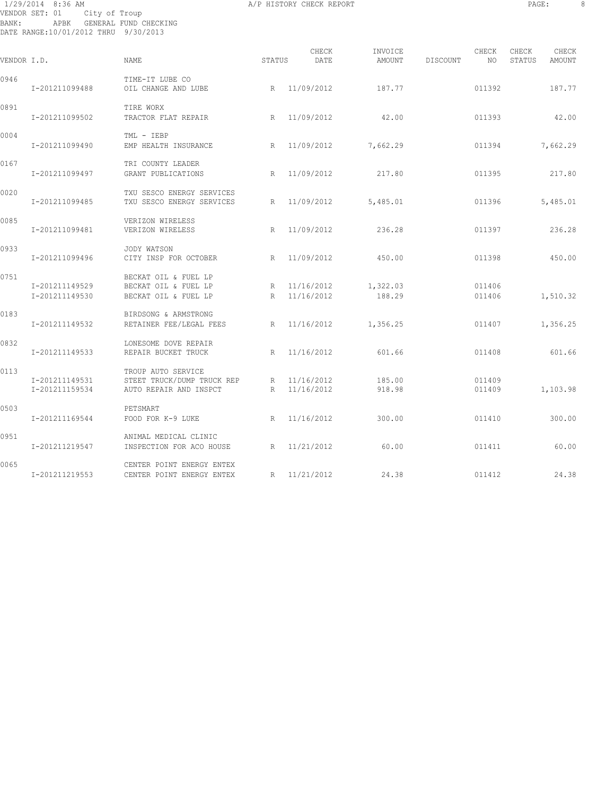# 1/29/2014 8:36 AM A/P HISTORY CHECK REPORT PAGE: 8 VENDOR SET: 01 City of Troup BANK: APBK GENERAL FUND CHECKING DATE RANGE:10/01/2012 THRU 9/30/2013

| VENDOR I.D. |                                  | <b>NAME</b>                                                                | STATUS      | CHECK<br>DATE              | INVOICE<br>AMOUNT   | DISCOUNT | CHECK<br>NO      | CHECK<br>STATUS | CHECK<br>AMOUNT |
|-------------|----------------------------------|----------------------------------------------------------------------------|-------------|----------------------------|---------------------|----------|------------------|-----------------|-----------------|
| 0946        | I-201211099488                   | TIME-IT LUBE CO<br>OIL CHANGE AND LUBE                                     |             | R 11/09/2012               | 187.77              |          | 011392           |                 | 187.77          |
| 0891        | I-201211099502                   | TIRE WORX<br>TRACTOR FLAT REPAIR                                           |             | R 11/09/2012               | 42.00               |          | 011393           |                 | 42.00           |
| 0004        | I-201211099490                   | TML - IEBP<br>EMP HEALTH INSURANCE                                         | R           | 11/09/2012                 | 7,662.29            |          | 011394           |                 | 7,662.29        |
| 0167        | I-201211099497                   | TRI COUNTY LEADER<br>GRANT PUBLICATIONS                                    | R           | 11/09/2012                 | 217.80              |          | 011395           |                 | 217.80          |
| 0020        | I-201211099485                   | TXU SESCO ENERGY SERVICES<br>TXU SESCO ENERGY SERVICES                     |             | R 11/09/2012               | 5,485.01            |          | 011396           |                 | 5,485.01        |
| 0085        | I-201211099481                   | VERIZON WIRELESS<br>VERIZON WIRELESS                                       | R           | 11/09/2012                 | 236.28              |          | 011397           |                 | 236.28          |
| 0933        | I-201211099496                   | JODY WATSON<br>CITY INSP FOR OCTOBER                                       | R           | 11/09/2012                 | 450.00              |          | 011398           |                 | 450.00          |
| 0751        | I-201211149529<br>I-201211149530 | BECKAT OIL & FUEL LP<br>BECKAT OIL & FUEL LP<br>BECKAT OIL & FUEL LP       | R           | R 11/16/2012<br>11/16/2012 | 1,322.03<br>188.29  |          | 011406<br>011406 |                 | 1,510.32        |
| 0183        | I-201211149532                   | BIRDSONG & ARMSTRONG<br>RETAINER FEE/LEGAL FEES<br>R                       |             |                            | 11/16/2012 1,356.25 |          | 011407           |                 | 1,356.25        |
| 0832        | I-201211149533                   | LONESOME DOVE REPAIR<br>REPAIR BUCKET TRUCK                                |             | R 11/16/2012               | 601.66              |          | 011408           |                 | 601.66          |
| 0113        | I-201211149531<br>I-201211159534 | TROUP AUTO SERVICE<br>STEET TRUCK/DUMP TRUCK REP<br>AUTO REPAIR AND INSPCT | $R_{\perp}$ | R 11/16/2012<br>11/16/2012 | 185.00<br>918.98    |          | 011409<br>011409 |                 | 1,103.98        |
| 0503        | I-201211169544                   | PETSMART<br>FOOD FOR K-9 LUKE                                              | R           | 11/16/2012                 | 300.00              |          | 011410           |                 | 300.00          |
| 0951        | I-201211219547                   | ANIMAL MEDICAL CLINIC<br>INSPECTION FOR ACO HOUSE                          | R           | 11/21/2012                 | 60.00               |          | 011411           |                 | 60.00           |
| 0065        | I-201211219553                   | CENTER POINT ENERGY ENTEX<br>CENTER POINT ENERGY ENTEX                     | R           | 11/21/2012                 | 24.38               |          | 011412           |                 | 24.38           |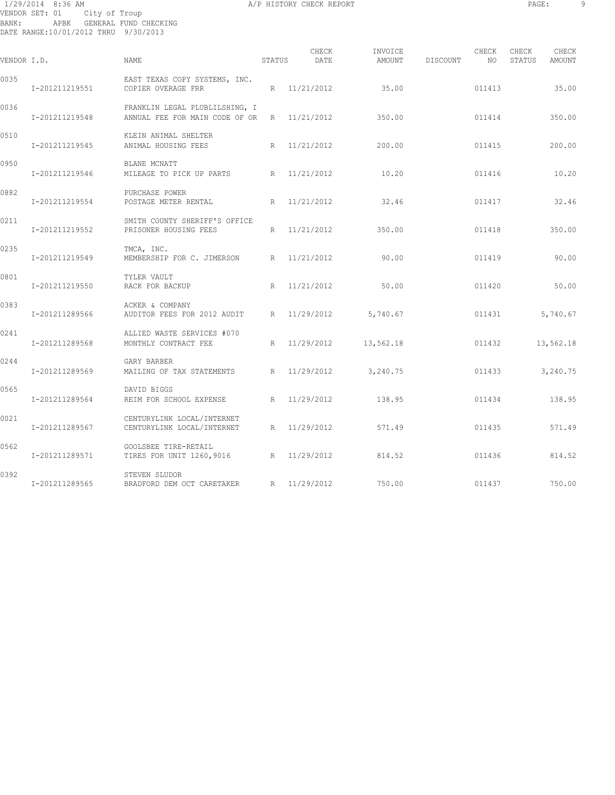# 1/29/2014 8:36 AM A/P HISTORY CHECK REPORT PAGE: 9 VENDOR SET: 01 City of Troup BANK: APBK GENERAL FUND CHECKING DATE RANGE:10/01/2012 THRU 9/30/2013

| VENDOR I.D. |                | NAME                                                               | STATUS | CHECK<br>DATE | INVOICE<br>AMOUNT | DISCOUNT | CHECK<br>NO. | CHECK<br>STATUS | CHECK<br>AMOUNT |
|-------------|----------------|--------------------------------------------------------------------|--------|---------------|-------------------|----------|--------------|-----------------|-----------------|
| 0035        | I-201211219551 | EAST TEXAS COPY SYSTEMS, INC.<br>COPIER OVERAGE FRR                | R      | 11/21/2012    | 35.00             |          | 011413       |                 | 35.00           |
| 0036        | I-201211219548 | FRANKLIN LEGAL PLUBLILSHING, I<br>ANNUAL FEE FOR MAIN CODE OF OR R |        | 11/21/2012    | 350.00            |          | 011414       |                 | 350.00          |
| 0510        | I-201211219545 | KLEIN ANIMAL SHELTER<br>ANIMAL HOUSING FEES                        | R      | 11/21/2012    | 200.00            |          | 011415       |                 | 200.00          |
| 0950        | I-201211219546 | BLANE MCNATT<br>MILEAGE TO PICK UP PARTS R                         |        | 11/21/2012    | 10.20             |          | 011416       |                 | 10.20           |
| 0882        | I-201211219554 | PURCHASE POWER<br>POSTAGE METER RENTAL                             | R      | 11/21/2012    | 32.46             |          | 011417       |                 | 32.46           |
| 0211        | I-201211219552 | SMITH COUNTY SHERIFF'S OFFICE<br>PRISONER HOUSING FEES             | R      | 11/21/2012    | 350.00            |          | 011418       |                 | 350.00          |
| 0235        | I-201211219549 | TMCA, INC.<br>MEMBERSHIP FOR C. JIMERSON                           | R      | 11/21/2012    | 90.00             |          | 011419       |                 | 90.00           |
| 0801        | I-201211219550 | TYLER VAULT<br>RACK FOR BACKUP                                     | R      | 11/21/2012    | 50.00             |          | 011420       |                 | 50.00           |
| 0383        | I-201211289566 | ACKER & COMPANY<br>AUDITOR FEES FOR 2012 AUDIT                     | R      | 11/29/2012    | 5,740.67          |          | 011431       |                 | 5,740.67        |
| 0241        | I-201211289568 | ALLIED WASTE SERVICES #070<br>MONTHLY CONTRACT FEE                 | R      | 11/29/2012    | 13,562.18         |          | 011432       |                 | 13,562.18       |
| 0244        | I-201211289569 | GARY BARBER<br>MAILING OF TAX STATEMENTS                           | R      | 11/29/2012    | 3,240.75          |          | 011433       |                 | 3,240.75        |
| 0565        | I-201211289564 | DAVID BIGGS<br>R<br>REIM FOR SCHOOL EXPENSE                        |        | 11/29/2012    | 138.95            |          | 011434       |                 | 138.95          |
| 0021        | I-201211289567 | CENTURYLINK LOCAL/INTERNET<br>CENTURYLINK LOCAL/INTERNET           | R      | 11/29/2012    | 571.49            |          | 011435       |                 | 571.49          |
| 0562        | I-201211289571 | GOOLSBEE TIRE-RETAIL<br>TIRES FOR UNIT 1260,9016                   | R      | 11/29/2012    | 814.52            |          | 011436       |                 | 814.52          |
| 0392        | I-201211289565 | STEVEN SLUDOR<br>BRADFORD DEM OCT CARETAKER                        |        | R 11/29/2012  | 750.00            |          | 011437       |                 | 750.00          |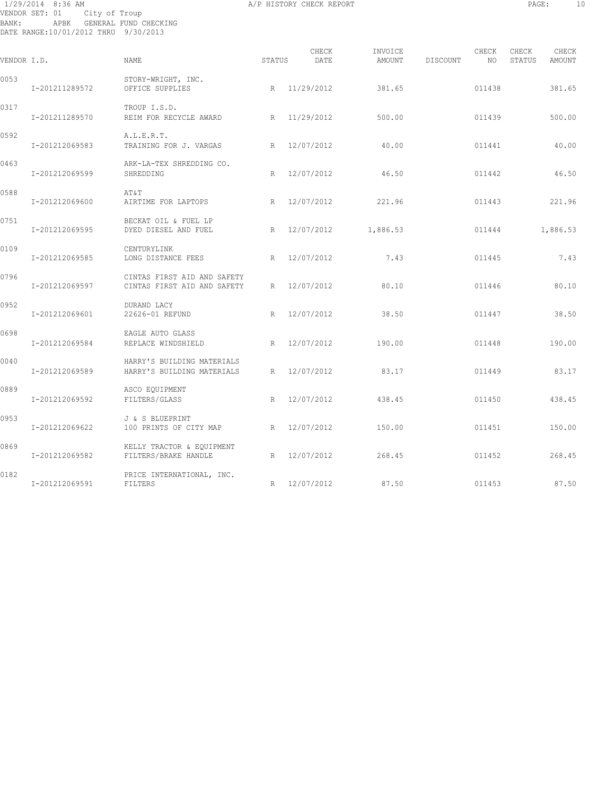# 1/29/2014 8:36 AM A/P HISTORY CHECK REPORT PAGE: 10 VENDOR SET: 01 City of Troup BANK: APBK GENERAL FUND CHECKING DATE RANGE:10/01/2012 THRU 9/30/2013

| VENDOR I.D. |                | NAME.                                                      | STATUS | CHECK<br>DATE | INVOICE<br>AMOUNT | DISCOUNT | CHECK<br>NO. | CHECK<br>STATUS | CHECK<br><b>AMOUNT</b> |
|-------------|----------------|------------------------------------------------------------|--------|---------------|-------------------|----------|--------------|-----------------|------------------------|
| 0053        | I-201211289572 | STORY-WRIGHT, INC.<br>OFFICE SUPPLIES                      |        | R 11/29/2012  | 381.65            |          | 011438       |                 | 381.65                 |
| 0317        | I-201211289570 | TROUP I.S.D.<br>REIM FOR RECYCLE AWARD                     |        | R 11/29/2012  | 500.00            |          | 011439       |                 | 500.00                 |
| 0592        | I-201212069583 | A.L.E.R.T.<br>TRAINING FOR J. VARGAS                       | R      | 12/07/2012    | 40.00             |          | 011441       |                 | 40.00                  |
| 0463        | I-201212069599 | ARK-LA-TEX SHREDDING CO.<br>SHREDDING                      | R      | 12/07/2012    | 46.50             |          | 011442       |                 | 46.50                  |
| 0588        | I-201212069600 | AT&T<br>AIRTIME FOR LAPTOPS                                | R      | 12/07/2012    | 221.96            |          | 011443       |                 | 221.96                 |
| 0751        | I-201212069595 | BECKAT OIL & FUEL LP<br>DYED DIESEL AND FUEL               | R      | 12/07/2012    | 1,886.53          |          | 011444       |                 | 1,886.53               |
| 0109        | I-201212069585 | CENTURYLINK<br>LONG DISTANCE FEES                          | R      | 12/07/2012    | 7.43              |          | 011445       |                 | 7.43                   |
| 0796        | I-201212069597 | CINTAS FIRST AID AND SAFETY<br>CINTAS FIRST AID AND SAFETY | R      | 12/07/2012    | 80.10             |          | 011446       |                 | 80.10                  |
| 0952        | I-201212069601 | DURAND LACY<br>22626-01 REFUND                             | R      | 12/07/2012    | 38.50             |          | 011447       |                 | 38.50                  |
| 0698        | I-201212069584 | EAGLE AUTO GLASS<br>REPLACE WINDSHIELD                     | R      | 12/07/2012    | 190.00            |          | 011448       |                 | 190.00                 |
| 0040        | I-201212069589 | HARRY'S BUILDING MATERIALS<br>HARRY'S BUILDING MATERIALS   | R      | 12/07/2012    | 83.17             |          | 011449       |                 | 83.17                  |
| 0889        | I-201212069592 | ASCO EQUIPMENT<br>FILTERS/GLASS                            | R      | 12/07/2012    | 438.45            |          | 011450       |                 | 438.45                 |
| 0953        | I-201212069622 | J & S BLUEPRINT<br>100 PRINTS OF CITY MAP<br>R             |        | 12/07/2012    | 150.00            |          | 011451       |                 | 150.00                 |
| 0869        | I-201212069582 | KELLY TRACTOR & EQUIPMENT<br>FILTERS/BRAKE HANDLE          | R      | 12/07/2012    | 268.45            |          | 011452       |                 | 268.45                 |
| 0182        | I-201212069591 | PRICE INTERNATIONAL, INC.<br>FILTERS                       | R      | 12/07/2012    | 87.50             |          | 011453       |                 | 87.50                  |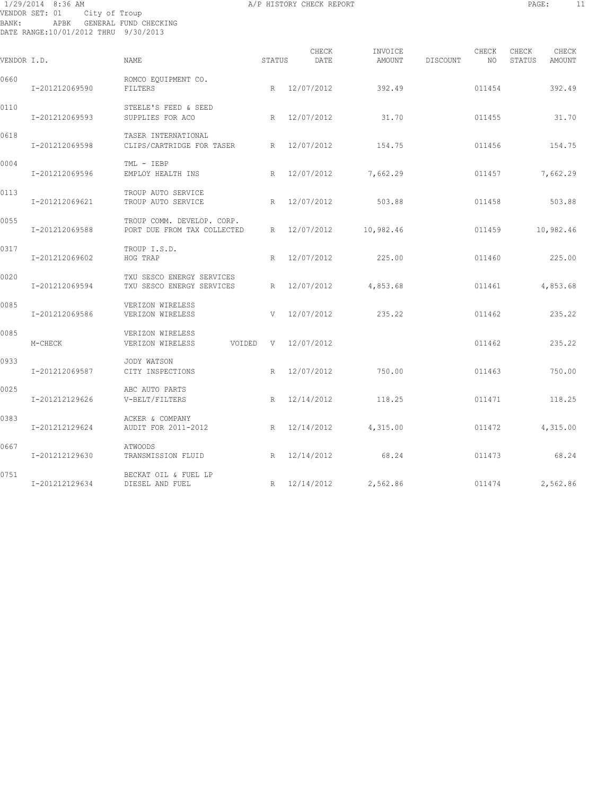# 1/29/2014 8:36 AM A/P HISTORY CHECK REPORT PAGE: 11 VENDOR SET: 01 City of Troup BANK: APBK GENERAL FUND CHECKING DATE RANGE:10/01/2012 THRU 9/30/2013

|             |                |                                                           |        | CHECK      | INVOICE             |          | CHECK  | CHECK  | CHECK     |
|-------------|----------------|-----------------------------------------------------------|--------|------------|---------------------|----------|--------|--------|-----------|
| VENDOR I.D. |                | NAME                                                      | STATUS | DATE       | AMOUNT              | DISCOUNT | NO     | STATUS | AMOUNT    |
| 0660        | I-201212069590 | ROMCO EQUIPMENT CO.<br>FILTERS                            | R      | 12/07/2012 | 392.49              |          | 011454 |        | 392.49    |
| 0110        | I-201212069593 | STEELE'S FEED & SEED<br>SUPPLIES FOR ACO                  | R      | 12/07/2012 | 31.70               |          | 011455 |        | 31.70     |
| 0618        | I-201212069598 | TASER INTERNATIONAL<br>CLIPS/CARTRIDGE FOR TASER          | R      | 12/07/2012 | 154.75              |          | 011456 |        | 154.75    |
| 0004        | I-201212069596 | TML - IEBP<br>EMPLOY HEALTH INS                           | R      | 12/07/2012 | 7,662.29            |          | 011457 |        | 7,662.29  |
| 0113        | I-201212069621 | TROUP AUTO SERVICE<br>TROUP AUTO SERVICE                  | R      | 12/07/2012 | 503.88              |          | 011458 |        | 503.88    |
| 0055        | I-201212069588 | TROUP COMM. DEVELOP. CORP.<br>PORT DUE FROM TAX COLLECTED | R      | 12/07/2012 | 10,982.46           |          | 011459 |        | 10,982.46 |
| 0317        | I-201212069602 | TROUP I.S.D.<br>HOG TRAP                                  | R      | 12/07/2012 | 225.00              |          | 011460 |        | 225.00    |
| 0020        | I-201212069594 | TXU SESCO ENERGY SERVICES<br>TXU SESCO ENERGY SERVICES    | R      | 12/07/2012 | 4,853.68            |          | 011461 |        | 4,853.68  |
| 0085        | I-201212069586 | VERIZON WIRELESS<br>VERIZON WIRELESS                      | V      | 12/07/2012 | 235.22              |          | 011462 |        | 235.22    |
| 0085        | M-CHECK        | VERIZON WIRELESS<br>VERIZON WIRELESS<br>VOIDED            | V      | 12/07/2012 |                     |          | 011462 |        | 235.22    |
| 0933        | I-201212069587 | JODY WATSON<br>CITY INSPECTIONS                           | R      | 12/07/2012 | 750.00              |          | 011463 |        | 750.00    |
| 0025        | I-201212129626 | ABC AUTO PARTS<br>V-BELT/FILTERS                          | R      | 12/14/2012 | 118.25              |          | 011471 |        | 118.25    |
| 0383        | I-201212129624 | ACKER & COMPANY<br>AUDIT FOR 2011-2012                    | R      | 12/14/2012 | 4,315.00            |          | 011472 |        | 4,315.00  |
| 0667        | I-201212129630 | <b>ATWOODS</b><br>TRANSMISSION FLUID                      | R      | 12/14/2012 | 68.24               |          | 011473 |        | 68.24     |
| 0751        | I-201212129634 | BECKAT OIL & FUEL LP<br>DIESEL AND FUEL                   | R      |            | 12/14/2012 2,562.86 |          | 011474 |        | 2,562.86  |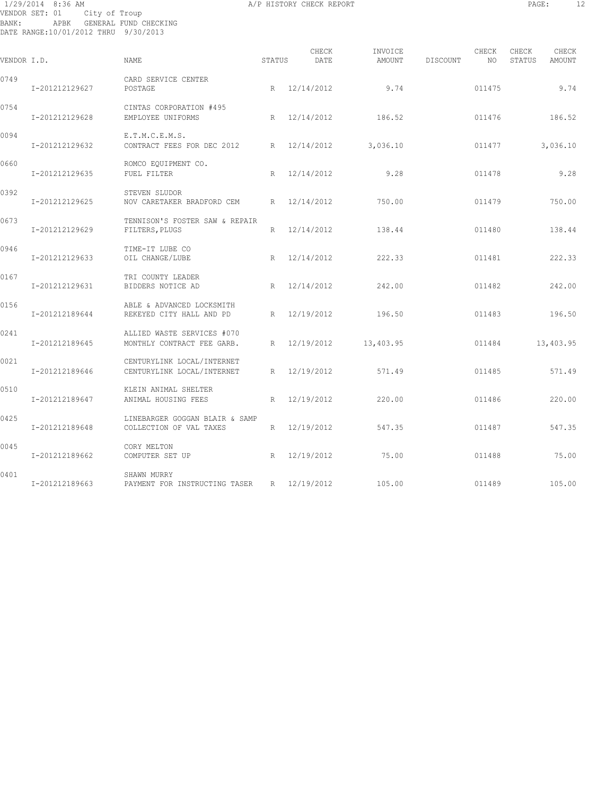# 1/29/2014 8:36 AM A/P HISTORY CHECK REPORT PAGE: 12 VENDOR SET: 01 City of Troup BANK: APBK GENERAL FUND CHECKING DATE RANGE:10/01/2012 THRU 9/30/2013

| VENDOR I.D. |                | <b>NAME</b>                                               | STATUS | CHECK<br>DATE | INVOICE<br>AMOUNT | DISCOUNT | CHECK<br>NO. | CHECK<br>STATUS | CHECK<br>AMOUNT |
|-------------|----------------|-----------------------------------------------------------|--------|---------------|-------------------|----------|--------------|-----------------|-----------------|
| 0749        | I-201212129627 | CARD SERVICE CENTER<br>POSTAGE                            |        | R 12/14/2012  | 9.74              |          | 011475       |                 | 9.74            |
| 0754        | I-201212129628 | CINTAS CORPORATION #495<br>EMPLOYEE UNIFORMS              | R      | 12/14/2012    | 186.52            |          | 011476       |                 | 186.52          |
| 0094        | I-201212129632 | E.T.M.C.E.M.S.<br>CONTRACT FEES FOR DEC 2012              | R      | 12/14/2012    | 3,036.10          |          | 011477       |                 | 3,036.10        |
| 0660        | I-201212129635 | ROMCO EQUIPMENT CO.<br>FUEL FILTER                        | R      | 12/14/2012    | 9.28              |          | 011478       |                 | 9.28            |
| 0392        | I-201212129625 | STEVEN SLUDOR<br>NOV CARETAKER BRADFORD CEM               | R      | 12/14/2012    | 750.00            |          | 011479       |                 | 750.00          |
| 0673        | I-201212129629 | TENNISON'S FOSTER SAW & REPAIR<br>FILTERS, PLUGS          | R.     | 12/14/2012    | 138.44            |          | 011480       |                 | 138.44          |
| 0946        | I-201212129633 | TIME-IT LUBE CO<br>OIL CHANGE/LUBE                        | R      | 12/14/2012    | 222.33            |          | 011481       |                 | 222.33          |
| 0167        | I-201212129631 | TRI COUNTY LEADER<br>BIDDERS NOTICE AD                    | R      | 12/14/2012    | 242.00            |          | 011482       |                 | 242.00          |
| 0156        | I-201212189644 | ABLE & ADVANCED LOCKSMITH<br>REKEYED CITY HALL AND PD     | R      | 12/19/2012    | 196.50            |          | 011483       |                 | 196.50          |
| 0241        | I-201212189645 | ALLIED WASTE SERVICES #070<br>MONTHLY CONTRACT FEE GARB.  | R      | 12/19/2012    | 13,403.95         |          | 011484       |                 | 13,403.95       |
| 0021        | I-201212189646 | CENTURYLINK LOCAL/INTERNET<br>CENTURYLINK LOCAL/INTERNET  | R      | 12/19/2012    | 571.49            |          | 011485       |                 | 571.49          |
| 0510        | I-201212189647 | KLEIN ANIMAL SHELTER<br>ANIMAL HOUSING FEES               | R      | 12/19/2012    | 220.00            |          | 011486       |                 | 220.00          |
| 0425        | I-201212189648 | LINEBARGER GOGGAN BLAIR & SAMP<br>COLLECTION OF VAL TAXES | R      | 12/19/2012    | 547.35            |          | 011487       |                 | 547.35          |
| 0045        | I-201212189662 | CORY MELTON<br>COMPUTER SET UP                            | R      | 12/19/2012    | 75.00             |          | 011488       |                 | 75.00           |
| 0401        | I-201212189663 | SHAWN MURRY<br>PAYMENT FOR INSTRUCTING TASER              | R      | 12/19/2012    | 105.00            |          | 011489       |                 | 105.00          |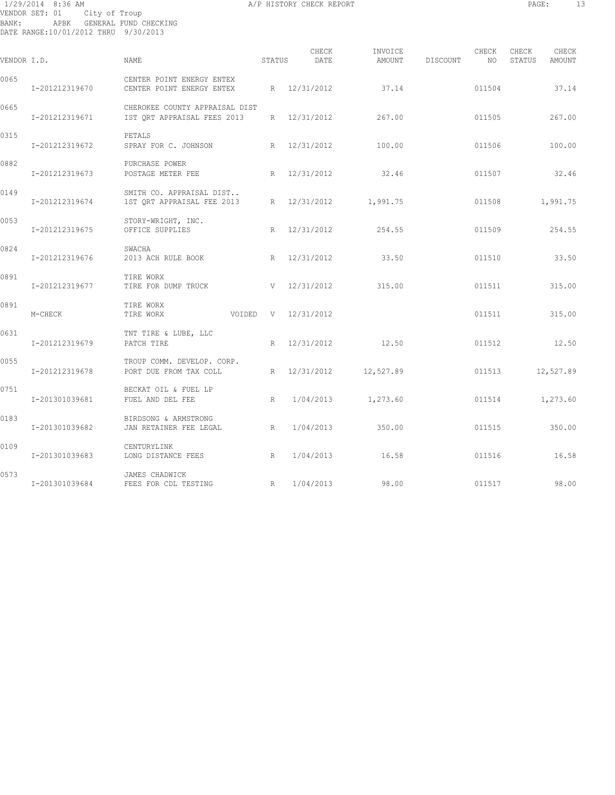# 1/29/2014 8:36 AM A/P HISTORY CHECK REPORT PAGE: 13 VENDOR SET: 01 City of Troup BANK: APBK GENERAL FUND CHECKING DATE RANGE:10/01/2012 THRU 9/30/2013

| г<br>٠<br>٠<br>٠<br>-<br>۰,<br>., |
|-----------------------------------|
|                                   |

| VENDOR I.D. |                | <b>NAME</b>                                                   | STATUS | CHECK<br>DATE    | INVOICE<br>AMOUNT     | DISCOUNT | CHECK<br>NO. | CHECK<br>STATUS | CHECK<br>AMOUNT |
|-------------|----------------|---------------------------------------------------------------|--------|------------------|-----------------------|----------|--------------|-----------------|-----------------|
| 0065        | I-201212319670 | CENTER POINT ENERGY ENTEX<br>CENTER POINT ENERGY ENTEX        |        | R 12/31/2012     | 37.14                 |          | 011504       |                 | 37.14           |
| 0665        | I-201212319671 | CHEROKEE COUNTY APPRAISAL DIST<br>IST ORT APPRAISAL FEES 2013 |        | R 12/31/2012     | 267.00                |          | 011505       |                 | 267.00          |
| 0315        | I-201212319672 | PETALS<br>SPRAY FOR C. JOHNSON                                |        | R 12/31/2012     | 100.00                |          | 011506       |                 | 100.00          |
| 0882        | I-201212319673 | PURCHASE POWER<br>POSTAGE METER FEE                           | R      | 12/31/2012       | 32.46                 |          | 011507       |                 | 32.46           |
| 0149        | I-201212319674 | SMITH CO. APPRAISAL DIST<br>1ST QRT APPRAISAL FEE 2013        |        |                  | R 12/31/2012 1,991.75 |          | 011508       |                 | 1,991.75        |
| 0053        | I-201212319675 | STORY-WRIGHT, INC.<br>OFFICE SUPPLIES                         | R      | 12/31/2012       | 254.55                |          | 011509       |                 | 254.55          |
| 0824        | I-201212319676 | SWACHA<br>2013 ACH RULE BOOK                                  |        | R 12/31/2012     | 33.50                 |          | 011510       |                 | 33.50           |
| 0891        | I-201212319677 | TIRE WORX<br>TIRE FOR DUMP TRUCK                              |        | $V = 12/31/2012$ | 315.00                |          | 011511       |                 | 315.00          |
| 0891        | M-CHECK        | TIRE WORX<br>TIRE WORX<br>VOIDED                              |        | V 12/31/2012     |                       |          | 011511       |                 | 315.00          |
| 0631        | I-201212319679 | TNT TIRE & LUBE, LLC<br>PATCH TIRE                            |        | R 12/31/2012     | 12.50                 |          | 011512       |                 | 12.50           |
| 0055        | I-201212319678 | TROUP COMM. DEVELOP. CORP.<br>PORT DUE FROM TAX COLL          |        | R 12/31/2012     | 12,527.89             |          | 011513       |                 | 12,527.89       |
| 0751        | I-201301039681 | BECKAT OIL & FUEL LP<br>FUEL AND DEL FEE                      | R      | 1/04/2013        | 1,273.60              |          | 011514       |                 | 1,273.60        |
| 0183        | I-201301039682 | BIRDSONG & ARMSTRONG<br>JAN RETAINER FEE LEGAL                | R      | 1/04/2013        | 350.00                |          | 011515       |                 | 350.00          |
| 0109        | I-201301039683 | CENTURYLINK<br>LONG DISTANCE FEES                             | R      | 1/04/2013        | 16.58                 |          | 011516       |                 | 16.58           |
| 0573        | I-201301039684 | JAMES CHADWICK<br>FEES FOR CDL TESTING                        | R      | 1/04/2013        | 98.00                 |          | 011517       |                 | 98.00           |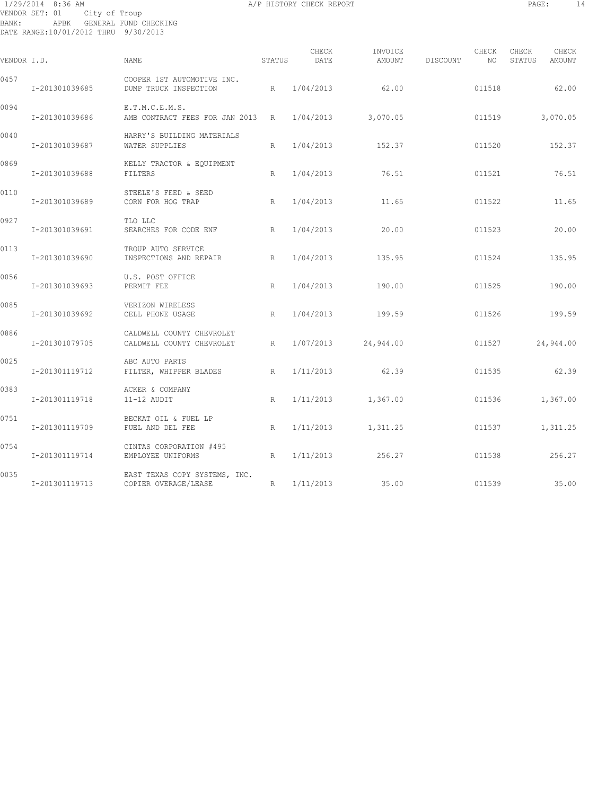# 1/29/2014 8:36 AM A/P HISTORY CHECK REPORT PAGE: 14 VENDOR SET: 01 City of Troup BANK: APBK GENERAL FUND CHECKING DATE RANGE:10/01/2012 THRU 9/30/2013

| ۰<br>٠<br>۰.<br>., | ٠ |  |
|--------------------|---|--|
|                    |   |  |

|             |                |                                                        |        | CHECK     | INVOICE   |          | CHECK  | CHECK  | CHECK     |
|-------------|----------------|--------------------------------------------------------|--------|-----------|-----------|----------|--------|--------|-----------|
| VENDOR I.D. |                | NAME                                                   | STATUS | DATE      | AMOUNT    | DISCOUNT | NO     | STATUS | AMOUNT    |
| 0457        | I-201301039685 | COOPER 1ST AUTOMOTIVE INC.<br>DUMP TRUCK INSPECTION    | R      | 1/04/2013 | 62.00     |          | 011518 |        | 62.00     |
| 0094        | I-201301039686 | E.T.M.C.E.M.S.<br>AMB CONTRACT FEES FOR JAN 2013 R     |        | 1/04/2013 | 3,070.05  |          | 011519 |        | 3,070.05  |
| 0040        | I-201301039687 | HARRY'S BUILDING MATERIALS<br>WATER SUPPLIES           | R      | 1/04/2013 | 152.37    |          | 011520 |        | 152.37    |
| 0869        | I-201301039688 | KELLY TRACTOR & EQUIPMENT<br>FILTERS                   | R      | 1/04/2013 | 76.51     |          | 011521 |        | 76.51     |
| 0110        | I-201301039689 | STEELE'S FEED & SEED<br>CORN FOR HOG TRAP              | R      | 1/04/2013 | 11.65     |          | 011522 |        | 11.65     |
| 0927        | I-201301039691 | TLO LLC<br>SEARCHES FOR CODE ENF                       | R      | 1/04/2013 | 20.00     |          | 011523 |        | 20.00     |
| 0113        | I-201301039690 | TROUP AUTO SERVICE<br>INSPECTIONS AND REPAIR           | R      | 1/04/2013 | 135.95    |          | 011524 |        | 135.95    |
| 0056        | I-201301039693 | U.S. POST OFFICE<br>PERMIT FEE                         | R      | 1/04/2013 | 190.00    |          | 011525 |        | 190.00    |
| 0085        | I-201301039692 | VERIZON WIRELESS<br>CELL PHONE USAGE                   | R      | 1/04/2013 | 199.59    |          | 011526 |        | 199.59    |
| 0886        | I-201301079705 | CALDWELL COUNTY CHEVROLET<br>CALDWELL COUNTY CHEVROLET | R      | 1/07/2013 | 24,944.00 |          | 011527 |        | 24,944.00 |
| 0025        | I-201301119712 | ABC AUTO PARTS<br>FILTER, WHIPPER BLADES               | R      | 1/11/2013 | 62.39     |          | 011535 |        | 62.39     |
| 0383        | I-201301119718 | ACKER & COMPANY<br>11-12 AUDIT                         | R      | 1/11/2013 | 1,367.00  |          | 011536 |        | 1,367.00  |
| 0751        | I-201301119709 | BECKAT OIL & FUEL LP<br>FUEL AND DEL FEE               | R      | 1/11/2013 | 1,311.25  |          | 011537 |        | 1,311.25  |
| 0754        | I-201301119714 | CINTAS CORPORATION #495<br>EMPLOYEE UNIFORMS           | R      | 1/11/2013 | 256.27    |          | 011538 |        | 256.27    |
| 0035        | I-201301119713 | EAST TEXAS COPY SYSTEMS, INC.<br>COPIER OVERAGE/LEASE  | R      | 1/11/2013 | 35.00     |          | 011539 |        | 35.00     |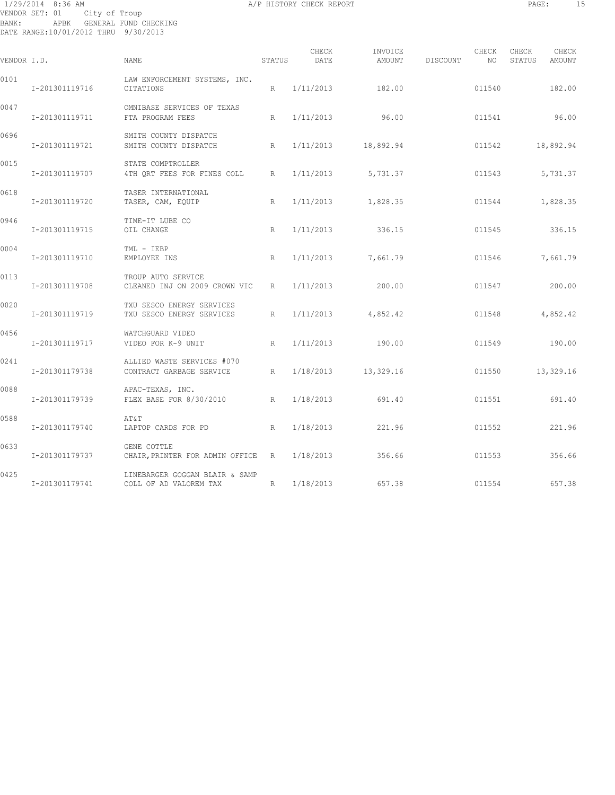# 1/29/2014 8:36 AM A/P HISTORY CHECK REPORT PAGE: 15 VENDOR SET: 01 City of Troup BANK: APBK GENERAL FUND CHECKING DATE RANGE:10/01/2012 THRU 9/30/2013

| <b>PAGE</b> |  |  |
|-------------|--|--|
|             |  |  |

| VENDOR I.D. |                | <b>NAME</b>                                              | STATUS | CHECK<br>DATE | INVOICE<br>AMOUNT    | DISCOUNT | CHECK<br>NO | CHECK<br>STATUS | CHECK<br>AMOUNT |
|-------------|----------------|----------------------------------------------------------|--------|---------------|----------------------|----------|-------------|-----------------|-----------------|
| 0101        | I-201301119716 | LAW ENFORCEMENT SYSTEMS, INC.<br>CITATIONS               | R      | 1/11/2013     | 182.00               |          | 011540      |                 | 182.00          |
| 0047        | I-201301119711 | OMNIBASE SERVICES OF TEXAS<br>FTA PROGRAM FEES           | R      | 1/11/2013     | 96.00                |          | 011541      |                 | 96.00           |
| 0696        | I-201301119721 | SMITH COUNTY DISPATCH<br>SMITH COUNTY DISPATCH<br>R      |        | 1/11/2013     | 18,892.94            |          | 011542      |                 | 18,892.94       |
| 0015        | I-201301119707 | STATE COMPTROLLER<br>4TH ORT FEES FOR FINES COLL R       |        | 1/11/2013     | 5,731.37             |          | 011543      |                 | 5,731.37        |
| 0618        | I-201301119720 | TASER INTERNATIONAL<br>TASER, CAM, EQUIP                 | R      |               | $1/11/2013$ 1,828.35 |          | 011544      |                 | 1,828.35        |
| 0946        | I-201301119715 | TIME-IT LUBE CO<br>OIL CHANGE                            | R      | 1/11/2013     | 336.15               |          | 011545      |                 | 336.15          |
| 0004        | I-201301119710 | TML - IEBP<br>EMPLOYEE INS                               | R      | 1/11/2013     | 7,661.79             |          | 011546      |                 | 7,661.79        |
| 0113        | I-201301119708 | TROUP AUTO SERVICE<br>CLEANED INJ ON 2009 CROWN VIC      | R      | 1/11/2013     | 200.00               |          | 011547      |                 | 200.00          |
| 0020        | I-201301119719 | TXU SESCO ENERGY SERVICES<br>TXU SESCO ENERGY SERVICES   | R      | 1/11/2013     | 4,852.42             |          | 011548      |                 | 4,852.42        |
| 0456        | I-201301119717 | WATCHGUARD VIDEO<br>VIDEO FOR K-9 UNIT                   | R      | 1/11/2013     | 190.00               |          | 011549      |                 | 190.00          |
| 0241        | I-201301179738 | ALLIED WASTE SERVICES #070<br>CONTRACT GARBAGE SERVICE   | R      | 1/18/2013     | 13,329.16            |          | 011550      | 13,329.16       |                 |
| 0088        | I-201301179739 | APAC-TEXAS, INC.<br>FLEX BASE FOR 8/30/2010 R            |        | 1/18/2013     | 691.40               |          | 011551      |                 | 691.40          |
| 0588        | I-201301179740 | AΤ&Τ<br>LAPTOP CARDS FOR PD                              | R      | 1/18/2013     | 221.96               |          | 011552      |                 | 221.96          |
| 0633        | I-201301179737 | GENE COTTLE<br>CHAIR, PRINTER FOR ADMIN OFFICE R         |        | 1/18/2013     | 356.66               |          | 011553      |                 | 356.66          |
| 0425        | I-201301179741 | LINEBARGER GOGGAN BLAIR & SAMP<br>COLL OF AD VALOREM TAX | R      | 1/18/2013     | 657.38               |          | 011554      |                 | 657.38          |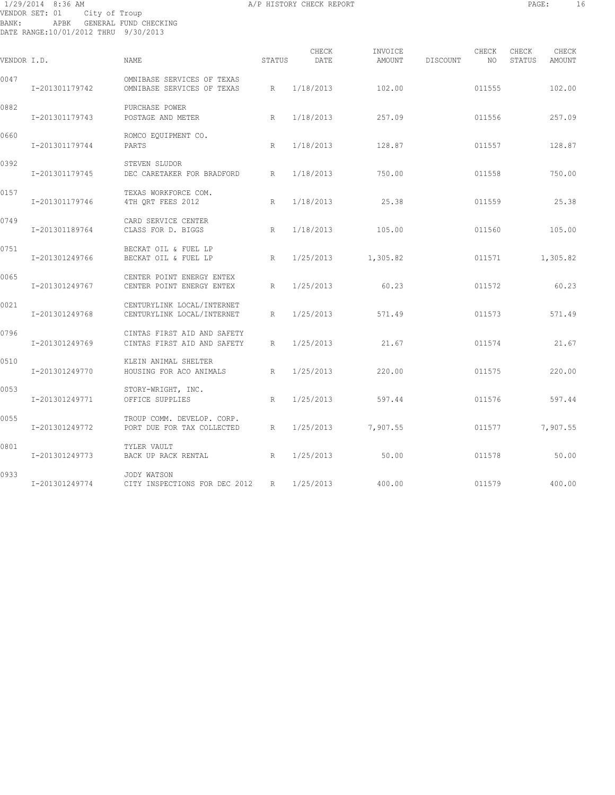# 1/29/2014 8:36 AM A/P HISTORY CHECK REPORT PAGE: 16 VENDOR SET: 01 City of Troup BANK: APBK GENERAL FUND CHECKING DATE RANGE:10/01/2012 THRU 9/30/2013

| VENDOR I.D. |                | NAME                                                       | STATUS | CHECK<br>DATE | INVOICE<br>AMOUNT | DISCOUNT | CHECK<br>NO. | CHECK<br>STATUS | CHECK<br>AMOUNT |
|-------------|----------------|------------------------------------------------------------|--------|---------------|-------------------|----------|--------------|-----------------|-----------------|
|             |                |                                                            |        |               |                   |          |              |                 |                 |
| 0047        | I-201301179742 | OMNIBASE SERVICES OF TEXAS<br>OMNIBASE SERVICES OF TEXAS   | R      | 1/18/2013     | 102.00            |          | 011555       |                 | 102.00          |
| 0882        | I-201301179743 | PURCHASE POWER<br>POSTAGE AND METER                        | R      | 1/18/2013     | 257.09            |          | 011556       |                 | 257.09          |
| 0660        | I-201301179744 | ROMCO EQUIPMENT CO.<br>PARTS                               | R      | 1/18/2013     | 128.87            |          | 011557       |                 | 128.87          |
| 0392        | I-201301179745 | STEVEN SLUDOR<br>DEC CARETAKER FOR BRADFORD                | R      | 1/18/2013     | 750.00            |          | 011558       |                 | 750.00          |
| 0157        | I-201301179746 | TEXAS WORKFORCE COM.<br>4TH QRT FEES 2012                  | R      | 1/18/2013     | 25.38             |          | 011559       |                 | 25.38           |
| 0749        | I-201301189764 | CARD SERVICE CENTER<br>CLASS FOR D. BIGGS                  | R      | 1/18/2013     | 105.00            |          | 011560       |                 | 105.00          |
| 0751        | I-201301249766 | BECKAT OIL & FUEL LP<br>BECKAT OIL & FUEL LP               | R      | 1/25/2013     | 1,305.82          |          | 011571       |                 | 1,305.82        |
| 0065        | I-201301249767 | CENTER POINT ENERGY ENTEX<br>CENTER POINT ENERGY ENTEX     | R      | 1/25/2013     | 60.23             |          | 011572       |                 | 60.23           |
| 0021        | I-201301249768 | CENTURYLINK LOCAL/INTERNET<br>CENTURYLINK LOCAL/INTERNET   | R      | 1/25/2013     | 571.49            |          | 011573       |                 | 571.49          |
| 0796        | I-201301249769 | CINTAS FIRST AID AND SAFETY<br>CINTAS FIRST AID AND SAFETY | R      | 1/25/2013     | 21.67             |          | 011574       |                 | 21.67           |
| 0510        | I-201301249770 | KLEIN ANIMAL SHELTER<br>HOUSING FOR ACO ANIMALS            | R      | 1/25/2013     | 220.00            |          | 011575       |                 | 220.00          |
| 0053        | I-201301249771 | STORY-WRIGHT, INC.<br>OFFICE SUPPLIES                      | R      | 1/25/2013     | 597.44            |          | 011576       |                 | 597.44          |
| 0055        | I-201301249772 | TROUP COMM. DEVELOP. CORP.<br>PORT DUE FOR TAX COLLECTED   | R      | 1/25/2013     | 7,907.55          |          | 011577       |                 | 7,907.55        |
| 0801        | I-201301249773 | TYLER VAULT<br>BACK UP RACK RENTAL                         | R      | 1/25/2013     | 50.00             |          | 011578       |                 | 50.00           |
| 0933        | I-201301249774 | JODY WATSON<br>CITY INSPECTIONS FOR DEC 2012               | R      | 1/25/2013     | 400.00            |          | 011579       |                 | 400.00          |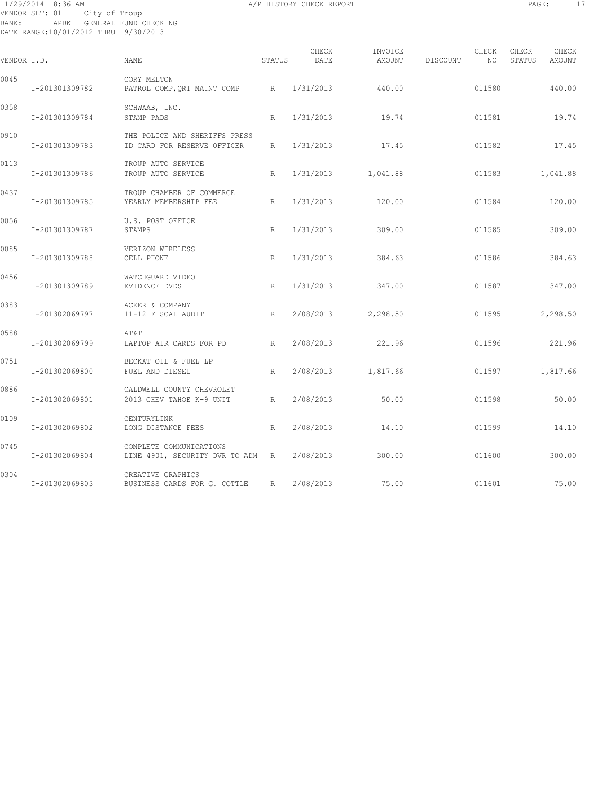# 1/29/2014 8:36 AM A/P HISTORY CHECK REPORT PAGE: 17 VENDOR SET: 01 City of Troup BANK: APBK GENERAL FUND CHECKING DATE RANGE:10/01/2012 THRU 9/30/2013

| VENDOR I.D. |                | <b>NAME</b>                                                  | <b>STATUS</b> | CHECK<br>DATE | INVOICE<br>AMOUNT | DISCOUNT | CHECK<br>NO | CHECK<br>STATUS | CHECK<br><b>AMOUNT</b> |
|-------------|----------------|--------------------------------------------------------------|---------------|---------------|-------------------|----------|-------------|-----------------|------------------------|
| 0045        | I-201301309782 | CORY MELTON<br>PATROL COMP, QRT MAINT COMP                   | R             | 1/31/2013     | 440.00            |          | 011580      |                 | 440.00                 |
| 0358        | I-201301309784 | SCHWAAB, INC.<br>STAMP PADS                                  | R             | 1/31/2013     | 19.74             |          | 011581      |                 | 19.74                  |
| 0910        | I-201301309783 | THE POLICE AND SHERIFFS PRESS<br>ID CARD FOR RESERVE OFFICER | R             | 1/31/2013     | 17.45             |          | 011582      |                 | 17.45                  |
| 0113        | I-201301309786 | TROUP AUTO SERVICE<br>TROUP AUTO SERVICE                     | R             | 1/31/2013     | 1,041.88          |          | 011583      |                 | 1,041.88               |
| 0437        | I-201301309785 | TROUP CHAMBER OF COMMERCE<br>YEARLY MEMBERSHIP FEE           | R             | 1/31/2013     | 120.00            |          | 011584      |                 | 120.00                 |
| 0056        | I-201301309787 | U.S. POST OFFICE<br>STAMPS                                   | R             | 1/31/2013     | 309.00            |          | 011585      |                 | 309.00                 |
| 0085        | I-201301309788 | VERIZON WIRELESS<br>CELL PHONE                               | R             | 1/31/2013     | 384.63            |          | 011586      |                 | 384.63                 |
| 0456        | I-201301309789 | WATCHGUARD VIDEO<br>EVIDENCE DVDS                            | R             | 1/31/2013     | 347.00            |          | 011587      |                 | 347.00                 |
| 0383        | I-201302069797 | ACKER & COMPANY<br>11-12 FISCAL AUDIT                        | R             | 2/08/2013     | 2,298.50          |          | 011595      |                 | 2,298.50               |
| 0588        | I-201302069799 | AT&T<br>LAPTOP AIR CARDS FOR PD                              | R             | 2/08/2013     | 221.96            |          | 011596      |                 | 221.96                 |
| 0751        | I-201302069800 | BECKAT OIL & FUEL LP<br>FUEL AND DIESEL                      | R             | 2/08/2013     | 1,817.66          |          | 011597      |                 | 1,817.66               |
| 0886        | I-201302069801 | CALDWELL COUNTY CHEVROLET<br>2013 CHEV TAHOE K-9 UNIT        | R             | 2/08/2013     | 50.00             |          | 011598      |                 | 50.00                  |
| 0109        | I-201302069802 | CENTURYLINK<br>LONG DISTANCE FEES                            | R             | 2/08/2013     | 14.10             |          | 011599      |                 | 14.10                  |
| 0745        | I-201302069804 | COMPLETE COMMUNICATIONS<br>LINE 4901, SECURITY DVR TO ADM R  |               | 2/08/2013     | 300.00            |          | 011600      |                 | 300.00                 |
| 0304        | I-201302069803 | CREATIVE GRAPHICS<br>BUSINESS CARDS FOR G. COTTLE            | R             | 2/08/2013     | 75.00             |          | 011601      |                 | 75.00                  |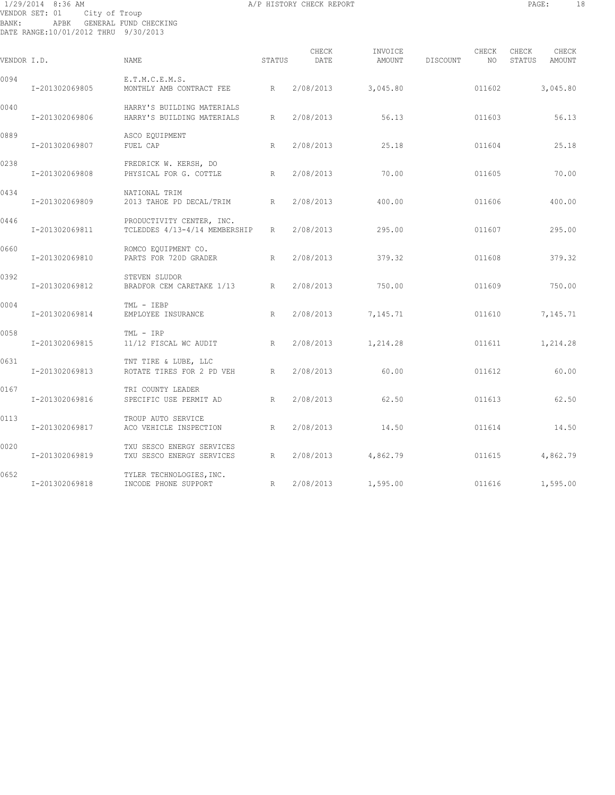# 1/29/2014 8:36 AM A/P HISTORY CHECK REPORT PAGE: 18 VENDOR SET: 01 City of Troup BANK: APBK GENERAL FUND CHECKING DATE RANGE:10/01/2012 THRU 9/30/2013

| VENDOR I.D. |                | <b>NAME</b>                                                | STATUS       | CHECK<br>DATE | INVOICE<br>AMOUNT | DISCOUNT | CHECK<br>NO. | CHECK<br>STATUS | CHECK<br>AMOUNT |
|-------------|----------------|------------------------------------------------------------|--------------|---------------|-------------------|----------|--------------|-----------------|-----------------|
| 0094        | I-201302069805 | E.T.M.C.E.M.S.<br>MONTHLY AMB CONTRACT FEE                 | R            | 2/08/2013     | 3,045.80          |          | 011602       |                 | 3,045.80        |
| 0040        | I-201302069806 | HARRY'S BUILDING MATERIALS<br>HARRY'S BUILDING MATERIALS   | R            | 2/08/2013     | 56.13             |          | 011603       |                 | 56.13           |
| 0889        | I-201302069807 | ASCO EQUIPMENT<br>FUEL CAP                                 | R            | 2/08/2013     | 25.18             |          | 011604       |                 | 25.18           |
| 0238        | I-201302069808 | FREDRICK W. KERSH, DO<br>PHYSICAL FOR G. COTTLE            | $\mathbb{R}$ | 2/08/2013     | 70.00             |          | 011605       |                 | 70.00           |
| 0434        | I-201302069809 | NATIONAL TRIM<br>2013 TAHOE PD DECAL/TRIM                  | R            | 2/08/2013     | 400.00            |          | 011606       |                 | 400.00          |
| 0446        | I-201302069811 | PRODUCTIVITY CENTER, INC.<br>TCLEDDES 4/13-4/14 MEMBERSHIP | R            | 2/08/2013     | 295.00            |          | 011607       |                 | 295.00          |
| 0660        | I-201302069810 | ROMCO EQUIPMENT CO.<br>PARTS FOR 720D GRADER               | R            | 2/08/2013     | 379.32            |          | 011608       |                 | 379.32          |
| 0392        | I-201302069812 | STEVEN SLUDOR<br>BRADFOR CEM CARETAKE 1/13                 | R            | 2/08/2013     | 750.00            |          | 011609       |                 | 750.00          |
| 0004        | I-201302069814 | TML - IEBP<br>EMPLOYEE INSURANCE                           | R            | 2/08/2013     | 7,145.71          |          | 011610       |                 | 7,145.71        |
| 0058        | I-201302069815 | TML - IRP<br>11/12 FISCAL WC AUDIT                         | R            | 2/08/2013     | 1,214.28          |          | 011611       |                 | 1,214.28        |
| 0631        | I-201302069813 | TNT TIRE & LUBE, LLC<br>ROTATE TIRES FOR 2 PD VEH          | R            | 2/08/2013     | 60.00             |          | 011612       |                 | 60.00           |
| 0167        | I-201302069816 | TRI COUNTY LEADER<br>SPECIFIC USE PERMIT AD                | R            | 2/08/2013     | 62.50             |          | 011613       |                 | 62.50           |
| 0113        | I-201302069817 | TROUP AUTO SERVICE<br>ACO VEHICLE INSPECTION               | R            | 2/08/2013     | 14.50             |          | 011614       |                 | 14.50           |
| 0020        | I-201302069819 | TXU SESCO ENERGY SERVICES<br>TXU SESCO ENERGY SERVICES     | R            | 2/08/2013     | 4,862.79          |          | 011615       |                 | 4,862.79        |
| 0652        | I-201302069818 | TYLER TECHNOLOGIES, INC.<br>INCODE PHONE SUPPORT           | R            | 2/08/2013     | 1,595.00          |          | 011616       |                 | 1,595.00        |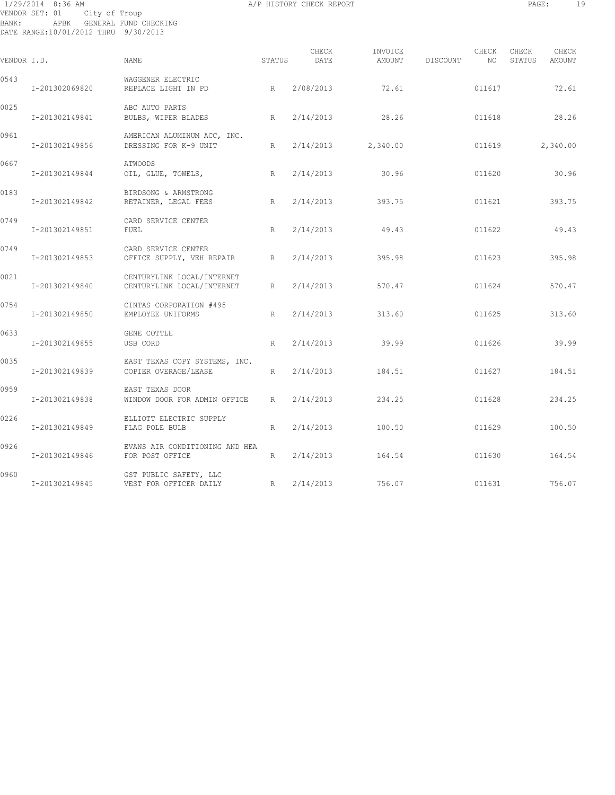# 1/29/2014 8:36 AM A/P HISTORY CHECK REPORT PAGE: 19 VENDOR SET: 01 City of Troup BANK: APBK GENERAL FUND CHECKING DATE RANGE:10/01/2012 THRU 9/30/2013

| VENDOR I.D. |                | NAME.                                                    | STATUS | CHECK<br>DATE | INVOICE<br>AMOUNT | DISCOUNT | CHECK<br>NO. | CHECK<br>STATUS | CHECK<br>AMOUNT |
|-------------|----------------|----------------------------------------------------------|--------|---------------|-------------------|----------|--------------|-----------------|-----------------|
| 0543        | I-201302069820 | WAGGENER ELECTRIC<br>REPLACE LIGHT IN PD                 | R      | 2/08/2013     | 72.61             |          | 011617       |                 | 72.61           |
| 0025        | I-201302149841 | ABC AUTO PARTS<br>BULBS, WIPER BLADES                    | R      | 2/14/2013     | 28.26             |          | 011618       |                 | 28.26           |
| 0961        | I-201302149856 | AMERICAN ALUMINUM ACC, INC.<br>DRESSING FOR K-9 UNIT     | R      | 2/14/2013     | 2,340.00          |          | 011619       |                 | 2,340.00        |
| 0667        | I-201302149844 | <b>ATWOODS</b><br>OIL, GLUE, TOWELS,                     | R      | 2/14/2013     | 30.96             |          | 011620       |                 | 30.96           |
| 0183        | I-201302149842 | BIRDSONG & ARMSTRONG<br>RETAINER, LEGAL FEES             | R      | 2/14/2013     | 393.75            |          | 011621       |                 | 393.75          |
| 0749        | I-201302149851 | CARD SERVICE CENTER<br><b>FUEL</b>                       | R      | 2/14/2013     | 49.43             |          | 011622       |                 | 49.43           |
| 0749        | I-201302149853 | CARD SERVICE CENTER<br>OFFICE SUPPLY, VEH REPAIR         | R      | 2/14/2013     | 395.98            |          | 011623       |                 | 395.98          |
| 0021        | I-201302149840 | CENTURYLINK LOCAL/INTERNET<br>CENTURYLINK LOCAL/INTERNET | R      | 2/14/2013     | 570.47            |          | 011624       |                 | 570.47          |
| 0754        | I-201302149850 | CINTAS CORPORATION #495<br>EMPLOYEE UNIFORMS             | R      | 2/14/2013     | 313.60            |          | 011625       |                 | 313.60          |
| 0633        | I-201302149855 | GENE COTTLE<br>USB CORD                                  | R      | 2/14/2013     | 39.99             |          | 011626       |                 | 39.99           |
| 0035        | I-201302149839 | EAST TEXAS COPY SYSTEMS, INC.<br>COPIER OVERAGE/LEASE    | R      | 2/14/2013     | 184.51            |          | 011627       |                 | 184.51          |
| 0959        | I-201302149838 | EAST TEXAS DOOR<br>WINDOW DOOR FOR ADMIN OFFICE          | R      | 2/14/2013     | 234.25            |          | 011628       |                 | 234.25          |
| 0226        | I-201302149849 | ELLIOTT ELECTRIC SUPPLY<br>FLAG POLE BULB                | R      | 2/14/2013     | 100.50            |          | 011629       |                 | 100.50          |
| 0926        | I-201302149846 | EVANS AIR CONDITIONING AND HEA<br>FOR POST OFFICE        | R      | 2/14/2013     | 164.54            |          | 011630       |                 | 164.54          |
| 0960        | I-201302149845 | GST PUBLIC SAFETY, LLC<br>VEST FOR OFFICER DAILY<br>R    |        | 2/14/2013     | 756.07            |          | 011631       |                 | 756.07          |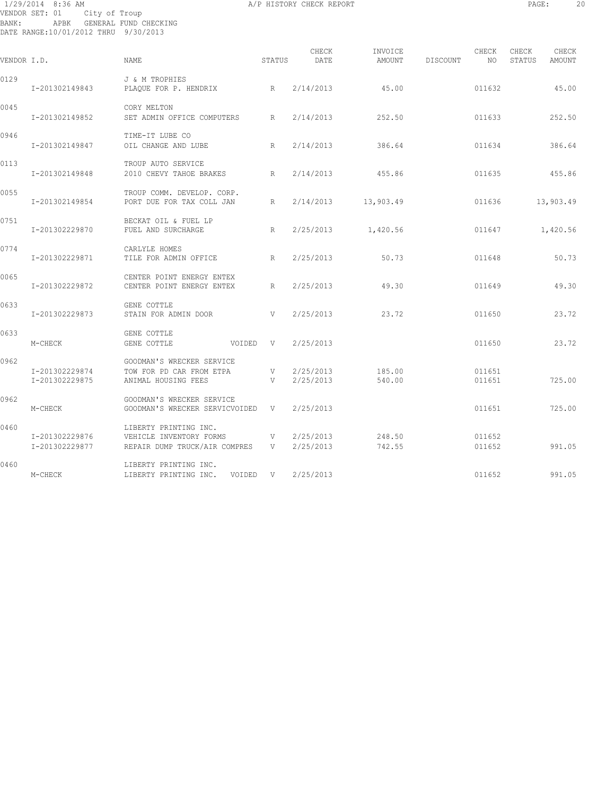# 1/29/2014 8:36 AM A/P HISTORY CHECK REPORT PAGE: 20 VENDOR SET: 01 City of Troup BANK: APBK GENERAL FUND CHECKING DATE RANGE:10/01/2012 THRU 9/30/2013

| VENDOR I.D. |                                  | <b>NAME</b>                                                                       | STATUS            | CHECK<br>DATE          | INVOICE<br>AMOUNT | DISCOUNT | CHECK<br>NO.     | CHECK<br>CHECK<br>STATUS<br>AMOUNT |
|-------------|----------------------------------|-----------------------------------------------------------------------------------|-------------------|------------------------|-------------------|----------|------------------|------------------------------------|
| 0129        | I-201302149843                   | J & M TROPHIES<br>PLAQUE FOR P. HENDRIX                                           | R                 | 2/14/2013              | 45.00             |          | 011632           | 45.00                              |
| 0045        | I-201302149852                   | CORY MELTON<br>SET ADMIN OFFICE COMPUTERS                                         | R                 | 2/14/2013              | 252.50            |          | 011633           | 252.50                             |
| 0946        | I-201302149847                   | TIME-IT LUBE CO<br>OIL CHANGE AND LUBE                                            | R                 | 2/14/2013              | 386.64            |          | 011634           | 386.64                             |
| 0113        | I-201302149848                   | TROUP AUTO SERVICE<br>2010 CHEVY TAHOE BRAKES R                                   |                   | 2/14/2013              | 455.86            |          | 011635           | 455.86                             |
| 0055        | I-201302149854                   | TROUP COMM. DEVELOP. CORP.<br>PORT DUE FOR TAX COLL JAN                           | R                 | 2/14/2013              | 13,903.49         |          | 011636           | 13,903.49                          |
| 0751        | I-201302229870                   | BECKAT OIL & FUEL LP<br>FUEL AND SURCHARGE                                        | R                 | 2/25/2013              | 1,420.56          |          | 011647           | 1,420.56                           |
| 0774        | I-201302229871                   | CARLYLE HOMES<br>TILE FOR ADMIN OFFICE                                            | R                 | 2/25/2013              | 50.73             |          | 011648           | 50.73                              |
| 0065        | I-201302229872                   | CENTER POINT ENERGY ENTEX<br>CENTER POINT ENERGY ENTEX                            | R                 | 2/25/2013              | 49.30             |          | 011649           | 49.30                              |
| 0633        | I-201302229873                   | GENE COTTLE<br>STAIN FOR ADMIN DOOR                                               | <b>V</b>          | 2/25/2013              | 23.72             |          | 011650           | 23.72                              |
| 0633        | M-CHECK                          | GENE COTTLE<br>GENE COTTLE                                                        | VOIDED V          | 2/25/2013              |                   |          | 011650           | 23.72                              |
| 0962        | I-201302229874<br>I-201302229875 | GOODMAN'S WRECKER SERVICE<br>TOW FOR PD CAR FROM ETPA<br>ANIMAL HOUSING FEES      | V<br>V            | 2/25/2013<br>2/25/2013 | 185.00<br>540.00  |          | 011651<br>011651 | 725.00                             |
| 0962        | M-CHECK                          | GOODMAN'S WRECKER SERVICE<br>GOODMAN'S WRECKER SERVICVOIDED V                     |                   | 2/25/2013              |                   |          | 011651           | 725.00                             |
| 0460        | I-201302229876<br>I-201302229877 | LIBERTY PRINTING INC.<br>VEHICLE INVENTORY FORMS<br>REPAIR DUMP TRUCK/AIR COMPRES | $\mathbf{V}$<br>V | 2/25/2013<br>2/25/2013 | 248.50<br>742.55  |          | 011652<br>011652 | 991.05                             |
| 0460        | M-CHECK                          | LIBERTY PRINTING INC.<br>LIBERTY PRINTING INC. VOIDED V                           |                   | 2/25/2013              |                   |          | 011652           | 991.05                             |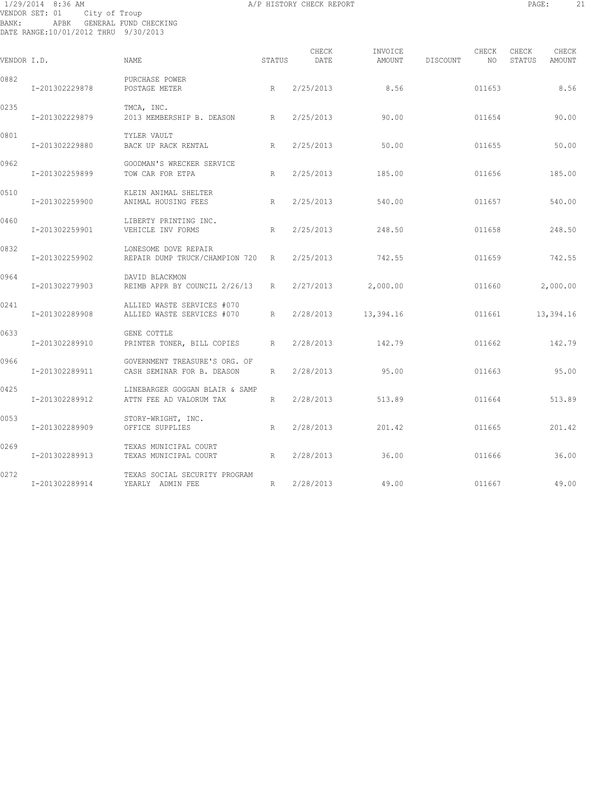# 1/29/2014 8:36 AM A/P HISTORY CHECK REPORT PAGE: 21 VENDOR SET: 01 City of Troup BANK: APBK GENERAL FUND CHECKING DATE RANGE:10/01/2012 THRU 9/30/2013

| VENDOR I.D. |                | <b>NAME</b>                                                 | STATUS          | CHECK<br>DATE | INVOICE<br>AMOUNT | CHECK<br>DISCOUNT<br>NO. | CHECK<br>CHECK<br>STATUS<br>AMOUNT |      |
|-------------|----------------|-------------------------------------------------------------|-----------------|---------------|-------------------|--------------------------|------------------------------------|------|
| 0882        | I-201302229878 | PURCHASE POWER<br>POSTAGE METER                             | R               | 2/25/2013     | 8.56              | 011653                   |                                    | 8.56 |
| 0235        | I-201302229879 | TMCA, INC.<br>2013 MEMBERSHIP B. DEASON                     | R               | 2/25/2013     | 90.00             | 011654                   | 90.00                              |      |
| 0801        | I-201302229880 | TYLER VAULT<br>BACK UP RACK RENTAL                          | R               | 2/25/2013     | 50.00             | 011655                   | 50.00                              |      |
| 0962        | I-201302259899 | GOODMAN'S WRECKER SERVICE<br>TOW CAR FOR ETPA               | R               | 2/25/2013     | 185.00            | 011656                   | 185.00                             |      |
| 0510        | I-201302259900 | KLEIN ANIMAL SHELTER<br>ANIMAL HOUSING FEES                 | R               | 2/25/2013     | 540.00            | 011657                   | 540.00                             |      |
| 0460        | I-201302259901 | LIBERTY PRINTING INC.<br>VEHICLE INV FORMS                  | R               | 2/25/2013     | 248.50            | 011658                   | 248.50                             |      |
| 0832        | I-201302259902 | LONESOME DOVE REPAIR<br>REPAIR DUMP TRUCK/CHAMPION 720 R    |                 | 2/25/2013     | 742.55            | 011659                   | 742.55                             |      |
| 0964        | I-201302279903 | DAVID BLACKMON<br>REIMB APPR BY COUNCIL 2/26/13             | $R_{\parallel}$ | 2/27/2013     | 2,000.00          | 011660                   | 2,000.00                           |      |
| 0241        | I-201302289908 | ALLIED WASTE SERVICES #070<br>ALLIED WASTE SERVICES #070    | R               | 2/28/2013     | 13,394.16         | 011661                   | 13,394.16                          |      |
| 0633        | I-201302289910 | GENE COTTLE<br>PRINTER TONER, BILL COPIES                   | R               | 2/28/2013     | 142.79            | 011662                   | 142.79                             |      |
| 0966        | I-201302289911 | GOVERNMENT TREASURE'S ORG. OF<br>CASH SEMINAR FOR B. DEASON | R               | 2/28/2013     | 95.00             | 011663                   | 95.00                              |      |
| 0425        | I-201302289912 | LINEBARGER GOGGAN BLAIR & SAMP<br>ATTN FEE AD VALORUM TAX   | R               | 2/28/2013     | 513.89            | 011664                   | 513.89                             |      |
| 0053        | I-201302289909 | STORY-WRIGHT, INC.<br>OFFICE SUPPLIES                       | R               | 2/28/2013     | 201.42            | 011665                   | 201.42                             |      |
| 0269        | I-201302289913 | TEXAS MUNICIPAL COURT<br>TEXAS MUNICIPAL COURT              | R               | 2/28/2013     | 36.00             | 011666                   | 36.00                              |      |
| 0272        | I-201302289914 | TEXAS SOCIAL SECURITY PROGRAM<br>YEARLY ADMIN FEE           | R               | 2/28/2013     | 49.00             | 011667                   | 49.00                              |      |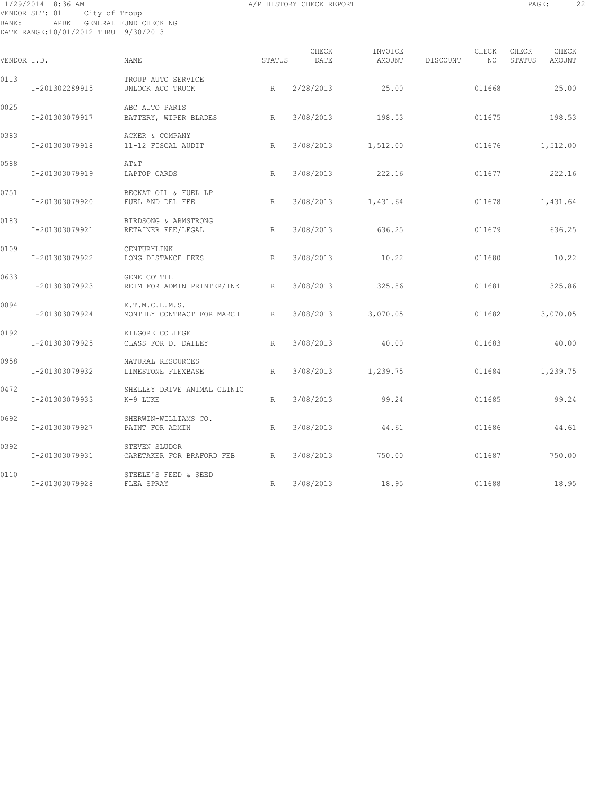# 1/29/2014 8:36 AM A/P HISTORY CHECK REPORT PAGE: 22 VENDOR SET: 01 City of Troup BANK: APBK GENERAL FUND CHECKING DATE RANGE:10/01/2012 THRU 9/30/2013

| VENDOR I.D. |                | NAME                                         | STATUS | CHECK<br>DATE | INVOICE            | AMOUNT DISCOUNT | CHECK<br>NO. | CHECK<br>STATUS | CHECK<br>AMOUNT |
|-------------|----------------|----------------------------------------------|--------|---------------|--------------------|-----------------|--------------|-----------------|-----------------|
| 0113        | I-201302289915 | TROUP AUTO SERVICE<br>UNLOCK ACO TRUCK       | R      | 2/28/2013     | 25.00              |                 | 011668       |                 | 25.00           |
| 0025        | I-201303079917 | ABC AUTO PARTS<br>BATTERY, WIPER BLADES      | R      |               | 3/08/2013 198.53   |                 | 011675       |                 | 198.53          |
| 0383        | I-201303079918 | ACKER & COMPANY<br>11-12 FISCAL AUDIT        | R      | 3/08/2013     | 1,512.00           |                 | 011676       |                 | 1,512.00        |
| 0588        | I-201303079919 | AT&T<br>LAPTOP CARDS                         | R      | 3/08/2013     | 222.16             |                 | 011677       |                 | 222.16          |
| 0751        | I-201303079920 | BECKAT OIL & FUEL LP<br>FUEL AND DEL FEE     | R      |               | 3/08/2013 1,431.64 |                 | 011678       |                 | 1,431.64        |
| 0183        | I-201303079921 | BIRDSONG & ARMSTRONG<br>RETAINER FEE/LEGAL   | R      | 3/08/2013     | 636.25             |                 | 011679       |                 | 636.25          |
| 0109        | I-201303079922 | CENTURYLINK<br>LONG DISTANCE FEES            | R      | 3/08/2013     | 10.22              |                 | 011680       |                 | 10.22           |
| 0633        | I-201303079923 | GENE COTTLE<br>REIM FOR ADMIN PRINTER/INK    | R      | 3/08/2013     | 325.86             |                 | 011681       |                 | 325.86          |
| 0094        | I-201303079924 | E.T.M.C.E.M.S.<br>MONTHLY CONTRACT FOR MARCH | R      | 3/08/2013     | 3,070.05           |                 | 011682       |                 | 3,070.05        |
| 0192        | I-201303079925 | KILGORE COLLEGE<br>CLASS FOR D. DAILEY       | R      | 3/08/2013     | 40.00              |                 | 011683       | 40.00           |                 |
| 0958        | I-201303079932 | NATURAL RESOURCES<br>LIMESTONE FLEXBASE      | R      | 3/08/2013     | 1,239.75           |                 | 011684       | 1,239.75        |                 |
| 0472        | I-201303079933 | SHELLEY DRIVE ANIMAL CLINIC<br>K-9 LUKE      | R      | 3/08/2013     | 99.24              |                 | 011685       |                 | 99.24           |
| 0692        | I-201303079927 | SHERWIN-WILLIAMS CO.<br>PAINT FOR ADMIN      | R      | 3/08/2013     | 44.61              |                 | 011686       |                 | 44.61           |
| 0392        | I-201303079931 | STEVEN SLUDOR<br>CARETAKER FOR BRAFORD FEB R |        | 3/08/2013     | 750.00             |                 | 011687       |                 | 750.00          |
| 0110        | I-201303079928 | STEELE'S FEED & SEED<br>FLEA SPRAY           | R      | 3/08/2013     | 18.95              |                 | 011688       |                 | 18.95           |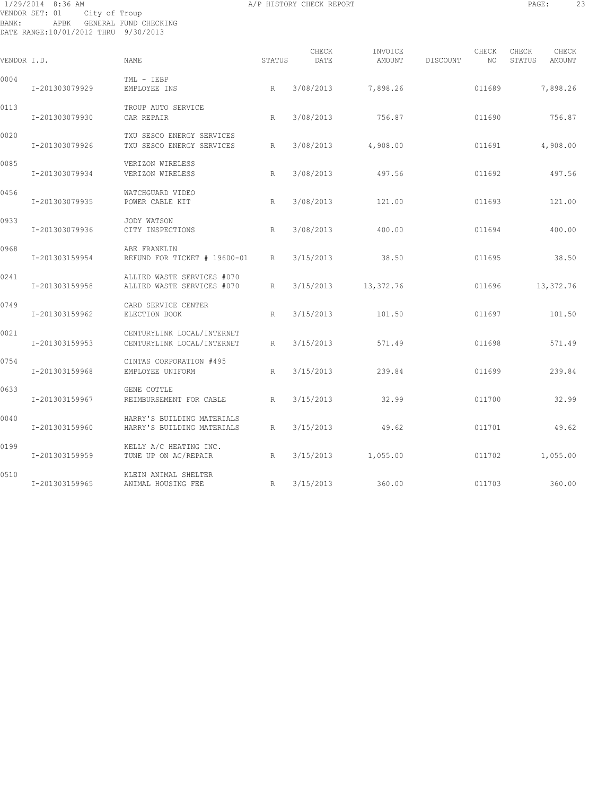# 1/29/2014 8:36 AM A/P HISTORY CHECK REPORT PAGE: 23 VENDOR SET: 01 City of Troup BANK: APBK GENERAL FUND CHECKING DATE RANGE:10/01/2012 THRU 9/30/2013

| VENDOR I.D. |                | <b>NAME</b>                                              | STATUS | CHECK<br>DATE | INVOICE<br>AMOUNT | CHECK<br>DISCOUNT<br>NO | CHECK<br>CHECK<br>STATUS<br>AMOUNT |
|-------------|----------------|----------------------------------------------------------|--------|---------------|-------------------|-------------------------|------------------------------------|
| 0004        | I-201303079929 | TML - IEBP<br>EMPLOYEE INS                               | R      | 3/08/2013     | 7,898.26          | 011689                  | 7,898.26                           |
| 0113        | I-201303079930 | TROUP AUTO SERVICE<br>CAR REPAIR                         | R      | 3/08/2013     | 756.87            | 011690                  | 756.87                             |
| 0020        | I-201303079926 | TXU SESCO ENERGY SERVICES<br>TXU SESCO ENERGY SERVICES   | R      | 3/08/2013     | 4,908.00          | 011691                  | 4,908.00                           |
| 0085        | I-201303079934 | VERIZON WIRELESS<br>VERIZON WIRELESS                     | R      | 3/08/2013     | 497.56            | 011692                  | 497.56                             |
| 0456        | I-201303079935 | WATCHGUARD VIDEO<br>POWER CABLE KIT                      | R      | 3/08/2013     | 121.00            | 011693                  | 121.00                             |
| 0933        | I-201303079936 | JODY WATSON<br>CITY INSPECTIONS                          | R      | 3/08/2013     | 400.00            | 011694                  | 400.00                             |
| 0968        | I-201303159954 | ABE FRANKLIN<br>REFUND FOR TICKET # 19600-01             | R      | 3/15/2013     | 38.50             | 011695                  | 38.50                              |
| 0241        | I-201303159958 | ALLIED WASTE SERVICES #070<br>ALLIED WASTE SERVICES #070 | R      | 3/15/2013     | 13,372.76         | 011696                  | 13,372.76                          |
| 0749        | I-201303159962 | CARD SERVICE CENTER<br>ELECTION BOOK                     | R      | 3/15/2013     | 101.50            | 011697                  | 101.50                             |
| 0021        | I-201303159953 | CENTURYLINK LOCAL/INTERNET<br>CENTURYLINK LOCAL/INTERNET | R      | 3/15/2013     | 571.49            | 011698                  | 571.49                             |
| 0754        | I-201303159968 | CINTAS CORPORATION #495<br>EMPLOYEE UNIFORM              | R      | 3/15/2013     | 239.84            | 011699                  | 239.84                             |
| 0633        | I-201303159967 | GENE COTTLE<br>REIMBURSEMENT FOR CABLE                   | R      | 3/15/2013     | 32.99             | 011700                  | 32.99                              |
| 0040        | I-201303159960 | HARRY'S BUILDING MATERIALS<br>HARRY'S BUILDING MATERIALS | R      | 3/15/2013     | 49.62             | 011701                  | 49.62                              |
| 0199        | I-201303159959 | KELLY A/C HEATING INC.<br>TUNE UP ON AC/REPAIR           | R      | 3/15/2013     | 1,055.00          | 011702                  | 1,055.00                           |
| 0510        | I-201303159965 | KLEIN ANIMAL SHELTER<br>ANIMAL HOUSING FEE               | R      | 3/15/2013     | 360.00            | 011703                  | 360.00                             |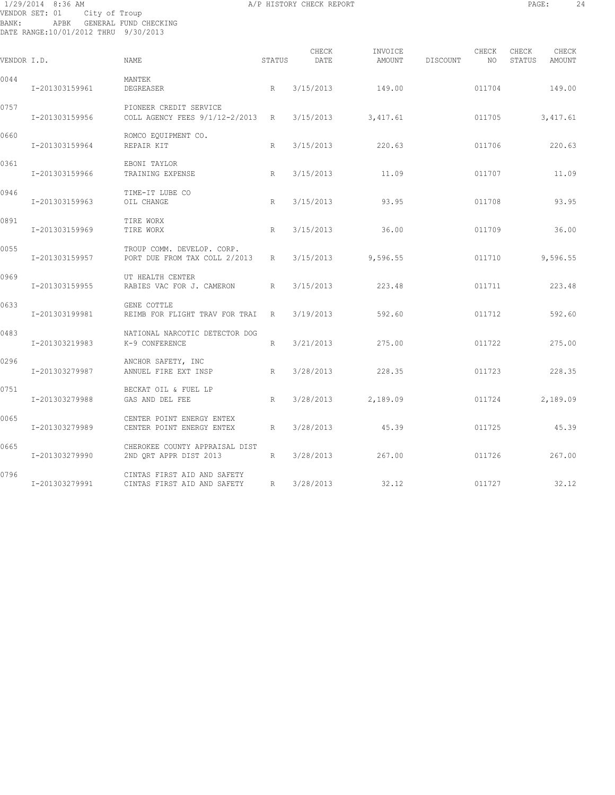# 1/29/2014 8:36 AM A/P HISTORY CHECK REPORT PAGE: 24 VENDOR SET: 01 City of Troup BANK: APBK GENERAL FUND CHECKING DATE RANGE:10/01/2012 THRU 9/30/2013

| VENDOR I.D. |                | NAME.                                                         | STATUS | CHECK<br>DATE | INVOICE<br>AMOUNT    | DISCOUNT | CHECK<br>NO. | CHECK<br>STATUS | CHECK<br>AMOUNT |
|-------------|----------------|---------------------------------------------------------------|--------|---------------|----------------------|----------|--------------|-----------------|-----------------|
| 0044        | I-201303159961 | MANTEK<br>DEGREASER                                           | R      | 3/15/2013     | 149.00               |          | 011704       |                 | 149.00          |
| 0757        | I-201303159956 | PIONEER CREDIT SERVICE<br>COLL AGENCY FEES 9/1/12-2/2013 R    |        |               | $3/15/2013$ 3,417.61 |          | 011705       |                 | 3,417.61        |
| 0660        | I-201303159964 | ROMCO EQUIPMENT CO.<br>REPAIR KIT                             | R      | 3/15/2013     | 220.63               |          | 011706       |                 | 220.63          |
| 0361        | I-201303159966 | EBONI TAYLOR<br>TRAINING EXPENSE                              | R      | 3/15/2013     | 11.09                |          | 011707       |                 | 11.09           |
| 0946        | I-201303159963 | TIME-IT LUBE CO<br>OIL CHANGE                                 | R      | 3/15/2013     | 93.95                |          | 011708       |                 | 93.95           |
| 0891        | I-201303159969 | TIRE WORX<br>TIRE WORX                                        | R      | 3/15/2013     | 36.00                |          | 011709       |                 | 36.00           |
| 0055        | I-201303159957 | TROUP COMM. DEVELOP. CORP.<br>PORT DUE FROM TAX COLL 2/2013   | R      | 3/15/2013     | 9,596.55             |          | 011710       |                 | 9,596.55        |
| 0969        | I-201303159955 | UT HEALTH CENTER<br>RABIES VAC FOR J. CAMERON                 | R      | 3/15/2013     | 223.48               |          | 011711       |                 | 223.48          |
| 0633        | I-201303199981 | GENE COTTLE<br>REIMB FOR FLIGHT TRAV FOR TRAI                 | R      | 3/19/2013     | 592.60               |          | 011712       |                 | 592.60          |
| 0483        | I-201303219983 | NATIONAL NARCOTIC DETECTOR DOG<br>K-9 CONFERENCE              | R      | 3/21/2013     | 275.00               |          | 011722       |                 | 275.00          |
| 0296        | I-201303279987 | ANCHOR SAFETY, INC<br>ANNUEL FIRE EXT INSP                    | R      | 3/28/2013     | 228.35               |          | 011723       |                 | 228.35          |
| 0751        | I-201303279988 | BECKAT OIL & FUEL LP<br>GAS AND DEL FEE                       | R      |               | 3/28/2013 2,189.09   |          | 011724       |                 | 2,189.09        |
| 0065        | I-201303279989 | CENTER POINT ENERGY ENTEX<br>CENTER POINT ENERGY ENTEX        | R      | 3/28/2013     | 45.39                |          | 011725       |                 | 45.39           |
| 0665        | I-201303279990 | CHEROKEE COUNTY APPRAISAL DIST<br>2ND QRT APPR DIST 2013<br>R |        | 3/28/2013     | 267.00               |          | 011726       |                 | 267.00          |
| 0796        | I-201303279991 | CINTAS FIRST AID AND SAFETY<br>CINTAS FIRST AID AND SAFETY    | R      | 3/28/2013     | 32.12                |          | 011727       |                 | 32.12           |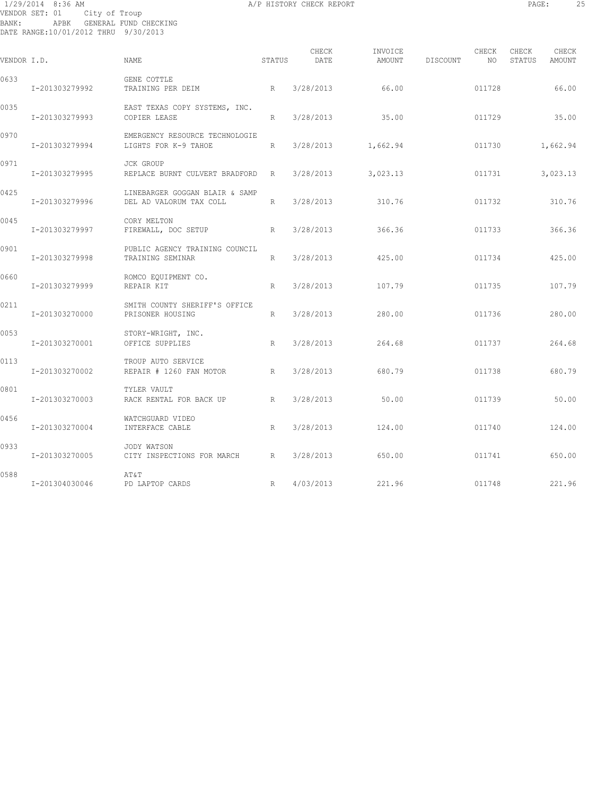# 1/29/2014 8:36 AM A/P HISTORY CHECK REPORT PAGE: 25 VENDOR SET: 01 City of Troup BANK: APBK GENERAL FUND CHECKING DATE RANGE:10/01/2012 THRU 9/30/2013

| VENDOR I.D. |                | NAME                                                      | STATUS | CHECK<br>DATE | INVOICE<br>AMOUNT | DISCOUNT | CHECK<br>NO | CHECK<br>STATUS | CHECK<br>AMOUNT |
|-------------|----------------|-----------------------------------------------------------|--------|---------------|-------------------|----------|-------------|-----------------|-----------------|
| 0633        | I-201303279992 | GENE COTTLE<br>TRAINING PER DEIM                          | R      | 3/28/2013     | 66.00             |          | 011728      |                 | 66.00           |
| 0035        | I-201303279993 | EAST TEXAS COPY SYSTEMS, INC.<br>COPIER LEASE             | R      | 3/28/2013     | 35.00             |          | 011729      |                 | 35.00           |
| 0970        | I-201303279994 | EMERGENCY RESOURCE TECHNOLOGIE<br>LIGHTS FOR K-9 TAHOE    | R      | 3/28/2013     | 1,662.94          |          | 011730      |                 | 1,662.94        |
| 0971        | I-201303279995 | JCK GROUP<br>REPLACE BURNT CULVERT BRADFORD               | R      | 3/28/2013     | 3,023.13          |          | 011731      |                 | 3,023.13        |
| 0425        | I-201303279996 | LINEBARGER GOGGAN BLAIR & SAMP<br>DEL AD VALORUM TAX COLL | R      | 3/28/2013     | 310.76            |          | 011732      |                 | 310.76          |
| 0045        | I-201303279997 | CORY MELTON<br>FIREWALL, DOC SETUP                        | R      | 3/28/2013     | 366.36            |          | 011733      |                 | 366.36          |
| 0901        | I-201303279998 | PUBLIC AGENCY TRAINING COUNCIL<br>TRAINING SEMINAR        | R      | 3/28/2013     | 425.00            |          | 011734      |                 | 425.00          |
| 0660        | I-201303279999 | ROMCO EQUIPMENT CO.<br>REPAIR KIT                         | R      | 3/28/2013     | 107.79            |          | 011735      |                 | 107.79          |
| 0211        | I-201303270000 | SMITH COUNTY SHERIFF'S OFFICE<br>PRISONER HOUSING         | R      | 3/28/2013     | 280.00            |          | 011736      |                 | 280.00          |
| 0053        | I-201303270001 | STORY-WRIGHT, INC.<br>OFFICE SUPPLIES                     | R      | 3/28/2013     | 264.68            |          | 011737      |                 | 264.68          |
| 0113        | I-201303270002 | TROUP AUTO SERVICE<br>REPAIR # 1260 FAN MOTOR             | R      | 3/28/2013     | 680.79            |          | 011738      |                 | 680.79          |
| 0801        | I-201303270003 | TYLER VAULT<br>RACK RENTAL FOR BACK UP                    | R      | 3/28/2013     | 50.00             |          | 011739      |                 | 50.00           |
| 0456        | I-201303270004 | WATCHGUARD VIDEO<br>INTERFACE CABLE                       | R      | 3/28/2013     | 124.00            |          | 011740      |                 | 124.00          |
| 0933        | I-201303270005 | JODY WATSON<br>CITY INSPECTIONS FOR MARCH                 | R      | 3/28/2013     | 650.00            |          | 011741      |                 | 650.00          |
| 0588        | I-201304030046 | AΤ&Τ<br>PD LAPTOP CARDS                                   | R      | 4/03/2013     | 221.96            |          | 011748      |                 | 221.96          |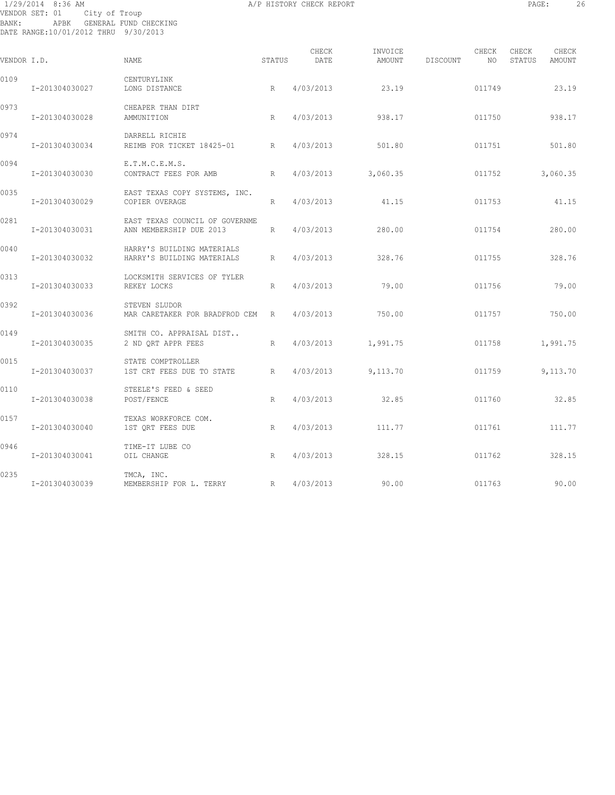# 1/29/2014 8:36 AM A/P HISTORY CHECK REPORT PAGE: 26 VENDOR SET: 01 City of Troup BANK: APBK GENERAL FUND CHECKING DATE RANGE:10/01/2012 THRU 9/30/2013

|             |                |                                                           |        | CHECK     | INVOICE  |          | CHECK  | CHECK  | CHECK    |
|-------------|----------------|-----------------------------------------------------------|--------|-----------|----------|----------|--------|--------|----------|
| VENDOR I.D. |                | NAME                                                      | STATUS | DATE      | AMOUNT   | DISCOUNT | NO     | STATUS | AMOUNT   |
| 0109        | I-201304030027 | CENTURYLINK<br>LONG DISTANCE                              | R      | 4/03/2013 | 23.19    |          | 011749 |        | 23.19    |
| 0973        | I-201304030028 | CHEAPER THAN DIRT<br>AMMUNITION                           | R      | 4/03/2013 | 938.17   |          | 011750 |        | 938.17   |
| 0974        | I-201304030034 | DARRELL RICHIE<br>REIMB FOR TICKET 18425-01 R             |        | 4/03/2013 | 501.80   |          | 011751 |        | 501.80   |
| 0094        | I-201304030030 | E.T.M.C.E.M.S.<br>CONTRACT FEES FOR AMB<br>R              |        | 4/03/2013 | 3,060.35 |          | 011752 |        | 3,060.35 |
| 0035        | I-201304030029 | EAST TEXAS COPY SYSTEMS, INC.<br>COPIER OVERAGE           | R      | 4/03/2013 | 41.15    |          | 011753 |        | 41.15    |
| 0281        | I-201304030031 | EAST TEXAS COUNCIL OF GOVERNME<br>ANN MEMBERSHIP DUE 2013 | R      | 4/03/2013 | 280.00   |          | 011754 |        | 280.00   |
| 0040        | I-201304030032 | HARRY'S BUILDING MATERIALS<br>HARRY'S BUILDING MATERIALS  | R      | 4/03/2013 | 328.76   |          | 011755 |        | 328.76   |
| 0313        | I-201304030033 | LOCKSMITH SERVICES OF TYLER<br>REKEY LOCKS                | R      | 4/03/2013 | 79.00    |          | 011756 |        | 79.00    |
| 0392        | I-201304030036 | STEVEN SLUDOR<br>MAR CARETAKER FOR BRADFROD CEM R         |        | 4/03/2013 | 750.00   |          | 011757 |        | 750.00   |
| 0149        | I-201304030035 | SMITH CO. APPRAISAL DIST<br>2 ND QRT APPR FEES            | R      | 4/03/2013 | 1,991.75 |          | 011758 |        | 1,991.75 |
| 0015        | I-201304030037 | STATE COMPTROLLER<br>1ST CRT FEES DUE TO STATE            | R      | 4/03/2013 | 9,113.70 |          | 011759 |        | 9,113.70 |
| 0110        | I-201304030038 | STEELE'S FEED & SEED<br>POST/FENCE                        | R      | 4/03/2013 | 32.85    |          | 011760 |        | 32.85    |
| 0157        | I-201304030040 | TEXAS WORKFORCE COM.<br>1ST ORT FEES DUE                  | R      | 4/03/2013 | 111.77   |          | 011761 |        | 111.77   |
| 0946        | I-201304030041 | TIME-IT LUBE CO<br>OIL CHANGE                             | R      | 4/03/2013 | 328.15   |          | 011762 |        | 328.15   |
| 0235        | I-201304030039 | TMCA, INC.<br>R<br>MEMBERSHIP FOR L. TERRY                |        | 4/03/2013 | 90.00    |          | 011763 |        | 90.00    |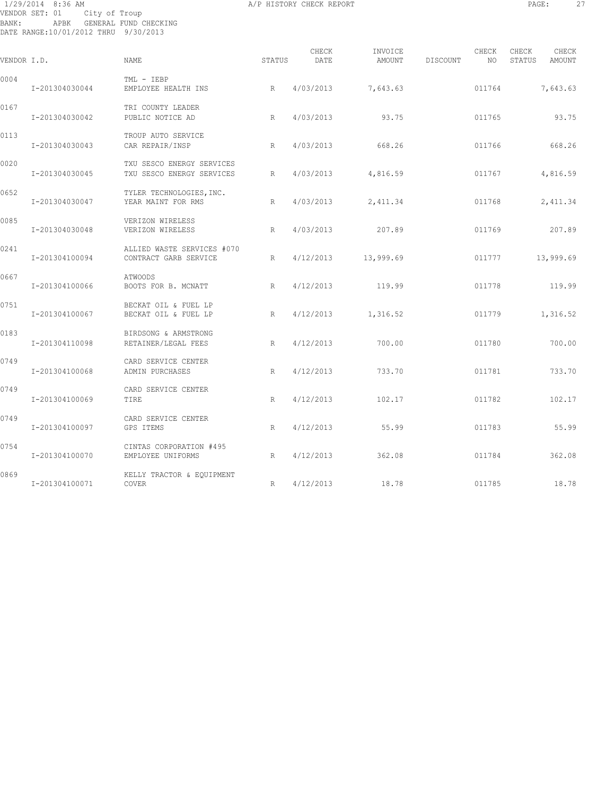# 1/29/2014 8:36 AM A/P HISTORY CHECK REPORT PAGE: 27 VENDOR SET: 01 City of Troup BANK: APBK GENERAL FUND CHECKING DATE RANGE:10/01/2012 THRU 9/30/2013

| VENDOR I.D. |                | NAME                                                   | STATUS | CHECK<br>DATE | INVOICE<br>AMOUNT | DISCOUNT | CHECK<br>NO | CHECK<br>STATUS | CHECK<br>AMOUNT |
|-------------|----------------|--------------------------------------------------------|--------|---------------|-------------------|----------|-------------|-----------------|-----------------|
| 0004        | I-201304030044 | TML - IEBP<br>EMPLOYEE HEALTH INS                      | R      | 4/03/2013     | 7,643.63          |          | 011764      |                 | 7,643.63        |
| 0167        | I-201304030042 | TRI COUNTY LEADER<br>PUBLIC NOTICE AD                  | R      | 4/03/2013     | 93.75             |          | 011765      |                 | 93.75           |
| 0113        | I-201304030043 | TROUP AUTO SERVICE<br>CAR REPAIR/INSP                  | R      | 4/03/2013     | 668.26            |          | 011766      |                 | 668.26          |
| 0020        | I-201304030045 | TXU SESCO ENERGY SERVICES<br>TXU SESCO ENERGY SERVICES | R      | 4/03/2013     | 4,816.59          |          | 011767      |                 | 4,816.59        |
| 0652        | I-201304030047 | TYLER TECHNOLOGIES, INC.<br>YEAR MAINT FOR RMS         | R      | 4/03/2013     | 2,411.34          |          | 011768      |                 | 2,411.34        |
| 0085        | I-201304030048 | VERIZON WIRELESS<br>VERIZON WIRELESS                   | R      | 4/03/2013     | 207.89            |          | 011769      |                 | 207.89          |
| 0241        | I-201304100094 | ALLIED WASTE SERVICES #070<br>CONTRACT GARB SERVICE    | R      | 4/12/2013     | 13,999.69         |          | 011777      |                 | 13,999.69       |
| 0667        | I-201304100066 | <b>ATWOODS</b><br>BOOTS FOR B. MCNATT                  | R      | 4/12/2013     | 119.99            |          | 011778      |                 | 119.99          |
| 0751        | I-201304100067 | BECKAT OIL & FUEL LP<br>BECKAT OIL & FUEL LP           | R      | 4/12/2013     | 1,316.52          |          | 011779      |                 | 1,316.52        |
| 0183        | I-201304110098 | BIRDSONG & ARMSTRONG<br>RETAINER/LEGAL FEES            | R      | 4/12/2013     | 700.00            |          | 011780      |                 | 700.00          |
| 0749        | I-201304100068 | CARD SERVICE CENTER<br>ADMIN PURCHASES                 | R      | 4/12/2013     | 733.70            |          | 011781      |                 | 733.70          |
| 0749        | I-201304100069 | CARD SERVICE CENTER<br>TIRE                            | R      | 4/12/2013     | 102.17            |          | 011782      |                 | 102.17          |
| 0749        | I-201304100097 | CARD SERVICE CENTER<br>GPS ITEMS                       | R      | 4/12/2013     | 55.99             |          | 011783      |                 | 55.99           |
| 0754        | I-201304100070 | CINTAS CORPORATION #495<br>EMPLOYEE UNIFORMS           | R      | 4/12/2013     | 362.08            |          | 011784      |                 | 362.08          |
| 0869        | I-201304100071 | KELLY TRACTOR & EQUIPMENT<br>COVER                     | R      | 4/12/2013     | 18.78             |          | 011785      |                 | 18.78           |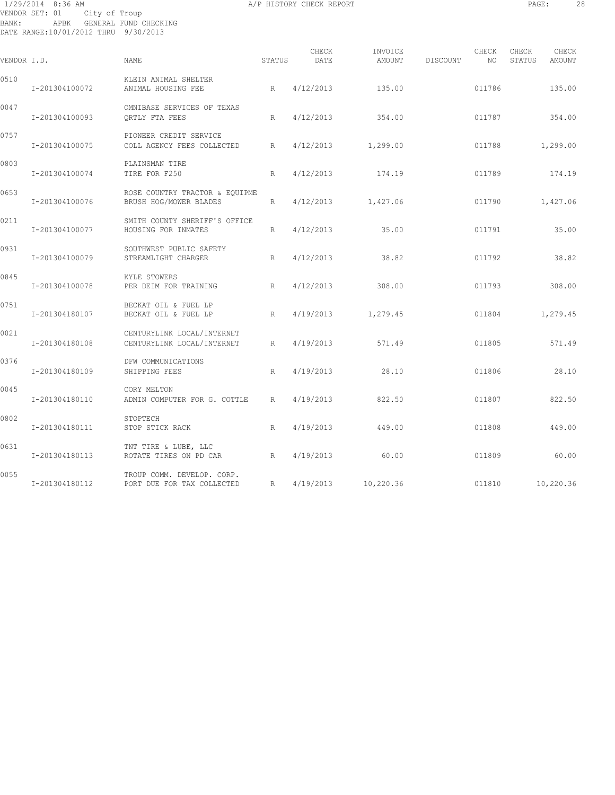# 1/29/2014 8:36 AM A/P HISTORY CHECK REPORT PAGE: 28 VENDOR SET: 01 City of Troup BANK: APBK GENERAL FUND CHECKING DATE RANGE:10/01/2012 THRU 9/30/2013

| VENDOR I.D. |                | <b>NAME</b>                                              | STATUS          | CHECK<br>DATE | INVOICE<br>AMOUNT    | DISCOUNT | CHECK<br>NO. | CHECK<br>STATUS | CHECK<br>AMOUNT |
|-------------|----------------|----------------------------------------------------------|-----------------|---------------|----------------------|----------|--------------|-----------------|-----------------|
| 0510        | I-201304100072 | KLEIN ANIMAL SHELTER<br>ANIMAL HOUSING FEE               | R               | 4/12/2013     | 135.00               |          | 011786       |                 | 135.00          |
| 0047        | I-201304100093 | OMNIBASE SERVICES OF TEXAS<br>ORTLY FTA FEES             | R               | 4/12/2013     | 354.00               |          | 011787       |                 | 354.00          |
| 0757        | I-201304100075 | PIONEER CREDIT SERVICE<br>COLL AGENCY FEES COLLECTED     | R               |               | $4/12/2013$ 1,299.00 |          | 011788       |                 | 1,299.00        |
| 0803        | I-201304100074 | PLAINSMAN TIRE<br>TIRE FOR F250                          | R               | 4/12/2013     | 174.19               |          | 011789       |                 | 174.19          |
| 0653        | I-201304100076 | ROSE COUNTRY TRACTOR & EQUIPME<br>BRUSH HOG/MOWER BLADES | R               |               | $4/12/2013$ 1,427.06 |          | 011790       |                 | 1,427.06        |
| 0211        | I-201304100077 | SMITH COUNTY SHERIFF'S OFFICE<br>HOUSING FOR INMATES     | R               | 4/12/2013     | 35.00                |          | 011791       |                 | 35.00           |
| 0931        | I-201304100079 | SOUTHWEST PUBLIC SAFETY<br>STREAMLIGHT CHARGER           | R               | 4/12/2013     | 38.82                |          | 011792       |                 | 38.82           |
| 0845        | I-201304100078 | KYLE STOWERS<br>PER DEIM FOR TRAINING                    | R               | 4/12/2013     | 308.00               |          | 011793       |                 | 308.00          |
| 0751        | I-201304180107 | BECKAT OIL & FUEL LP<br>BECKAT OIL & FUEL LP             | R               | 4/19/2013     | 1,279.45             |          | 011804       |                 | 1,279.45        |
| 0021        | I-201304180108 | CENTURYLINK LOCAL/INTERNET<br>CENTURYLINK LOCAL/INTERNET | R               | 4/19/2013     | 571.49               |          | 011805       |                 | 571.49          |
| 0376        | I-201304180109 | DFW COMMUNICATIONS<br>SHIPPING FEES                      | $R_{\parallel}$ | 4/19/2013     | 28.10                |          | 011806       |                 | 28.10           |
| 0045        | I-201304180110 | CORY MELTON<br>ADMIN COMPUTER FOR G. COTTLE              | R               | 4/19/2013     | 822.50               |          | 011807       |                 | 822.50          |
| 0802        | I-201304180111 | STOPTECH<br>STOP STICK RACK                              | R               | 4/19/2013     | 449.00               |          | 011808       |                 | 449.00          |
| 0631        | I-201304180113 | TNT TIRE & LUBE, LLC<br>ROTATE TIRES ON PD CAR<br>R      |                 | 4/19/2013     | 60.00                |          | 011809       |                 | 60.00           |
| 0055        | I-201304180112 | TROUP COMM. DEVELOP. CORP.<br>PORT DUE FOR TAX COLLECTED | $R_{\rm c}$     |               | 4/19/2013 10,220.36  |          | 011810       |                 | 10,220.36       |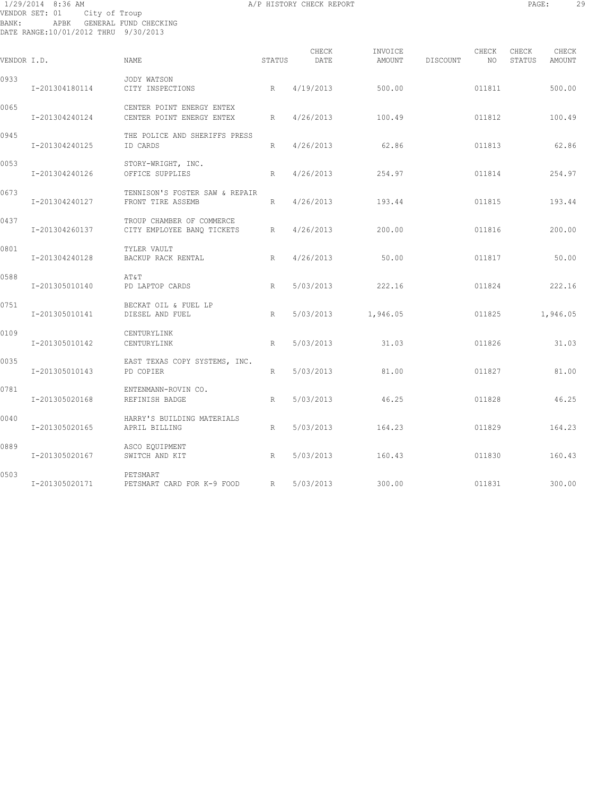# 1/29/2014 8:36 AM A/P HISTORY CHECK REPORT PAGE: 29 VENDOR SET: 01 City of Troup BANK: APBK GENERAL FUND CHECKING DATE RANGE:10/01/2012 THRU 9/30/2013

| VENDOR I.D. |                | NAME                                                    | STATUS | CHECK<br>DATE | INVOICE<br>AMOUNT | DISCOUNT | CHECK<br>NO | CHECK<br>STATUS | CHECK<br>AMOUNT |
|-------------|----------------|---------------------------------------------------------|--------|---------------|-------------------|----------|-------------|-----------------|-----------------|
| 0933        | I-201304180114 | JODY WATSON<br>CITY INSPECTIONS                         | R      | 4/19/2013     | 500.00            |          | 011811      |                 | 500.00          |
| 0065        | I-201304240124 | CENTER POINT ENERGY ENTEX<br>CENTER POINT ENERGY ENTEX  | R      | 4/26/2013     | 100.49            |          | 011812      |                 | 100.49          |
| 0945        | I-201304240125 | THE POLICE AND SHERIFFS PRESS<br>ID CARDS               | R      | 4/26/2013     | 62.86             |          | 011813      |                 | 62.86           |
| 0053        | I-201304240126 | STORY-WRIGHT, INC.<br>OFFICE SUPPLIES                   | R      | 4/26/2013     | 254.97            |          | 011814      |                 | 254.97          |
| 0673        | I-201304240127 | TENNISON'S FOSTER SAW & REPAIR<br>FRONT TIRE ASSEMB     | R      | 4/26/2013     | 193.44            |          | 011815      |                 | 193.44          |
| 0437        | I-201304260137 | TROUP CHAMBER OF COMMERCE<br>CITY EMPLOYEE BANQ TICKETS | R      | 4/26/2013     | 200.00            |          | 011816      |                 | 200.00          |
| 0801        | I-201304240128 | TYLER VAULT<br>BACKUP RACK RENTAL                       | R      | 4/26/2013     | 50.00             |          | 011817      |                 | 50.00           |
| 0588        | I-201305010140 | AT&T<br>PD LAPTOP CARDS                                 | R      | 5/03/2013     | 222.16            |          | 011824      |                 | 222.16          |
| 0751        | I-201305010141 | BECKAT OIL & FUEL LP<br>DIESEL AND FUEL                 | R      | 5/03/2013     | 1,946.05          |          | 011825      |                 | 1,946.05        |
| 0109        | I-201305010142 | CENTURYLINK<br>CENTURYLINK                              | R      | 5/03/2013     | 31.03             |          | 011826      |                 | 31.03           |
| 0035        | I-201305010143 | EAST TEXAS COPY SYSTEMS, INC.<br>PD COPIER              | R      | 5/03/2013     | 81.00             |          | 011827      |                 | 81.00           |
| 0781        | I-201305020168 | ENTENMANN-ROVIN CO.<br>REFINISH BADGE                   | R      | 5/03/2013     | 46.25             |          | 011828      |                 | 46.25           |
| 0040        | I-201305020165 | HARRY'S BUILDING MATERIALS<br>APRIL BILLING             | R      | 5/03/2013     | 164.23            |          | 011829      |                 | 164.23          |
| 0889        | I-201305020167 | ASCO EQUIPMENT<br>SWITCH AND KIT                        | R      | 5/03/2013     | 160.43            |          | 011830      |                 | 160.43          |
| 0503        | I-201305020171 | PETSMART<br>PETSMART CARD FOR K-9 FOOD R                |        | 5/03/2013     | 300.00            |          | 011831      |                 | 300.00          |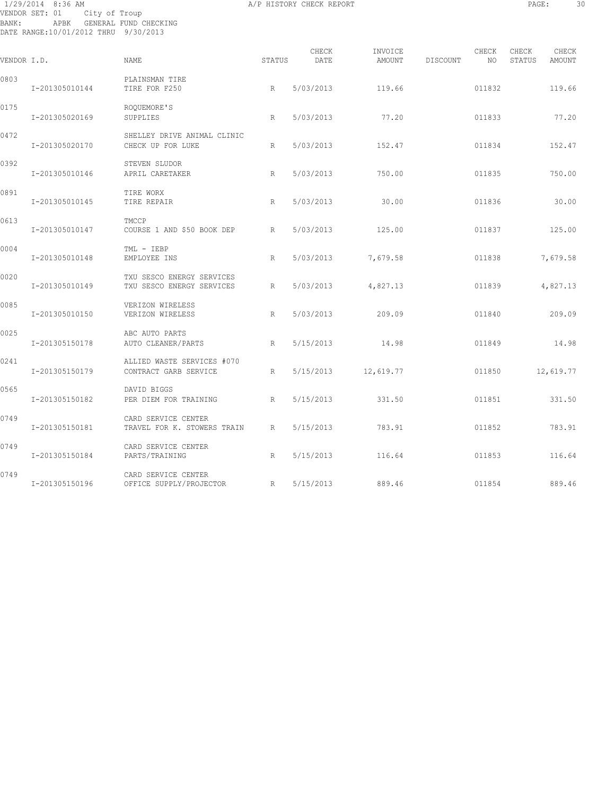# 1/29/2014 8:36 AM A/P HISTORY CHECK REPORT PAGE: 30 VENDOR SET: 01 City of Troup BANK: APBK GENERAL FUND CHECKING DATE RANGE:10/01/2012 THRU 9/30/2013

| VENDOR I.D. |                | NAME.                                                  | STATUS | CHECK<br>DATE | INVOICE<br>AMOUNT | DISCOUNT | CHECK<br>NO. | CHECK<br>CHECK<br>STATUS<br>AMOUNT |  |
|-------------|----------------|--------------------------------------------------------|--------|---------------|-------------------|----------|--------------|------------------------------------|--|
| 0803        | I-201305010144 | PLAINSMAN TIRE<br>TIRE FOR F250                        | R      | 5/03/2013     | 119.66            |          | 011832       | 119.66                             |  |
| 0175        | I-201305020169 | ROOUEMORE'S<br>SUPPLIES                                | R      | 5/03/2013     | 77.20             |          | 011833       | 77.20                              |  |
| 0472        | I-201305020170 | SHELLEY DRIVE ANIMAL CLINIC<br>CHECK UP FOR LUKE       | R      | 5/03/2013     | 152.47            |          | 011834       | 152.47                             |  |
| 0392        | I-201305010146 | STEVEN SLUDOR<br>APRIL CARETAKER                       | R      | 5/03/2013     | 750.00            |          | 011835       | 750.00                             |  |
| 0891        | I-201305010145 | TIRE WORX<br>TIRE REPAIR                               | R      | 5/03/2013     | 30.00             |          | 011836       | 30.00                              |  |
| 0613        | I-201305010147 | TMCCP<br>COURSE 1 AND \$50 BOOK DEP                    | R      | 5/03/2013     | 125.00            |          | 011837       | 125.00                             |  |
| 0004        | I-201305010148 | TML - IEBP<br>EMPLOYEE INS                             | R      | 5/03/2013     | 7,679.58          |          | 011838       | 7,679.58                           |  |
| 0020        | I-201305010149 | TXU SESCO ENERGY SERVICES<br>TXU SESCO ENERGY SERVICES | R      | 5/03/2013     | 4,827.13          |          | 011839       | 4,827.13                           |  |
| 0085        | I-201305010150 | VERIZON WIRELESS<br>VERIZON WIRELESS                   | R      | 5/03/2013     | 209.09            |          | 011840       | 209.09                             |  |
| 0025        | I-201305150178 | ABC AUTO PARTS<br>AUTO CLEANER/PARTS                   | R      | 5/15/2013     | 14.98             |          | 011849       | 14.98                              |  |
| 0241        | I-201305150179 | ALLIED WASTE SERVICES #070<br>CONTRACT GARB SERVICE    | R      | 5/15/2013     | 12,619.77         |          | 011850       | 12,619.77                          |  |
| 0565        | I-201305150182 | DAVID BIGGS<br>PER DIEM FOR TRAINING<br>R              |        | 5/15/2013     | 331.50            |          | 011851       | 331.50                             |  |
| 0749        | I-201305150181 | CARD SERVICE CENTER<br>TRAVEL FOR K. STOWERS TRAIN     | R      | 5/15/2013     | 783.91            |          | 011852       | 783.91                             |  |
| 0749        | I-201305150184 | CARD SERVICE CENTER<br>PARTS/TRAINING                  | R      | 5/15/2013     | 116.64            |          | 011853       | 116.64                             |  |
| 0749        | I-201305150196 | CARD SERVICE CENTER<br>R<br>OFFICE SUPPLY/PROJECTOR    |        | 5/15/2013     | 889.46            |          | 011854       | 889.46                             |  |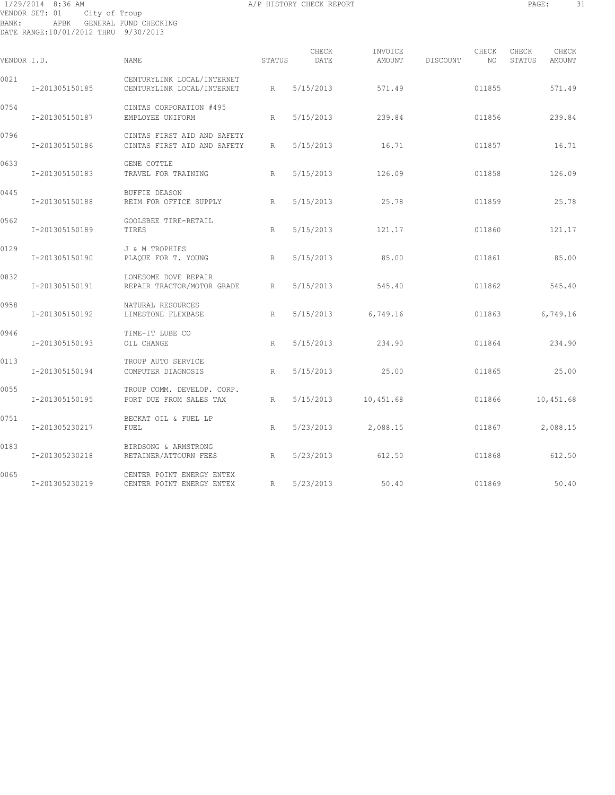# 1/29/2014 8:36 AM A/P HISTORY CHECK REPORT PAGE: 31 VENDOR SET: 01 City of Troup BANK: APBK GENERAL FUND CHECKING DATE RANGE:10/01/2012 THRU 9/30/2013

| VENDOR I.D. |                | <b>NAME</b>                                                | STATUS | CHECK<br>DATE | INVOICE<br>AMOUNT | DISCOUNT | CHECK<br>NO | CHECK<br>STATUS | CHECK<br>AMOUNT |
|-------------|----------------|------------------------------------------------------------|--------|---------------|-------------------|----------|-------------|-----------------|-----------------|
| 0021        | I-201305150185 | CENTURYLINK LOCAL/INTERNET<br>CENTURYLINK LOCAL/INTERNET   | R      | 5/15/2013     | 571.49            |          | 011855      |                 | 571.49          |
| 0754        | I-201305150187 | CINTAS CORPORATION #495<br>EMPLOYEE UNIFORM                | R      | 5/15/2013     | 239.84            |          | 011856      |                 | 239.84          |
| 0796        | I-201305150186 | CINTAS FIRST AID AND SAFETY<br>CINTAS FIRST AID AND SAFETY | R      | 5/15/2013     | 16.71             |          | 011857      |                 | 16.71           |
| 0633        | I-201305150183 | GENE COTTLE<br>TRAVEL FOR TRAINING                         | R      | 5/15/2013     | 126.09            |          | 011858      |                 | 126.09          |
| 0445        | I-201305150188 | BUFFIE DEASON<br>REIM FOR OFFICE SUPPLY                    | R      | 5/15/2013     | 25.78             |          | 011859      |                 | 25.78           |
| 0562        | I-201305150189 | GOOLSBEE TIRE-RETAIL<br>TIRES                              | R      | 5/15/2013     | 121.17            |          | 011860      |                 | 121.17          |
| 0129        | I-201305150190 | J & M TROPHIES<br>PLAQUE FOR T. YOUNG                      | R      | 5/15/2013     | 85.00             |          | 011861      |                 | 85.00           |
| 0832        | I-201305150191 | LONESOME DOVE REPAIR<br>REPAIR TRACTOR/MOTOR GRADE         | R      | 5/15/2013     | 545.40            |          | 011862      |                 | 545.40          |
| 0958        | I-201305150192 | NATURAL RESOURCES<br>LIMESTONE FLEXBASE                    | R      | 5/15/2013     | 6,749.16          |          | 011863      |                 | 6,749.16        |
| 0946        | I-201305150193 | TIME-IT LUBE CO<br>OIL CHANGE                              | R      | 5/15/2013     | 234.90            |          | 011864      |                 | 234.90          |
| 0113        | I-201305150194 | TROUP AUTO SERVICE<br>COMPUTER DIAGNOSIS                   | R      | 5/15/2013     | 25.00             |          | 011865      |                 | 25.00           |
| 0055        | I-201305150195 | TROUP COMM. DEVELOP. CORP.<br>PORT DUE FROM SALES TAX      | R      | 5/15/2013     | 10,451.68         |          | 011866      |                 | 10,451.68       |
| 0751        | I-201305230217 | BECKAT OIL & FUEL LP<br>FUEL                               | R      | 5/23/2013     | 2,088.15          |          | 011867      |                 | 2,088.15        |
| 0183        | I-201305230218 | BIRDSONG & ARMSTRONG<br>RETAINER/ATTOURN FEES              | R      | 5/23/2013     | 612.50            |          | 011868      |                 | 612.50          |
| 0065        | I-201305230219 | CENTER POINT ENERGY ENTEX<br>CENTER POINT ENERGY ENTEX     | R      | 5/23/2013     | 50.40             |          | 011869      |                 | 50.40           |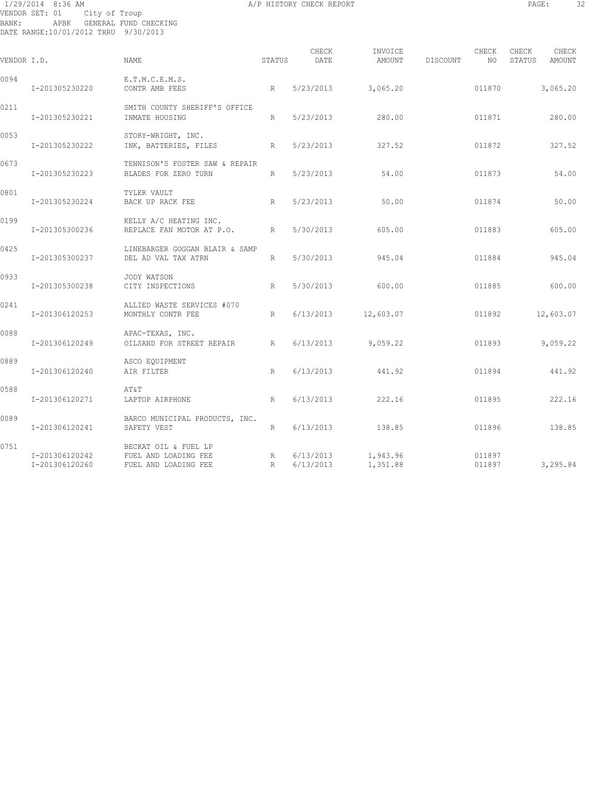# 1/29/2014 8:36 AM A/P HISTORY CHECK REPORT PAGE: 32 VENDOR SET: 01 City of Troup BANK: APBK GENERAL FUND CHECKING DATE RANGE:10/01/2012 THRU 9/30/2013

| ۰<br>i<br>٠<br>.,<br>۰. | ٠ |  |
|-------------------------|---|--|
|                         |   |  |

| VENDOR I.D. |                                  | NAME                                                                 | STATUS | CHECK<br>DATE | INVOICE<br>AMOUNT                | DISCOUNT | CHECK<br>NO.     | CHECK<br>STATUS | CHECK<br>AMOUNT |
|-------------|----------------------------------|----------------------------------------------------------------------|--------|---------------|----------------------------------|----------|------------------|-----------------|-----------------|
| 0094        | I-201305230220                   | E.T.M.C.E.M.S.<br>CONTR AMB FEES                                     | R      | 5/23/2013     | 3,065.20                         |          | 011870           |                 | 3,065.20        |
| 0211        | I-201305230221                   | SMITH COUNTY SHERIFF'S OFFICE<br>INMATE HOUSING                      | R      | 5/23/2013     | 280.00                           |          | 011871           |                 | 280.00          |
| 0053        | I-201305230222                   | STORY-WRIGHT, INC.<br>INK, BATTERIES, FILES                          | R      | 5/23/2013     | 327.52                           |          | 011872           |                 | 327.52          |
| 0673        | I-201305230223                   | TENNISON'S FOSTER SAW & REPAIR<br>BLADES FOR ZERO TURN               | R      | 5/23/2013     | 54.00                            |          | 011873           |                 | 54.00           |
| 0801        | I-201305230224                   | TYLER VAULT<br>BACK UP RACK FEE                                      | R      | 5/23/2013     | 50.00                            |          | 011874           |                 | 50.00           |
| 0199        | I-201305300236                   | KELLY A/C HEATING INC.<br>REPLACE FAN MOTOR AT P.O.                  | R      | 5/30/2013     | 605.00                           |          | 011883           |                 | 605.00          |
| 0425        | I-201305300237                   | LINEBARGER GOGGAN BLAIR & SAMP<br>DEL AD VAL TAX ATRN                | R      | 5/30/2013     | 945.04                           |          | 011884           |                 | 945.04          |
| 0933        | I-201305300238                   | JODY WATSON<br>CITY INSPECTIONS                                      | R      | 5/30/2013     | 600.00                           |          | 011885           |                 | 600.00          |
| 0241        | I-201306120253                   | ALLIED WASTE SERVICES #070<br>MONTHLY CONTR FEE                      | R      | 6/13/2013     | 12,603.07                        |          | 011892           |                 | 12,603.07       |
| 0088        | I-201306120249                   | APAC-TEXAS, INC.<br>OILSAND FOR STREET REPAIR                        | R      | 6/13/2013     | 9,059.22                         |          | 011893           |                 | 9,059.22        |
| 0889        | I-201306120240                   | ASCO EQUIPMENT<br>AIR FILTER                                         | R      | 6/13/2013     | 441.92                           |          | 011894           |                 | 441.92          |
| 0588        | I-201306120271                   | AT&T<br>LAPTOP AIRPHONE                                              | R      | 6/13/2013     | 222.16                           |          | 011895           |                 | 222.16          |
| 0089        | I-201306120241                   | BARCO MUNICIPAL PRODUCTS, INC.<br>SAFETY VEST                        | R      | 6/13/2013     | 138.85                           |          | 011896           |                 | 138.85          |
| 0751        | I-201306120242<br>I-201306120260 | BECKAT OIL & FUEL LP<br>FUEL AND LOADING FEE<br>FUEL AND LOADING FEE | R<br>R | 6/13/2013     | $6/13/2013$ 1,943.96<br>1,351.88 |          | 011897<br>011897 |                 | 3,295.84        |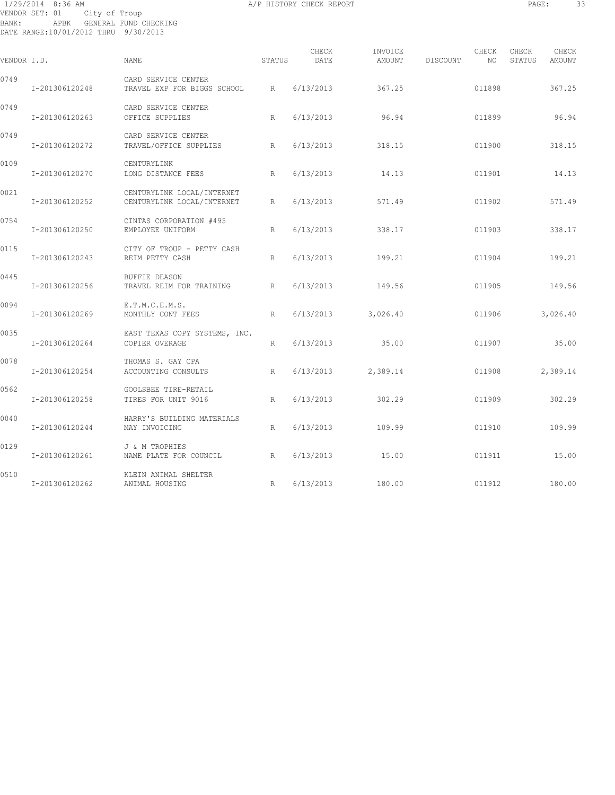# 1/29/2014 8:36 AM A/P HISTORY CHECK REPORT PAGE: 33 VENDOR SET: 01 City of Troup BANK: APBK GENERAL FUND CHECKING DATE RANGE:10/01/2012 THRU 9/30/2013

| VENDOR I.D. |                | <b>NAME</b>                                              | STATUS | CHECK<br>DATE | INVOICE<br>AMOUNT | DISCOUNT | CHECK<br>NO. | CHECK<br>STATUS | CHECK<br>AMOUNT |
|-------------|----------------|----------------------------------------------------------|--------|---------------|-------------------|----------|--------------|-----------------|-----------------|
| 0749        | I-201306120248 | CARD SERVICE CENTER<br>TRAVEL EXP FOR BIGGS SCHOOL       | R      | 6/13/2013     | 367.25            |          | 011898       |                 | 367.25          |
| 0749        | I-201306120263 | CARD SERVICE CENTER<br>OFFICE SUPPLIES                   | R      | 6/13/2013     | 96.94             |          | 011899       |                 | 96.94           |
| 0749        | I-201306120272 | CARD SERVICE CENTER<br>TRAVEL/OFFICE SUPPLIES            | R      | 6/13/2013     | 318.15            |          | 011900       |                 | 318.15          |
| 0109        | I-201306120270 | CENTURYLINK<br>LONG DISTANCE FEES                        | R      | 6/13/2013     | 14.13             |          | 011901       |                 | 14.13           |
| 0021        | I-201306120252 | CENTURYLINK LOCAL/INTERNET<br>CENTURYLINK LOCAL/INTERNET | R      | 6/13/2013     | 571.49            |          | 011902       |                 | 571.49          |
| 0754        | I-201306120250 | CINTAS CORPORATION #495<br>EMPLOYEE UNIFORM              | R      | 6/13/2013     | 338.17            |          | 011903       |                 | 338.17          |
| 0115        | I-201306120243 | CITY OF TROUP - PETTY CASH<br>REIM PETTY CASH            | R      | 6/13/2013     | 199.21            |          | 011904       |                 | 199.21          |
| 0445        | I-201306120256 | <b>BUFFIE DEASON</b><br>TRAVEL REIM FOR TRAINING         | R      | 6/13/2013     | 149.56            |          | 011905       |                 | 149.56          |
| 0094        | I-201306120269 | E.T.M.C.E.M.S.<br>MONTHLY CONT FEES                      | R      | 6/13/2013     | 3,026.40          |          | 011906       |                 | 3,026.40        |
| 0035        | I-201306120264 | EAST TEXAS COPY SYSTEMS, INC.<br>COPIER OVERAGE          | R      | 6/13/2013     | 35.00             |          | 011907       |                 | 35.00           |
| 0078        | I-201306120254 | THOMAS S. GAY CPA<br>ACCOUNTING CONSULTS                 | R      | 6/13/2013     | 2,389.14          |          | 011908       |                 | 2,389.14        |
| 0562        | I-201306120258 | GOOLSBEE TIRE-RETAIL<br>TIRES FOR UNIT 9016              | R      | 6/13/2013     | 302.29            |          | 011909       |                 | 302.29          |
| 0040        | I-201306120244 | HARRY'S BUILDING MATERIALS<br>MAY INVOICING              | R      | 6/13/2013     | 109.99            |          | 011910       |                 | 109.99          |
| 0129        | I-201306120261 | J & M TROPHIES<br>NAME PLATE FOR COUNCIL                 | R      | 6/13/2013     | 15.00             |          | 011911       |                 | 15.00           |
| 0510        | I-201306120262 | KLEIN ANIMAL SHELTER<br>ANIMAL HOUSING                   | R      | 6/13/2013     | 180.00            |          | 011912       |                 | 180.00          |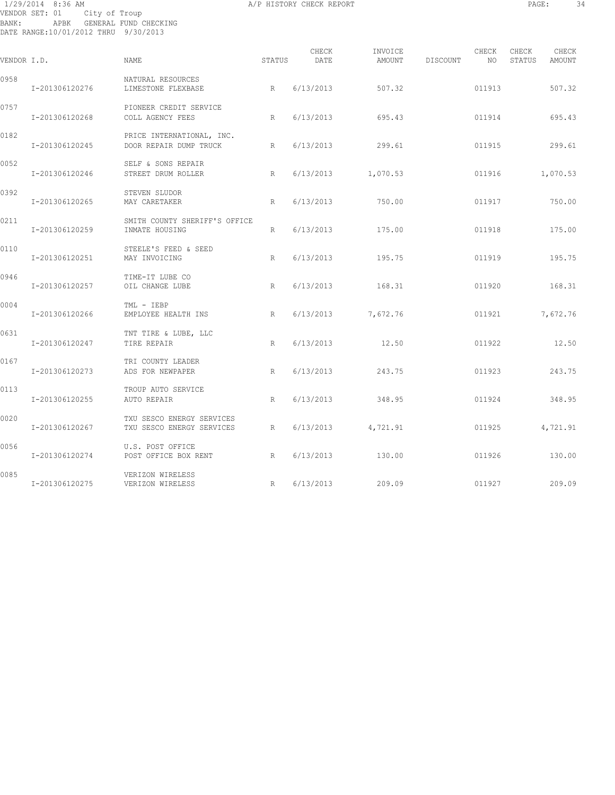# 1/29/2014 8:36 AM A/P HISTORY CHECK REPORT PAGE: 34 VENDOR SET: 01 City of Troup BANK: APBK GENERAL FUND CHECKING DATE RANGE:10/01/2012 THRU 9/30/2013

| VENDOR I.D. |                | NAME                                                     | STATUS          | CHECK<br>DATE | INVOICE<br>AMOUNT    | DISCOUNT | CHECK<br>NO | CHECK<br>STATUS<br>AMOUNT | CHECK |
|-------------|----------------|----------------------------------------------------------|-----------------|---------------|----------------------|----------|-------------|---------------------------|-------|
| 0958        | I-201306120276 | NATURAL RESOURCES<br>LIMESTONE FLEXBASE                  | R               | 6/13/2013     | 507.32               |          | 011913      | 507.32                    |       |
| 0757        | I-201306120268 | PIONEER CREDIT SERVICE<br>COLL AGENCY FEES               | R               | 6/13/2013     | 695.43               |          | 011914      | 695.43                    |       |
| 0182        | I-201306120245 | PRICE INTERNATIONAL, INC.<br>DOOR REPAIR DUMP TRUCK<br>R |                 | 6/13/2013     | 299.61               |          | 011915      | 299.61                    |       |
| 0052        | I-201306120246 | SELF & SONS REPAIR<br>STREET DRUM ROLLER                 | R               |               | $6/13/2013$ 1,070.53 |          | 011916      | 1,070.53                  |       |
| 0392        | I-201306120265 | STEVEN SLUDOR<br>MAY CARETAKER                           | R               | 6/13/2013     | 750.00               |          | 011917      | 750.00                    |       |
| 0211        | I-201306120259 | SMITH COUNTY SHERIFF'S OFFICE<br>INMATE HOUSING          | $R_{\parallel}$ | 6/13/2013     | 175.00               |          | 011918      | 175.00                    |       |
| 0110        | I-201306120251 | STEELE'S FEED & SEED<br>MAY INVOICING                    | R               | 6/13/2013     | 195.75               |          | 011919      | 195.75                    |       |
| 0946        | I-201306120257 | TIME-IT LUBE CO<br>OIL CHANGE LUBE                       | R               | 6/13/2013     | 168.31               |          | 011920      | 168.31                    |       |
| 0004        | I-201306120266 | TML - IEBP<br>EMPLOYEE HEALTH INS                        | R               | 6/13/2013     | 7,672.76             |          | 011921      | 7,672.76                  |       |
| 0631        | I-201306120247 | TNT TIRE & LUBE, LLC<br>TIRE REPAIR                      | R               | 6/13/2013     | 12.50                |          | 011922      | 12.50                     |       |
| 0167        | I-201306120273 | TRI COUNTY LEADER<br>ADS FOR NEWPAPER                    | R               | 6/13/2013     | 243.75               |          | 011923      | 243.75                    |       |
| 0113        | I-201306120255 | TROUP AUTO SERVICE<br>AUTO REPAIR                        | R               | 6/13/2013     | 348.95               |          | 011924      | 348.95                    |       |
| 0020        | I-201306120267 | TXU SESCO ENERGY SERVICES<br>TXU SESCO ENERGY SERVICES   | R               |               | $6/13/2013$ 4,721.91 |          | 011925      | 4,721.91                  |       |
| 0056        | I-201306120274 | U.S. POST OFFICE<br>POST OFFICE BOX RENT<br>R            |                 | 6/13/2013     | 130.00               |          | 011926      | 130.00                    |       |
| 0085        | I-201306120275 | VERIZON WIRELESS<br>VERIZON WIRELESS                     | R               |               | $6/13/2013$ 209.09   |          | 011927      | 209.09                    |       |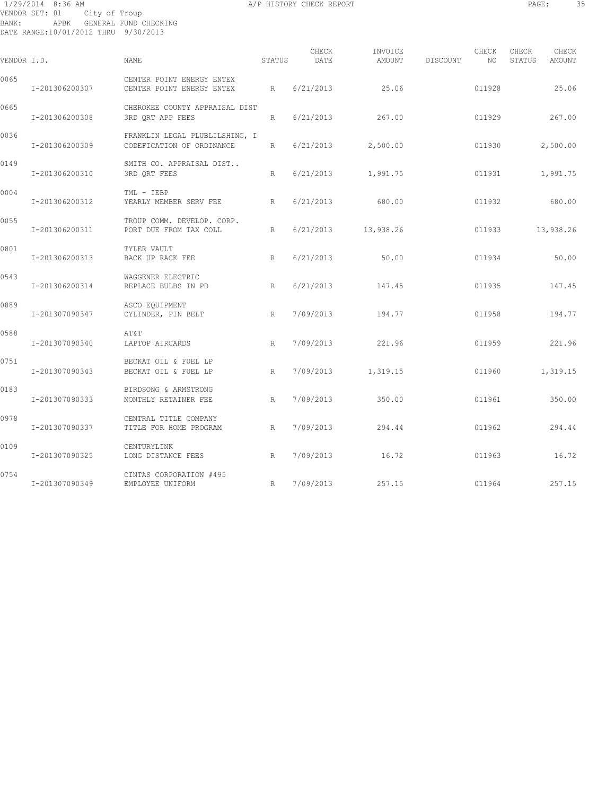# 1/29/2014 8:36 AM A/P HISTORY CHECK REPORT PAGE: 35 VENDOR SET: 01 City of Troup BANK: APBK GENERAL FUND CHECKING DATE RANGE:10/01/2012 THRU 9/30/2013

| VENDOR I.D. |                | <b>NAME</b>                                                 | STATUS | CHECK<br>DATE | INVOICE<br>AMOUNT | DISCOUNT | CHECK<br>NO. | CHECK<br>STATUS | CHECK<br>AMOUNT |
|-------------|----------------|-------------------------------------------------------------|--------|---------------|-------------------|----------|--------------|-----------------|-----------------|
| 0065        | I-201306200307 | CENTER POINT ENERGY ENTEX<br>CENTER POINT ENERGY ENTEX      | R      | 6/21/2013     | 25.06             |          | 011928       |                 | 25.06           |
| 0665        | I-201306200308 | CHEROKEE COUNTY APPRAISAL DIST<br>3RD ORT APP FEES          | R      | 6/21/2013     | 267.00            |          | 011929       |                 | 267.00          |
| 0036        | I-201306200309 | FRANKLIN LEGAL PLUBLILSHING, I<br>CODEFICATION OF ORDINANCE | R      | 6/21/2013     | 2,500.00          |          | 011930       |                 | 2,500.00        |
| 0149        | I-201306200310 | SMITH CO. APPRAISAL DIST<br>3RD ORT FEES                    | R      | 6/21/2013     | 1,991.75          |          | 011931       |                 | 1,991.75        |
| 0004        | I-201306200312 | TML - IEBP<br>YEARLY MEMBER SERV FEE                        | R      | 6/21/2013     | 680.00            |          | 011932       |                 | 680.00          |
| 0055        | I-201306200311 | TROUP COMM. DEVELOP. CORP.<br>PORT DUE FROM TAX COLL        | R      | 6/21/2013     | 13,938.26         |          | 011933       |                 | 13,938.26       |
| 0801        | I-201306200313 | TYLER VAULT<br>BACK UP RACK FEE                             | R      | 6/21/2013     | 50.00             |          | 011934       |                 | 50.00           |
| 0543        | I-201306200314 | WAGGENER ELECTRIC<br>REPLACE BULBS IN PD                    | R      | 6/21/2013     | 147.45            |          | 011935       |                 | 147.45          |
| 0889        | I-201307090347 | ASCO EQUIPMENT<br>CYLINDER, PIN BELT                        | R      | 7/09/2013     | 194.77            |          | 011958       |                 | 194.77          |
| 0588        | I-201307090340 | AT&T<br>LAPTOP AIRCARDS                                     | R      | 7/09/2013     | 221.96            |          | 011959       |                 | 221.96          |
| 0751        | I-201307090343 | BECKAT OIL & FUEL LP<br>BECKAT OIL & FUEL LP                | R      | 7/09/2013     | 1,319.15          |          | 011960       |                 | 1,319.15        |
| 0183        | I-201307090333 | BIRDSONG & ARMSTRONG<br>MONTHLY RETAINER FEE                | R      | 7/09/2013     | 350.00            |          | 011961       |                 | 350.00          |
| 0978        | I-201307090337 | CENTRAL TITLE COMPANY<br>TITLE FOR HOME PROGRAM             | R      | 7/09/2013     | 294.44            |          | 011962       |                 | 294.44          |
| 0109        | I-201307090325 | CENTURYLINK<br>LONG DISTANCE FEES                           | R      | 7/09/2013     | 16.72             |          | 011963       |                 | 16.72           |
| 0754        | I-201307090349 | CINTAS CORPORATION #495<br>EMPLOYEE UNIFORM                 | R      | 7/09/2013     | 257.15            |          | 011964       |                 | 257.15          |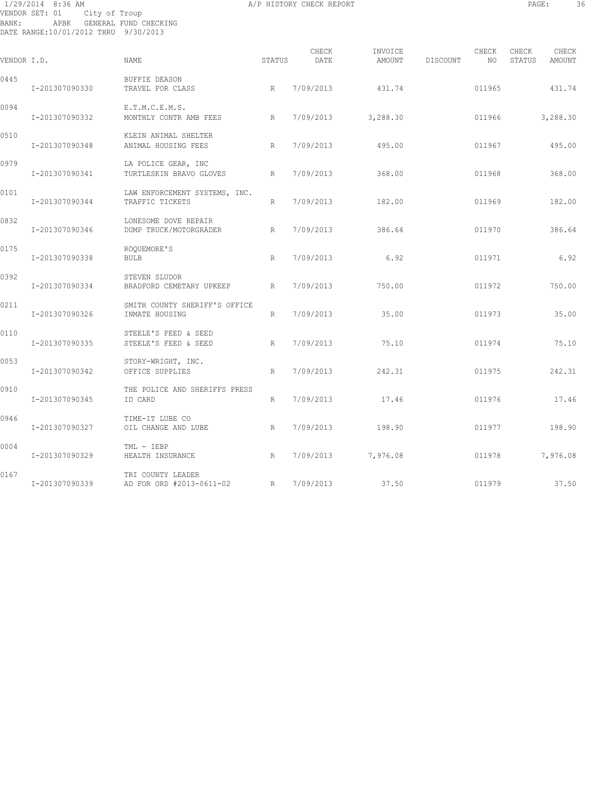# 1/29/2014 8:36 AM A/P HISTORY CHECK REPORT PAGE: 36 VENDOR SET: 01 City of Troup BANK: APBK GENERAL FUND CHECKING DATE RANGE:10/01/2012 THRU 9/30/2013

| VENDOR I.D. |                | <b>NAME</b>                                      | STATUS | CHECK<br>DATE | INVOICE<br>AMOUNT | DISCOUNT | CHECK<br>NO | CHECK<br>STATUS | CHECK<br>AMOUNT |
|-------------|----------------|--------------------------------------------------|--------|---------------|-------------------|----------|-------------|-----------------|-----------------|
| 0445        | I-201307090330 | BUFFIE DEASON<br>TRAVEL FOR CLASS                | R      | 7/09/2013     | 431.74            |          | 011965      |                 | 431.74          |
| 0094        | I-201307090332 | E.T.M.C.E.M.S.<br>MONTHLY CONTR AMB FEES         | R      | 7/09/2013     | 3,288.30          |          | 011966      |                 | 3,288.30        |
| 0510        | I-201307090348 | KLEIN ANIMAL SHELTER<br>ANIMAL HOUSING FEES      | R      | 7/09/2013     | 495.00            |          | 011967      |                 | 495.00          |
| 0979        | I-201307090341 | LA POLICE GEAR, INC<br>TURTLESKIN BRAVO GLOVES   | R      | 7/09/2013     | 368.00            |          | 011968      |                 | 368.00          |
| 0101        | I-201307090344 | LAW ENFORCEMENT SYSTEMS, INC.<br>TRAFFIC TICKETS | R      | 7/09/2013     | 182.00            |          | 011969      |                 | 182.00          |
| 0832        | I-201307090346 | LONESOME DOVE REPAIR<br>DUMP TRUCK/MOTORGRADER   | R      | 7/09/2013     | 386.64            |          | 011970      |                 | 386.64          |
| 0175        | I-201307090338 | ROOUEMORE'S<br><b>BULB</b>                       | R      | 7/09/2013     | 6.92              |          | 011971      |                 | 6.92            |
| 0392        | I-201307090334 | STEVEN SLUDOR<br>BRADFORD CEMETARY UPKEEP        | R      | 7/09/2013     | 750.00            |          | 011972      |                 | 750.00          |
| 0211        | I-201307090326 | SMITH COUNTY SHERIFF'S OFFICE<br>INMATE HOUSING  | R      | 7/09/2013     | 35.00             |          | 011973      |                 | 35.00           |
| 0110        | I-201307090335 | STEELE'S FEED & SEED<br>STEELE'S FEED & SEED     | R      | 7/09/2013     | 75.10             |          | 011974      |                 | 75.10           |
| 0053        | I-201307090342 | STORY-WRIGHT, INC.<br>OFFICE SUPPLIES            | R      | 7/09/2013     | 242.31            |          | 011975      |                 | 242.31          |
| 0910        | I-201307090345 | THE POLICE AND SHERIFFS PRESS<br>ID CARD         | R      | 7/09/2013     | 17.46             |          | 011976      |                 | 17.46           |
| 0946        | I-201307090327 | TIME-IT LUBE CO<br>OIL CHANGE AND LUBE           | R      | 7/09/2013     | 198.90            |          | 011977      |                 | 198.90          |
| 0004        | I-201307090329 | TML - IEBP<br>HEALTH INSURANCE<br>R              |        | 7/09/2013     | 7,976.08          |          | 011978      |                 | 7,976.08        |
| 0167        | I-201307090339 | TRI COUNTY LEADER<br>AD FOR ORD #2013-0611-02    | R      | 7/09/2013     | 37.50             |          | 011979      |                 | 37.50           |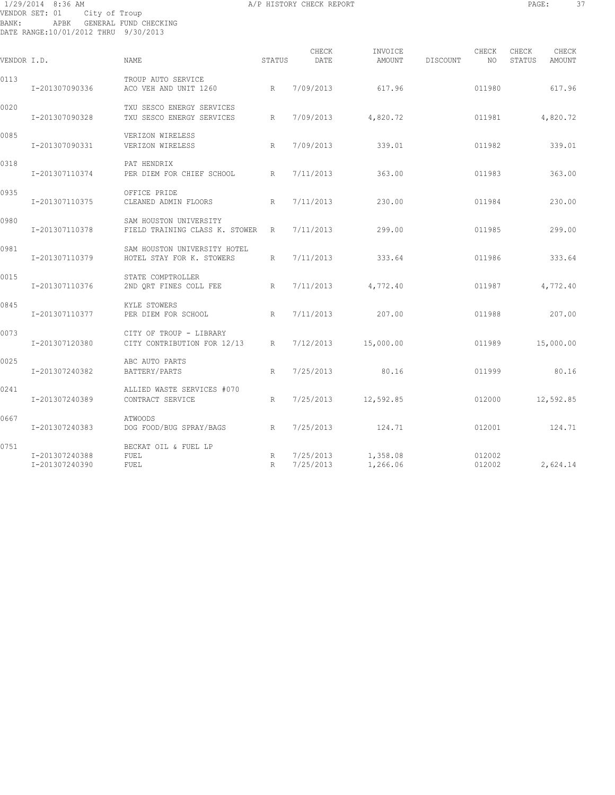# 1/29/2014 8:36 AM A/P HISTORY CHECK REPORT PAGE: 37 VENDOR SET: 01 City of Troup BANK: APBK GENERAL FUND CHECKING DATE RANGE:10/01/2012 THRU 9/30/2013

| г<br>۰<br>. .<br>٠.<br>---<br>۰,<br>., |  |
|----------------------------------------|--|
|                                        |  |

| VENDOR I.D. |                                  | <b>NAME</b>                                                | STATUS          | CHECK<br>DATE | INVOICE<br>AMOUNT                | DISCOUNT | CHECK<br>NO      | CHECK<br>STATUS | CHECK<br>AMOUNT |
|-------------|----------------------------------|------------------------------------------------------------|-----------------|---------------|----------------------------------|----------|------------------|-----------------|-----------------|
| 0113        | I-201307090336                   | TROUP AUTO SERVICE<br>ACO VEH AND UNIT 1260                | R               | 7/09/2013     | 617.96                           |          | 011980           |                 | 617.96          |
| 0020        | I-201307090328                   | TXU SESCO ENERGY SERVICES<br>TXU SESCO ENERGY SERVICES     | R               | 7/09/2013     | 4,820.72                         |          | 011981           |                 | 4,820.72        |
| 0085        | I-201307090331                   | VERIZON WIRELESS<br>VERIZON WIRELESS                       | R               | 7/09/2013     | 339.01                           |          | 011982           |                 | 339.01          |
| 0318        | I-201307110374                   | PAT HENDRIX<br>PER DIEM FOR CHIEF SCHOOL                   | $R_{\parallel}$ | 7/11/2013     | 363.00                           |          | 011983           |                 | 363.00          |
| 0935        | I-201307110375                   | OFFICE PRIDE<br>CLEANED ADMIN FLOORS                       | R               | 7/11/2013     | 230.00                           |          | 011984           |                 | 230.00          |
| 0980        | I-201307110378                   | SAM HOUSTON UNIVERSITY<br>FIELD TRAINING CLASS K. STOWER R |                 | 7/11/2013     | 299.00                           |          | 011985           |                 | 299.00          |
| 0981        | I-201307110379                   | SAM HOUSTON UNIVERSITY HOTEL<br>HOTEL STAY FOR K. STOWERS  | $R_{\parallel}$ | 7/11/2013     | 333.64                           |          | 011986           |                 | 333.64          |
| 0015        | I-201307110376                   | STATE COMPTROLLER<br>2ND ORT FINES COLL FEE                | R               | 7/11/2013     | 4,772.40                         |          | 011987           |                 | 4,772.40        |
| 0845        | I-201307110377                   | KYLE STOWERS<br>PER DIEM FOR SCHOOL                        | R               | 7/11/2013     | 207.00                           |          | 011988           |                 | 207.00          |
| 0073        | I-201307120380                   | CITY OF TROUP - LIBRARY<br>CITY CONTRIBUTION FOR 12/13     | R               | 7/12/2013     | 15,000.00                        |          | 011989           |                 | 15,000.00       |
| 0025        | I-201307240382                   | ABC AUTO PARTS<br>BATTERY/PARTS                            | R               | 7/25/2013     | 80.16                            |          | 011999           |                 | 80.16           |
| 0241        | I-201307240389                   | ALLIED WASTE SERVICES #070<br>CONTRACT SERVICE             | $\mathbb{R}$    | 7/25/2013     | 12,592.85                        |          | 012000           |                 | 12,592.85       |
| 0667        | I-201307240383                   | <b>ATWOODS</b><br>DOG FOOD/BUG SPRAY/BAGS                  | R               | 7/25/2013     | 124.71                           |          | 012001           |                 | 124.71          |
| 0751        | I-201307240388<br>I-201307240390 | BECKAT OIL & FUEL LP<br>FUEL<br>FUEL                       | R<br>R          | 7/25/2013     | $7/25/2013$ 1,358.08<br>1,266.06 |          | 012002<br>012002 |                 | 2,624.14        |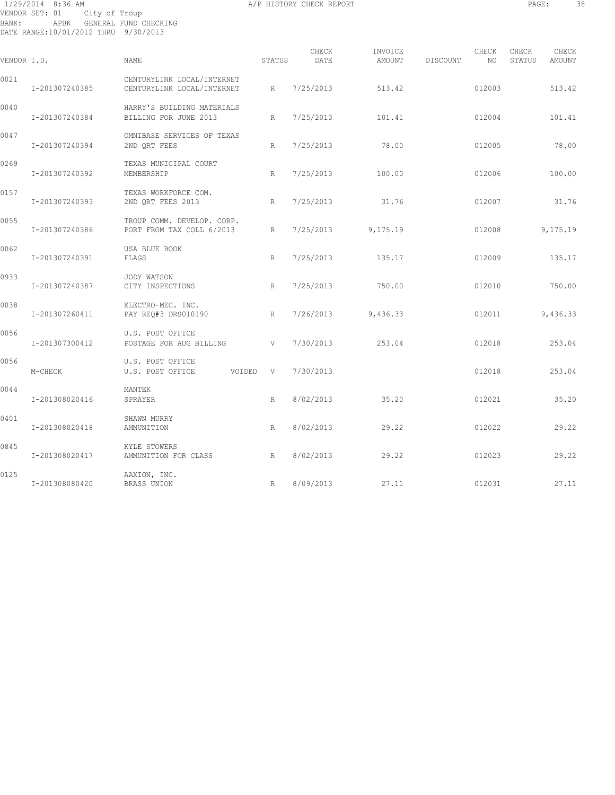# 1/29/2014 8:36 AM A/P HISTORY CHECK REPORT PAGE: 38 VENDOR SET: 01 City of Troup BANK: APBK GENERAL FUND CHECKING DATE RANGE:10/01/2012 THRU 9/30/2013

| ۰<br>i<br>٠<br>.,<br>۰, | ٠ |  |
|-------------------------|---|--|
|                         |   |  |

| VENDOR I.D. |                | NAME.                                                    | STATUS       | CHECK<br>DATE | INVOICE<br><b>AMOUNT</b> | CHECK<br><b>DISCOUNT</b><br>NO. | CHECK<br>CHECK<br>STATUS<br><b>AMOUNT</b> |
|-------------|----------------|----------------------------------------------------------|--------------|---------------|--------------------------|---------------------------------|-------------------------------------------|
| 0021        | I-201307240385 | CENTURYLINK LOCAL/INTERNET<br>CENTURYLINK LOCAL/INTERNET | R            | 7/25/2013     | 513.42                   | 012003                          | 513.42                                    |
| 0040        | I-201307240384 | HARRY'S BUILDING MATERIALS<br>BILLING FOR JUNE 2013      | R            | 7/25/2013     | 101.41                   | 012004                          | 101.41                                    |
| 0047        | I-201307240394 | OMNIBASE SERVICES OF TEXAS<br>2ND QRT FEES               | R            | 7/25/2013     | 78.00                    | 012005                          | 78.00                                     |
| 0269        | I-201307240392 | TEXAS MUNICIPAL COURT<br>MEMBERSHIP                      | R            | 7/25/2013     | 100.00                   | 012006                          | 100.00                                    |
| 0157        | I-201307240393 | TEXAS WORKFORCE COM.<br>2ND QRT FEES 2013                | R            | 7/25/2013     | 31.76                    | 012007                          | 31.76                                     |
| 0055        | I-201307240386 | TROUP COMM. DEVELOP. CORP.<br>PORT FROM TAX COLL 6/2013  | R            | 7/25/2013     | 9,175.19                 | 012008                          | 9,175.19                                  |
| 0062        | I-201307240391 | USA BLUE BOOK<br>FLAGS                                   | $\mathbb{R}$ | 7/25/2013     | 135.17                   | 012009                          | 135.17                                    |
| 0933        | I-201307240387 | JODY WATSON<br>CITY INSPECTIONS                          | R            | 7/25/2013     | 750.00                   | 012010                          | 750.00                                    |
| 0038        | I-201307260411 | ELECTRO-MEC. INC.<br>PAY REQ#3 DRS010190                 | R            | 7/26/2013     | 9,436.33                 | 012011                          | 9,436.33                                  |
| 0056        | I-201307300412 | U.S. POST OFFICE<br>POSTAGE FOR AUG BILLING              | V            | 7/30/2013     | 253.04                   | 012018                          | 253.04                                    |
| 0056        | M-CHECK        | U.S. POST OFFICE<br>U.S. POST OFFICE<br>VOIDED V         |              | 7/30/2013     |                          | 012018                          | 253.04                                    |
| 0044        | I-201308020416 | MANTEK<br>SPRAYER                                        | R            | 8/02/2013     | 35.20                    | 012021                          | 35.20                                     |
| 0401        | I-201308020418 | SHAWN MURRY<br>AMMUNITION                                | R            | 8/02/2013     | 29.22                    | 012022                          | 29.22                                     |
| 0845        | I-201308020417 | KYLE STOWERS<br>AMMUNITION FOR CLASS                     | R            | 8/02/2013     | 29.22                    | 012023                          | 29.22                                     |
| 0125        | I-201308080420 | AAXION, INC.<br>BRASS UNION                              | R            | 8/09/2013     | 27.11                    | 012031                          | 27.11                                     |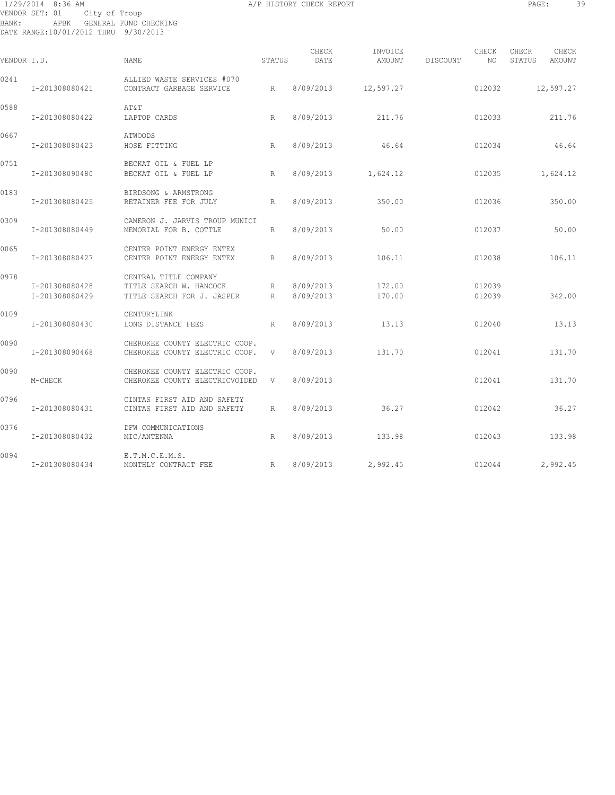# 1/29/2014 8:36 AM A/P HISTORY CHECK REPORT PAGE: 39 VENDOR SET: 01 City of Troup BANK: APBK GENERAL FUND CHECKING DATE RANGE:10/01/2012 THRU 9/30/2013

| г<br>٠<br>۰<br>٠<br>---<br>۰,<br>× |  |
|------------------------------------|--|
|                                    |  |

| VENDOR I.D. |                                  | <b>NAME</b>                                                                    | STATUS | CHECK<br>DATE          | INVOICE            | AMOUNT DISCOUNT | CHECK<br>NO.     | CHECK<br>STATUS | CHECK<br>AMOUNT |
|-------------|----------------------------------|--------------------------------------------------------------------------------|--------|------------------------|--------------------|-----------------|------------------|-----------------|-----------------|
| 0241        | I-201308080421                   | ALLIED WASTE SERVICES #070<br>CONTRACT GARBAGE SERVICE                         | R      | 8/09/2013              | 12,597.27          |                 | 012032           |                 | 12,597.27       |
| 0588        | I-201308080422                   | AT&T<br>LAPTOP CARDS                                                           | R      | 8/09/2013              | 211.76             |                 | 012033           |                 | 211.76          |
| 0667        | I-201308080423                   | <b>ATWOODS</b><br>HOSE FITTING                                                 | R      | 8/09/2013              | 46.64              |                 | 012034           |                 | 46.64           |
| 0751        | I-201308090480                   | BECKAT OIL & FUEL LP<br>BECKAT OIL & FUEL LP                                   | R      | 8/09/2013              | 1,624.12           |                 | 012035           |                 | 1,624.12        |
| 0183        | I-201308080425                   | BIRDSONG & ARMSTRONG<br>RETAINER FEE FOR JULY                                  | R      | 8/09/2013              | 350.00             |                 | 012036           |                 | 350.00          |
| 0309        | I-201308080449                   | CAMERON J. JARVIS TROUP MUNICI<br>MEMORIAL FOR B. COTTLE                       | R      | 8/09/2013              | 50.00              |                 | 012037           |                 | 50.00           |
| 0065        | I-201308080427                   | CENTER POINT ENERGY ENTEX<br>CENTER POINT ENERGY ENTEX                         | R      | 8/09/2013              | 106.11             |                 | 012038           |                 | 106.11          |
| 0978        | I-201308080428<br>I-201308080429 | CENTRAL TITLE COMPANY<br>TITLE SEARCH W. HANCOCK<br>TITLE SEARCH FOR J. JASPER | R<br>R | 8/09/2013<br>8/09/2013 | 172.00<br>170.00   |                 | 012039<br>012039 |                 | 342.00          |
| 0109        | I-201308080430                   | CENTURYLINK<br>LONG DISTANCE FEES                                              | R.     | 8/09/2013              | 13.13              |                 | 012040           |                 | 13.13           |
| 0090        | I-201308090468                   | CHEROKEE COUNTY ELECTRIC COOP.<br>CHEROKEE COUNTY ELECTRIC COOP.               | V      | 8/09/2013              | 131.70             |                 | 012041           |                 | 131.70          |
| 0090        | M-CHECK                          | CHEROKEE COUNTY ELECTRIC COOP.<br>CHEROKEE COUNTY ELECTRICVOIDED               | V      | 8/09/2013              |                    |                 | 012041           |                 | 131.70          |
| 0796        | I-201308080431                   | CINTAS FIRST AID AND SAFETY<br>CINTAS FIRST AID AND SAFETY                     | R      | 8/09/2013              | 36.27              |                 | 012042           |                 | 36.27           |
| 0376        | I-201308080432                   | DFW COMMUNICATIONS<br>MIC/ANTENNA                                              | R      | 8/09/2013              | 133.98             |                 | 012043           |                 | 133.98          |
| 0094        | I-201308080434                   | E.T.M.C.E.M.S.<br>R<br>MONTHLY CONTRACT FEE                                    |        |                        | 8/09/2013 2,992.45 |                 | 012044           |                 | 2,992.45        |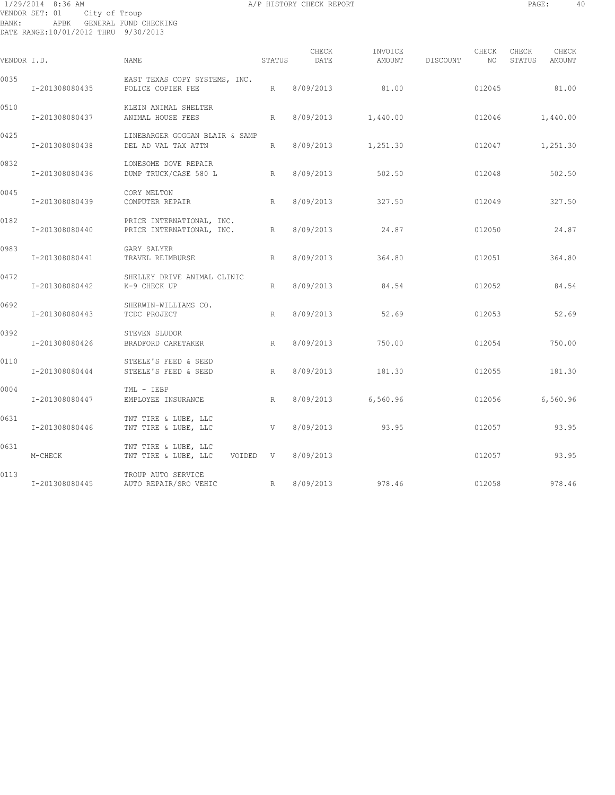# 1/29/2014 8:36 AM A/P HISTORY CHECK REPORT PAGE: 40 VENDOR SET: 01 City of Troup BANK: APBK GENERAL FUND CHECKING DATE RANGE:10/01/2012 THRU 9/30/2013

| VENDOR I.D. |                | NAME.                                                  | STATUS | CHECK<br>DATE | INVOICE<br>AMOUNT | DISCOUNT | CHECK<br>NO. | CHECK<br>STATUS | CHECK<br>AMOUNT |
|-------------|----------------|--------------------------------------------------------|--------|---------------|-------------------|----------|--------------|-----------------|-----------------|
| 0035        | I-201308080435 | EAST TEXAS COPY SYSTEMS, INC.<br>POLICE COPIER FEE     | R      | 8/09/2013     | 81.00             |          | 012045       |                 | 81.00           |
| 0510        | I-201308080437 | KLEIN ANIMAL SHELTER<br>ANIMAL HOUSE FEES              | R      | 8/09/2013     | 1,440.00          |          | 012046       |                 | 1,440.00        |
| 0425        | I-201308080438 | LINEBARGER GOGGAN BLAIR & SAMP<br>DEL AD VAL TAX ATTN  | R      | 8/09/2013     | 1,251.30          |          | 012047       |                 | 1,251.30        |
| 0832        | I-201308080436 | LONESOME DOVE REPAIR<br>DUMP TRUCK/CASE 580 L<br>R     |        | 8/09/2013     | 502.50            |          | 012048       |                 | 502.50          |
| 0045        | I-201308080439 | CORY MELTON<br>COMPUTER REPAIR                         | R      | 8/09/2013     | 327.50            |          | 012049       |                 | 327.50          |
| 0182        | I-201308080440 | PRICE INTERNATIONAL, INC.<br>PRICE INTERNATIONAL, INC. | R      | 8/09/2013     | 24.87             |          | 012050       |                 | 24.87           |
| 0983        | I-201308080441 | GARY SALYER<br>TRAVEL REIMBURSE                        | R      | 8/09/2013     | 364.80            |          | 012051       |                 | 364.80          |
| 0472        | I-201308080442 | SHELLEY DRIVE ANIMAL CLINIC<br>K-9 CHECK UP            | R      | 8/09/2013     | 84.54             |          | 012052       |                 | 84.54           |
| 0692        | I-201308080443 | SHERWIN-WILLIAMS CO.<br>TCDC PROJECT                   | R      | 8/09/2013     | 52.69             |          | 012053       |                 | 52.69           |
| 0392        | I-201308080426 | STEVEN SLUDOR<br>BRADFORD CARETAKER                    | R      | 8/09/2013     | 750.00            |          | 012054       |                 | 750.00          |
| 0110        | I-201308080444 | STEELE'S FEED & SEED<br>STEELE'S FEED & SEED           | R      | 8/09/2013     | 181.30            |          | 012055       |                 | 181.30          |
| 0004        | I-201308080447 | TML - IEBP<br>EMPLOYEE INSURANCE                       | R      | 8/09/2013     | 6,560.96          |          | 012056       |                 | 6,560.96        |
| 0631        | I-201308080446 | TNT TIRE & LUBE, LLC<br>TNT TIRE & LUBE, LLC           | V      | 8/09/2013     | 93.95             |          | 012057       |                 | 93.95           |
| 0631        | M-CHECK        | TNT TIRE & LUBE, LLC<br>TNT TIRE & LUBE, LLC VOIDED V  |        | 8/09/2013     |                   |          | 012057       |                 | 93.95           |
| 0113        | I-201308080445 | TROUP AUTO SERVICE<br>AUTO REPAIR/SRO VEHIC<br>R       |        | 8/09/2013     | 978.46            |          | 012058       |                 | 978.46          |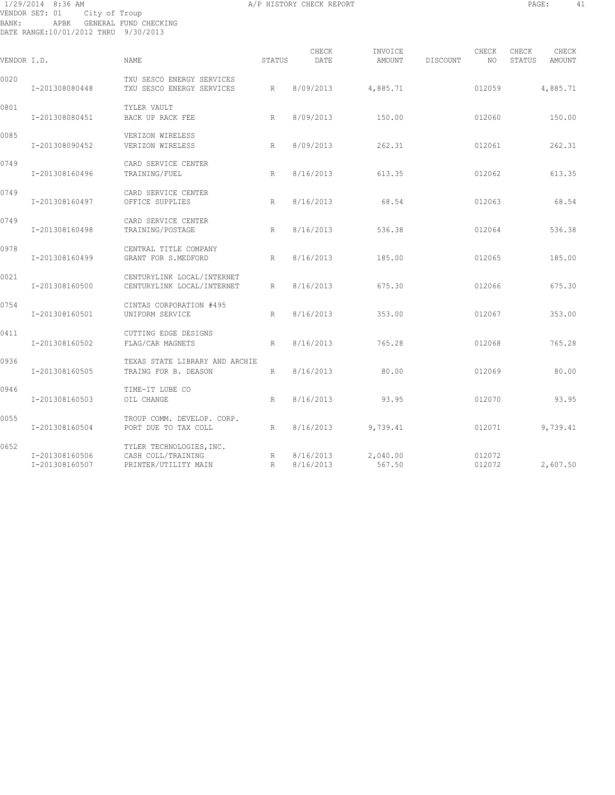# 1/29/2014 8:36 AM A/P HISTORY CHECK REPORT PAGE: 41 VENDOR SET: 01 City of Troup BANK: APBK GENERAL FUND CHECKING DATE RANGE:10/01/2012 THRU 9/30/2013

| VENDOR I.D. |                                  | <b>NAME</b>                                                            | STATUS       | CHECK<br>DATE          | INVOICE<br>AMOUNT  | DISCOUNT | CHECK<br>NO.     | CHECK<br>STATUS | CHECK<br><b>AMOUNT</b> |
|-------------|----------------------------------|------------------------------------------------------------------------|--------------|------------------------|--------------------|----------|------------------|-----------------|------------------------|
| 0020        | I-201308080448                   | TXU SESCO ENERGY SERVICES<br>TXU SESCO ENERGY SERVICES                 | R            | 8/09/2013              | 4,885.71           |          | 012059           |                 | 4,885.71               |
| 0801        | I-201308080451                   | TYLER VAULT<br>BACK UP RACK FEE                                        | R            | 8/09/2013              | 150.00             |          | 012060           |                 | 150.00                 |
| 0085        | I-201308090452                   | VERIZON WIRELESS<br>VERIZON WIRELESS                                   | R            | 8/09/2013              | 262.31             |          | 012061           |                 | 262.31                 |
| 0749        | I-201308160496                   | CARD SERVICE CENTER<br>TRAINING/FUEL                                   | R            | 8/16/2013              | 613.35             |          | 012062           |                 | 613.35                 |
| 0749        | I-201308160497                   | CARD SERVICE CENTER<br>OFFICE SUPPLIES                                 | R            | 8/16/2013              | 68.54              |          | 012063           |                 | 68.54                  |
| 0749        | I-201308160498                   | CARD SERVICE CENTER<br>TRAINING/POSTAGE                                | R            | 8/16/2013              | 536.38             |          | 012064           |                 | 536.38                 |
| 0978        | I-201308160499                   | CENTRAL TITLE COMPANY<br>GRANT FOR S.MEDFORD                           | R            | 8/16/2013              | 185.00             |          | 012065           |                 | 185.00                 |
| 0021        | I-201308160500                   | CENTURYLINK LOCAL/INTERNET<br>CENTURYLINK LOCAL/INTERNET               | R            | 8/16/2013              | 675.30             |          | 012066           |                 | 675.30                 |
| 0754        | I-201308160501                   | CINTAS CORPORATION #495<br>UNIFORM SERVICE                             | R            | 8/16/2013              | 353.00             |          | 012067           |                 | 353.00                 |
| 0411        | I-201308160502                   | CUTTING EDGE DESIGNS<br>FLAG/CAR MAGNETS                               | R            | 8/16/2013              | 765.28             |          | 012068           |                 | 765.28                 |
| 0936        | I-201308160505                   | TEXAS STATE LIBRARY AND ARCHIE<br>TRAING FOR B. DEASON                 | $\mathbb{R}$ | 8/16/2013              | 80.00              |          | 012069           |                 | 80.00                  |
| 0946        | I-201308160503                   | TIME-IT LUBE CO<br>OIL CHANGE                                          | R            | 8/16/2013              | 93.95              |          | 012070           |                 | 93.95                  |
| 0055        | I-201308160504                   | TROUP COMM. DEVELOP. CORP.<br>PORT DUE TO TAX COLL                     | R            | 8/16/2013              | 9,739.41           |          | 012071           |                 | 9,739.41               |
| 0652        | I-201308160506<br>I-201308160507 | TYLER TECHNOLOGIES, INC.<br>CASH COLL/TRAINING<br>PRINTER/UTILITY MAIN | R<br>R       | 8/16/2013<br>8/16/2013 | 2,040.00<br>567.50 |          | 012072<br>012072 |                 | 2,607.50               |
|             |                                  |                                                                        |              |                        |                    |          |                  |                 |                        |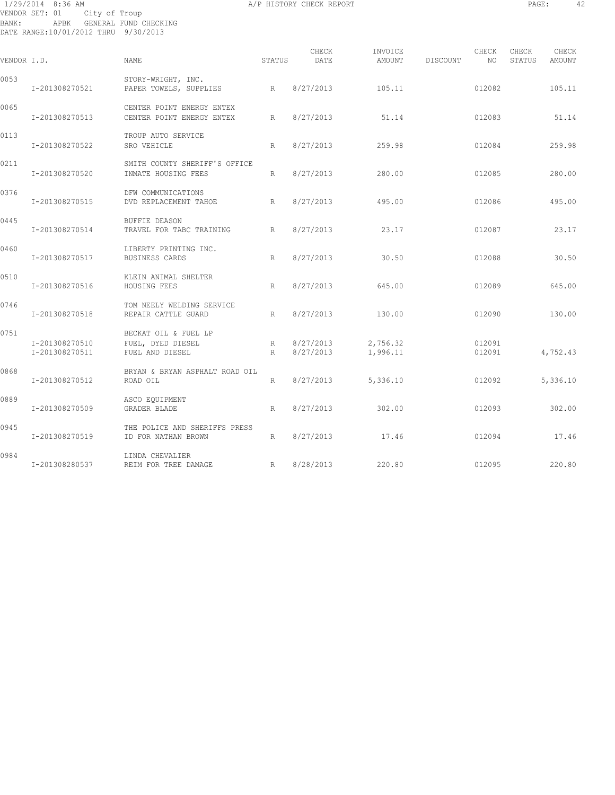1/29/2014 8:36 AM A/P HISTORY CHECK REPORT PAGE: 42 VENDOR SET: 01 City of Troup BANK: APBK GENERAL FUND CHECKING DATE RANGE:10/01/2012 THRU 9/30/2013

| VENDOR I.D. |                                  | <b>NAME</b>                                                  | STATUS          | CHECK<br>DATE | INVOICE<br>AMOUNT              | DISCOUNT | CHECK<br>NO      | CHECK<br>STATUS | CHECK<br>AMOUNT |
|-------------|----------------------------------|--------------------------------------------------------------|-----------------|---------------|--------------------------------|----------|------------------|-----------------|-----------------|
| 0053        | I-201308270521                   | STORY-WRIGHT, INC.<br>PAPER TOWELS, SUPPLIES<br>R            |                 | 8/27/2013     | 105.11                         |          | 012082           |                 | 105.11          |
| 0065        | I-201308270513                   | CENTER POINT ENERGY ENTEX<br>CENTER POINT ENERGY ENTEX       | R               | 8/27/2013     | 51.14                          |          | 012083           |                 | 51.14           |
| 0113        | I-201308270522                   | TROUP AUTO SERVICE<br>SRO VEHICLE                            | R               | 8/27/2013     | 259.98                         |          | 012084           |                 | 259.98          |
| 0211        | I-201308270520                   | SMITH COUNTY SHERIFF'S OFFICE<br>INMATE HOUSING FEES         | R               | 8/27/2013     | 280.00                         |          | 012085           |                 | 280.00          |
| 0376        | I-201308270515                   | DFW COMMUNICATIONS<br>DVD REPLACEMENT TAHOE                  | R               | 8/27/2013     | 495.00                         |          | 012086           |                 | 495.00          |
| 0445        | I-201308270514                   | <b>BUFFIE DEASON</b><br>TRAVEL FOR TABC TRAINING             | R               | 8/27/2013     | 23.17                          |          | 012087           |                 | 23.17           |
| 0460        | I-201308270517                   | LIBERTY PRINTING INC.<br>BUSINESS CARDS                      | R               | 8/27/2013     | 30.50                          |          | 012088           |                 | 30.50           |
| 0510        | I-201308270516                   | KLEIN ANIMAL SHELTER<br>HOUSING FEES                         | R               | 8/27/2013     | 645.00                         |          | 012089           |                 | 645.00          |
| 0746        | I-201308270518                   | TOM NEELY WELDING SERVICE<br>REPAIR CATTLE GUARD             | R               | 8/27/2013     | 130.00                         |          | 012090           |                 | 130.00          |
| 0751        | I-201308270510<br>I-201308270511 | BECKAT OIL & FUEL LP<br>FUEL, DYED DIESEL<br>FUEL AND DIESEL | R<br>R          | 8/27/2013     | 8/27/2013 2,756.32<br>1,996.11 |          | 012091<br>012091 |                 | 4,752.43        |
| 0868        | I-201308270512                   | BRYAN & BRYAN ASPHALT ROAD OIL<br>ROAD OIL                   | $R_{\parallel}$ | 8/27/2013     | 5,336.10                       |          | 012092           |                 | 5,336.10        |
| 0889        | I-201308270509                   | ASCO EQUIPMENT<br>GRADER BLADE                               | R               | 8/27/2013     | 302.00                         |          | 012093           |                 | 302.00          |
| 0945        | I-201308270519                   | THE POLICE AND SHERIFFS PRESS<br>ID FOR NATHAN BROWN         | R               | 8/27/2013     | 17.46                          |          | 012094           |                 | 17.46           |
| 0984        | I-201308280537                   | LINDA CHEVALIER<br>R<br>REIM FOR TREE DAMAGE                 |                 | 8/28/2013     | 220.80                         |          | 012095           |                 | 220.80          |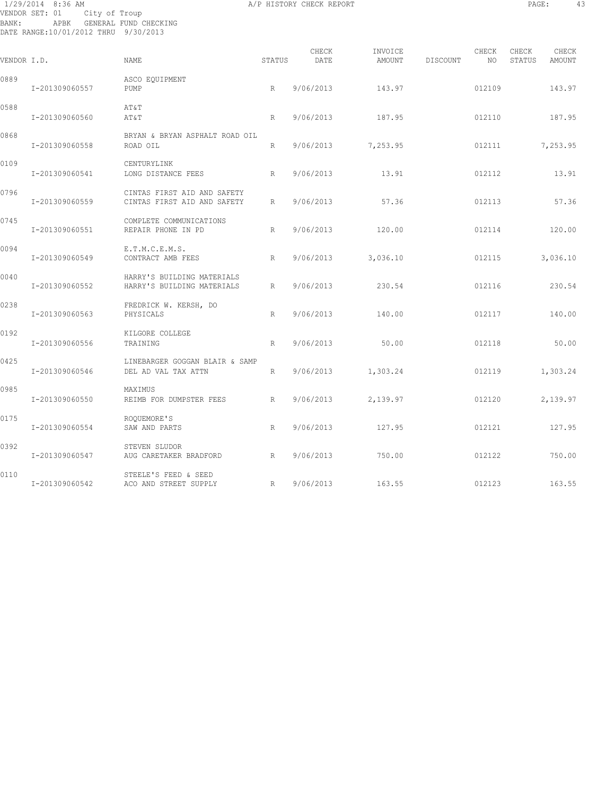# 1/29/2014 8:36 AM A/P HISTORY CHECK REPORT PAGE: 43 VENDOR SET: 01 City of Troup BANK: APBK GENERAL FUND CHECKING DATE RANGE:10/01/2012 THRU 9/30/2013

| VENDOR I.D. |                | <b>NAME</b>                                                | STATUS       | CHECK<br>DATE | INVOICE<br>AMOUNT  | <b>DISCOUNT</b> | CHECK<br>NO. | CHECK<br>STATUS | CHECK<br>AMOUNT |
|-------------|----------------|------------------------------------------------------------|--------------|---------------|--------------------|-----------------|--------------|-----------------|-----------------|
| 0889        | I-201309060557 | ASCO EQUIPMENT<br>PUMP                                     | R            | 9/06/2013     | 143.97             |                 | 012109       |                 | 143.97          |
| 0588        | I-201309060560 | AT&T<br>AT&T                                               | $\mathbb{R}$ | 9/06/2013     | 187.95             |                 | 012110       |                 | 187.95          |
| 0868        | I-201309060558 | BRYAN & BRYAN ASPHALT ROAD OIL<br>ROAD OIL                 | R            |               | 9/06/2013 7,253.95 |                 | 012111       |                 | 7,253.95        |
| 0109        | I-201309060541 | CENTURYLINK<br>LONG DISTANCE FEES                          | R            | 9/06/2013     | 13.91              |                 | 012112       |                 | 13.91           |
| 0796        | I-201309060559 | CINTAS FIRST AID AND SAFETY<br>CINTAS FIRST AID AND SAFETY | $\mathbb{R}$ | 9/06/2013     | 57.36              |                 | 012113       |                 | 57.36           |
| 0745        | I-201309060551 | COMPLETE COMMUNICATIONS<br>REPAIR PHONE IN PD              | R            | 9/06/2013     | 120.00             |                 | 012114       |                 | 120.00          |
| 0094        | I-201309060549 | E.T.M.C.E.M.S.<br>CONTRACT AMB FEES                        | R            | 9/06/2013     | 3,036.10           |                 | 012115       |                 | 3,036.10        |
| 0040        | I-201309060552 | HARRY'S BUILDING MATERIALS<br>HARRY'S BUILDING MATERIALS   | R            | 9/06/2013     | 230.54             |                 | 012116       |                 | 230.54          |
| 0238        | I-201309060563 | FREDRICK W. KERSH, DO<br>PHYSICALS                         | R            | 9/06/2013     | 140.00             |                 | 012117       |                 | 140.00          |
| 0192        | I-201309060556 | KILGORE COLLEGE<br>TRAINING                                | R            | 9/06/2013     | 50.00              |                 | 012118       |                 | 50.00           |
| 0425        | I-201309060546 | LINEBARGER GOGGAN BLAIR & SAMP<br>DEL AD VAL TAX ATTN      | R            | 9/06/2013     | 1,303.24           |                 | 012119       |                 | 1,303.24        |
| 0985        | I-201309060550 | MAXIMUS<br>REIMB FOR DUMPSTER FEES                         | R            | 9/06/2013     | 2,139.97           |                 | 012120       |                 | 2,139.97        |
| 0175        | I-201309060554 | ROOUEMORE'S<br>SAW AND PARTS                               | R            | 9/06/2013     | 127.95             |                 | 012121       |                 | 127.95          |
| 0392        | I-201309060547 | STEVEN SLUDOR<br>AUG CARETAKER BRADFORD                    | R            | 9/06/2013     | 750.00             |                 | 012122       |                 | 750.00          |
| 0110        | I-201309060542 | STEELE'S FEED & SEED<br>ACO AND STREET SUPPLY              | R            | 9/06/2013     | 163.55             |                 | 012123       |                 | 163.55          |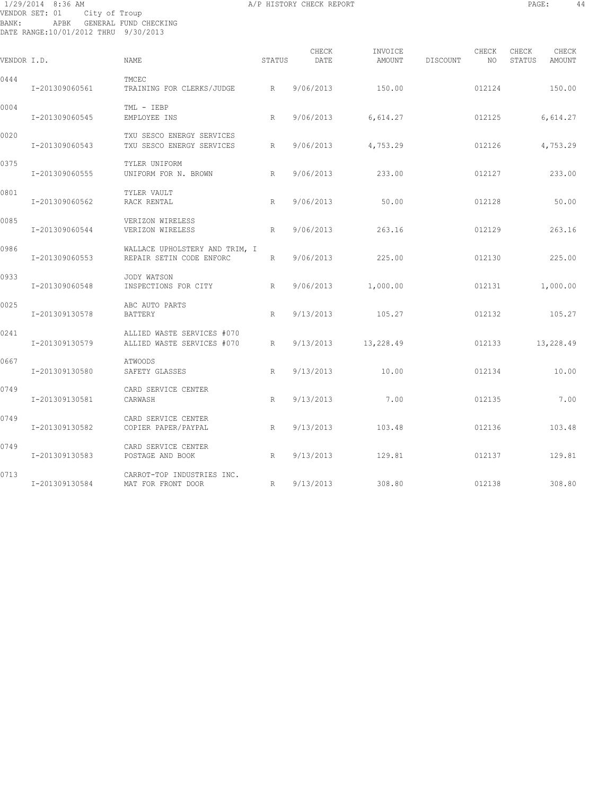# 1/29/2014 8:36 AM A/P HISTORY CHECK REPORT PAGE: 44 VENDOR SET: 01 City of Troup BANK: APBK GENERAL FUND CHECKING DATE RANGE:10/01/2012 THRU 9/30/2013

|             |                |                                                            |        | CHECK     | INVOICE            |          | CHECK  | CHECK  | CHECK     |
|-------------|----------------|------------------------------------------------------------|--------|-----------|--------------------|----------|--------|--------|-----------|
| VENDOR I.D. |                | NAME                                                       | STATUS | DATE      | AMOUNT             | DISCOUNT | NO     | STATUS | AMOUNT    |
| 0444        | I-201309060561 | TMCEC<br>TRAINING FOR CLERKS/JUDGE                         | R      | 9/06/2013 | 150.00             |          | 012124 |        | 150.00    |
| 0004        | I-201309060545 | TML - IEBP<br>EMPLOYEE INS                                 | R      | 9/06/2013 | 6,614.27           |          | 012125 |        | 6,614.27  |
| 0020        | I-201309060543 | TXU SESCO ENERGY SERVICES<br>TXU SESCO ENERGY SERVICES     | R      |           | 9/06/2013 4,753.29 |          | 012126 |        | 4,753.29  |
| 0375        | I-201309060555 | TYLER UNIFORM<br>UNIFORM FOR N. BROWN                      | R      | 9/06/2013 | 233.00             |          | 012127 |        | 233.00    |
| 0801        | I-201309060562 | TYLER VAULT<br>RACK RENTAL                                 | R      | 9/06/2013 | 50.00              |          | 012128 |        | 50.00     |
| 0085        | I-201309060544 | VERIZON WIRELESS<br>VERIZON WIRELESS                       | R      | 9/06/2013 | 263.16             |          | 012129 |        | 263.16    |
| 0986        | I-201309060553 | WALLACE UPHOLSTERY AND TRIM, I<br>REPAIR SETIN CODE ENFORC | R      | 9/06/2013 | 225.00             |          | 012130 |        | 225.00    |
| 0933        | I-201309060548 | JODY WATSON<br>INSPECTIONS FOR CITY                        | R      | 9/06/2013 | 1,000.00           |          | 012131 |        | 1,000.00  |
| 0025        | I-201309130578 | ABC AUTO PARTS<br>BATTERY                                  | R      |           | 9/13/2013 105.27   |          | 012132 |        | 105.27    |
| 0241        | I-201309130579 | ALLIED WASTE SERVICES #070<br>ALLIED WASTE SERVICES #070   | R      | 9/13/2013 | 13,228.49          |          | 012133 |        | 13,228.49 |
| 0667        | I-201309130580 | ATWOODS<br>SAFETY GLASSES                                  | R      | 9/13/2013 | 10.00              |          | 012134 |        | 10.00     |
| 0749        | I-201309130581 | CARD SERVICE CENTER<br>CARWASH                             | R      | 9/13/2013 | 7.00               |          | 012135 |        | 7.00      |
| 0749        | I-201309130582 | CARD SERVICE CENTER<br>COPIER PAPER/PAYPAL                 | R      | 9/13/2013 | 103.48             |          | 012136 |        | 103.48    |
| 0749        | I-201309130583 | CARD SERVICE CENTER<br>POSTAGE AND BOOK                    | R      | 9/13/2013 | 129.81             |          | 012137 |        | 129.81    |
| 0713        | I-201309130584 | CARROT-TOP INDUSTRIES INC.<br>MAT FOR FRONT DOOR           | R      | 9/13/2013 | 308.80             |          | 012138 |        | 308.80    |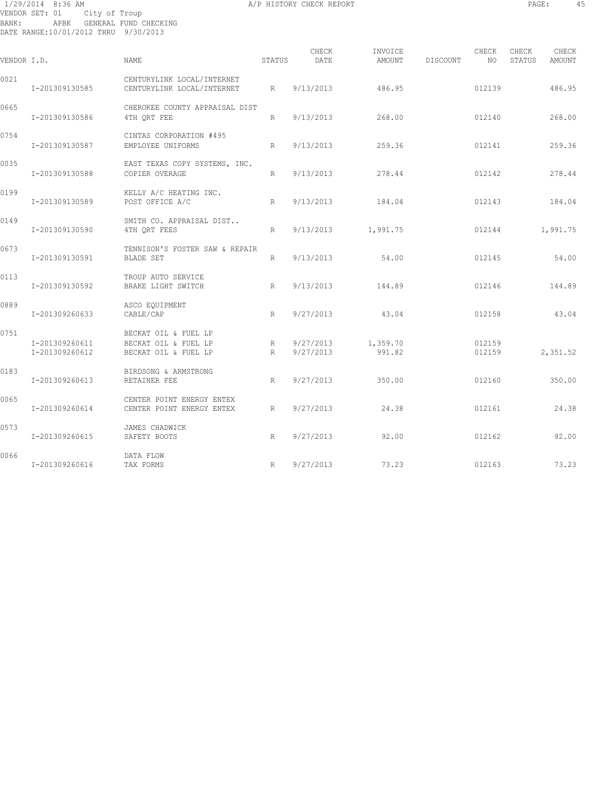# 1/29/2014 8:36 AM A/P HISTORY CHECK REPORT PAGE: 45 VENDOR SET: 01 City of Troup BANK: APBK GENERAL FUND CHECKING DATE RANGE:10/01/2012 THRU 9/30/2013

| VENDOR I.D. |                                  | NAME                                                                 | <b>STATUS</b> | CHECK<br>DATE          | INVOICE<br>AMOUNT  | DISCOUNT | CHECK<br>NO .    | CHECK<br>STATUS | CHECK<br>AMOUNT |
|-------------|----------------------------------|----------------------------------------------------------------------|---------------|------------------------|--------------------|----------|------------------|-----------------|-----------------|
| 0021        | I-201309130585                   | CENTURYLINK LOCAL/INTERNET<br>CENTURYLINK LOCAL/INTERNET             | R             | 9/13/2013              | 486.95             |          | 012139           |                 | 486.95          |
| 0665        | I-201309130586                   | CHEROKEE COUNTY APPRAISAL DIST<br>4TH ORT FEE                        | R             | 9/13/2013              | 268.00             |          | 012140           |                 | 268.00          |
| 0754        | I-201309130587                   | CINTAS CORPORATION #495<br>EMPLOYEE UNIFORMS                         | R             | 9/13/2013              | 259.36             |          | 012141           |                 | 259.36          |
| 0035        | I-201309130588                   | EAST TEXAS COPY SYSTEMS, INC.<br>COPIER OVERAGE                      | R             | 9/13/2013              | 278.44             |          | 012142           |                 | 278.44          |
| 0199        | I-201309130589                   | KELLY A/C HEATING INC.<br>POST OFFICE A/C                            | R             | 9/13/2013              | 184.04             |          | 012143           |                 | 184.04          |
| 0149        | I-201309130590                   | SMITH CO. APPRAISAL DIST<br>4TH QRT FEES                             | R             |                        | 9/13/2013 1,991.75 |          | 012144           |                 | 1,991.75        |
| 0673        | I-201309130591                   | TENNISON'S FOSTER SAW & REPAIR<br>BLADE SET                          | R             | 9/13/2013              | 54.00              |          | 012145           |                 | 54.00           |
| 0113        | I-201309130592                   | TROUP AUTO SERVICE<br>BRAKE LIGHT SWITCH                             | R             | 9/13/2013              | 144.89             |          | 012146           |                 | 144.89          |
| 0889        | I-201309260633                   | ASCO EQUIPMENT<br>CABLE/CAP                                          | R             | 9/27/2013              | 43.04              |          | 012158           |                 | 43.04           |
| 0751        | I-201309260611<br>I-201309260612 | BECKAT OIL & FUEL LP<br>BECKAT OIL & FUEL LP<br>BECKAT OIL & FUEL LP | R<br>R        | 9/27/2013<br>9/27/2013 | 1,359.70<br>991.82 |          | 012159<br>012159 |                 | 2,351.52        |
| 0183        | I-201309260613                   | BIRDSONG & ARMSTRONG<br>RETAINER FEE                                 | R             | 9/27/2013              | 350.00             |          | 012160           |                 | 350.00          |
| 0065        | I-201309260614                   | CENTER POINT ENERGY ENTEX<br>CENTER POINT ENERGY ENTEX               | R             | 9/27/2013              | 24.38              |          | 012161           |                 | 24.38           |
| 0573        | I-201309260615                   | JAMES CHADWICK<br>SAFETY BOOTS                                       | R             | 9/27/2013              | 92.00              |          | 012162           |                 | 92.00           |
| 0066        | I-201309260616                   | DATA FLOW<br>TAX FORMS                                               | R             | 9/27/2013              | 73.23              |          | 012163           |                 | 73.23           |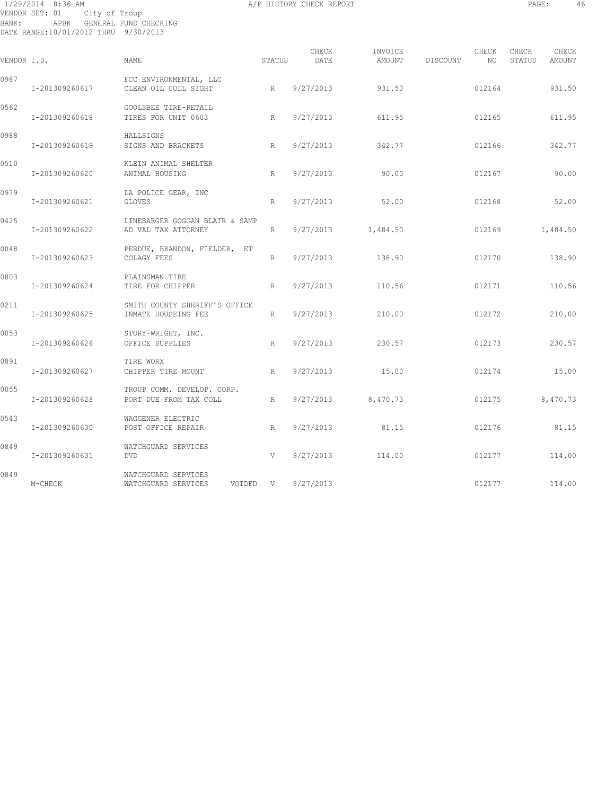# 1/29/2014 8:36 AM A/P HISTORY CHECK REPORT PAGE: 46 VENDOR SET: 01 City of Troup BANK: APBK GENERAL FUND CHECKING DATE RANGE:10/01/2012 THRU 9/30/2013

| VENDOR I.D. |                | <b>NAME</b>                                            | STATUS | CHECK<br>DATE | INVOICE<br>AMOUNT    | DISCOUNT | CHECK<br>NO. | CHECK<br>STATUS | CHECK<br>AMOUNT |
|-------------|----------------|--------------------------------------------------------|--------|---------------|----------------------|----------|--------------|-----------------|-----------------|
| 0987        | I-201309260617 | FCC ENVIRONMENTAL, LLC<br>CLEAN OIL COLL SIGHT         | R      | 9/27/2013     | 931.50               |          | 012164       |                 | 931.50          |
| 0562        | I-201309260618 | GOOLSBEE TIRE-RETAIL<br>TIRES FOR UNIT 0603            | R      | 9/27/2013     | 611.95               |          | 012165       |                 | 611.95          |
| 0988        | I-201309260619 | HALLSIGNS<br>SIGNS AND BRACKETS                        | R      | 9/27/2013     | 342.77               |          | 012166       |                 | 342.77          |
| 0510        | I-201309260620 | KLEIN ANIMAL SHELTER<br>ANIMAL HOUSING                 | R      | 9/27/2013     | 90.00                |          | 012167       |                 | 90.00           |
| 0979        | I-201309260621 | LA POLICE GEAR, INC<br><b>GLOVES</b>                   | R      | 9/27/2013     | 52.00                |          | 012168       |                 | 52.00           |
| 0425        | I-201309260622 | LINEBARGER GOGGAN BLAIR & SAMP<br>AD VAL TAX ATTORNEY  | R      | 9/27/2013     | 1,484.50             |          | 012169       |                 | 1,484.50        |
| 0048        | I-201309260623 | PERDUE, BRANDON, FIELDER, ET<br>COLAGY FEES            | R      | 9/27/2013     | 138.90               |          | 012170       |                 | 138.90          |
| 0803        | I-201309260624 | PLAINSMAN TIRE<br>TIRE FOR CHIPPER                     | R      | 9/27/2013     | 110.56               |          | 012171       |                 | 110.56          |
| 0211        | I-201309260625 | SMITH COUNTY SHERIFF'S OFFICE<br>INMATE HOUSEING FEE   | R      | 9/27/2013     | 210.00               |          | 012172       |                 | 210.00          |
| 0053        | I-201309260626 | STORY-WRIGHT, INC.<br>OFFICE SUPPLIES                  | R      | 9/27/2013     | 230.57               |          | 012173       |                 | 230.57          |
| 0891        | I-201309260627 | TIRE WORX<br>CHIPPER TIRE MOUNT                        | R      | 9/27/2013     | 15.00                |          | 012174       |                 | 15.00           |
| 0055        | I-201309260628 | TROUP COMM. DEVELOP. CORP.<br>PORT DUE FROM TAX COLL   | R      |               | $9/27/2013$ 8,470.73 |          | 012175       |                 | 8,470.73        |
| 0543        | I-201309260630 | WAGGENER ELECTRIC<br>POST OFFICE REPAIR                | R      | 9/27/2013     | 81.15                |          | 012176       |                 | 81.15           |
| 0849        | I-201309260631 | WATCHGUARD SERVICES<br><b>DVD</b>                      | V      | 9/27/2013     | 114.00               |          | 012177       |                 | 114.00          |
| 0849        | M-CHECK        | WATCHGUARD SERVICES<br>WATCHGUARD SERVICES<br>VOIDED V |        | 9/27/2013     |                      |          | 012177       |                 | 114.00          |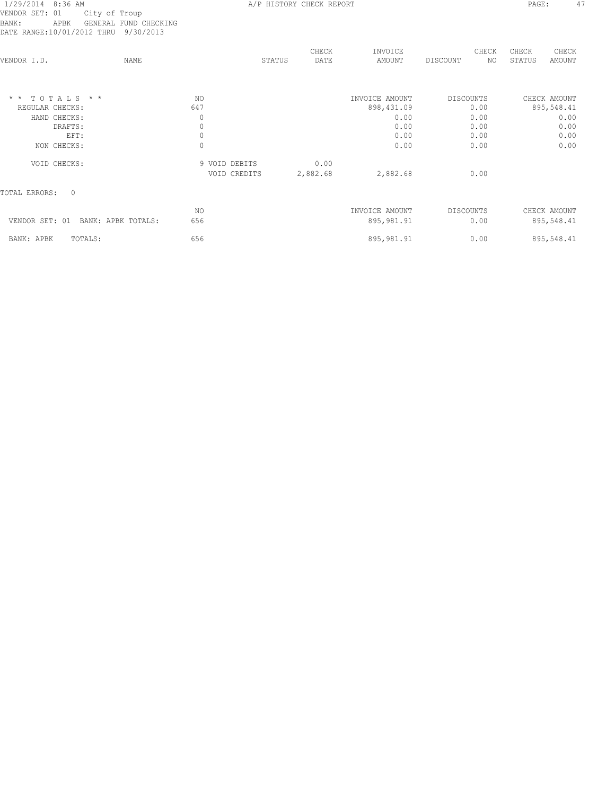# VENDOR SET: 01 City of Troup BANK: APBK GENERAL FUND CHECKING DATE RANGE:10/01/2012 THRU 9/30/2013

| DATE RANGE:10/01/2012 THRU 9/30/2013 |      |               |        |               |                   |           |              |                 |                 |
|--------------------------------------|------|---------------|--------|---------------|-------------------|-----------|--------------|-----------------|-----------------|
| VENDOR I.D.                          | NAME |               | STATUS | CHECK<br>DATE | INVOICE<br>AMOUNT | DISCOUNT  | CHECK<br>NO. | CHECK<br>STATUS | CHECK<br>AMOUNT |
|                                      |      |               |        |               |                   |           |              |                 |                 |
| TOTALS * *<br>$\star$ $\star$        | NO.  |               |        |               | INVOICE AMOUNT    | DISCOUNTS |              |                 | CHECK AMOUNT    |
| REGULAR CHECKS:                      | 647  |               |        |               | 898, 431.09       |           | 0.00         |                 | 895,548.41      |
| HAND CHECKS:                         |      | 0             |        |               | 0.00              |           | 0.00         |                 | 0.00            |
| DRAFTS:                              |      | $\mathbb O$   |        |               | 0.00              |           | 0.00         |                 | 0.00            |
| EFT:                                 |      | $\mathbb O$   |        |               | 0.00              |           | 0.00         |                 | 0.00            |
| NON CHECKS:                          |      | $\circ$       |        |               | 0.00              |           | 0.00         |                 | 0.00            |
| VOID CHECKS:                         |      | 9 VOID DEBITS |        | 0.00          |                   |           |              |                 |                 |
|                                      |      | VOID CREDITS  |        | 2,882.68      | 2,882.68          |           | 0.00         |                 |                 |
| <b>TOTAL ERRORS:</b><br>$\Omega$     |      |               |        |               |                   |           |              |                 |                 |
|                                      | NO.  |               |        |               | INVOICE AMOUNT    | DISCOUNTS |              |                 | CHECK AMOUNT    |
| VENDOR SET: 01<br>BANK: APBK TOTALS: | 656  |               |        |               | 895, 981.91       |           | 0.00         |                 | 895,548.41      |
| BANK: APBK<br>TOTALS:                | 656  |               |        |               | 895,981.91        |           | 0.00         |                 | 895,548.41      |
|                                      |      |               |        |               |                   |           |              |                 |                 |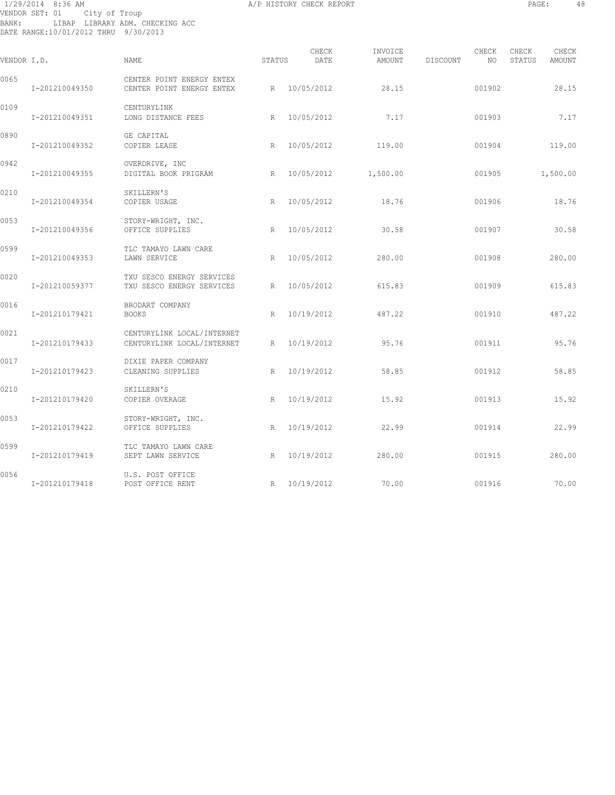# 1/29/2014 8:36 AM A/P HISTORY CHECK REPORT PAGE: 48 VENDOR SET: 01 City of Troup BANK: LIBAP LIBRARY ADM. CHECKING ACC DATE RANGE:10/01/2012 THRU 9/30/2013

| VENDOR I.D. |                | <b>NAME</b>                                              | STATUS | CHECK<br>DATE | INVOICE<br>AMOUNT | DISCOUNT | CHECK<br>NO | CHECK<br>STATUS | CHECK<br>AMOUNT |
|-------------|----------------|----------------------------------------------------------|--------|---------------|-------------------|----------|-------------|-----------------|-----------------|
| 0065        | I-201210049350 | CENTER POINT ENERGY ENTEX<br>CENTER POINT ENERGY ENTEX   |        | R 10/05/2012  | 28.15             |          | 001902      |                 | 28.15           |
| 0109        | I-201210049351 | CENTURYLINK<br>LONG DISTANCE FEES                        | R      | 10/05/2012    | 7.17              |          | 001903      |                 | 7.17            |
| 0890        | I-201210049352 | GE CAPITAL<br>COPIER LEASE                               | R      | 10/05/2012    | 119.00            |          | 001904      |                 | 119.00          |
| 0942        | I-201210049355 | OVERDRIVE, INC<br>DIGITAL BOOK PRIGRAM                   | R      | 10/05/2012    | 1,500.00          |          | 001905      |                 | 1,500.00        |
| 0210        | I-201210049354 | SKILLERN'S<br>COPIER USAGE                               | R      | 10/05/2012    | 18.76             |          | 001906      |                 | 18.76           |
| 0053        | I-201210049356 | STORY-WRIGHT, INC.<br>OFFICE SUPPLIES                    | R      | 10/05/2012    | 30.58             |          | 001907      |                 | 30.58           |
| 0599        | I-201210049353 | TLC TAMAYO LAWN CARE<br>LAWN SERVICE                     | R      | 10/05/2012    | 280.00            |          | 001908      |                 | 280.00          |
| 0020        | I-201210059377 | TXU SESCO ENERGY SERVICES<br>TXU SESCO ENERGY SERVICES   | R      | 10/05/2012    | 615.83            |          | 001909      |                 | 615.83          |
| 0016        | I-201210179421 | BRODART COMPANY<br><b>BOOKS</b>                          | R      | 10/19/2012    | 487.22            |          | 001910      |                 | 487.22          |
| 0021        | I-201210179433 | CENTURYLINK LOCAL/INTERNET<br>CENTURYLINK LOCAL/INTERNET | R      | 10/19/2012    | 95.76             |          | 001911      |                 | 95.76           |
| 0017        | I-201210179423 | DIXIE PAPER COMPANY<br>CLEANING SUPPLIES                 | R      | 10/19/2012    | 58.85             |          | 001912      |                 | 58.85           |
| 0210        | I-201210179420 | SKILLERN'S<br>COPIER OVERAGE                             | R      | 10/19/2012    | 15.92             |          | 001913      |                 | 15.92           |
| 0053        | I-201210179422 | STORY-WRIGHT, INC.<br>OFFICE SUPPLIES                    | R      | 10/19/2012    | 22.99             |          | 001914      |                 | 22.99           |
| 0599        | I-201210179419 | TLC TAMAYO LAWN CARE<br>SEPT LAWN SERVICE                | R      | 10/19/2012    | 280.00            |          | 001915      |                 | 280.00          |
| 0056        | I-201210179418 | U.S. POST OFFICE<br>POST OFFICE RENT                     |        | R 10/19/2012  | 70.00             |          | 001916      |                 | 70.00           |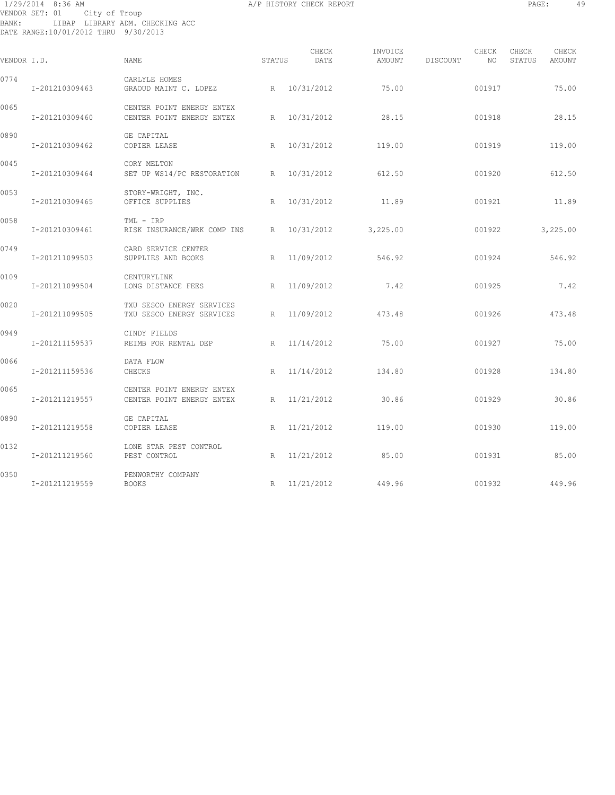# 1/29/2014 8:36 AM A/P HISTORY CHECK REPORT PAGE: 49 VENDOR SET: 01 City of Troup BANK: LIBAP LIBRARY ADM. CHECKING ACC DATE RANGE:10/01/2012 THRU 9/30/2013

| VENDOR I.D. |                | NAME                                                   | STATUS      | CHECK<br>DATE | INVOICE<br>AMOUNT | DISCOUNT | CHECK<br>NO | CHECK<br>STATUS | CHECK<br>AMOUNT |
|-------------|----------------|--------------------------------------------------------|-------------|---------------|-------------------|----------|-------------|-----------------|-----------------|
| 0774        |                | CARLYLE HOMES                                          |             |               |                   |          |             |                 |                 |
|             | I-201210309463 | GRAOUD MAINT C. LOPEZ                                  |             | R 10/31/2012  | 75.00             |          | 001917      |                 | 75.00           |
| 0065        | I-201210309460 | CENTER POINT ENERGY ENTEX<br>CENTER POINT ENERGY ENTEX | R           | 10/31/2012    | 28.15             |          | 001918      |                 | 28.15           |
| 0890        | I-201210309462 | GE CAPITAL<br>COPIER LEASE                             | R           | 10/31/2012    | 119.00            |          | 001919      |                 | 119.00          |
| 0045        | I-201210309464 | CORY MELTON<br>SET UP WS14/PC RESTORATION              | R           | 10/31/2012    | 612.50            |          | 001920      |                 | 612.50          |
| 0053        | I-201210309465 | STORY-WRIGHT, INC.<br>OFFICE SUPPLIES                  | R           | 10/31/2012    | 11.89             |          | 001921      |                 | 11.89           |
| 0058        | I-201210309461 | TML - IRP<br>RISK INSURANCE/WRK COMP INS R             |             | 10/31/2012    | 3,225.00          |          | 001922      |                 | 3,225.00        |
| 0749        | I-201211099503 | CARD SERVICE CENTER<br>SUPPLIES AND BOOKS              |             | R 11/09/2012  | 546.92            |          | 001924      |                 | 546.92          |
| 0109        | I-201211099504 | CENTURYLINK<br>LONG DISTANCE FEES                      | $R_{\odot}$ | 11/09/2012    | 7.42              |          | 001925      |                 | 7.42            |
| 0020        | I-201211099505 | TXU SESCO ENERGY SERVICES<br>TXU SESCO ENERGY SERVICES | R           | 11/09/2012    | 473.48            |          | 001926      |                 | 473.48          |
| 0949        | I-201211159537 | CINDY FIELDS<br>REIMB FOR RENTAL DEP                   |             | R 11/14/2012  | 75.00             |          | 001927      |                 | 75.00           |
| 0066        | I-201211159536 | DATA FLOW<br>CHECKS                                    | R           | 11/14/2012    | 134.80            |          | 001928      |                 | 134.80          |
| 0065        | I-201211219557 | CENTER POINT ENERGY ENTEX<br>CENTER POINT ENERGY ENTEX | R           | 11/21/2012    | 30.86             |          | 001929      |                 | 30.86           |
| 0890        | I-201211219558 | GE CAPITAL<br>COPIER LEASE                             | R           | 11/21/2012    | 119.00            |          | 001930      |                 | 119.00          |
| 0132        | I-201211219560 | LONE STAR PEST CONTROL<br>PEST CONTROL                 | R           | 11/21/2012    | 85.00             |          | 001931      |                 | 85.00           |
| 0350        | I-201211219559 | PENWORTHY COMPANY<br><b>BOOKS</b>                      |             | R 11/21/2012  | 449.96            |          | 001932      |                 | 449.96          |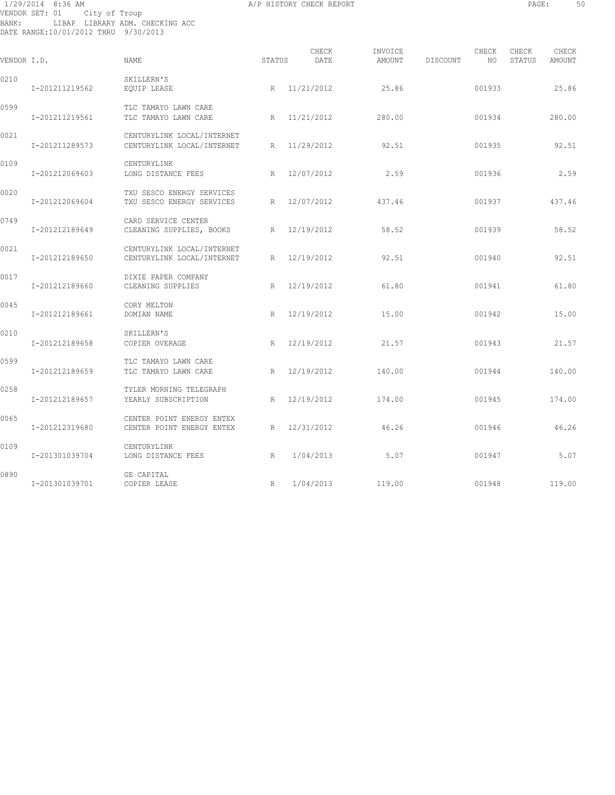1/29/2014 8:36 AM A/P HISTORY CHECK REPORT PAGE: 50 VENDOR SET: 01 City of Troup BANK: LIBAP LIBRARY ADM. CHECKING ACC DATE RANGE:10/01/2012 THRU 9/30/2013

| VENDOR I.D. |                | NAME.                                                        | STATUS | CHECK<br>DATE | INVOICE<br>AMOUNT | DISCOUNT | CHECK<br>NO. | CHECK<br>STATUS | CHECK<br>AMOUNT |
|-------------|----------------|--------------------------------------------------------------|--------|---------------|-------------------|----------|--------------|-----------------|-----------------|
| 0210        | I-201211219562 | SKILLERN'S<br>EQUIP LEASE                                    |        | R 11/21/2012  | 25.86             |          | 001933       |                 | 25.86           |
| 0599        | I-201211219561 | TLC TAMAYO LAWN CARE<br>TLC TAMAYO LAWN CARE                 |        | R 11/21/2012  | 280.00            |          | 001934       |                 | 280.00          |
| 0021        | I-201211289573 | CENTURYLINK LOCAL/INTERNET<br>CENTURYLINK LOCAL/INTERNET     |        | R 11/29/2012  | 92.51             |          | 001935       |                 | 92.51           |
| 0109        | I-201212069603 | CENTURYLINK<br>LONG DISTANCE FEES                            | R      | 12/07/2012    | 2.59              |          | 001936       |                 | 2.59            |
| 0020        | I-201212069604 | TXU SESCO ENERGY SERVICES<br>TXU SESCO ENERGY SERVICES       | R      | 12/07/2012    | 437.46            |          | 001937       |                 | 437.46          |
| 0749        | I-201212189649 | CARD SERVICE CENTER<br>CLEANING SUPPLIES, BOOKS R 12/19/2012 |        |               | 58.52             |          | 001939       |                 | 58.52           |
| 0021        | I-201212189650 | CENTURYLINK LOCAL/INTERNET<br>CENTURYLINK LOCAL/INTERNET     | R      | 12/19/2012    | 92.51             |          | 001940       |                 | 92.51           |
| 0017        | I-201212189660 | DIXIE PAPER COMPANY<br>CLEANING SUPPLIES                     |        | R 12/19/2012  | 61.80             |          | 001941       |                 | 61.80           |
| 0045        | I-201212189661 | CORY MELTON<br>DOMIAN NAME                                   | R      | 12/19/2012    | 15.00             |          | 001942       |                 | 15.00           |
| 0210        | I-201212189658 | SKILLERN'S<br>COPIER OVERAGE                                 | R      | 12/19/2012    | 21.57             |          | 001943       |                 | 21.57           |
| 0599        | I-201212189659 | TLC TAMAYO LAWN CARE<br>TLC TAMAYO LAWN CARE                 | R      | 12/19/2012    | 140.00            |          | 001944       |                 | 140.00          |
| 0258        | I-201212189657 | TYLER MORNING TELEGRAPH<br>YEARLY SUBSCRIPTION               | R      | 12/19/2012    | 174.00            |          | 001945       |                 | 174.00          |
| 0065        | I-201212319680 | CENTER POINT ENERGY ENTEX<br>CENTER POINT ENERGY ENTEX       | R      | 12/31/2012    | 46.26             |          | 001946       |                 | 46.26           |
| 0109        | I-201301039704 | CENTURYLINK<br>LONG DISTANCE FEES                            | R      | 1/04/2013     | 5.07              |          | 001947       |                 | 5.07            |
| 0890        | I-201301039701 | GE CAPITAL<br>COPIER LEASE                                   | R      | 1/04/2013     | 119.00            |          | 001948       |                 | 119.00          |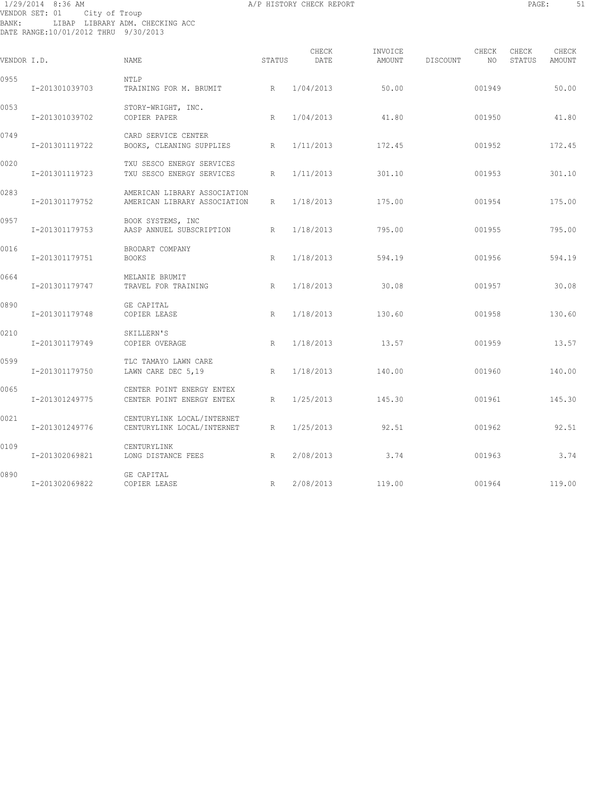# 1/29/2014 8:36 AM A/P HISTORY CHECK REPORT PAGE: 51 VENDOR SET: 01 City of Troup BANK: LIBAP LIBRARY ADM. CHECKING ACC DATE RANGE:10/01/2012 THRU 9/30/2013

| VENDOR I.D. |                | <b>NAME</b>                                                  | STATUS | CHECK<br>DATE | INVOICE<br><b>AMOUNT</b> | DISCOUNT | CHECK<br>NO. | CHECK<br>STATUS | CHECK<br>AMOUNT |
|-------------|----------------|--------------------------------------------------------------|--------|---------------|--------------------------|----------|--------------|-----------------|-----------------|
| 0955        | I-201301039703 | NTLP<br>TRAINING FOR M. BRUMIT                               | R      | 1/04/2013     | 50.00                    |          | 001949       |                 | 50.00           |
| 0053        | I-201301039702 | STORY-WRIGHT, INC.<br>COPIER PAPER                           | R      | 1/04/2013     | 41.80                    |          | 001950       |                 | 41.80           |
| 0749        | I-201301119722 | CARD SERVICE CENTER<br>BOOKS, CLEANING SUPPLIES              | R      | 1/11/2013     | 172.45                   |          | 001952       |                 | 172.45          |
| 0020        | I-201301119723 | TXU SESCO ENERGY SERVICES<br>TXU SESCO ENERGY SERVICES       | R      | 1/11/2013     | 301.10                   |          | 001953       |                 | 301.10          |
| 0283        | I-201301179752 | AMERICAN LIBRARY ASSOCIATION<br>AMERICAN LIBRARY ASSOCIATION | R      | 1/18/2013     | 175.00                   |          | 001954       |                 | 175.00          |
| 0957        | I-201301179753 | BOOK SYSTEMS, INC<br>AASP ANNUEL SUBSCRIPTION                | R      | 1/18/2013     | 795.00                   |          | 001955       |                 | 795.00          |
| 0016        | I-201301179751 | BRODART COMPANY<br><b>BOOKS</b>                              | R      | 1/18/2013     | 594.19                   |          | 001956       |                 | 594.19          |
| 0664        | I-201301179747 | MELANIE BRUMIT<br>TRAVEL FOR TRAINING                        | R      | 1/18/2013     | 30.08                    |          | 001957       |                 | 30.08           |
| 0890        | I-201301179748 | GE CAPITAL<br>COPIER LEASE                                   | R      | 1/18/2013     | 130.60                   |          | 001958       |                 | 130.60          |
| 0210        | I-201301179749 | SKILLERN'S<br>COPIER OVERAGE                                 | R      | 1/18/2013     | 13.57                    |          | 001959       |                 | 13.57           |
| 0599        | I-201301179750 | TLC TAMAYO LAWN CARE<br>LAWN CARE DEC 5,19                   | R      | 1/18/2013     | 140.00                   |          | 001960       |                 | 140.00          |
| 0065        | I-201301249775 | CENTER POINT ENERGY ENTEX<br>CENTER POINT ENERGY ENTEX       | R      | 1/25/2013     | 145.30                   |          | 001961       |                 | 145.30          |
| 0021        | I-201301249776 | CENTURYLINK LOCAL/INTERNET<br>CENTURYLINK LOCAL/INTERNET     | R      | 1/25/2013     | 92.51                    |          | 001962       |                 | 92.51           |
| 0109        | I-201302069821 | CENTURYLINK<br>LONG DISTANCE FEES                            | R      | 2/08/2013     | 3.74                     |          | 001963       |                 | 3.74            |
| 0890        | I-201302069822 | GE CAPITAL<br>COPIER LEASE                                   | R      | 2/08/2013     | 119.00                   |          | 001964       |                 | 119.00          |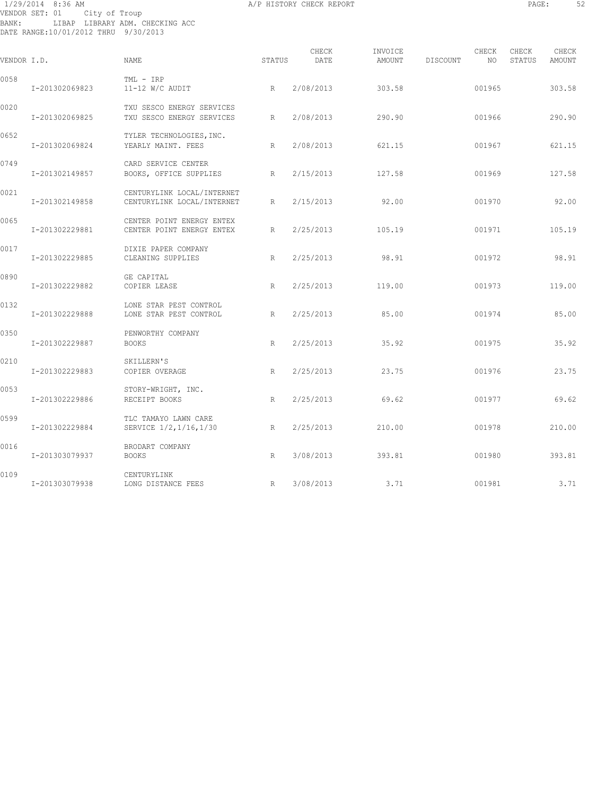# 1/29/2014 8:36 AM A/P HISTORY CHECK REPORT PAGE: 52 VENDOR SET: 01 City of Troup BANK: LIBAP LIBRARY ADM. CHECKING ACC DATE RANGE:10/01/2012 THRU 9/30/2013

| VENDOR I.D. |                | NAME                                                     | STATUS | CHECK<br>DATE | INVOICE<br>AMOUNT | DISCOUNT | CHECK<br>NO. | CHECK<br>STATUS | CHECK<br>AMOUNT |
|-------------|----------------|----------------------------------------------------------|--------|---------------|-------------------|----------|--------------|-----------------|-----------------|
| 0058        | I-201302069823 | TML - IRP<br>11-12 W/C AUDIT                             | R      | 2/08/2013     | 303.58            |          | 001965       |                 | 303.58          |
| 0020        | I-201302069825 | TXU SESCO ENERGY SERVICES<br>TXU SESCO ENERGY SERVICES   | R      | 2/08/2013     | 290.90            |          | 001966       |                 | 290.90          |
| 0652        | I-201302069824 | TYLER TECHNOLOGIES, INC.<br>YEARLY MAINT. FEES           | R      | 2/08/2013     | 621.15            |          | 001967       |                 | 621.15          |
| 0749        | I-201302149857 | CARD SERVICE CENTER<br>BOOKS, OFFICE SUPPLIES            | R      | 2/15/2013     | 127.58            |          | 001969       |                 | 127.58          |
| 0021        | I-201302149858 | CENTURYLINK LOCAL/INTERNET<br>CENTURYLINK LOCAL/INTERNET | R      | 2/15/2013     | 92.00             |          | 001970       |                 | 92.00           |
| 0065        | I-201302229881 | CENTER POINT ENERGY ENTEX<br>CENTER POINT ENERGY ENTEX   | R      | 2/25/2013     | 105.19            |          | 001971       |                 | 105.19          |
| 0017        | I-201302229885 | DIXIE PAPER COMPANY<br>CLEANING SUPPLIES                 | R      | 2/25/2013     | 98.91             |          | 001972       |                 | 98.91           |
| 0890        | I-201302229882 | GE CAPITAL<br>COPIER LEASE                               | R      | 2/25/2013     | 119.00            |          | 001973       |                 | 119.00          |
| 0132        | I-201302229888 | LONE STAR PEST CONTROL<br>LONE STAR PEST CONTROL         | R      | 2/25/2013     | 85.00             |          | 001974       |                 | 85.00           |
| 0350        | I-201302229887 | PENWORTHY COMPANY<br><b>BOOKS</b>                        | R      | 2/25/2013     | 35.92             |          | 001975       |                 | 35.92           |
| 0210        | I-201302229883 | SKILLERN'S<br>COPIER OVERAGE                             | R      | 2/25/2013     | 23.75             |          | 001976       |                 | 23.75           |
| 0053        | I-201302229886 | STORY-WRIGHT, INC.<br>RECEIPT BOOKS                      | R      | 2/25/2013     | 69.62             |          | 001977       |                 | 69.62           |
| 0599        | I-201302229884 | TLC TAMAYO LAWN CARE<br>SERVICE 1/2, 1/16, 1/30          | R      | 2/25/2013     | 210.00            |          | 001978       |                 | 210.00          |
| 0016        | I-201303079937 | BRODART COMPANY<br><b>BOOKS</b>                          | R      | 3/08/2013     | 393.81            |          | 001980       |                 | 393.81          |
| 0109        | I-201303079938 | CENTURYLINK<br>LONG DISTANCE FEES                        | R      | 3/08/2013     | 3.71              |          | 001981       |                 | 3.71            |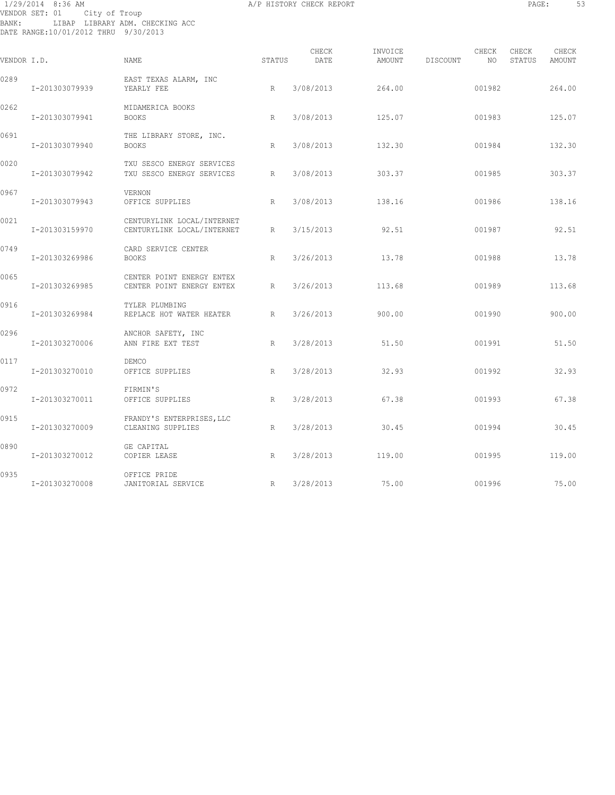# 1/29/2014 8:36 AM A/P HISTORY CHECK REPORT PAGE: 53 VENDOR SET: 01 City of Troup BANK: LIBAP LIBRARY ADM. CHECKING ACC DATE RANGE:10/01/2012 THRU 9/30/2013

| ۰<br>ı<br>٠<br>٠<br>-<br>×<br>۰, | ٠ | × |
|----------------------------------|---|---|
|                                  |   |   |

| VENDOR I.D. |                | NAME                                                     | STATUS | CHECK<br>DATE | INVOICE<br>AMOUNT | DISCOUNT | CHECK<br>NO | CHECK<br>STATUS | CHECK<br>AMOUNT |
|-------------|----------------|----------------------------------------------------------|--------|---------------|-------------------|----------|-------------|-----------------|-----------------|
| 0289        | I-201303079939 | EAST TEXAS ALARM, INC<br>YEARLY FEE                      | R      | 3/08/2013     | 264.00            |          | 001982      |                 | 264.00          |
| 0262        | I-201303079941 | MIDAMERICA BOOKS<br><b>BOOKS</b>                         | R      | 3/08/2013     | 125.07            |          | 001983      |                 | 125.07          |
| 0691        | I-201303079940 | THE LIBRARY STORE, INC.<br><b>BOOKS</b>                  | R      | 3/08/2013     | 132.30            |          | 001984      |                 | 132.30          |
| 0020        | I-201303079942 | TXU SESCO ENERGY SERVICES<br>TXU SESCO ENERGY SERVICES   | R      | 3/08/2013     | 303.37            |          | 001985      |                 | 303.37          |
| 0967        | I-201303079943 | <b>VERNON</b><br>OFFICE SUPPLIES                         | R      | 3/08/2013     | 138.16            |          | 001986      |                 | 138.16          |
| 0021        | I-201303159970 | CENTURYLINK LOCAL/INTERNET<br>CENTURYLINK LOCAL/INTERNET | R      | 3/15/2013     | 92.51             |          | 001987      |                 | 92.51           |
| 0749        | I-201303269986 | CARD SERVICE CENTER<br><b>BOOKS</b>                      | R      | 3/26/2013     | 13.78             |          | 001988      |                 | 13.78           |
| 0065        | I-201303269985 | CENTER POINT ENERGY ENTEX<br>CENTER POINT ENERGY ENTEX   | R      | 3/26/2013     | 113.68            |          | 001989      |                 | 113.68          |
| 0916        | I-201303269984 | TYLER PLUMBING<br>REPLACE HOT WATER HEATER               | R      | 3/26/2013     | 900.00            |          | 001990      |                 | 900.00          |
| 0296        | I-201303270006 | ANCHOR SAFETY, INC<br>ANN FIRE EXT TEST                  | R      | 3/28/2013     | 51.50             |          | 001991      |                 | 51.50           |
| 0117        | I-201303270010 | DEMCO<br>OFFICE SUPPLIES                                 | R      | 3/28/2013     | 32.93             |          | 001992      |                 | 32.93           |
| 0972        | I-201303270011 | FIRMIN'S<br>OFFICE SUPPLIES                              | R      | 3/28/2013     | 67.38             |          | 001993      |                 | 67.38           |
| 0915        | I-201303270009 | FRANDY'S ENTERPRISES, LLC<br>CLEANING SUPPLIES           | R      | 3/28/2013     | 30.45             |          | 001994      |                 | 30.45           |
| 0890        | I-201303270012 | GE CAPITAL<br>COPIER LEASE                               | R      | 3/28/2013     | 119.00            |          | 001995      |                 | 119.00          |
| 0935        | I-201303270008 | OFFICE PRIDE<br>JANITORIAL SERVICE                       | R      | 3/28/2013     | 75.00             |          | 001996      |                 | 75.00           |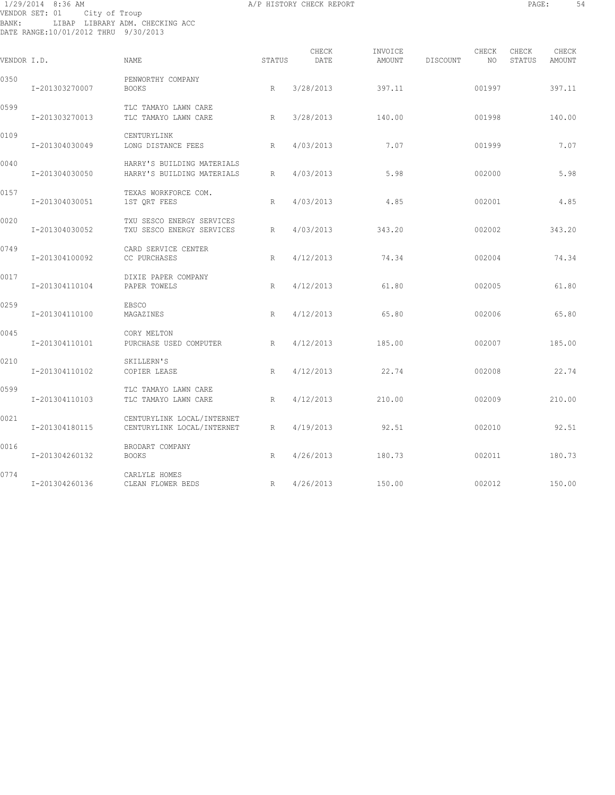# 1/29/2014 8:36 AM A/P HISTORY CHECK REPORT PAGE: 54 VENDOR SET: 01 City of Troup BANK: LIBAP LIBRARY ADM. CHECKING ACC DATE RANGE:10/01/2012 THRU 9/30/2013

| PAGE |  |
|------|--|
|      |  |

| VENDOR I.D. |                | NAME                                                     | STATUS          | CHECK<br>DATE | INVOICE<br>AMOUNT | DISCOUNT | CHECK<br>NO. | CHECK<br>STATUS | CHECK<br><b>AMOUNT</b> |
|-------------|----------------|----------------------------------------------------------|-----------------|---------------|-------------------|----------|--------------|-----------------|------------------------|
| 0350        | I-201303270007 | PENWORTHY COMPANY<br><b>BOOKS</b>                        | R               | 3/28/2013     | 397.11            |          | 001997       |                 | 397.11                 |
| 0599        | I-201303270013 | TLC TAMAYO LAWN CARE<br>TLC TAMAYO LAWN CARE             | R               | 3/28/2013     | 140.00            |          | 001998       |                 | 140.00                 |
| 0109        | I-201304030049 | CENTURYLINK<br>LONG DISTANCE FEES                        | R               | 4/03/2013     | 7.07              |          | 001999       |                 | 7.07                   |
| 0040        | I-201304030050 | HARRY'S BUILDING MATERIALS<br>HARRY'S BUILDING MATERIALS | $R_{\parallel}$ | 4/03/2013     | 5.98              |          | 002000       |                 | 5.98                   |
| 0157        | I-201304030051 | TEXAS WORKFORCE COM.<br>1ST ORT FEES                     | R               | 4/03/2013     | 4.85              |          | 002001       |                 | 4.85                   |
| 0020        | I-201304030052 | TXU SESCO ENERGY SERVICES<br>TXU SESCO ENERGY SERVICES   | R               | 4/03/2013     | 343.20            |          | 002002       |                 | 343.20                 |
| 0749        | I-201304100092 | CARD SERVICE CENTER<br>CC PURCHASES                      | R               | 4/12/2013     | 74.34             |          | 002004       |                 | 74.34                  |
| 0017        | I-201304110104 | DIXIE PAPER COMPANY<br>PAPER TOWELS                      | R               | 4/12/2013     | 61.80             |          | 002005       |                 | 61.80                  |
| 0259        | I-201304110100 | <b>EBSCO</b><br>MAGAZINES                                | R               | 4/12/2013     | 65.80             |          | 002006       |                 | 65.80                  |
| 0045        | I-201304110101 | CORY MELTON<br>PURCHASE USED COMPUTER                    | R               | 4/12/2013     | 185.00            |          | 002007       |                 | 185.00                 |
| 0210        | I-201304110102 | SKILLERN'S<br>COPIER LEASE                               | R               | 4/12/2013     | 22.74             |          | 002008       |                 | 22.74                  |
| 0599        | I-201304110103 | TLC TAMAYO LAWN CARE<br>TLC TAMAYO LAWN CARE             | R               | 4/12/2013     | 210.00            |          | 002009       |                 | 210.00                 |
| 0021        | I-201304180115 | CENTURYLINK LOCAL/INTERNET<br>CENTURYLINK LOCAL/INTERNET | R               | 4/19/2013     | 92.51             |          | 002010       |                 | 92.51                  |
| 0016        | I-201304260132 | BRODART COMPANY<br><b>BOOKS</b>                          | R               | 4/26/2013     | 180.73            |          | 002011       |                 | 180.73                 |
| 0774        | I-201304260136 | CARLYLE HOMES<br>CLEAN FLOWER BEDS                       | R               | 4/26/2013     | 150.00            |          | 002012       |                 | 150.00                 |
|             |                |                                                          |                 |               |                   |          |              |                 |                        |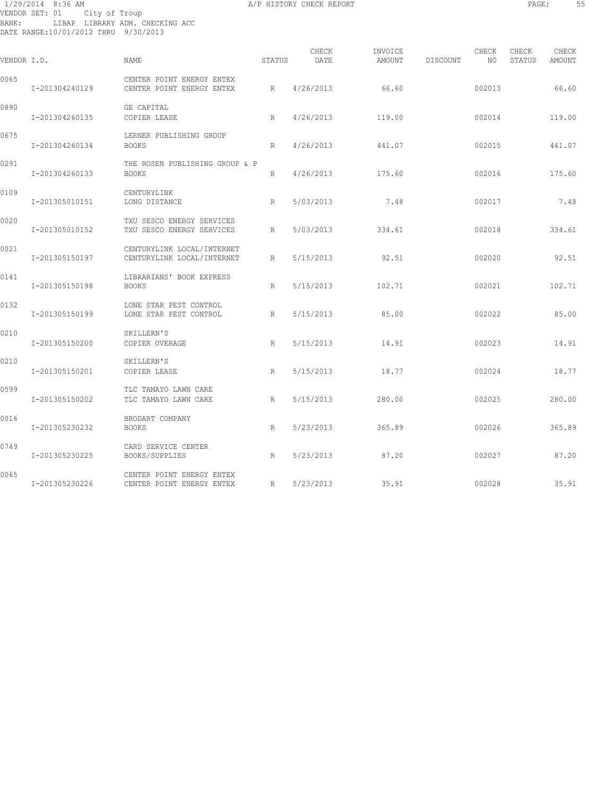# 1/29/2014 8:36 AM A/P HISTORY CHECK REPORT PAGE: 55 VENDOR SET: 01 City of Troup BANK: LIBAP LIBRARY ADM. CHECKING ACC DATE RANGE:10/01/2012 THRU 9/30/2013

| VENDOR I.D. |                | NAME                                                     | STATUS       | CHECK<br>DATE | INVOICE<br>AMOUNT | DISCOUNT | CHECK<br>NO | CHECK<br>STATUS | CHECK<br><b>AMOUNT</b> |
|-------------|----------------|----------------------------------------------------------|--------------|---------------|-------------------|----------|-------------|-----------------|------------------------|
| 0065        | I-201304240129 | CENTER POINT ENERGY ENTEX<br>CENTER POINT ENERGY ENTEX   | R            | 4/26/2013     | 66.60             |          | 002013      |                 | 66.60                  |
| 0890        | I-201304260135 | GE CAPITAL<br>COPIER LEASE                               | R            | 4/26/2013     | 119.00            |          | 002014      |                 | 119.00                 |
| 0675        | I-201304260134 | LERNER PUBLISHING GROUP<br><b>BOOKS</b>                  | $\mathbb{R}$ | 4/26/2013     | 441.07            |          | 002015      |                 | 441.07                 |
| 0291        | I-201304260133 | THE ROSEN PUBLISHING GROUP & P<br><b>BOOKS</b>           | $\mathbb{R}$ | 4/26/2013     | 175.60            |          | 002016      |                 | 175.60                 |
| 0109        | I-201305010151 | CENTURYLINK<br>LONG DISTANCE                             | R            | 5/03/2013     | 7.48              |          | 002017      |                 | 7.48                   |
| 0020        | I-201305010152 | TXU SESCO ENERGY SERVICES<br>TXU SESCO ENERGY SERVICES   | R            | 5/03/2013     | 334.61            |          | 002018      |                 | 334.61                 |
| 0021        | I-201305150197 | CENTURYLINK LOCAL/INTERNET<br>CENTURYLINK LOCAL/INTERNET | R            | 5/15/2013     | 92.51             |          | 002020      |                 | 92.51                  |
| 0141        | I-201305150198 | LIBRARIANS' BOOK EXPRESS<br><b>BOOKS</b>                 | $\mathbb{R}$ | 5/15/2013     | 102.71            |          | 002021      |                 | 102.71                 |
| 0132        | I-201305150199 | LONE STAR PEST CONTROL<br>LONE STAR PEST CONTROL         | R            | 5/15/2013     | 85.00             |          | 002022      |                 | 85.00                  |
| 0210        | I-201305150200 | SKILLERN'S<br>COPIER OVERAGE                             | R            | 5/15/2013     | 14.91             |          | 002023      |                 | 14.91                  |
| 0210        | I-201305150201 | SKILLERN'S<br>COPIER LEASE                               | R            | 5/15/2013     | 18.77             |          | 002024      |                 | 18.77                  |
| 0599        | I-201305150202 | TLC TAMAYO LAWN CARE<br>TLC TAMAYO LAWN CARE             | R            | 5/15/2013     | 280.00            |          | 002025      |                 | 280.00                 |
| 0016        | I-201305230232 | BRODART COMPANY<br><b>BOOKS</b>                          | $\mathbb{R}$ | 5/23/2013     | 365.89            |          | 002026      |                 | 365.89                 |
| 0749        | I-201305230225 | CARD SERVICE CENTER<br>BOOKS/SUPPLIES                    | R            | 5/23/2013     | 87.20             |          | 002027      |                 | 87.20                  |
| 0065        | I-201305230226 | CENTER POINT ENERGY ENTEX<br>CENTER POINT ENERGY ENTEX   | R            | 5/23/2013     | 35.91             |          | 002028      |                 | 35.91                  |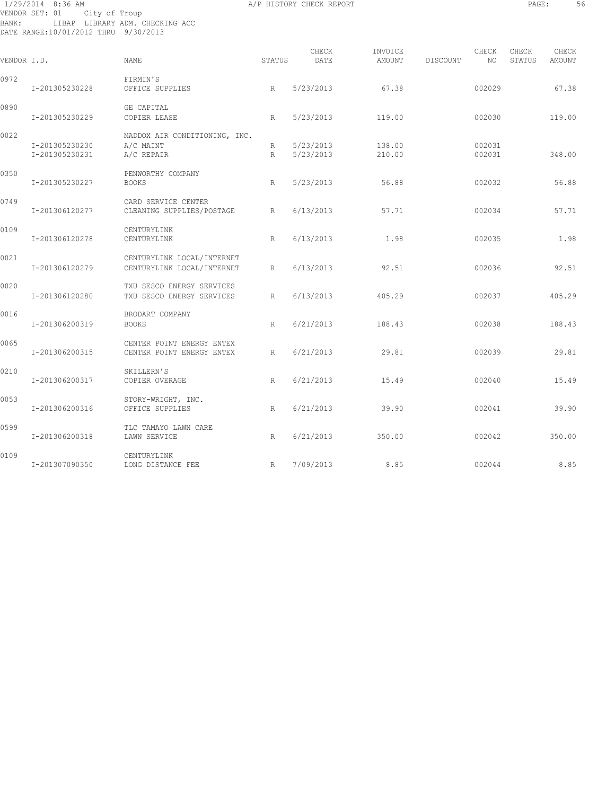# 1/29/2014 8:36 AM A/P HISTORY CHECK REPORT PAGE: 56 VENDOR SET: 01 City of Troup BANK: LIBAP LIBRARY ADM. CHECKING ACC DATE RANGE:10/01/2012 THRU 9/30/2013

| VENDOR I.D. |                                  | NAME                                                     | STATUS | CHECK<br>DATE          | INVOICE<br>AMOUNT | DISCOUNT | CHECK<br>NO      | CHECK<br>STATUS | CHECK<br>AMOUNT |
|-------------|----------------------------------|----------------------------------------------------------|--------|------------------------|-------------------|----------|------------------|-----------------|-----------------|
| 0972        | I-201305230228                   | FIRMIN'S<br>OFFICE SUPPLIES                              | R      | 5/23/2013              | 67.38             |          | 002029           |                 | 67.38           |
| 0890        | I-201305230229                   | GE CAPITAL<br>COPIER LEASE                               | R      | 5/23/2013              | 119.00            |          | 002030           |                 | 119.00          |
| 0022        | I-201305230230<br>I-201305230231 | MADDOX AIR CONDITIONING, INC.<br>A/C MAINT<br>A/C REPAIR | R<br>R | 5/23/2013<br>5/23/2013 | 138.00<br>210.00  |          | 002031<br>002031 |                 | 348.00          |
| 0350        | I-201305230227                   | PENWORTHY COMPANY<br><b>BOOKS</b>                        | R      | 5/23/2013              | 56.88             |          | 002032           |                 | 56.88           |
| 0749        | I-201306120277                   | CARD SERVICE CENTER<br>CLEANING SUPPLIES/POSTAGE         | R      | 6/13/2013              | 57.71             |          | 002034           |                 | 57.71           |
| 0109        | I-201306120278                   | CENTURYLINK<br>CENTURYLINK                               | R      | 6/13/2013              | 1.98              |          | 002035           |                 | 1.98            |
| 0021        | I-201306120279                   | CENTURYLINK LOCAL/INTERNET<br>CENTURYLINK LOCAL/INTERNET | R      | 6/13/2013              | 92.51             |          | 002036           |                 | 92.51           |
| 0020        | I-201306120280                   | TXU SESCO ENERGY SERVICES<br>TXU SESCO ENERGY SERVICES   | R      | 6/13/2013              | 405.29            |          | 002037           |                 | 405.29          |
| 0016        | I-201306200319                   | BRODART COMPANY<br><b>BOOKS</b>                          | R      | 6/21/2013              | 188.43            |          | 002038           |                 | 188.43          |
| 0065        | I-201306200315                   | CENTER POINT ENERGY ENTEX<br>CENTER POINT ENERGY ENTEX   | R      | 6/21/2013              | 29.81             |          | 002039           |                 | 29.81           |
| 0210        | I-201306200317                   | SKILLERN'S<br>COPIER OVERAGE                             | R      | 6/21/2013              | 15.49             |          | 002040           |                 | 15.49           |
| 0053        | I-201306200316                   | STORY-WRIGHT, INC.<br>OFFICE SUPPLIES                    | R      | 6/21/2013              | 39.90             |          | 002041           |                 | 39.90           |
| 0599        | I-201306200318                   | TLC TAMAYO LAWN CARE<br>LAWN SERVICE                     | R      | 6/21/2013              | 350.00            |          | 002042           |                 | 350.00          |
| 0109        | I-201307090350                   | CENTURYLINK<br>LONG DISTANCE FEE                         | R      | 7/09/2013              | 8.85              |          | 002044           |                 | 8.85            |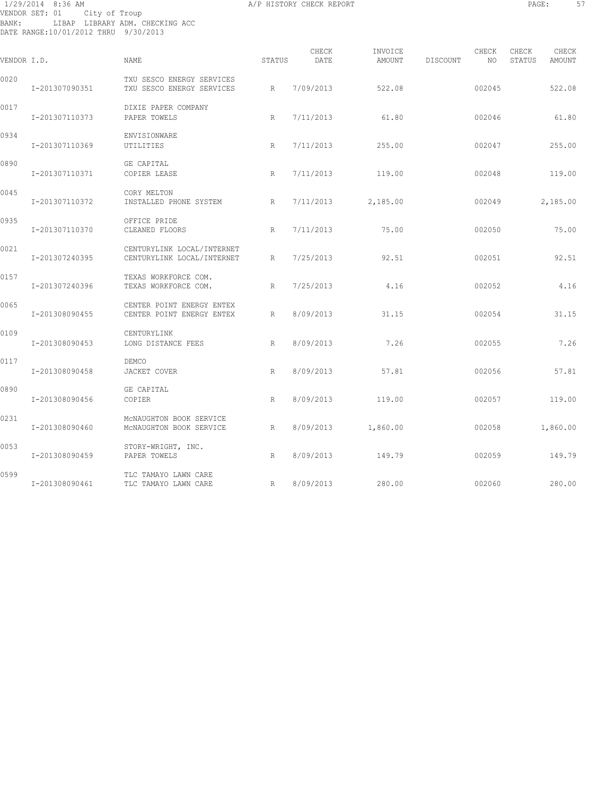# 1/29/2014 8:36 AM A/P HISTORY CHECK REPORT PAGE: 57 VENDOR SET: 01 City of Troup BANK: LIBAP LIBRARY ADM. CHECKING ACC DATE RANGE:10/01/2012 THRU 9/30/2013

| PAGE: |  |
|-------|--|
|       |  |

| VENDOR I.D. |                | <b>NAME</b>                                              | STATUS | CHECK<br>DATE | INVOICE<br>AMOUNT    | DISCOUNT | CHECK<br>NO | CHECK<br>STATUS | CHECK<br>AMOUNT |
|-------------|----------------|----------------------------------------------------------|--------|---------------|----------------------|----------|-------------|-----------------|-----------------|
| 0020        | I-201307090351 | TXU SESCO ENERGY SERVICES<br>TXU SESCO ENERGY SERVICES   | R      | 7/09/2013     | 522.08               |          | 002045      |                 | 522.08          |
| 0017        | I-201307110373 | DIXIE PAPER COMPANY<br>PAPER TOWELS                      | R      | 7/11/2013     | 61.80                |          | 002046      |                 | 61.80           |
| 0934        | I-201307110369 | ENVISIONWARE<br>UTILITIES                                | R      | 7/11/2013     | 255.00               |          | 002047      |                 | 255.00          |
| 0890        | I-201307110371 | GE CAPITAL<br>COPIER LEASE                               | R      | 7/11/2013     | 119.00               |          | 002048      |                 | 119.00          |
| 0045        | I-201307110372 | CORY MELTON<br>INSTALLED PHONE SYSTEM                    | R      |               | $7/11/2013$ 2,185.00 |          | 002049      |                 | 2,185.00        |
| 0935        | I-201307110370 | OFFICE PRIDE<br>CLEANED FLOORS                           | R      | 7/11/2013     | 75.00                |          | 002050      |                 | 75.00           |
| 0021        | I-201307240395 | CENTURYLINK LOCAL/INTERNET<br>CENTURYLINK LOCAL/INTERNET | R      | 7/25/2013     | 92.51                |          | 002051      |                 | 92.51           |
| 0157        | I-201307240396 | TEXAS WORKFORCE COM.<br>TEXAS WORKFORCE COM.             | R      | 7/25/2013     | 4.16                 |          | 002052      |                 | 4.16            |
| 0065        | I-201308090455 | CENTER POINT ENERGY ENTEX<br>CENTER POINT ENERGY ENTEX   | R      | 8/09/2013     | 31.15                |          | 002054      |                 | 31.15           |
| 0109        | I-201308090453 | CENTURYLINK<br>LONG DISTANCE FEES                        | R      | 8/09/2013     | 7.26                 |          | 002055      |                 | 7.26            |
| 0117        | I-201308090458 | DEMCO<br>JACKET COVER                                    | R      | 8/09/2013     | 57.81                |          | 002056      |                 | 57.81           |
| 0890        | I-201308090456 | GE CAPITAL<br>COPIER                                     | R      | 8/09/2013     | 119.00               |          | 002057      |                 | 119.00          |
| 0231        | I-201308090460 | MCNAUGHTON BOOK SERVICE<br>MCNAUGHTON BOOK SERVICE       | R      | 8/09/2013     | 1,860.00             |          | 002058      |                 | 1,860.00        |
| 0053        | I-201308090459 | STORY-WRIGHT, INC.<br>PAPER TOWELS                       | R      | 8/09/2013     | 149.79               |          | 002059      |                 | 149.79          |
| 0599        | I-201308090461 | TLC TAMAYO LAWN CARE<br>TLC TAMAYO LAWN CARE             | R      | 8/09/2013     | 280.00               |          | 002060      |                 | 280.00          |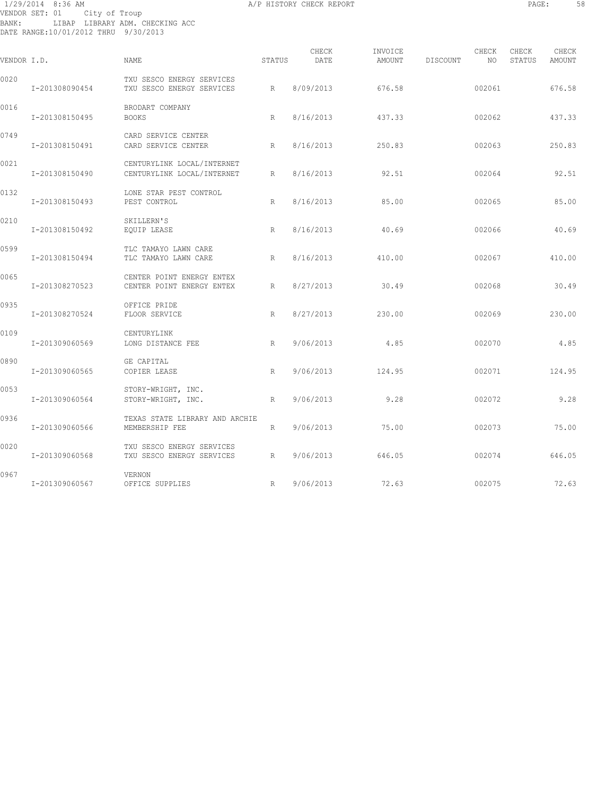# 1/29/2014 8:36 AM A/P HISTORY CHECK REPORT PAGE: 58 VENDOR SET: 01 City of Troup BANK: LIBAP LIBRARY ADM. CHECKING ACC DATE RANGE:10/01/2012 THRU 9/30/2013

| VENDOR I.D. |                | NAME                                                     | STATUS | CHECK<br>DATE | INVOICE<br>AMOUNT | DISCOUNT | CHECK<br>NO | CHECK<br>STATUS | CHECK<br>AMOUNT |
|-------------|----------------|----------------------------------------------------------|--------|---------------|-------------------|----------|-------------|-----------------|-----------------|
| 0020        | I-201308090454 | TXU SESCO ENERGY SERVICES<br>TXU SESCO ENERGY SERVICES   | R      | 8/09/2013     | 676.58            |          | 002061      |                 | 676.58          |
| 0016        | I-201308150495 | BRODART COMPANY<br><b>BOOKS</b>                          | R      | 8/16/2013     | 437.33            |          | 002062      |                 | 437.33          |
| 0749        | I-201308150491 | CARD SERVICE CENTER<br>CARD SERVICE CENTER               | R      | 8/16/2013     | 250.83            |          | 002063      |                 | 250.83          |
| 0021        | I-201308150490 | CENTURYLINK LOCAL/INTERNET<br>CENTURYLINK LOCAL/INTERNET | R      | 8/16/2013     | 92.51             |          | 002064      |                 | 92.51           |
| 0132        | I-201308150493 | LONE STAR PEST CONTROL<br>PEST CONTROL                   | R      | 8/16/2013     | 85.00             |          | 002065      |                 | 85.00           |
| 0210        | I-201308150492 | SKILLERN'S<br>EOUIP LEASE                                | R      | 8/16/2013     | 40.69             |          | 002066      |                 | 40.69           |
| 0599        | I-201308150494 | TLC TAMAYO LAWN CARE<br>TLC TAMAYO LAWN CARE             | R      | 8/16/2013     | 410.00            |          | 002067      |                 | 410.00          |
| 0065        | I-201308270523 | CENTER POINT ENERGY ENTEX<br>CENTER POINT ENERGY ENTEX   | R      | 8/27/2013     | 30.49             |          | 002068      |                 | 30.49           |
| 0935        | I-201308270524 | OFFICE PRIDE<br>FLOOR SERVICE                            | R      | 8/27/2013     | 230.00            |          | 002069      |                 | 230.00          |
| 0109        | I-201309060569 | CENTURYLINK<br>LONG DISTANCE FEE                         | R      | 9/06/2013     | 4.85              |          | 002070      |                 | 4.85            |
| 0890        | I-201309060565 | GE CAPITAL<br>COPIER LEASE                               | R      | 9/06/2013     | 124.95            |          | 002071      |                 | 124.95          |
| 0053        | I-201309060564 | STORY-WRIGHT, INC.<br>STORY-WRIGHT, INC.                 | R      | 9/06/2013     | 9.28              |          | 002072      |                 | 9.28            |
| 0936        | I-201309060566 | TEXAS STATE LIBRARY AND ARCHIE<br>MEMBERSHIP FEE         | R      | 9/06/2013     | 75.00             |          | 002073      |                 | 75.00           |
| 0020        | I-201309060568 | TXU SESCO ENERGY SERVICES<br>TXU SESCO ENERGY SERVICES   | R      | 9/06/2013     | 646.05            |          | 002074      |                 | 646.05          |
| 0967        | I-201309060567 | VERNON<br>OFFICE SUPPLIES                                | R      | 9/06/2013     | 72.63             |          | 002075      |                 | 72.63           |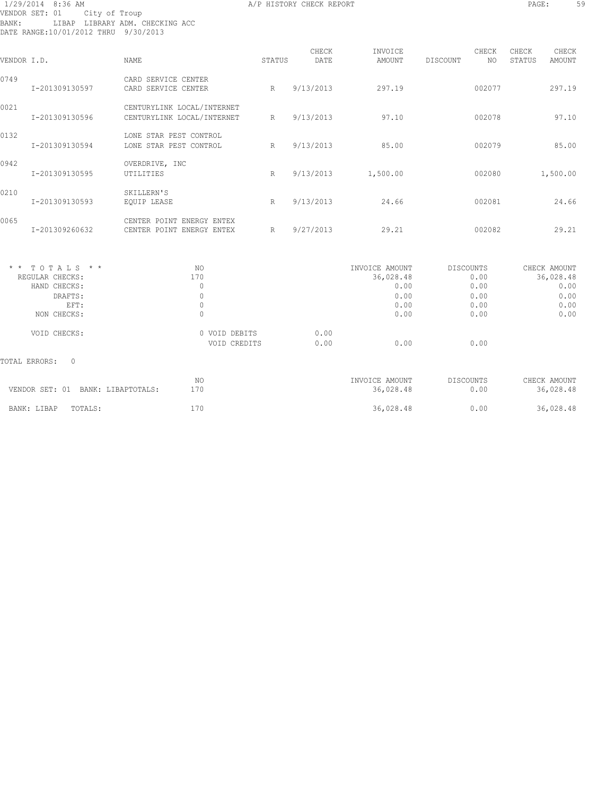# 1/29/2014 8:36 AM A/P HISTORY CHECK REPORT PAGE: 59 VENDOR SET: 01 City of Troup BANK: LIBAP LIBRARY ADM. CHECKING ACC DATE RANGE:10/01/2012 THRU 9/30/2013

| VENDOR I.D. |                | <b>NAME</b>                                              | STATUS       | CHECK<br>DATE | INVOICE<br>AMOUNT | DISCOUNT | CHECK<br>NO. | CHECK<br>STATUS | CHECK<br>AMOUNT |
|-------------|----------------|----------------------------------------------------------|--------------|---------------|-------------------|----------|--------------|-----------------|-----------------|
| 0749        | I-201309130597 | SERVICE CENTER<br>CARD<br>CARD SERVICE CENTER            | R            | 9/13/2013     | 297.19            |          | 002077       |                 | 297.19          |
| 0021        | I-201309130596 | CENTURYLINK LOCAL/INTERNET<br>CENTURYLINK LOCAL/INTERNET | R            | 9/13/2013     | 97.10             |          | 002078       |                 | 97.10           |
| 0132        | I-201309130594 | STAR PEST CONTROL<br>LONE<br>LONE STAR PEST CONTROL      | R            | 9/13/2013     | 85.00             |          | 002079       |                 | 85.00           |
| 0942        | I-201309130595 | OVERDRIVE, INC<br>UTILITIES                              | $\mathbb{R}$ | 9/13/2013     | 1,500.00          |          | 002080       |                 | 1,500.00        |
| 0210        | I-201309130593 | SKILLERN'S<br>EQUIP LEASE                                | R            | 9/13/2013     | 24.66             |          | 002081       |                 | 24.66           |
| 0065        | I-201309260632 | CENTER POINT ENERGY ENTEX<br>CENTER POINT ENERGY ENTEX   | R            | 9/27/2013     | 29.21             |          | 002082       |                 | 29.21           |

| NO.           |      | INVOICE AMOUNT | DISCOUNTS | CHECK AMOUNT |
|---------------|------|----------------|-----------|--------------|
| 170           |      | 36,028.48      | 0.00      | 36,028.48    |
| 0             |      | 0.00           | 0.00      | 0.00         |
| 0             |      | 0.00           | 0.00      | 0.00         |
| 0             |      | 0.00           | 0.00      | 0.00         |
| 0             |      | 0.00           | 0.00      | 0.00         |
| 0 VOID DEBITS | 0.00 |                |           |              |
| VOID CREDITS  | 0.00 | 0.00           | 0.00      |              |
|               |      |                |           |              |
| NO.           |      | INVOICE AMOUNT | DISCOUNTS | CHECK AMOUNT |
| 170           |      | 36,028.48      | 0.00      | 36,028.48    |
| 170           |      | 36,028.48      | 0.00      | 36,028.48    |
|               |      |                |           |              |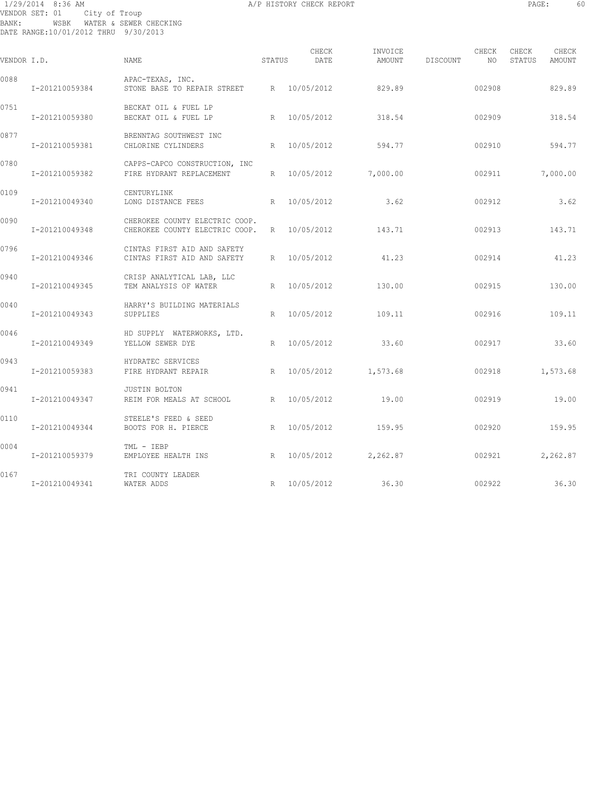# 1/29/2014 8:36 AM A/P HISTORY CHECK REPORT PAGE: 60 VENDOR SET: 01 City of Troup BANK: WSBK WATER & SEWER CHECKING DATE RANGE:10/01/2012 THRU 9/30/2013

| VENDOR I.D. |                | NAME                                                             | STATUS | CHECK<br>DATE | AMOUNT   | INVOICE<br>DISCOUNT | CHECK<br>NO | CHECK<br>STATUS | CHECK<br>AMOUNT |
|-------------|----------------|------------------------------------------------------------------|--------|---------------|----------|---------------------|-------------|-----------------|-----------------|
|             |                |                                                                  |        |               |          |                     |             |                 |                 |
| 0088        | I-201210059384 | APAC-TEXAS, INC.<br>STONE BASE TO REPAIR STREET R 10/05/2012     |        |               | 829.89   |                     | 002908      |                 | 829.89          |
| 0751        | I-201210059380 | BECKAT OIL & FUEL LP<br>BECKAT OIL & FUEL LP                     | R      | 10/05/2012    | 318.54   |                     | 002909      |                 | 318.54          |
| 0877        | I-201210059381 | BRENNTAG SOUTHWEST INC<br>CHLORINE CYLINDERS                     | R      | 10/05/2012    | 594.77   |                     | 002910      |                 | 594.77          |
| 0780        | I-201210059382 | CAPPS-CAPCO CONSTRUCTION, INC<br>FIRE HYDRANT REPLACEMENT        | R      | 10/05/2012    | 7,000.00 |                     | 002911      |                 | 7,000.00        |
| 0109        | I-201210049340 | CENTURYLINK<br>LONG DISTANCE FEES                                | R      | 10/05/2012    | 3.62     |                     | 002912      |                 | 3.62            |
| 0090        | I-201210049348 | CHEROKEE COUNTY ELECTRIC COOP.<br>CHEROKEE COUNTY ELECTRIC COOP. | R      | 10/05/2012    | 143.71   |                     | 002913      |                 | 143.71          |
| 0796        | I-201210049346 | CINTAS FIRST AID AND SAFETY<br>CINTAS FIRST AID AND SAFETY       | R      | 10/05/2012    | 41.23    |                     | 002914      |                 | 41.23           |
| 0940        | I-201210049345 | CRISP ANALYTICAL LAB, LLC<br>TEM ANALYSIS OF WATER               | R      | 10/05/2012    | 130.00   |                     | 002915      |                 | 130.00          |
| 0040        | I-201210049343 | HARRY'S BUILDING MATERIALS<br>SUPPLIES                           | R      | 10/05/2012    | 109.11   |                     | 002916      |                 | 109.11          |
| 0046        | I-201210049349 | HD SUPPLY WATERWORKS, LTD.<br>YELLOW SEWER DYE                   | R      | 10/05/2012    | 33.60    |                     | 002917      |                 | 33.60           |
| 0943        | I-201210059383 | HYDRATEC SERVICES<br>FIRE HYDRANT REPAIR                         | R      | 10/05/2012    | 1,573.68 |                     | 002918      |                 | 1,573.68        |
| 0941        | I-201210049347 | <b>JUSTIN BOLTON</b><br>REIM FOR MEALS AT SCHOOL R               |        | 10/05/2012    | 19.00    |                     | 002919      |                 | 19.00           |
| 0110        | I-201210049344 | STEELE'S FEED & SEED<br>BOOTS FOR H. PIERCE                      | R      | 10/05/2012    | 159.95   |                     | 002920      |                 | 159.95          |
| 0004        | I-201210059379 | TML - IEBP<br>EMPLOYEE HEALTH INS                                | R      | 10/05/2012    | 2,262.87 |                     | 002921      |                 | 2,262.87        |
| 0167        | I-201210049341 | TRI COUNTY LEADER<br>WATER ADDS                                  | R      | 10/05/2012    | 36.30    |                     | 002922      |                 | 36.30           |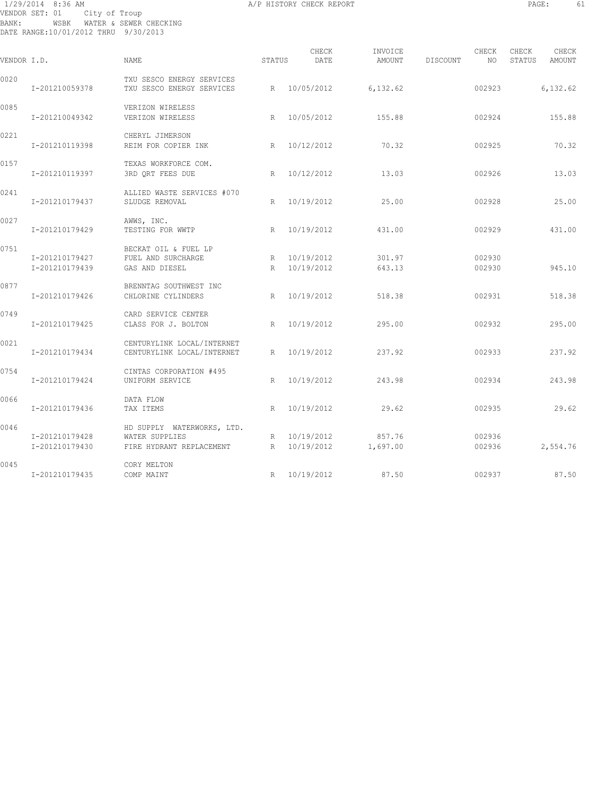# 1/29/2014 8:36 AM A/P HISTORY CHECK REPORT PAGE: 61 VENDOR SET: 01 City of Troup BANK: WSBK WATER & SEWER CHECKING DATE RANGE:10/01/2012 THRU 9/30/2013

| ٠<br>- -<br>$\sim$ |
|--------------------|
|                    |

| VENDOR I.D. |                                  | <b>NAME</b>                                                              | STATUS | CHECK<br>DATE              | INVOICE<br>AMOUNT  | DISCOUNT | CHECK<br>NO      | CHECK<br>STATUS | CHECK<br>AMOUNT |
|-------------|----------------------------------|--------------------------------------------------------------------------|--------|----------------------------|--------------------|----------|------------------|-----------------|-----------------|
| 0020        | I-201210059378                   | TXU SESCO ENERGY SERVICES<br>TXU SESCO ENERGY SERVICES                   | R      | 10/05/2012                 | 6, 132.62          |          | 002923           |                 | 6,132.62        |
| 0085        | I-201210049342                   | VERIZON WIRELESS<br>VERIZON WIRELESS                                     | R      | 10/05/2012                 | 155.88             |          | 002924           |                 | 155.88          |
| 0221        | I-201210119398                   | CHERYL JIMERSON<br>REIM FOR COPIER INK                                   | R      | 10/12/2012                 | 70.32              |          | 002925           |                 | 70.32           |
| 0157        | I-201210119397                   | TEXAS WORKFORCE COM.<br>3RD QRT FEES DUE                                 | R      | 10/12/2012                 | 13.03              |          | 002926           |                 | 13.03           |
| 0241        | I-201210179437                   | ALLIED WASTE SERVICES #070<br>SLUDGE REMOVAL                             | R      | 10/19/2012                 | 25.00              |          | 002928           |                 | 25.00           |
| 0027        | I-201210179429                   | AWWS, INC.<br>TESTING FOR WWTP                                           | R      | 10/19/2012                 | 431.00             |          | 002929           |                 | 431.00          |
| 0751        | I-201210179427<br>I-201210179439 | BECKAT OIL & FUEL LP<br>FUEL AND SURCHARGE<br>GAS AND DIESEL             | R      | R 10/19/2012<br>10/19/2012 | 301.97<br>643.13   |          | 002930<br>002930 |                 | 945.10          |
| 0877        | I-201210179426                   | BRENNTAG SOUTHWEST INC<br>CHLORINE CYLINDERS                             | R      | 10/19/2012                 | 518.38             |          | 002931           |                 | 518.38          |
| 0749        | I-201210179425                   | CARD SERVICE CENTER<br>CLASS FOR J. BOLTON                               | R      | 10/19/2012                 | 295.00             |          | 002932           |                 | 295.00          |
| 0021        | I-201210179434                   | CENTURYLINK LOCAL/INTERNET<br>CENTURYLINK LOCAL/INTERNET                 | R      | 10/19/2012                 | 237.92             |          | 002933           |                 | 237.92          |
| 0754        | I-201210179424                   | CINTAS CORPORATION #495<br>UNIFORM SERVICE                               | R      | 10/19/2012                 | 243.98             |          | 002934           |                 | 243.98          |
| 0066        | I-201210179436                   | DATA FLOW<br>TAX ITEMS                                                   | R      | 10/19/2012                 | 29.62              |          | 002935           |                 | 29.62           |
| 0046        | I-201210179428<br>I-201210179430 | HD SUPPLY WATERWORKS, LTD.<br>WATER SUPPLIES<br>FIRE HYDRANT REPLACEMENT | R      | R 10/19/2012<br>10/19/2012 | 857.76<br>1,697.00 |          | 002936<br>002936 |                 | 2,554.76        |
| 0045        | I-201210179435                   | CORY MELTON<br>COMP MAINT                                                | R      | 10/19/2012                 | 87.50              |          | 002937           |                 | 87.50           |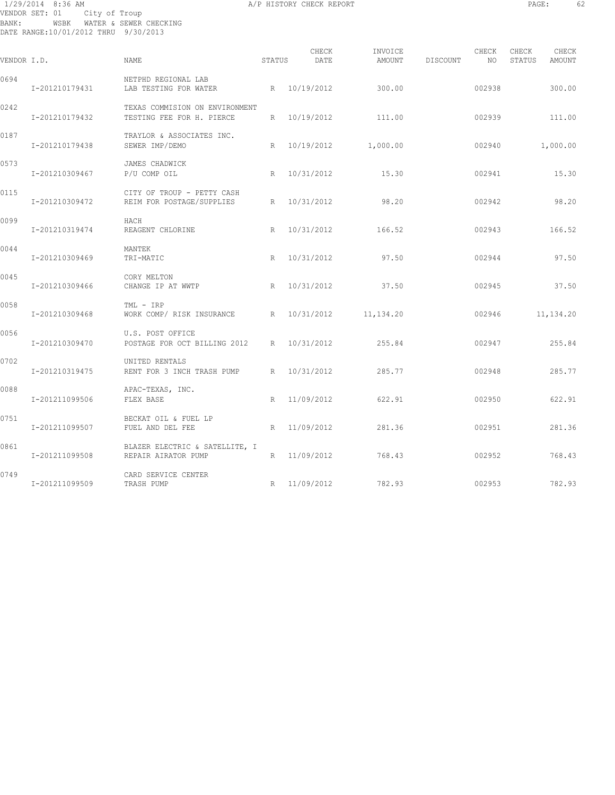# 1/29/2014 8:36 AM A/P HISTORY CHECK REPORT PAGE: 62 VENDOR SET: 01 City of Troup BANK: WSBK WATER & SEWER CHECKING DATE RANGE:10/01/2012 THRU 9/30/2013

| VENDOR I.D. |                | NAME                                                        | STATUS | CHECK<br>DATE | INVOICE<br>AMOUNT     | DISCOUNT | CHECK<br>ΝO | CHECK<br>STATUS | CHECK<br>AMOUNT |
|-------------|----------------|-------------------------------------------------------------|--------|---------------|-----------------------|----------|-------------|-----------------|-----------------|
| 0694        | I-201210179431 | NETPHD REGIONAL LAB<br>LAB TESTING FOR WATER                |        | R 10/19/2012  | 300.00                |          | 002938      |                 | 300.00          |
| 0242        | I-201210179432 | TEXAS COMMISION ON ENVIRONMENT<br>TESTING FEE FOR H. PIERCE | R      | 10/19/2012    | 111.00                |          | 002939      |                 | 111.00          |
| 0187        | I-201210179438 | TRAYLOR & ASSOCIATES INC.<br>SEWER IMP/DEMO                 |        |               | R 10/19/2012 1,000.00 |          | 002940      |                 | 1,000.00        |
| 0573        | I-201210309467 | JAMES CHADWICK<br>P/U COMP OIL                              | R      | 10/31/2012    | 15.30                 |          | 002941      |                 | 15.30           |
| 0115        | I-201210309472 | CITY OF TROUP - PETTY CASH<br>REIM FOR POSTAGE/SUPPLIES     | R      | 10/31/2012    | 98.20                 |          | 002942      |                 | 98.20           |
| 0099        | I-201210319474 | HACH<br>REAGENT CHLORINE                                    | R      | 10/31/2012    | 166.52                |          | 002943      |                 | 166.52          |
| 0044        | I-201210309469 | MANTEK<br>TRI-MATIC                                         | R      | 10/31/2012    | 97.50                 |          | 002944      |                 | 97.50           |
| 0045        | I-201210309466 | CORY MELTON<br>CHANGE IP AT WWTP                            | R      | 10/31/2012    | 37.50                 |          | 002945      |                 | 37.50           |
| 0058        | I-201210309468 | TML - IRP<br>WORK COMP/ RISK INSURANCE                      |        | R 10/31/2012  | 11,134.20             |          | 002946      |                 | 11, 134.20      |
| 0056        | I-201210309470 | U.S. POST OFFICE<br>POSTAGE FOR OCT BILLING 2012 R          |        | 10/31/2012    | 255.84                |          | 002947      |                 | 255.84          |
| 0702        | I-201210319475 | UNITED RENTALS<br>RENT FOR 3 INCH TRASH PUMP                | R      | 10/31/2012    | 285.77                |          | 002948      |                 | 285.77          |
| 0088        | I-201211099506 | APAC-TEXAS, INC.<br>FLEX BASE                               | R      | 11/09/2012    | 622.91                |          | 002950      |                 | 622.91          |
| 0751        | I-201211099507 | BECKAT OIL & FUEL LP<br>FUEL AND DEL FEE                    | R      | 11/09/2012    | 281.36                |          | 002951      |                 | 281.36          |
| 0861        | I-201211099508 | BLAZER ELECTRIC & SATELLITE, I<br>REPAIR AIRATOR PUMP       | R      | 11/09/2012    | 768.43                |          | 002952      |                 | 768.43          |
| 0749        | I-201211099509 | CARD SERVICE CENTER<br>TRASH PUMP                           |        | R 11/09/2012  | 782.93                |          | 002953      |                 | 782.93          |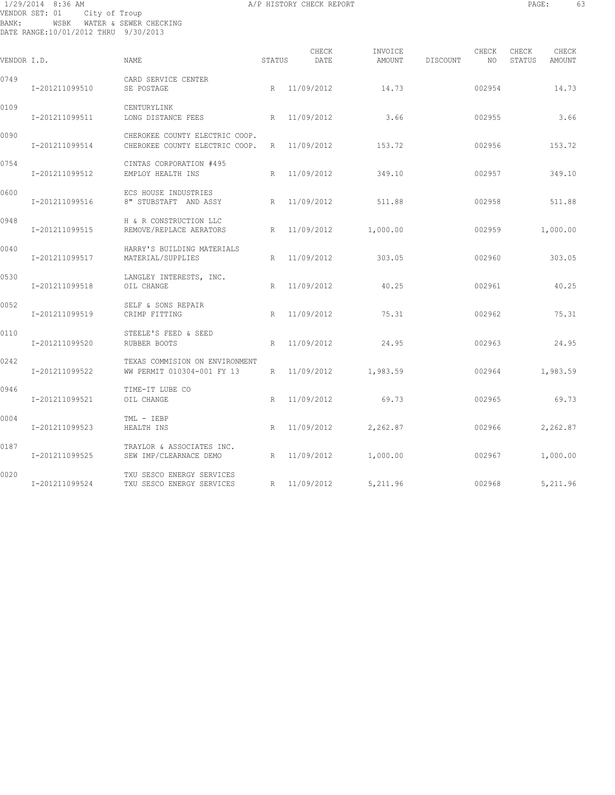1/29/2014 8:36 AM A/P HISTORY CHECK REPORT PAGE: 63 VENDOR SET: 01 City of Troup BANK: WSBK WATER & SEWER CHECKING DATE RANGE:10/01/2012 THRU 9/30/2013

| VENDOR I.D. |                | <b>NAME</b>                                                      | STATUS          | CHECK<br>DATE | INVOICE<br>AMOUNT | DISCOUNT | CHECK<br>NO | CHECK<br>STATUS | CHECK<br>AMOUNT |
|-------------|----------------|------------------------------------------------------------------|-----------------|---------------|-------------------|----------|-------------|-----------------|-----------------|
| 0749        | I-201211099510 | CARD SERVICE CENTER<br>SE POSTAGE                                | R               | 11/09/2012    | 14.73             |          | 002954      |                 | 14.73           |
| 0109        | I-201211099511 | CENTURYLINK<br>LONG DISTANCE FEES                                | R               | 11/09/2012    | 3.66              |          | 002955      |                 | 3.66            |
| 0090        | I-201211099514 | CHEROKEE COUNTY ELECTRIC COOP.<br>CHEROKEE COUNTY ELECTRIC COOP. | R               | 11/09/2012    | 153.72            |          | 002956      |                 | 153.72          |
| 0754        | I-201211099512 | CINTAS CORPORATION #495<br>EMPLOY HEALTH INS                     | R               | 11/09/2012    | 349.10            |          | 002957      |                 | 349.10          |
| 0600        | I-201211099516 | ECS HOUSE INDUSTRIES<br>8" STUBSTAFT AND ASSY                    | R               | 11/09/2012    | 511.88            |          | 002958      |                 | 511.88          |
| 0948        | I-201211099515 | H & R CONSTRUCTION LLC<br>REMOVE/REPLACE AERATORS                | R               | 11/09/2012    | 1,000.00          |          | 002959      |                 | 1,000.00        |
| 0040        | I-201211099517 | HARRY'S BUILDING MATERIALS<br>MATERIAL/SUPPLIES                  | R               | 11/09/2012    | 303.05            |          | 002960      |                 | 303.05          |
| 0530        | I-201211099518 | LANGLEY INTERESTS, INC.<br>OIL CHANGE                            | $R_{\parallel}$ | 11/09/2012    | 40.25             |          | 002961      |                 | 40.25           |
| 0052        | I-201211099519 | SELF & SONS REPAIR<br>CRIMP FITTING                              | R               | 11/09/2012    | 75.31             |          | 002962      |                 | 75.31           |
| 0110        | I-201211099520 | STEELE'S FEED & SEED<br>RUBBER BOOTS                             | R               | 11/09/2012    | 24.95             |          | 002963      |                 | 24.95           |
| 0242        | I-201211099522 | TEXAS COMMISION ON ENVIRONMENT<br>WW PERMIT 010304-001 FY 13     | R               | 11/09/2012    | 1,983.59          |          | 002964      |                 | 1,983.59        |
| 0946        | I-201211099521 | TIME-IT LUBE CO<br>OIL CHANGE                                    | R               | 11/09/2012    | 69.73             |          | 002965      |                 | 69.73           |
| 0004        | I-201211099523 | TML - IEBP<br>HEALTH INS                                         | R               | 11/09/2012    | 2,262.87          |          | 002966      |                 | 2,262.87        |
| 0187        | I-201211099525 | TRAYLOR & ASSOCIATES INC.<br>SEW IMP/CLEARNACE DEMO              | R               | 11/09/2012    | 1,000.00          |          | 002967      |                 | 1,000.00        |
| 0020        | I-201211099524 | TXU SESCO ENERGY SERVICES<br>TXU SESCO ENERGY SERVICES           | R               | 11/09/2012    | 5,211.96          |          | 002968      |                 | 5,211.96        |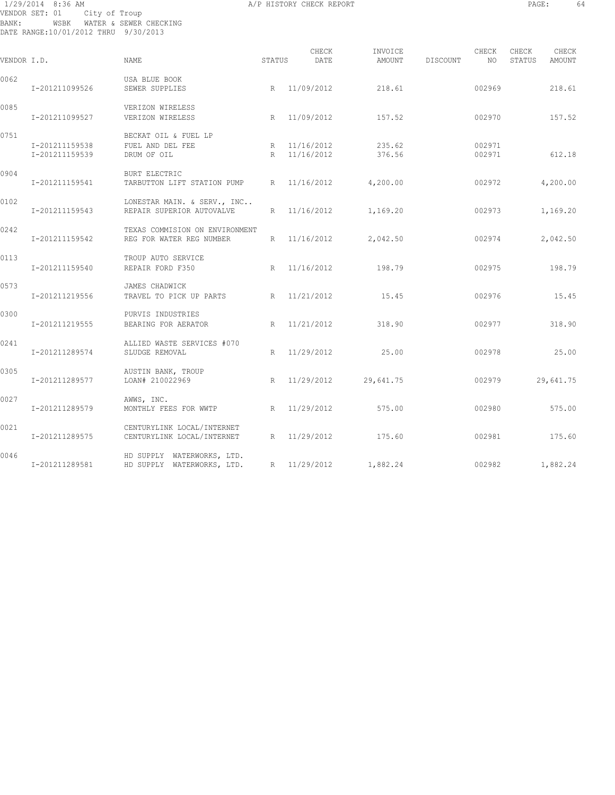# 1/29/2014 8:36 AM A/P HISTORY CHECK REPORT PAGE: 64 VENDOR SET: 01 City of Troup BANK: WSBK WATER & SEWER CHECKING DATE RANGE:10/01/2012 THRU 9/30/2013

| VENDOR I.D. |                                  | <b>NAME</b>                                                | STATUS | CHECK<br>DATE                | INVOICE<br>AMOUNT | DISCOUNT | CHECK<br>NO      | CHECK<br>STATUS | CHECK<br>AMOUNT |
|-------------|----------------------------------|------------------------------------------------------------|--------|------------------------------|-------------------|----------|------------------|-----------------|-----------------|
| 0062        | I-201211099526                   | USA BLUE BOOK<br>SEWER SUPPLIES                            |        | R 11/09/2012                 | 218.61            |          | 002969           |                 | 218.61          |
| 0085        | I-201211099527                   | VERIZON WIRELESS<br>VERIZON WIRELESS                       |        | R 11/09/2012                 | 157.52            |          | 002970           |                 | 157.52          |
| 0751        | I-201211159538<br>I-201211159539 | BECKAT OIL & FUEL LP<br>FUEL AND DEL FEE<br>DRUM OF OIL    |        | R 11/16/2012<br>R 11/16/2012 | 235.62<br>376.56  |          | 002971<br>002971 |                 | 612.18          |
| 0904        | I-201211159541                   | <b>BURT ELECTRIC</b><br>TARBUTTON LIFT STATION PUMP        |        | R 11/16/2012                 | 4,200.00          |          | 002972           |                 | 4,200.00        |
| 0102        | I-201211159543                   | LONESTAR MAIN. & SERV., INC<br>REPAIR SUPERIOR AUTOVALVE   |        | R 11/16/2012                 | 1,169.20          |          | 002973           |                 | 1,169.20        |
| 0242        | I-201211159542                   | TEXAS COMMISION ON ENVIRONMENT<br>REG FOR WATER REG NUMBER |        | R 11/16/2012                 | 2,042.50          |          | 002974           |                 | 2,042.50        |
| 0113        | I-201211159540                   | TROUP AUTO SERVICE<br>REPAIR FORD F350                     |        | R 11/16/2012                 | 198.79            |          | 002975           |                 | 198.79          |
| 0573        | I-201211219556                   | JAMES CHADWICK<br>TRAVEL TO PICK UP PARTS                  |        | R 11/21/2012                 | 15.45             |          | 002976           |                 | 15.45           |
| 0300        | I-201211219555                   | PURVIS INDUSTRIES<br>BEARING FOR AERATOR                   |        | R 11/21/2012                 | 318.90            |          | 002977           |                 | 318.90          |
| 0241        | I-201211289574                   | ALLIED WASTE SERVICES #070<br>SLUDGE REMOVAL               | R      | 11/29/2012                   | 25.00             |          | 002978           |                 | 25.00           |
| 0305        | I-201211289577                   | AUSTIN BANK, TROUP<br>LOAN# 210022969                      |        | R 11/29/2012                 | 29,641.75         |          | 002979           |                 | 29,641.75       |
| 0027        | I-201211289579                   | AWWS, INC.<br>MONTHLY FEES FOR WWTP                        |        | R 11/29/2012                 | 575.00            |          | 002980           |                 | 575.00          |
| 0021        | I-201211289575                   | CENTURYLINK LOCAL/INTERNET<br>CENTURYLINK LOCAL/INTERNET   |        | R 11/29/2012                 | 175.60            |          | 002981           |                 | 175.60          |
| 0046        | I-201211289581                   | HD SUPPLY WATERWORKS, LTD.<br>HD SUPPLY WATERWORKS, LTD.   |        | R 11/29/2012                 | 1,882.24          |          | 002982           |                 | 1,882.24        |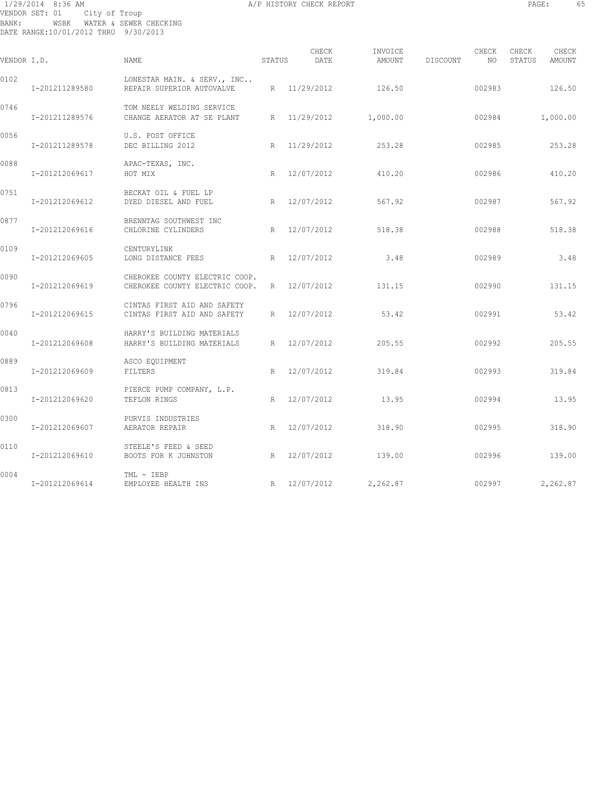# 1/29/2014 8:36 AM A/P HISTORY CHECK REPORT PAGE: 65 VENDOR SET: 01 City of Troup BANK: WSBK WATER & SEWER CHECKING DATE RANGE:10/01/2012 THRU 9/30/2013

| ۰<br>٠<br>٠ | ٠ |  |
|-------------|---|--|
|             |   |  |

|             |                |                                                                               |        | CHECK        | INVOICE               |          | CHECK  | CHECK  | CHECK    |
|-------------|----------------|-------------------------------------------------------------------------------|--------|--------------|-----------------------|----------|--------|--------|----------|
| VENDOR I.D. |                | <b>NAME</b>                                                                   | STATUS | DATE         | AMOUNT                | DISCOUNT | NO     | STATUS | AMOUNT   |
| 0102        | I-201211289580 | LONESTAR MAIN. & SERV., INC<br>REPAIR SUPERIOR AUTOVALVE                      |        | R 11/29/2012 | 126.50                |          | 002983 |        | 126.50   |
| 0746        | I-201211289576 | TOM NEELY WELDING SERVICE<br>CHANGE AERATOR AT SE PLANT                       |        |              | R 11/29/2012 1,000.00 |          | 002984 |        | 1,000.00 |
| 0056        | I-201211289578 | U.S. POST OFFICE<br>DEC BILLING 2012                                          |        | R 11/29/2012 | 253.28                |          | 002985 |        | 253.28   |
| 0088        | I-201212069617 | APAC-TEXAS, INC.<br>HOT MIX                                                   |        | R 12/07/2012 | 410.20                |          | 002986 |        | 410.20   |
| 0751        | I-201212069612 | BECKAT OIL & FUEL LP<br>DYED DIESEL AND FUEL                                  |        | R 12/07/2012 | 567.92                |          | 002987 |        | 567.92   |
| 0877        | I-201212069616 | BRENNTAG SOUTHWEST INC<br>CHLORINE CYLINDERS                                  |        | R 12/07/2012 | 518.38                |          | 002988 |        | 518.38   |
| 0109        | I-201212069605 | CENTURYLINK<br>LONG DISTANCE FEES                                             |        | R 12/07/2012 | 3.48                  |          | 002989 |        | 3.48     |
| 0090        | I-201212069619 | CHEROKEE COUNTY ELECTRIC COOP.<br>CHEROKEE COUNTY ELECTRIC COOP. R 12/07/2012 |        |              | 131.15                |          | 002990 |        | 131.15   |
| 0796        | I-201212069615 | CINTAS FIRST AID AND SAFETY<br>CINTAS FIRST AID AND SAFETY                    |        | R 12/07/2012 | 53.42                 |          | 002991 |        | 53.42    |
| 0040        | I-201212069608 | HARRY'S BUILDING MATERIALS<br>HARRY'S BUILDING MATERIALS                      |        | R 12/07/2012 | 205.55                |          | 002992 |        | 205.55   |
| 0889        | I-201212069609 | ASCO EQUIPMENT<br>FILTERS                                                     |        | R 12/07/2012 | 319.84                |          | 002993 |        | 319.84   |
| 0813        | I-201212069620 | PIERCE PUMP COMPANY, L.P.<br>TEFLON RINGS                                     | R      | 12/07/2012   | 13.95                 |          | 002994 |        | 13.95    |
| 0300        | I-201212069607 | PURVIS INDUSTRIES<br>AERATOR REPAIR                                           |        | R 12/07/2012 | 318.90                |          | 002995 |        | 318.90   |
| 0110        | I-201212069610 | STEELE'S FEED & SEED<br>BOOTS FOR K JOHNSTON                                  |        | R 12/07/2012 | 139.00                |          | 002996 |        | 139.00   |
| 0004        | I-201212069614 | TML - IEBP<br>EMPLOYEE HEALTH INS                                             |        | R 12/07/2012 | 2,262.87              |          | 002997 |        | 2,262.87 |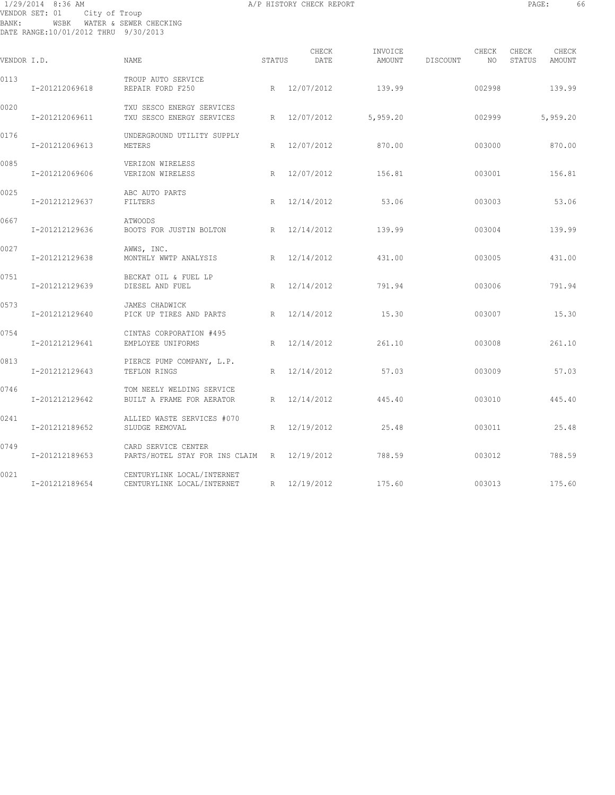# 1/29/2014 8:36 AM A/P HISTORY CHECK REPORT PAGE: 66 VENDOR SET: 01 City of Troup BANK: WSBK WATER & SEWER CHECKING DATE RANGE:10/01/2012 THRU 9/30/2013

| F<br>۰<br>١<br>ı<br>ı.<br>ı<br>٠<br>۰<br>٠ |  |
|--------------------------------------------|--|
|                                            |  |

| VENDOR I.D. |                | NAME                                                               | STATUS          | CHECK<br>DATE | INVOICE<br>AMOUNT | DISCOUNT | CHECK<br>NO. | CHECK<br>STATUS | CHECK<br>AMOUNT |
|-------------|----------------|--------------------------------------------------------------------|-----------------|---------------|-------------------|----------|--------------|-----------------|-----------------|
| 0113        | I-201212069618 | TROUP AUTO SERVICE<br>REPAIR FORD F250                             |                 | R 12/07/2012  | 139.99            |          | 002998       |                 | 139.99          |
| 0020        | I-201212069611 | TXU SESCO ENERGY SERVICES<br>TXU SESCO ENERGY SERVICES             | R               | 12/07/2012    | 5,959.20          |          | 002999       |                 | 5,959.20        |
| 0176        | I-201212069613 | UNDERGROUND UTILITY SUPPLY<br>METERS                               | R               | 12/07/2012    | 870.00            |          | 003000       |                 | 870.00          |
| 0085        | I-201212069606 | VERIZON WIRELESS<br>VERIZON WIRELESS                               | R               | 12/07/2012    | 156.81            |          | 003001       |                 | 156.81          |
| 0025        | I-201212129637 | ABC AUTO PARTS<br>FILTERS                                          | R               | 12/14/2012    | 53.06             |          | 003003       |                 | 53.06           |
| 0667        | I-201212129636 | <b>ATWOODS</b><br>BOOTS FOR JUSTIN BOLTON                          | R               | 12/14/2012    | 139.99            |          | 003004       |                 | 139.99          |
| 0027        | I-201212129638 | AWWS, INC.<br>MONTHLY WWTP ANALYSIS                                | R               | 12/14/2012    | 431.00            |          | 003005       |                 | 431.00          |
| 0751        | I-201212129639 | BECKAT OIL & FUEL LP<br>DIESEL AND FUEL                            | R               | 12/14/2012    | 791.94            |          | 003006       |                 | 791.94          |
| 0573        | I-201212129640 | JAMES CHADWICK<br>PICK UP TIRES AND PARTS                          | R               | 12/14/2012    | 15.30             |          | 003007       |                 | 15.30           |
| 0754        | I-201212129641 | CINTAS CORPORATION #495<br>EMPLOYEE UNIFORMS                       | $R_{\parallel}$ | 12/14/2012    | 261.10            |          | 003008       |                 | 261.10          |
| 0813        | I-201212129643 | PIERCE PUMP COMPANY, L.P.<br>TEFLON RINGS                          | R               | 12/14/2012    | 57.03             |          | 003009       |                 | 57.03           |
| 0746        | I-201212129642 | TOM NEELY WELDING SERVICE<br>BUILT A FRAME FOR AERATOR             | R               | 12/14/2012    | 445.40            |          | 003010       |                 | 445.40          |
| 0241        | I-201212189652 | ALLIED WASTE SERVICES #070<br>SLUDGE REMOVAL                       | R               | 12/19/2012    | 25.48             |          | 003011       |                 | 25.48           |
| 0749        | I-201212189653 | CARD SERVICE CENTER<br>PARTS/HOTEL STAY FOR INS CLAIM R 12/19/2012 |                 |               | 788.59            |          | 003012       |                 | 788.59          |
| 0021        | I-201212189654 | CENTURYLINK LOCAL/INTERNET<br>CENTURYLINK LOCAL/INTERNET           | R               | 12/19/2012    | 175.60            |          | 003013       |                 | 175.60          |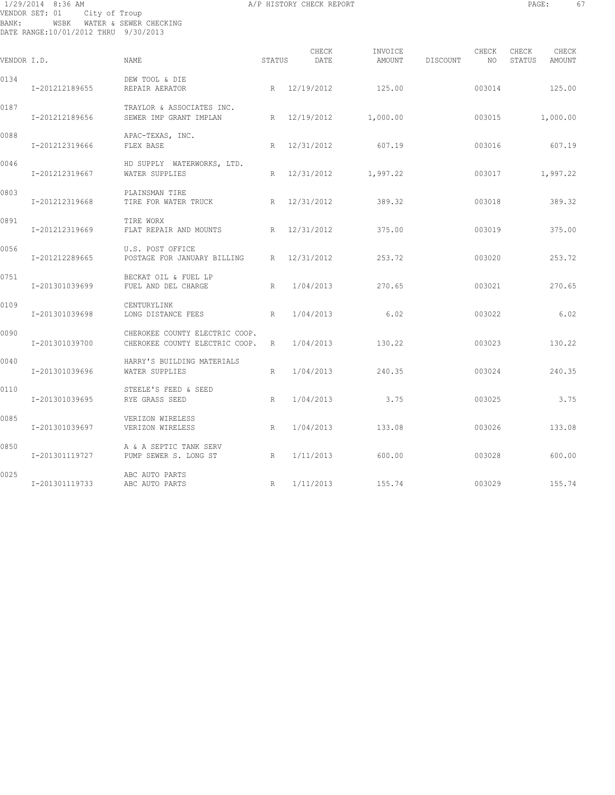# 1/29/2014 8:36 AM A/P HISTORY CHECK REPORT PAGE: 67 VENDOR SET: 01 City of Troup BANK: WSBK WATER & SEWER CHECKING DATE RANGE:10/01/2012 THRU 9/30/2013

| VENDOR I.D. |                | <b>NAME</b>                                                      | STATUS | CHECK<br>DATE | INVOICE<br>AMOUNT     | DISCOUNT | CHECK<br>NO | CHECK<br>STATUS | CHECK<br>AMOUNT |
|-------------|----------------|------------------------------------------------------------------|--------|---------------|-----------------------|----------|-------------|-----------------|-----------------|
| 0134        | I-201212189655 | DEW TOOL & DIE<br>REPAIR AERATOR                                 |        | R 12/19/2012  | 125.00                |          | 003014      |                 | 125.00          |
| 0187        | I-201212189656 | TRAYLOR & ASSOCIATES INC.<br>SEWER IMP GRANT IMPLAN              |        |               | R 12/19/2012 1,000.00 |          | 003015      |                 | 1,000.00        |
| 0088        | I-201212319666 | APAC-TEXAS, INC.<br>FLEX BASE                                    |        | R 12/31/2012  | 607.19                |          | 003016      |                 | 607.19          |
| 0046        | I-201212319667 | HD SUPPLY WATERWORKS, LTD.<br>WATER SUPPLIES                     | R      |               | 12/31/2012 1,997.22   |          | 003017      |                 | 1,997.22        |
| 0803        | I-201212319668 | PLAINSMAN TIRE<br>TIRE FOR WATER TRUCK                           |        | R 12/31/2012  | 389.32                |          | 003018      |                 | 389.32          |
| 0891        | I-201212319669 | TIRE WORX<br>FLAT REPAIR AND MOUNTS                              |        | R 12/31/2012  | 375.00                |          | 003019      |                 | 375.00          |
| 0056        | I-201212289665 | U.S. POST OFFICE<br>POSTAGE FOR JANUARY BILLING R 12/31/2012     |        |               | 253.72                |          | 003020      |                 | 253.72          |
| 0751        | I-201301039699 | BECKAT OIL & FUEL LP<br>FUEL AND DEL CHARGE                      | R      | 1/04/2013     | 270.65                |          | 003021      |                 | 270.65          |
| 0109        | I-201301039698 | CENTURYLINK<br>R<br>LONG DISTANCE FEES                           |        | 1/04/2013     | 6.02                  |          | 003022      |                 | 6.02            |
| 0090        | I-201301039700 | CHEROKEE COUNTY ELECTRIC COOP.<br>CHEROKEE COUNTY ELECTRIC COOP. | R      | 1/04/2013     | 130.22                |          | 003023      |                 | 130.22          |
| 0040        | I-201301039696 | HARRY'S BUILDING MATERIALS<br>WATER SUPPLIES                     | R      | 1/04/2013     | 240.35                |          | 003024      |                 | 240.35          |
| 0110        | I-201301039695 | STEELE'S FEED & SEED<br>RYE GRASS SEED                           | R      | 1/04/2013     | 3.75                  |          | 003025      |                 | 3.75            |
| 0085        | I-201301039697 | VERIZON WIRELESS<br>VERIZON WIRELESS                             | R      | 1/04/2013     | 133.08                |          | 003026      |                 | 133.08          |
| 0850        | I-201301119727 | A & A SEPTIC TANK SERV<br>PUMP SEWER S. LONG ST<br>R             |        | 1/11/2013     | 600.00                |          | 003028      |                 | 600.00          |
| 0025        | I-201301119733 | ABC AUTO PARTS<br>ABC AUTO PARTS                                 | R      | 1/11/2013     | 155.74                |          | 003029      |                 | 155.74          |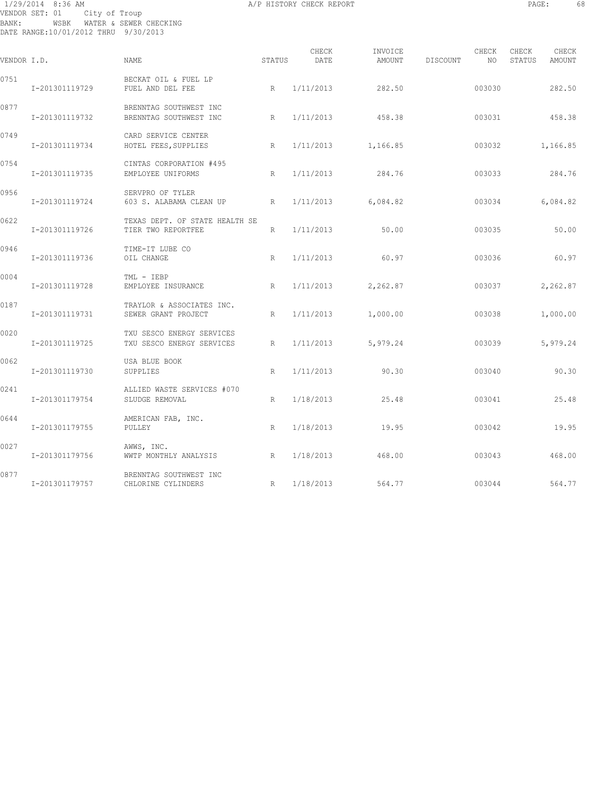# 1/29/2014 8:36 AM A/P HISTORY CHECK REPORT PAGE: 68 VENDOR SET: 01 City of Troup BANK: WSBK WATER & SEWER CHECKING DATE RANGE:10/01/2012 THRU 9/30/2013

| г<br>7<br>٠<br>٠<br>Ξ<br>v<br>٠<br><b>.</b> |  |
|---------------------------------------------|--|
|                                             |  |

| VENDOR I.D. |                | <b>NAME</b>                                            | STATUS | CHECK<br>DATE | INVOICE<br>AMOUNT    | DISCOUNT | CHECK<br>NO. | CHECK<br>STATUS | CHECK<br>AMOUNT |
|-------------|----------------|--------------------------------------------------------|--------|---------------|----------------------|----------|--------------|-----------------|-----------------|
| 0751        | I-201301119729 | BECKAT OIL & FUEL LP<br>FUEL AND DEL FEE               | R      | 1/11/2013     | 282.50               |          | 003030       |                 | 282.50          |
| 0877        | I-201301119732 | BRENNTAG SOUTHWEST INC<br>BRENNTAG SOUTHWEST INC       | R      | 1/11/2013     | 458.38               |          | 003031       |                 | 458.38          |
| 0749        | I-201301119734 | CARD SERVICE CENTER<br>HOTEL FEES, SUPPLIES            | R      | 1/11/2013     | 1,166.85             |          | 003032       |                 | 1,166.85        |
| 0754        | I-201301119735 | CINTAS CORPORATION #495<br>EMPLOYEE UNIFORMS           | R      | 1/11/2013     | 284.76               |          | 003033       |                 | 284.76          |
| 0956        | I-201301119724 | SERVPRO OF TYLER<br>603 S. ALABAMA CLEAN UP            | R      |               | $1/11/2013$ 6,084.82 |          | 003034       |                 | 6,084.82        |
| 0622        | I-201301119726 | TEXAS DEPT. OF STATE HEALTH SE<br>TIER TWO REPORTFEE   | R      | 1/11/2013     | 50.00                |          | 003035       |                 | 50.00           |
| 0946        | I-201301119736 | TIME-IT LUBE CO<br>OIL CHANGE                          | R      | 1/11/2013     | 60.97                |          | 003036       |                 | 60.97           |
| 0004        | I-201301119728 | TML - IEBP<br>EMPLOYEE INSURANCE                       | R      | 1/11/2013     | 2,262.87             |          | 003037       |                 | 2,262.87        |
| 0187        | I-201301119731 | TRAYLOR & ASSOCIATES INC.<br>SEWER GRANT PROJECT       | R      | 1/11/2013     | 1,000.00             |          | 003038       |                 | 1,000.00        |
| 0020        | I-201301119725 | TXU SESCO ENERGY SERVICES<br>TXU SESCO ENERGY SERVICES | R      | 1/11/2013     | 5,979.24             |          | 003039       |                 | 5,979.24        |
| 0062        | I-201301119730 | USA BLUE BOOK<br>SUPPLIES                              | R      | 1/11/2013     | 90.30                |          | 003040       |                 | 90.30           |
| 0241        | I-201301179754 | ALLIED WASTE SERVICES #070<br>SLUDGE REMOVAL           | R      | 1/18/2013     | 25.48                |          | 003041       |                 | 25.48           |
| 0644        | I-201301179755 | AMERICAN FAB, INC.<br>PULLEY                           | R      | 1/18/2013     | 19.95                |          | 003042       |                 | 19.95           |
| 0027        | I-201301179756 | AWWS, INC.<br>WWTP MONTHLY ANALYSIS                    | R      | 1/18/2013     | 468.00               |          | 003043       |                 | 468.00          |
| 0877        | I-201301179757 | BRENNTAG SOUTHWEST INC<br>CHLORINE CYLINDERS           | R      | 1/18/2013     | 564.77               |          | 003044       |                 | 564.77          |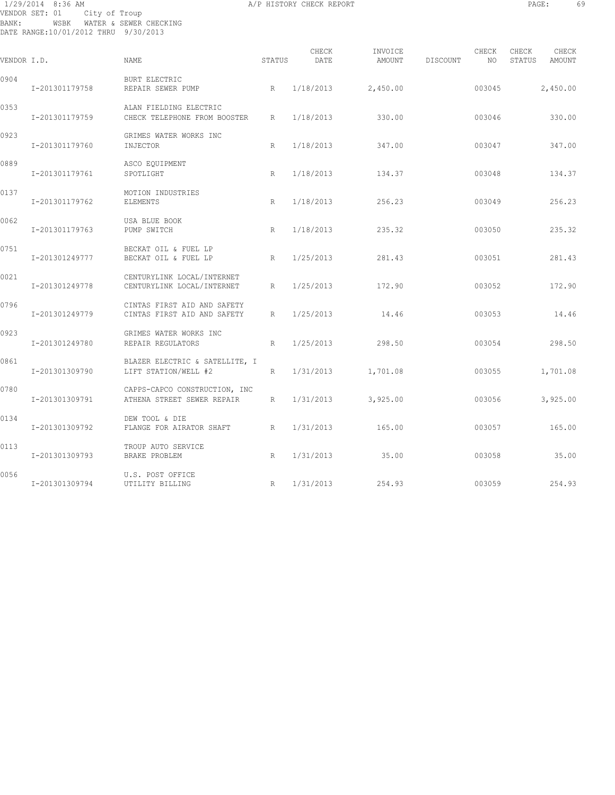# 1/29/2014 8:36 AM A/P HISTORY CHECK REPORT PAGE: 69 VENDOR SET: 01 City of Troup BANK: WSBK WATER & SEWER CHECKING DATE RANGE:10/01/2012 THRU 9/30/2013

| VENDOR I.D. |                | NAME.                                                       | STATUS          | CHECK<br>DATE | INVOICE<br>AMOUNT | DISCOUNT | CHECK<br>NO | CHECK<br>STATUS | CHECK<br>AMOUNT |
|-------------|----------------|-------------------------------------------------------------|-----------------|---------------|-------------------|----------|-------------|-----------------|-----------------|
| 0904        | I-201301179758 | <b>BURT ELECTRIC</b><br>REPAIR SEWER PUMP                   | R               | 1/18/2013     | 2,450.00          |          | 003045      | 2,450.00        |                 |
| 0353        | I-201301179759 | ALAN FIELDING ELECTRIC<br>CHECK TELEPHONE FROM BOOSTER      | $R_{\parallel}$ | 1/18/2013     | 330.00            |          | 003046      |                 | 330.00          |
| 0923        | I-201301179760 | GRIMES WATER WORKS INC<br>INJECTOR                          | R               | 1/18/2013     | 347.00            |          | 003047      |                 | 347.00          |
| 0889        | I-201301179761 | ASCO EQUIPMENT<br>SPOTLIGHT                                 | R               | 1/18/2013     | 134.37            |          | 003048      |                 | 134.37          |
| 0137        | I-201301179762 | MOTION INDUSTRIES<br>ELEMENTS                               | R               | 1/18/2013     | 256.23            |          | 003049      |                 | 256.23          |
| 0062        | I-201301179763 | USA BLUE BOOK<br>PUMP SWITCH                                | R               | 1/18/2013     | 235.32            |          | 003050      |                 | 235.32          |
| 0751        | I-201301249777 | BECKAT OIL & FUEL LP<br>BECKAT OIL & FUEL LP                | R               | 1/25/2013     | 281.43            |          | 003051      |                 | 281.43          |
| 0021        | I-201301249778 | CENTURYLINK LOCAL/INTERNET<br>CENTURYLINK LOCAL/INTERNET    | R               | 1/25/2013     | 172.90            |          | 003052      |                 | 172.90          |
| 0796        | I-201301249779 | CINTAS FIRST AID AND SAFETY<br>CINTAS FIRST AID AND SAFETY  | R               | 1/25/2013     | 14.46             |          | 003053      |                 | 14.46           |
| 0923        | I-201301249780 | GRIMES WATER WORKS INC<br>REPAIR REGULATORS                 | R               | 1/25/2013     | 298.50            |          | 003054      |                 | 298.50          |
| 0861        | I-201301309790 | BLAZER ELECTRIC & SATELLITE, I<br>LIFT STATION/WELL #2      | R               | 1/31/2013     | 1,701.08          |          | 003055      | 1,701.08        |                 |
| 0780        | I-201301309791 | CAPPS-CAPCO CONSTRUCTION, INC<br>ATHENA STREET SEWER REPAIR | R               | 1/31/2013     | 3,925.00          |          | 003056      | 3,925.00        |                 |
| 0134        | I-201301309792 | DEW TOOL & DIE<br>FLANGE FOR AIRATOR SHAFT                  | R               | 1/31/2013     | 165.00            |          | 003057      |                 | 165.00          |
| 0113        | I-201301309793 | TROUP AUTO SERVICE<br>BRAKE PROBLEM                         | R               | 1/31/2013     | 35.00             |          | 003058      |                 | 35.00           |
| 0056        | I-201301309794 | U.S. POST OFFICE<br>UTILITY BILLING                         | R               | 1/31/2013     | 254.93            |          | 003059      |                 | 254.93          |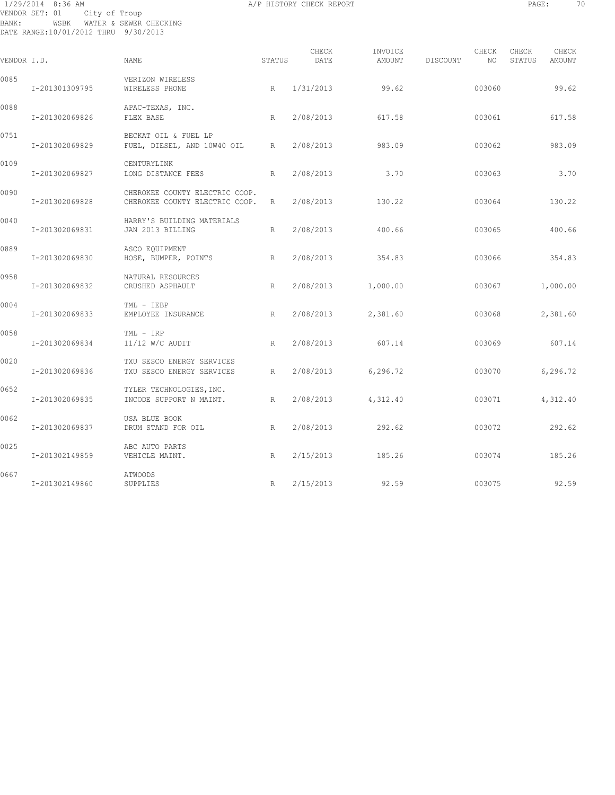# 1/29/2014 8:36 AM A/P HISTORY CHECK REPORT PAGE: 70 VENDOR SET: 01 City of Troup BANK: WSBK WATER & SEWER CHECKING DATE RANGE:10/01/2012 THRU 9/30/2013

| VENDOR I.D. |                | NAME.                                                            | STATUS | CHECK<br>DATE | INVOICE<br>AMOUNT | DISCOUNT | CHECK<br>NO. | CHECK<br>STATUS | CHECK<br>AMOUNT |
|-------------|----------------|------------------------------------------------------------------|--------|---------------|-------------------|----------|--------------|-----------------|-----------------|
| 0085        | I-201301309795 | VERIZON WIRELESS<br>WIRELESS PHONE                               | R      | 1/31/2013     | 99.62             |          | 003060       |                 | 99.62           |
| 0088        | I-201302069826 | APAC-TEXAS, INC.<br>FLEX BASE                                    | R      | 2/08/2013     | 617.58            |          | 003061       |                 | 617.58          |
| 0751        | I-201302069829 | BECKAT OIL & FUEL LP<br>FUEL, DIESEL, AND 10W40 OIL R            |        | 2/08/2013     | 983.09            |          | 003062       |                 | 983.09          |
| 0109        | I-201302069827 | CENTURYLINK<br>LONG DISTANCE FEES                                | R      | 2/08/2013     | 3.70              |          | 003063       |                 | 3.70            |
| 0090        | I-201302069828 | CHEROKEE COUNTY ELECTRIC COOP.<br>CHEROKEE COUNTY ELECTRIC COOP. | R      | 2/08/2013     | 130.22            |          | 003064       |                 | 130.22          |
| 0040        | I-201302069831 | HARRY'S BUILDING MATERIALS<br>JAN 2013 BILLING                   | R      | 2/08/2013     | 400.66            |          | 003065       |                 | 400.66          |
| 0889        | I-201302069830 | ASCO EQUIPMENT<br>HOSE, BUMPER, POINTS                           | R      | 2/08/2013     | 354.83            |          | 003066       |                 | 354.83          |
| 0958        | I-201302069832 | NATURAL RESOURCES<br>CRUSHED ASPHAULT                            | R      | 2/08/2013     | 1,000.00          |          | 003067       |                 | 1,000.00        |
| 0004        | I-201302069833 | TML - IEBP<br>EMPLOYEE INSURANCE                                 | R      | 2/08/2013     | 2,381.60          |          | 003068       |                 | 2,381.60        |
| 0058        | I-201302069834 | TML - IRP<br>$11/12$ W/C AUDIT                                   | R      | 2/08/2013     | 607.14            |          | 003069       |                 | 607.14          |
| 0020        | I-201302069836 | TXU SESCO ENERGY SERVICES<br>TXU SESCO ENERGY SERVICES           | R      | 2/08/2013     | 6, 296, 72        |          | 003070       |                 | 6,296.72        |
| 0652        | I-201302069835 | TYLER TECHNOLOGIES, INC.<br>INCODE SUPPORT N MAINT.              | R      | 2/08/2013     | 4,312.40          |          | 003071       |                 | 4,312.40        |
| 0062        | I-201302069837 | USA BLUE BOOK<br>DRUM STAND FOR OIL                              | R      | 2/08/2013     | 292.62            |          | 003072       |                 | 292.62          |
| 0025        | I-201302149859 | ABC AUTO PARTS<br>VEHICLE MAINT.                                 | R      | 2/15/2013     | 185.26            |          | 003074       |                 | 185.26          |
| 0667        | I-201302149860 | ATWOODS<br>SUPPLIES                                              | R      | 2/15/2013     | 92.59             |          | 003075       |                 | 92.59           |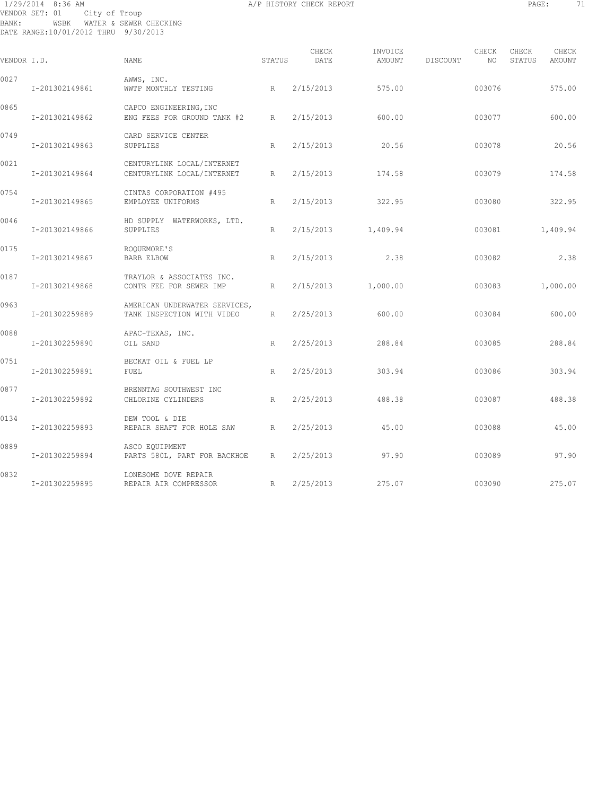# 1/29/2014 8:36 AM A/P HISTORY CHECK REPORT PAGE: 71 VENDOR SET: 01 City of Troup BANK: WSBK WATER & SEWER CHECKING DATE RANGE:10/01/2012 THRU 9/30/2013

| VENDOR I.D. |                | NAME                                                        | STATUS | CHECK<br>DATE | INVOICE<br>AMOUNT | DISCOUNT | CHECK<br>NO | CHECK<br>CHECK<br>STATUS<br><b>AMOUNT</b> |
|-------------|----------------|-------------------------------------------------------------|--------|---------------|-------------------|----------|-------------|-------------------------------------------|
| 0027        | I-201302149861 | AWWS, INC.<br>WWTP MONTHLY TESTING                          | R      | 2/15/2013     | 575.00            |          | 003076      | 575.00                                    |
| 0865        | I-201302149862 | CAPCO ENGINEERING, INC<br>ENG FEES FOR GROUND TANK #2       | R      | 2/15/2013     | 600.00            |          | 003077      | 600.00                                    |
| 0749        | I-201302149863 | CARD SERVICE CENTER<br>SUPPLIES                             | R      | 2/15/2013     | 20.56             |          | 003078      | 20.56                                     |
| 0021        | I-201302149864 | CENTURYLINK LOCAL/INTERNET<br>CENTURYLINK LOCAL/INTERNET    | R      | 2/15/2013     | 174.58            |          | 003079      | 174.58                                    |
| 0754        | I-201302149865 | CINTAS CORPORATION #495<br>EMPLOYEE UNIFORMS                | R      | 2/15/2013     | 322.95            |          | 003080      | 322.95                                    |
| 0046        | I-201302149866 | HD SUPPLY WATERWORKS, LTD.<br>SUPPLIES                      | R      | 2/15/2013     | 1,409.94          |          | 003081      | 1,409.94                                  |
| 0175        | I-201302149867 | ROOUEMORE'S<br><b>BARB ELBOW</b>                            | R      | 2/15/2013     | 2.38              |          | 003082      | 2.38                                      |
| 0187        | I-201302149868 | TRAYLOR & ASSOCIATES INC.<br>CONTR FEE FOR SEWER IMP        | R      | 2/15/2013     | 1,000.00          |          | 003083      | 1,000.00                                  |
| 0963        | I-201302259889 | AMERICAN UNDERWATER SERVICES,<br>TANK INSPECTION WITH VIDEO | R      | 2/25/2013     | 600.00            |          | 003084      | 600.00                                    |
| 0088        | I-201302259890 | APAC-TEXAS, INC.<br>OIL SAND                                | R      | 2/25/2013     | 288.84            |          | 003085      | 288.84                                    |
| 0751        | I-201302259891 | BECKAT OIL & FUEL LP<br><b>FUEL</b>                         | R      | 2/25/2013     | 303.94            |          | 003086      | 303.94                                    |
| 0877        | I-201302259892 | BRENNTAG SOUTHWEST INC<br>CHLORINE CYLINDERS                | R      | 2/25/2013     | 488.38            |          | 003087      | 488.38                                    |
| 0134        | I-201302259893 | DEW TOOL & DIE<br>REPAIR SHAFT FOR HOLE SAW                 | R      | 2/25/2013     | 45.00             |          | 003088      | 45.00                                     |
| 0889        | I-201302259894 | ASCO EQUIPMENT<br>PARTS 580L, PART FOR BACKHOE              | R      | 2/25/2013     | 97.90             |          | 003089      | 97.90                                     |
| 0832        | I-201302259895 | LONESOME DOVE REPAIR<br>REPAIR AIR COMPRESSOR               | R      | 2/25/2013     | 275.07            |          | 003090      | 275.07                                    |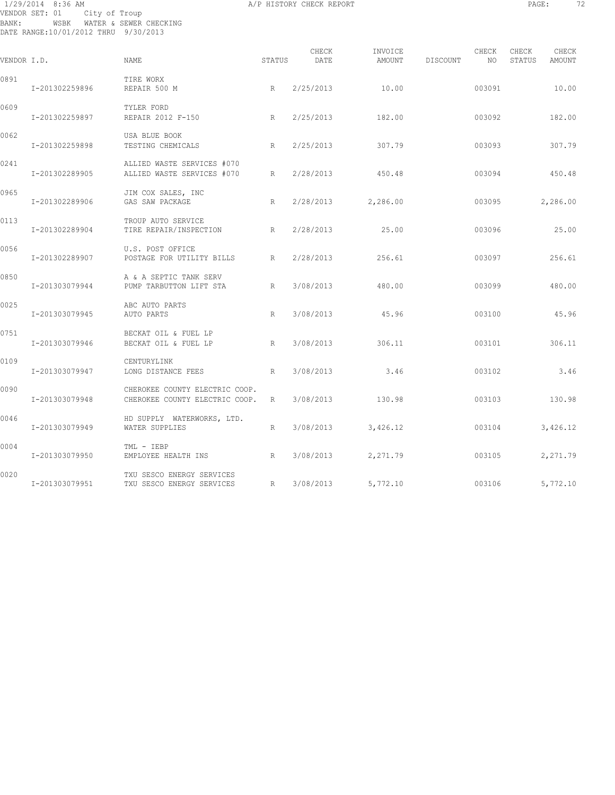# 1/29/2014 8:36 AM A/P HISTORY CHECK REPORT PAGE: 72 VENDOR SET: 01 City of Troup BANK: WSBK WATER & SEWER CHECKING DATE RANGE:10/01/2012 THRU 9/30/2013

| VENDOR I.D. |                | <b>NAME</b>                                                      | STATUS | CHECK<br>DATE | INVOICE<br>AMOUNT | CHECK<br>DISCOUNT<br>NO | CHECK<br>STATUS | CHECK<br>AMOUNT |
|-------------|----------------|------------------------------------------------------------------|--------|---------------|-------------------|-------------------------|-----------------|-----------------|
| 0891        | I-201302259896 | TIRE WORX<br>REPAIR 500 M                                        | R      | 2/25/2013     | 10.00             | 003091                  |                 | 10.00           |
| 0609        | I-201302259897 | TYLER FORD<br>REPAIR 2012 F-150                                  | R      | 2/25/2013     | 182.00            | 003092                  |                 | 182.00          |
| 0062        | I-201302259898 | USA BLUE BOOK<br>TESTING CHEMICALS                               | R      | 2/25/2013     | 307.79            | 003093                  |                 | 307.79          |
| 0241        | I-201302289905 | ALLIED WASTE SERVICES #070<br>ALLIED WASTE SERVICES #070         | R      | 2/28/2013     | 450.48            | 003094                  |                 | 450.48          |
| 0965        | I-201302289906 | JIM COX SALES, INC<br>GAS SAW PACKAGE                            | R      | 2/28/2013     | 2,286.00          | 003095                  |                 | 2,286.00        |
| 0113        | I-201302289904 | TROUP AUTO SERVICE<br>TIRE REPAIR/INSPECTION                     | R      | 2/28/2013     | 25.00             | 003096                  |                 | 25.00           |
| 0056        | I-201302289907 | U.S. POST OFFICE<br>POSTAGE FOR UTILITY BILLS                    | R      | 2/28/2013     | 256.61            | 003097                  |                 | 256.61          |
| 0850        | I-201303079944 | A & A SEPTIC TANK SERV<br>PUMP TARBUTTON LIFT STA                | R      | 3/08/2013     | 480.00            | 003099                  |                 | 480.00          |
| 0025        | I-201303079945 | ABC AUTO PARTS<br>AUTO PARTS                                     | R      | 3/08/2013     | 45.96             | 003100                  |                 | 45.96           |
| 0751        | I-201303079946 | BECKAT OIL & FUEL LP<br>BECKAT OIL & FUEL LP<br>R                |        | 3/08/2013     | 306.11            | 003101                  |                 | 306.11          |
| 0109        | I-201303079947 | CENTURYLINK<br>LONG DISTANCE FEES                                | R      | 3/08/2013     | 3.46              | 003102                  |                 | 3.46            |
| 0090        | I-201303079948 | CHEROKEE COUNTY ELECTRIC COOP.<br>CHEROKEE COUNTY ELECTRIC COOP. | R      | 3/08/2013     | 130.98            | 003103                  |                 | 130.98          |
| 0046        | I-201303079949 | HD SUPPLY WATERWORKS, LTD.<br>WATER SUPPLIES                     | R      | 3/08/2013     | 3,426.12          | 003104                  |                 | 3,426.12        |
| 0004        | I-201303079950 | TML - IEBP<br>EMPLOYEE HEALTH INS                                | R      | 3/08/2013     | 2,271.79          | 003105                  |                 | 2,271.79        |
| 0020        | I-201303079951 | TXU SESCO ENERGY SERVICES<br>TXU SESCO ENERGY SERVICES           | R      | 3/08/2013     | 5,772.10          | 003106                  |                 | 5,772.10        |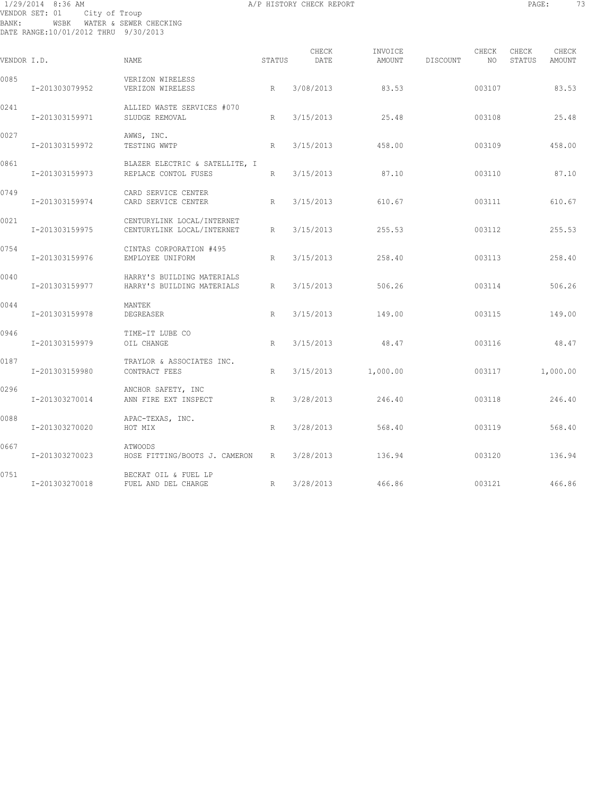## 1/29/2014 8:36 AM A/P HISTORY CHECK REPORT PAGE: 73 VENDOR SET: 01 City of Troup BANK: WSBK WATER & SEWER CHECKING DATE RANGE:10/01/2012 THRU 9/30/2013

| Ð<br>7<br>H.<br>. .<br>٠<br>т.<br>۳<br>-<br>٠<br>٠<br>- - -<br>$\sim$ |  |
|-----------------------------------------------------------------------|--|
|                                                                       |  |

| VENDOR I.D. |                | <b>NAME</b>                                              | STATUS | CHECK<br>DATE | INVOICE<br>AMOUNT | DISCOUNT | CHECK<br>NO | CHECK<br>STATUS | CHECK<br>AMOUNT |
|-------------|----------------|----------------------------------------------------------|--------|---------------|-------------------|----------|-------------|-----------------|-----------------|
| 0085        | I-201303079952 | VERIZON WIRELESS<br>VERIZON WIRELESS                     | R      | 3/08/2013     | 83.53             |          | 003107      |                 | 83.53           |
| 0241        | I-201303159971 | ALLIED WASTE SERVICES #070<br>SLUDGE REMOVAL             | R      | 3/15/2013     | 25.48             |          | 003108      |                 | 25.48           |
| 0027        | I-201303159972 | AWWS, INC.<br>TESTING WWTP                               | R      | 3/15/2013     | 458.00            |          | 003109      |                 | 458.00          |
| 0861        | I-201303159973 | BLAZER ELECTRIC & SATELLITE, I<br>REPLACE CONTOL FUSES   | R      | 3/15/2013     | 87.10             |          | 003110      |                 | 87.10           |
| 0749        | I-201303159974 | CARD SERVICE CENTER<br>CARD SERVICE CENTER               | R      | 3/15/2013     | 610.67            |          | 003111      |                 | 610.67          |
| 0021        | I-201303159975 | CENTURYLINK LOCAL/INTERNET<br>CENTURYLINK LOCAL/INTERNET | R      | 3/15/2013     | 255.53            |          | 003112      |                 | 255.53          |
| 0754        | I-201303159976 | CINTAS CORPORATION #495<br>EMPLOYEE UNIFORM              | R      | 3/15/2013     | 258.40            |          | 003113      |                 | 258.40          |
| 0040        | I-201303159977 | HARRY'S BUILDING MATERIALS<br>HARRY'S BUILDING MATERIALS | R      | 3/15/2013     | 506.26            |          | 003114      |                 | 506.26          |
| 0044        | I-201303159978 | MANTEK<br>DEGREASER                                      | R      | 3/15/2013     | 149.00            |          | 003115      |                 | 149.00          |
| 0946        | I-201303159979 | TIME-IT LUBE CO<br>OIL CHANGE                            | R      | 3/15/2013     | 48.47             |          | 003116      |                 | 48.47           |
| 0187        | I-201303159980 | TRAYLOR & ASSOCIATES INC.<br>CONTRACT FEES               | R      | 3/15/2013     | 1,000.00          |          | 003117      |                 | 1,000.00        |
| 0296        | I-201303270014 | ANCHOR SAFETY, INC<br>ANN FIRE EXT INSPECT               | R      | 3/28/2013     | 246.40            |          | 003118      |                 | 246.40          |
| 0088        | I-201303270020 | APAC-TEXAS, INC.<br>HOT MIX                              | R      | 3/28/2013     | 568.40            |          | 003119      |                 | 568.40          |
| 0667        | I-201303270023 | ATWOODS<br>HOSE FITTING/BOOTS J. CAMERON                 | R      | 3/28/2013     | 136.94            |          | 003120      |                 | 136.94          |
| 0751        | I-201303270018 | BECKAT OIL & FUEL LP<br>FUEL AND DEL CHARGE              | R      | 3/28/2013     | 466.86            |          | 003121      |                 | 466.86          |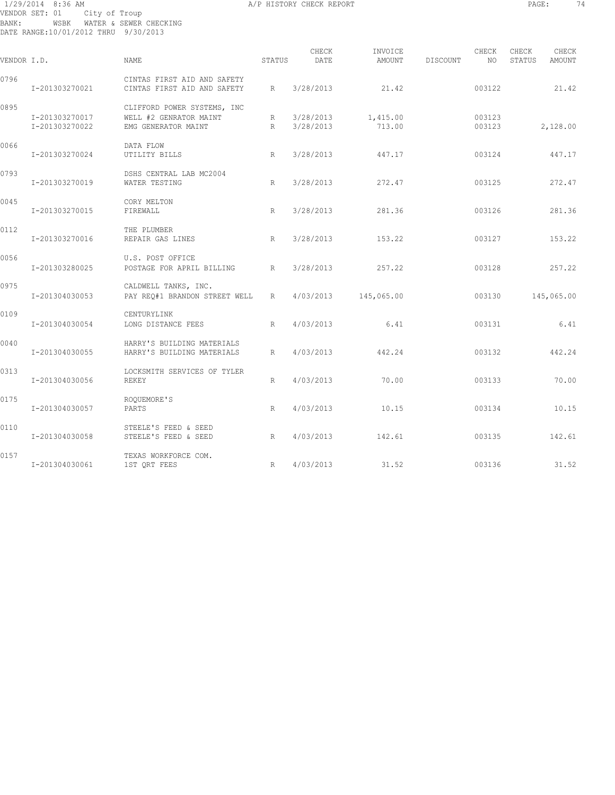## 1/29/2014 8:36 AM A/P HISTORY CHECK REPORT PAGE: 74 VENDOR SET: 01 City of Troup BANK: WSBK WATER & SEWER CHECKING DATE RANGE:10/01/2012 THRU 9/30/2013

| VENDOR I.D. |                                  | NAME                                                                         | STATUS | CHECK<br>DATE          | INVOICE<br>AMOUNT  | DISCOUNT | CHECK<br>NO      | CHECK<br>STATUS | CHECK<br>AMOUNT |
|-------------|----------------------------------|------------------------------------------------------------------------------|--------|------------------------|--------------------|----------|------------------|-----------------|-----------------|
| 0796        | I-201303270021                   | CINTAS FIRST AID AND SAFETY<br>CINTAS FIRST AID AND SAFETY                   | R      | 3/28/2013              | 21.42              |          | 003122           |                 | 21.42           |
| 0895        | I-201303270017<br>I-201303270022 | CLIFFORD POWER SYSTEMS, INC<br>WELL #2 GENRATOR MAINT<br>EMG GENERATOR MAINT | R<br>R | 3/28/2013<br>3/28/2013 | 1,415.00<br>713.00 |          | 003123<br>003123 |                 | 2,128.00        |
| 0066        | I-201303270024                   | DATA FLOW<br>UTILITY BILLS                                                   | R      | 3/28/2013              | 447.17             |          | 003124           |                 | 447.17          |
| 0793        | I-201303270019                   | DSHS CENTRAL LAB MC2004<br>WATER TESTING                                     | R      | 3/28/2013              | 272.47             |          | 003125           |                 | 272.47          |
| 0045        | I-201303270015                   | CORY MELTON<br>FIREWALL                                                      | R      | 3/28/2013              | 281.36             |          | 003126           |                 | 281.36          |
| 0112        | I-201303270016                   | THE PLUMBER<br>REPAIR GAS LINES                                              | R      | 3/28/2013              | 153.22             |          | 003127           |                 | 153.22          |
| 0056        | I-201303280025                   | U.S. POST OFFICE<br>POSTAGE FOR APRIL BILLING                                | R      | 3/28/2013              | 257.22             |          | 003128           |                 | 257.22          |
| 0975        | I-201304030053                   | CALDWELL TANKS, INC.<br>PAY REO#1 BRANDON STREET WELL                        | R      | 4/03/2013              | 145,065.00         |          | 003130           |                 | 145,065.00      |
| 0109        | I-201304030054                   | CENTURYLINK<br>LONG DISTANCE FEES                                            | R      | 4/03/2013              | 6.41               |          | 003131           |                 | 6.41            |
| 0040        | I-201304030055                   | HARRY'S BUILDING MATERIALS<br>HARRY'S BUILDING MATERIALS                     | R      | 4/03/2013              | 442.24             |          | 003132           |                 | 442.24          |
| 0313        | I-201304030056                   | LOCKSMITH SERVICES OF TYLER<br>REKEY                                         | R      | 4/03/2013              | 70.00              |          | 003133           |                 | 70.00           |
| 0175        | I-201304030057                   | ROQUEMORE'S<br>PARTS                                                         | R      | 4/03/2013              | 10.15              |          | 003134           |                 | 10.15           |
| 0110        | I-201304030058                   | STEELE'S FEED & SEED<br>STEELE'S FEED & SEED                                 | R      | 4/03/2013              | 142.61             |          | 003135           |                 | 142.61          |
| 0157        | I-201304030061                   | TEXAS WORKFORCE COM.<br>1ST QRT FEES                                         | R      | 4/03/2013              | 31.52              |          | 003136           |                 | 31.52           |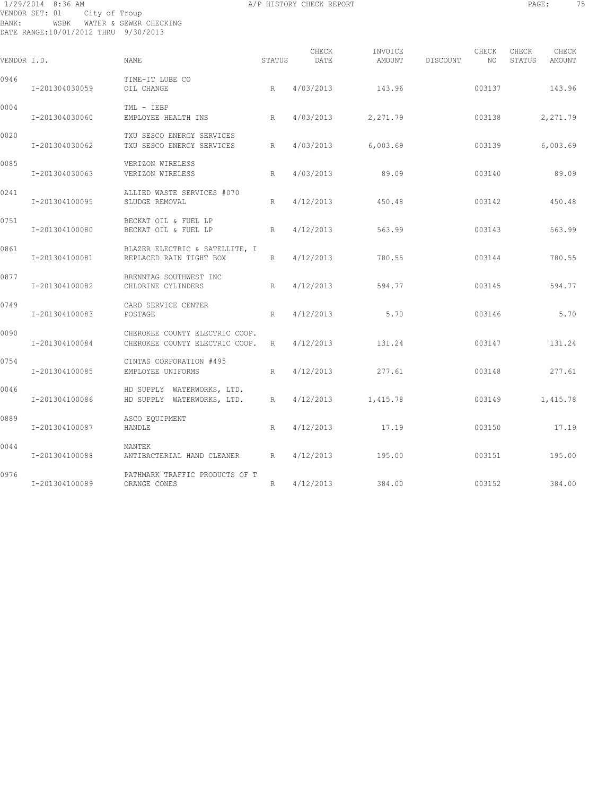## 1/29/2014 8:36 AM A/P HISTORY CHECK REPORT PAGE: 75 VENDOR SET: 01 City of Troup BANK: WSBK WATER & SEWER CHECKING DATE RANGE:10/01/2012 THRU 9/30/2013

| ٠<br>٠<br>-<br>۰.<br>× | ٠ | × |
|------------------------|---|---|
|                        |   |   |

| VENDOR I.D. |                | NAME                                                             | STATUS | CHECK<br>DATE | INVOICE<br>AMOUNT | DISCOUNT | CHECK<br>NO | CHECK<br>STATUS | CHECK<br>AMOUNT |
|-------------|----------------|------------------------------------------------------------------|--------|---------------|-------------------|----------|-------------|-----------------|-----------------|
| 0946        | I-201304030059 | TIME-IT LUBE CO<br>OIL CHANGE                                    | R      | 4/03/2013     | 143.96            |          | 003137      |                 | 143.96          |
| 0004        | I-201304030060 | TML - IEBP<br>EMPLOYEE HEALTH INS                                | R      | 4/03/2013     | 2,271.79          |          | 003138      |                 | 2,271.79        |
| 0020        | I-201304030062 | TXU SESCO ENERGY SERVICES<br>TXU SESCO ENERGY SERVICES           | R      | 4/03/2013     | 6,003.69          |          | 003139      |                 | 6,003.69        |
| 0085        | I-201304030063 | VERIZON WIRELESS<br>VERIZON WIRELESS                             | R      | 4/03/2013     | 89.09             |          | 003140      |                 | 89.09           |
| 0241        | I-201304100095 | ALLIED WASTE SERVICES #070<br>SLUDGE REMOVAL                     | R      | 4/12/2013     | 450.48            |          | 003142      |                 | 450.48          |
| 0751        | I-201304100080 | BECKAT OIL & FUEL LP<br>BECKAT OIL & FUEL LP                     | R      | 4/12/2013     | 563.99            |          | 003143      |                 | 563.99          |
| 0861        | I-201304100081 | BLAZER ELECTRIC & SATELLITE, I<br>REPLACED RAIN TIGHT BOX        | R      | 4/12/2013     | 780.55            |          | 003144      |                 | 780.55          |
| 0877        | I-201304100082 | BRENNTAG SOUTHWEST INC<br>CHLORINE CYLINDERS                     | R      | 4/12/2013     | 594.77            |          | 003145      |                 | 594.77          |
| 0749        | I-201304100083 | CARD SERVICE CENTER<br>POSTAGE                                   | R      | 4/12/2013     | 5.70              |          | 003146      |                 | 5.70            |
| 0090        | I-201304100084 | CHEROKEE COUNTY ELECTRIC COOP.<br>CHEROKEE COUNTY ELECTRIC COOP. | R      | 4/12/2013     | 131.24            |          | 003147      |                 | 131.24          |
| 0754        | I-201304100085 | CINTAS CORPORATION #495<br>EMPLOYEE UNIFORMS                     | R      | 4/12/2013     | 277.61            |          | 003148      |                 | 277.61          |
| 0046        | I-201304100086 | HD SUPPLY WATERWORKS, LTD.<br>HD SUPPLY WATERWORKS, LTD.         | R      | 4/12/2013     | 1,415.78          |          | 003149      |                 | 1,415.78        |
| 0889        | I-201304100087 | ASCO EQUIPMENT<br>HANDLE                                         | R      | 4/12/2013     | 17.19             |          | 003150      |                 | 17.19           |
| 0044        | I-201304100088 | MANTEK<br>ANTIBACTERIAL HAND CLEANER                             | R      | 4/12/2013     | 195.00            |          | 003151      |                 | 195.00          |
| 0976        | I-201304100089 | PATHMARK TRAFFIC PRODUCTS OF T<br>ORANGE CONES                   | R      | 4/12/2013     | 384.00            |          | 003152      |                 | 384.00          |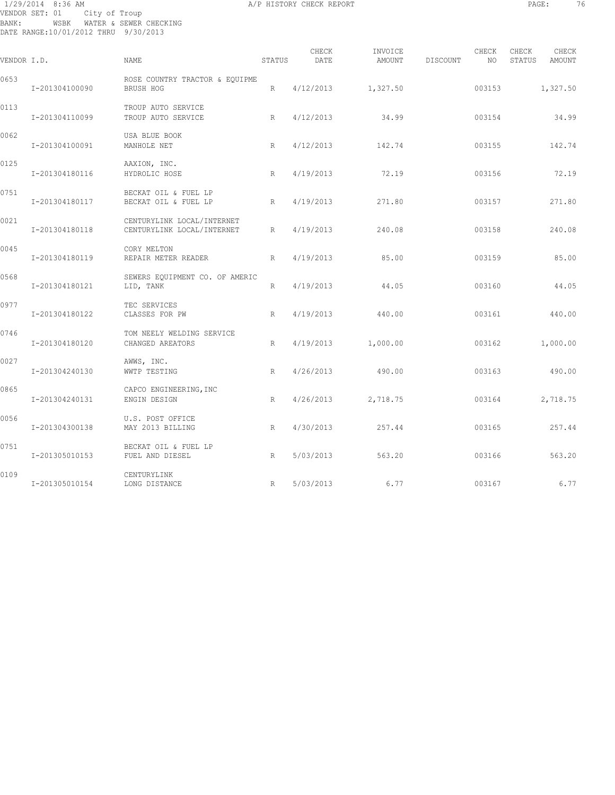## 1/29/2014 8:36 AM A/P HISTORY CHECK REPORT PAGE: 76 VENDOR SET: 01 City of Troup BANK: WSBK WATER & SEWER CHECKING DATE RANGE:10/01/2012 THRU 9/30/2013

| VENDOR I.D. |                | NAME                                                     | STATUS | CHECK<br>DATE | INVOICE<br>AMOUNT | DISCOUNT | CHECK<br>NO | CHECK<br>STATUS | CHECK<br>AMOUNT |
|-------------|----------------|----------------------------------------------------------|--------|---------------|-------------------|----------|-------------|-----------------|-----------------|
| 0653        | I-201304100090 | ROSE COUNTRY TRACTOR & EQUIPME<br>BRUSH HOG              | R      | 4/12/2013     | 1,327.50          |          | 003153      |                 | 1,327.50        |
| 0113        | I-201304110099 | TROUP AUTO SERVICE<br>TROUP AUTO SERVICE                 | R      | 4/12/2013     | 34.99             |          | 003154      |                 | 34.99           |
| 0062        | I-201304100091 | USA BLUE BOOK<br>MANHOLE NET                             | R      | 4/12/2013     | 142.74            |          | 003155      |                 | 142.74          |
| 0125        | I-201304180116 | AAXION, INC.<br>HYDROLIC HOSE                            | R      | 4/19/2013     | 72.19             |          | 003156      |                 | 72.19           |
| 0751        | I-201304180117 | BECKAT OIL & FUEL LP<br>BECKAT OIL & FUEL LP             | R      | 4/19/2013     | 271.80            |          | 003157      |                 | 271.80          |
| 0021        | I-201304180118 | CENTURYLINK LOCAL/INTERNET<br>CENTURYLINK LOCAL/INTERNET | R      | 4/19/2013     | 240.08            |          | 003158      |                 | 240.08          |
| 0045        | I-201304180119 | CORY MELTON<br>REPAIR METER READER                       | R      | 4/19/2013     | 85.00             |          | 003159      |                 | 85.00           |
| 0568        | I-201304180121 | SEWERS EQUIPMENT CO. OF AMERIC<br>LID, TANK              | R      | 4/19/2013     | 44.05             |          | 003160      |                 | 44.05           |
| 0977        | I-201304180122 | TEC SERVICES<br>CLASSES FOR PW                           | R      | 4/19/2013     | 440.00            |          | 003161      |                 | 440.00          |
| 0746        | I-201304180120 | TOM NEELY WELDING SERVICE<br>CHANGED AREATORS            | R      | 4/19/2013     | 1,000.00          |          | 003162      |                 | 1,000.00        |
| 0027        | I-201304240130 | AWWS, INC.<br>WWTP TESTING                               | R      | 4/26/2013     | 490.00            |          | 003163      |                 | 490.00          |
| 0865        | I-201304240131 | CAPCO ENGINEERING, INC<br>ENGIN DESIGN                   | R      | 4/26/2013     | 2,718.75          |          | 003164      |                 | 2,718.75        |
| 0056        | I-201304300138 | U.S. POST OFFICE<br>MAY 2013 BILLING                     | R      | 4/30/2013     | 257.44            |          | 003165      |                 | 257.44          |
| 0751        | I-201305010153 | BECKAT OIL & FUEL LP<br>FUEL AND DIESEL                  | R      | 5/03/2013     | 563.20            |          | 003166      |                 | 563.20          |
| 0109        | I-201305010154 | CENTURYLINK<br>LONG DISTANCE                             | R      | 5/03/2013     | 6.77              |          | 003167      |                 | 6.77            |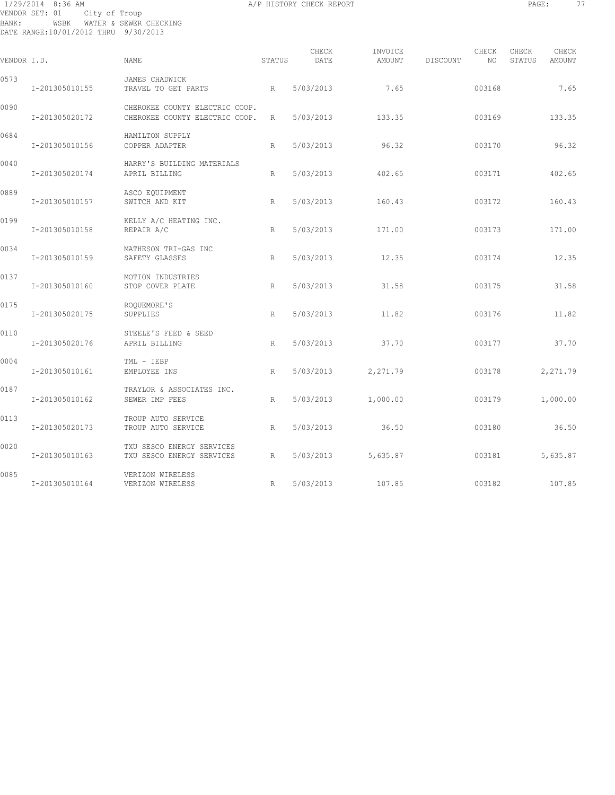## 1/29/2014 8:36 AM A/P HISTORY CHECK REPORT PAGE: 77 VENDOR SET: 01 City of Troup BANK: WSBK WATER & SEWER CHECKING DATE RANGE:10/01/2012 THRU 9/30/2013

| VENDOR I.D. |                | <b>NAME</b>                                                      | <b>STATUS</b> | CHECK<br>DATE | INVOICE<br>AMOUNT | DISCOUNT | CHECK<br>NO. | CHECK<br>STATUS | CHECK<br><b>AMOUNT</b> |
|-------------|----------------|------------------------------------------------------------------|---------------|---------------|-------------------|----------|--------------|-----------------|------------------------|
| 0573        | I-201305010155 | JAMES CHADWICK<br>TRAVEL TO GET PARTS                            | R             | 5/03/2013     | 7.65              |          | 003168       |                 | 7.65                   |
| 0090        | I-201305020172 | CHEROKEE COUNTY ELECTRIC COOP.<br>CHEROKEE COUNTY ELECTRIC COOP. | R             | 5/03/2013     | 133.35            |          | 003169       |                 | 133.35                 |
| 0684        | I-201305010156 | HAMILTON SUPPLY<br>COPPER ADAPTER                                | R             | 5/03/2013     | 96.32             |          | 003170       |                 | 96.32                  |
| 0040        | I-201305020174 | HARRY'S BUILDING MATERIALS<br>APRIL BILLING                      | R             | 5/03/2013     | 402.65            |          | 003171       |                 | 402.65                 |
| 0889        | I-201305010157 | ASCO EQUIPMENT<br>SWITCH AND KIT                                 | R             | 5/03/2013     | 160.43            |          | 003172       |                 | 160.43                 |
| 0199        | I-201305010158 | KELLY A/C HEATING INC.<br>REPAIR A/C                             | R             | 5/03/2013     | 171.00            |          | 003173       |                 | 171.00                 |
| 0034        | I-201305010159 | MATHESON TRI-GAS INC<br>SAFETY GLASSES                           | R             | 5/03/2013     | 12.35             |          | 003174       |                 | 12.35                  |
| 0137        | I-201305010160 | MOTION INDUSTRIES<br>STOP COVER PLATE                            | R             | 5/03/2013     | 31.58             |          | 003175       |                 | 31.58                  |
| 0175        | I-201305020175 | ROOUEMORE'S<br>SUPPLIES                                          | R             | 5/03/2013     | 11.82             |          | 003176       |                 | 11.82                  |
| 0110        | I-201305020176 | STEELE'S FEED & SEED<br>APRIL BILLING                            | R             | 5/03/2013     | 37.70             |          | 003177       |                 | 37.70                  |
| 0004        | I-201305010161 | TML - IEBP<br>EMPLOYEE INS                                       | R             | 5/03/2013     | 2,271.79          |          | 003178       |                 | 2,271.79               |
| 0187        | I-201305010162 | TRAYLOR & ASSOCIATES INC.<br>SEWER IMP FEES                      | R             | 5/03/2013     | 1,000.00          |          | 003179       |                 | 1,000.00               |
| 0113        | I-201305020173 | TROUP AUTO SERVICE<br>TROUP AUTO SERVICE                         | R             | 5/03/2013     | 36.50             |          | 003180       |                 | 36.50                  |
| 0020        | I-201305010163 | TXU SESCO ENERGY SERVICES<br>TXU SESCO ENERGY SERVICES           | R             | 5/03/2013     | 5,635.87          |          | 003181       |                 | 5,635.87               |
| 0085        | I-201305010164 | VERIZON WIRELESS<br>VERIZON WIRELESS                             | R             | 5/03/2013     | 107.85            |          | 003182       |                 | 107.85                 |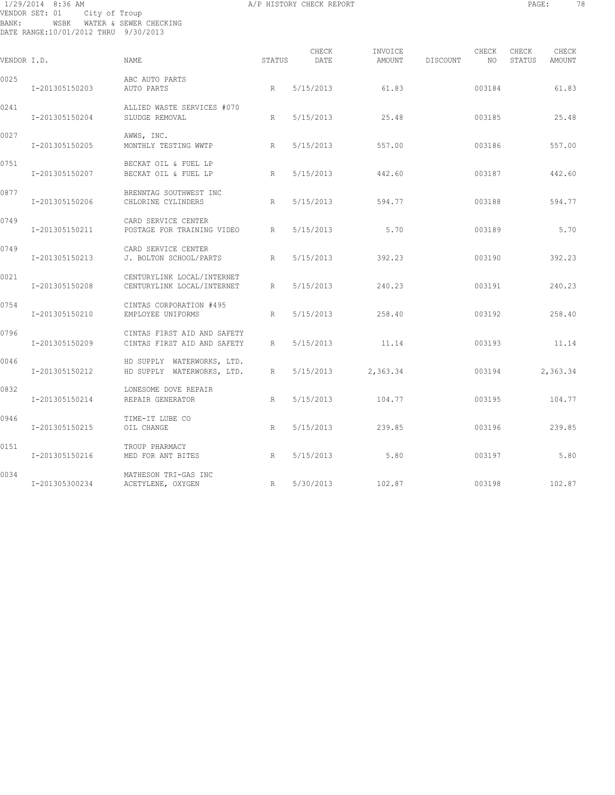## 1/29/2014 8:36 AM A/P HISTORY CHECK REPORT PAGE: 78 VENDOR SET: 01 City of Troup BANK: WSBK WATER & SEWER CHECKING DATE RANGE:10/01/2012 THRU 9/30/2013

| VENDOR I.D. |                | <b>NAME</b>                                                | STATUS | CHECK<br>DATE | INVOICE<br>AMOUNT | DISCOUNT | CHECK<br>NO. | CHECK<br>STATUS | CHECK<br>AMOUNT |
|-------------|----------------|------------------------------------------------------------|--------|---------------|-------------------|----------|--------------|-----------------|-----------------|
| 0025        | I-201305150203 | ABC AUTO PARTS<br>AUTO PARTS                               | R      | 5/15/2013     | 61.83             |          | 003184       |                 | 61.83           |
| 0241        | I-201305150204 | ALLIED WASTE SERVICES #070<br>SLUDGE REMOVAL               | R      | 5/15/2013     | 25.48             |          | 003185       |                 | 25.48           |
| 0027        | I-201305150205 | AWWS, INC.<br>MONTHLY TESTING WWTP                         | R      | 5/15/2013     | 557.00            |          | 003186       |                 | 557.00          |
| 0751        | I-201305150207 | BECKAT OIL & FUEL LP<br>BECKAT OIL & FUEL LP               | R      | 5/15/2013     | 442.60            |          | 003187       |                 | 442.60          |
| 0877        | I-201305150206 | BRENNTAG SOUTHWEST INC<br>CHLORINE CYLINDERS               | R      | 5/15/2013     | 594.77            |          | 003188       |                 | 594.77          |
| 0749        | I-201305150211 | CARD SERVICE CENTER<br>POSTAGE FOR TRAINING VIDEO          | R      | 5/15/2013     | 5.70              |          | 003189       |                 | 5.70            |
| 0749        | I-201305150213 | CARD SERVICE CENTER<br>J. BOLTON SCHOOL/PARTS              | R      | 5/15/2013     | 392.23            |          | 003190       |                 | 392.23          |
| 0021        | I-201305150208 | CENTURYLINK LOCAL/INTERNET<br>CENTURYLINK LOCAL/INTERNET   | R      | 5/15/2013     | 240.23            |          | 003191       |                 | 240.23          |
| 0754        | I-201305150210 | CINTAS CORPORATION #495<br>EMPLOYEE UNIFORMS               | R      | 5/15/2013     | 258.40            |          | 003192       |                 | 258.40          |
| 0796        | I-201305150209 | CINTAS FIRST AID AND SAFETY<br>CINTAS FIRST AID AND SAFETY | R      | 5/15/2013     | 11.14             |          | 003193       |                 | 11.14           |
| 0046        | I-201305150212 | HD SUPPLY WATERWORKS, LTD.<br>HD SUPPLY WATERWORKS, LTD.   | R      | 5/15/2013     | 2,363.34          |          | 003194       |                 | 2,363.34        |
| 0832        | I-201305150214 | LONESOME DOVE REPAIR<br>REPAIR GENERATOR                   | R      | 5/15/2013     | 104.77            |          | 003195       |                 | 104.77          |
| 0946        | I-201305150215 | TIME-IT LUBE CO<br>OIL CHANGE                              | R      | 5/15/2013     | 239.85            |          | 003196       |                 | 239.85          |
| 0151        | I-201305150216 | TROUP PHARMACY<br>MED FOR ANT BITES                        | R      | 5/15/2013     | 5.80              |          | 003197       |                 | 5.80            |
| 0034        | I-201305300234 | MATHESON TRI-GAS INC<br>ACETYLENE, OXYGEN                  | R      | 5/30/2013     | 102.87            |          | 003198       |                 | 102.87          |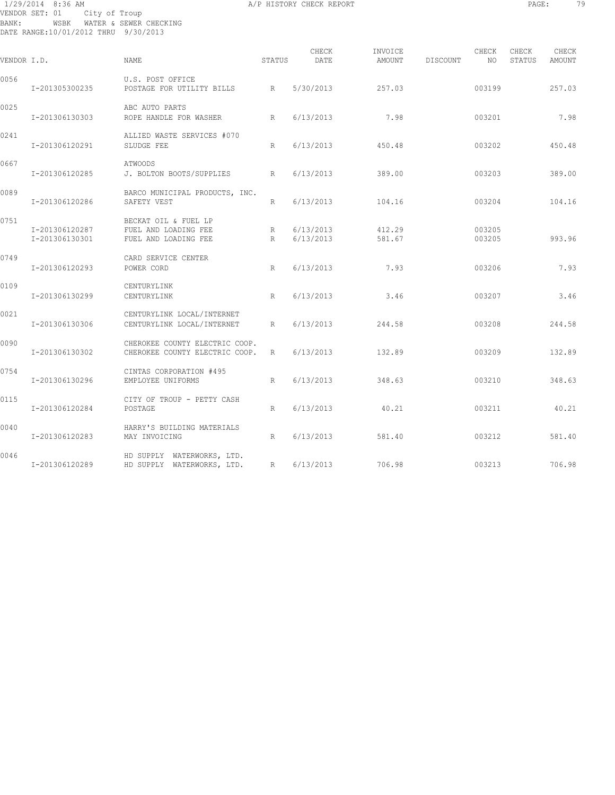## 1/29/2014 8:36 AM A/P HISTORY CHECK REPORT PAGE: 79 VENDOR SET: 01 City of Troup BANK: WSBK WATER & SEWER CHECKING DATE RANGE:10/01/2012 THRU 9/30/2013

| VENDOR I.D. |                                  | NAME                                                                 | STATUS           | CHECK<br>DATE          | INVOICE<br>AMOUNT | DISCOUNT | CHECK<br>NO      | CHECK<br>STATUS | CHECK<br>AMOUNT |
|-------------|----------------------------------|----------------------------------------------------------------------|------------------|------------------------|-------------------|----------|------------------|-----------------|-----------------|
| 0056        | I-201305300235                   | U.S. POST OFFICE<br>POSTAGE FOR UTILITY BILLS                        | R                | 5/30/2013              | 257.03            |          | 003199           |                 | 257.03          |
| 0025        | I-201306130303                   | ABC AUTO PARTS<br>ROPE HANDLE FOR WASHER<br>R                        |                  | 6/13/2013              | 7.98              |          | 003201           |                 | 7.98            |
| 0241        | I-201306120291                   | ALLIED WASTE SERVICES #070<br>SLUDGE FEE                             | R                | 6/13/2013              | 450.48            |          | 003202           |                 | 450.48          |
| 0667        | I-201306120285                   | ATWOODS<br>J. BOLTON BOOTS/SUPPLIES                                  | R                | 6/13/2013              | 389.00            |          | 003203           |                 | 389.00          |
| 0089        | I-201306120286                   | BARCO MUNICIPAL PRODUCTS, INC.<br>SAFETY VEST                        | R                | 6/13/2013              | 104.16            |          | 003204           |                 | 104.16          |
| 0751        | I-201306120287<br>I-201306130301 | BECKAT OIL & FUEL LP<br>FUEL AND LOADING FEE<br>FUEL AND LOADING FEE | R<br>$R_{\perp}$ | 6/13/2013<br>6/13/2013 | 412.29<br>581.67  |          | 003205<br>003205 |                 | 993.96          |
| 0749        | I-201306120293                   | CARD SERVICE CENTER<br>POWER CORD                                    | R                | 6/13/2013              | 7.93              |          | 003206           |                 | 7.93            |
| 0109        | I-201306130299                   | CENTURYLINK<br>CENTURYLINK                                           | R                | 6/13/2013              | 3.46              |          | 003207           |                 | 3.46            |
| 0021        | I-201306130306                   | CENTURYLINK LOCAL/INTERNET<br>CENTURYLINK LOCAL/INTERNET             | R                | 6/13/2013              | 244.58            |          | 003208           |                 | 244.58          |
| 0090        | I-201306130302                   | CHEROKEE COUNTY ELECTRIC COOP.<br>CHEROKEE COUNTY ELECTRIC COOP.     | R                | 6/13/2013              | 132.89            |          | 003209           |                 | 132.89          |
| 0754        | I-201306130296                   | CINTAS CORPORATION #495<br>EMPLOYEE UNIFORMS                         | R                | 6/13/2013              | 348.63            |          | 003210           |                 | 348.63          |
| 0115        | I-201306120284                   | CITY OF TROUP - PETTY CASH<br>POSTAGE                                | R                | 6/13/2013              | 40.21             |          | 003211           |                 | 40.21           |
| 0040        | I-201306120283                   | HARRY'S BUILDING MATERIALS<br>MAY INVOICING                          | R                | 6/13/2013              | 581.40            |          | 003212           |                 | 581.40          |
| 0046        | I-201306120289                   | HD SUPPLY WATERWORKS, LTD.<br>HD SUPPLY WATERWORKS, LTD. R           |                  | 6/13/2013              | 706.98            |          | 003213           |                 | 706.98          |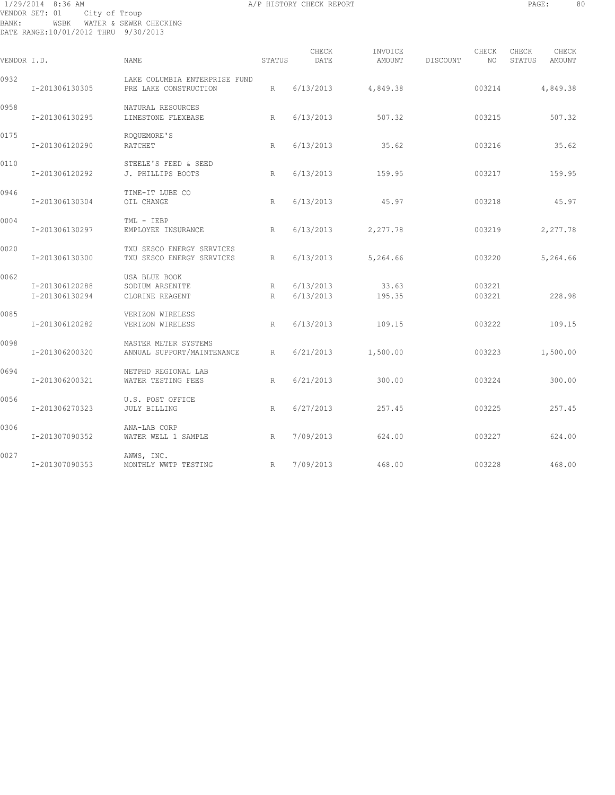## 1/29/2014 8:36 AM A/P HISTORY CHECK REPORT PAGE: 80 VENDOR SET: 01 City of Troup BANK: WSBK WATER & SEWER CHECKING DATE RANGE:10/01/2012 THRU 9/30/2013

| VENDOR I.D. |                                  | <b>NAME</b>                                            | STATUS | CHECK<br>DATE          | INVOICE<br>AMOUNT | DISCOUNT | CHECK<br>NO      | CHECK<br>STATUS | CHECK<br>AMOUNT |
|-------------|----------------------------------|--------------------------------------------------------|--------|------------------------|-------------------|----------|------------------|-----------------|-----------------|
| 0932        | I-201306130305                   | LAKE COLUMBIA ENTERPRISE FUND<br>PRE LAKE CONSTRUCTION | R      | 6/13/2013              | 4,849.38          |          | 003214           |                 | 4,849.38        |
| 0958        | I-201306130295                   | NATURAL RESOURCES<br>LIMESTONE FLEXBASE                | R      | 6/13/2013              | 507.32            |          | 003215           |                 | 507.32          |
| 0175        | I-201306120290                   | ROQUEMORE'S<br>RATCHET                                 | R      | 6/13/2013              | 35.62             |          | 003216           |                 | 35.62           |
| 0110        | I-201306120292                   | STEELE'S FEED & SEED<br>J. PHILLIPS BOOTS              | R      | 6/13/2013              | 159.95            |          | 003217           |                 | 159.95          |
| 0946        | I-201306130304                   | TIME-IT LUBE CO<br>OIL CHANGE                          | R      | 6/13/2013              | 45.97             |          | 003218           |                 | 45.97           |
| 0004        | I-201306130297                   | TML - IEBP<br>EMPLOYEE INSURANCE                       | R      | 6/13/2013              | 2,277.78          |          | 003219           |                 | 2,277.78        |
| 0020        | I-201306130300                   | TXU SESCO ENERGY SERVICES<br>TXU SESCO ENERGY SERVICES | R      | 6/13/2013              | 5,264.66          |          | 003220           |                 | 5,264.66        |
| 0062        | I-201306120288<br>I-201306130294 | USA BLUE BOOK<br>SODIUM ARSENITE<br>CLORINE REAGENT    | R<br>R | 6/13/2013<br>6/13/2013 | 33.63<br>195.35   |          | 003221<br>003221 |                 | 228.98          |
| 0085        | I-201306120282                   | VERIZON WIRELESS<br>VERIZON WIRELESS                   | R      | 6/13/2013              | 109.15            |          | 003222           |                 | 109.15          |
| 0098        | I-201306200320                   | MASTER METER SYSTEMS<br>ANNUAL SUPPORT/MAINTENANCE     | R      | 6/21/2013              | 1,500.00          |          | 003223           |                 | 1,500.00        |
| 0694        | I-201306200321                   | NETPHD REGIONAL LAB<br>WATER TESTING FEES              | R      | 6/21/2013              | 300.00            |          | 003224           |                 | 300.00          |
| 0056        | I-201306270323                   | U.S. POST OFFICE<br><b>JULY BILLING</b>                | R      | 6/27/2013              | 257.45            |          | 003225           |                 | 257.45          |
| 0306        | I-201307090352                   | ANA-LAB CORP<br>WATER WELL 1 SAMPLE                    | R      | 7/09/2013              | 624.00            |          | 003227           |                 | 624.00          |
| 0027        | I-201307090353                   | AWWS, INC.<br>R<br>MONTHLY WWTP TESTING                |        | 7/09/2013              | 468.00            |          | 003228           |                 | 468.00          |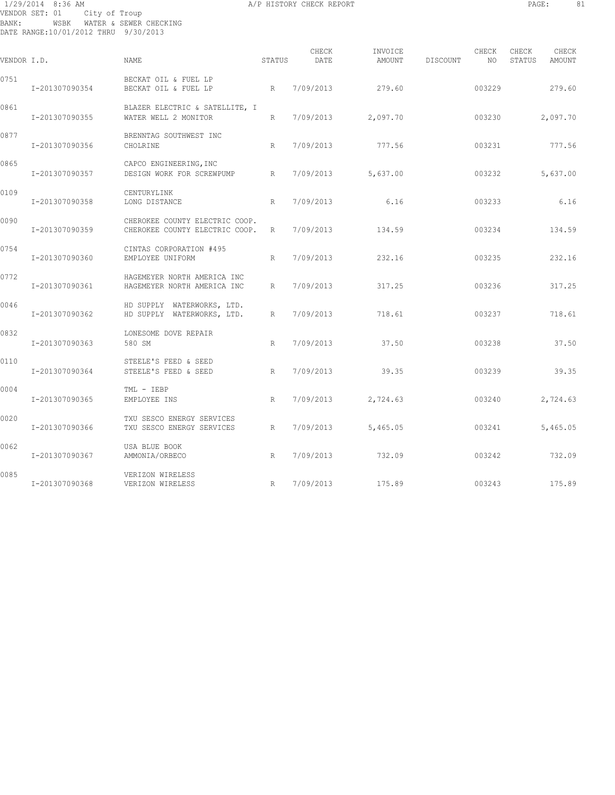## 1/29/2014 8:36 AM A/P HISTORY CHECK REPORT PAGE: 81 VENDOR SET: 01 City of Troup BANK: WSBK WATER & SEWER CHECKING DATE RANGE:10/01/2012 THRU 9/30/2013

| VENDOR I.D. |                | NAME                                                             | STATUS       | CHECK<br>DATE | INVOICE<br>AMOUNT | DISCOUNT | CHECK<br>NO | CHECK<br>STATUS | CHECK<br>AMOUNT |
|-------------|----------------|------------------------------------------------------------------|--------------|---------------|-------------------|----------|-------------|-----------------|-----------------|
| 0751        | I-201307090354 | BECKAT OIL & FUEL LP<br>BECKAT OIL & FUEL LP                     | R            | 7/09/2013     | 279.60            |          | 003229      |                 | 279.60          |
| 0861        | I-201307090355 | BLAZER ELECTRIC & SATELLITE, I<br>WATER WELL 2 MONITOR           | R            | 7/09/2013     | 2,097.70          |          | 003230      |                 | 2,097.70        |
| 0877        | I-201307090356 | BRENNTAG SOUTHWEST INC<br>CHOLRINE                               | R            | 7/09/2013     | 777.56            |          | 003231      |                 | 777.56          |
| 0865        | I-201307090357 | CAPCO ENGINEERING, INC<br>DESIGN WORK FOR SCREWPUMP              | R            | 7/09/2013     | 5,637.00          |          | 003232      |                 | 5,637.00        |
| 0109        | I-201307090358 | CENTURYLINK<br>LONG DISTANCE                                     | R            | 7/09/2013     | 6.16              |          | 003233      |                 | 6.16            |
| 0090        | I-201307090359 | CHEROKEE COUNTY ELECTRIC COOP.<br>CHEROKEE COUNTY ELECTRIC COOP. | R            | 7/09/2013     | 134.59            |          | 003234      |                 | 134.59          |
| 0754        | I-201307090360 | CINTAS CORPORATION #495<br>EMPLOYEE UNIFORM                      | $\mathbb{R}$ | 7/09/2013     | 232.16            |          | 003235      |                 | 232.16          |
| 0772        | I-201307090361 | HAGEMEYER NORTH AMERICA INC<br>HAGEMEYER NORTH AMERICA INC       | R            | 7/09/2013     | 317.25            |          | 003236      |                 | 317.25          |
| 0046        | I-201307090362 | HD SUPPLY WATERWORKS, LTD.<br>HD SUPPLY WATERWORKS, LTD.         | R            | 7/09/2013     | 718.61            |          | 003237      |                 | 718.61          |
| 0832        | I-201307090363 | LONESOME DOVE REPAIR<br>580 SM                                   | R            | 7/09/2013     | 37.50             |          | 003238      |                 | 37.50           |
| 0110        | I-201307090364 | STEELE'S FEED & SEED<br>STEELE'S FEED & SEED                     | R            | 7/09/2013     | 39.35             |          | 003239      |                 | 39.35           |
| 0004        | I-201307090365 | TML - IEBP<br>EMPLOYEE INS                                       | R            | 7/09/2013     | 2,724.63          |          | 003240      |                 | 2,724.63        |
| 0020        | I-201307090366 | TXU SESCO ENERGY SERVICES<br>TXU SESCO ENERGY SERVICES           | $\mathbb R$  | 7/09/2013     | 5,465.05          |          | 003241      |                 | 5,465.05        |
| 0062        | I-201307090367 | USA BLUE BOOK<br>AMMONIA/ORBECO                                  | R            | 7/09/2013     | 732.09            |          | 003242      |                 | 732.09          |
| 0085        | I-201307090368 | VERIZON WIRELESS<br>VERIZON WIRELESS                             | R            | 7/09/2013     | 175.89            |          | 003243      |                 | 175.89          |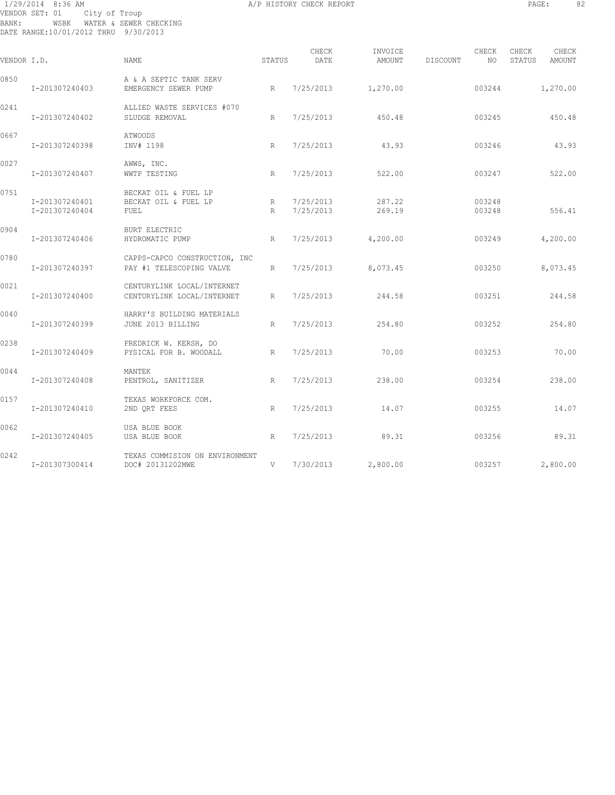## 1/29/2014 8:36 AM A/P HISTORY CHECK REPORT PAGE: 82 VENDOR SET: 01 City of Troup BANK: WSBK WATER & SEWER CHECKING DATE RANGE:10/01/2012 THRU 9/30/2013

| VENDOR I.D. |                                  | <b>NAME</b>                                               | STATUS | CHECK<br>DATE          | INVOICE<br>AMOUNT | DISCOUNT | CHECK<br>NO      | CHECK<br>STATUS | CHECK<br>AMOUNT |
|-------------|----------------------------------|-----------------------------------------------------------|--------|------------------------|-------------------|----------|------------------|-----------------|-----------------|
| 0850        | I-201307240403                   | A & A SEPTIC TANK SERV<br>EMERGENCY SEWER PUMP            | R      | 7/25/2013              | 1,270.00          |          | 003244           |                 | 1,270.00        |
| 0241        | I-201307240402                   | ALLIED WASTE SERVICES #070<br>SLUDGE REMOVAL              | R      | 7/25/2013              | 450.48            |          | 003245           |                 | 450.48          |
| 0667        | I-201307240398                   | <b>ATWOODS</b><br>INV# 1198                               | R      | 7/25/2013              | 43.93             |          | 003246           |                 | 43.93           |
| 0027        | I-201307240407                   | AWWS, INC.<br>WWTP TESTING                                | R      | 7/25/2013              | 522.00            |          | 003247           |                 | 522.00          |
| 0751        | I-201307240401<br>I-201307240404 | BECKAT OIL & FUEL LP<br>BECKAT OIL & FUEL LP<br>FUEL      | R<br>R | 7/25/2013<br>7/25/2013 | 287.22<br>269.19  |          | 003248<br>003248 |                 | 556.41          |
| 0904        | I-201307240406                   | <b>BURT ELECTRIC</b><br>HYDROMATIC PUMP                   | R      | 7/25/2013              | 4,200.00          |          | 003249           |                 | 4,200.00        |
| 0780        | I-201307240397                   | CAPPS-CAPCO CONSTRUCTION, INC<br>PAY #1 TELESCOPING VALVE | R      | 7/25/2013              | 8,073.45          |          | 003250           |                 | 8,073.45        |
| 0021        | I-201307240400                   | CENTURYLINK LOCAL/INTERNET<br>CENTURYLINK LOCAL/INTERNET  | R      | 7/25/2013              | 244.58            |          | 003251           |                 | 244.58          |
| 0040        | I-201307240399                   | HARRY'S BUILDING MATERIALS<br>JUNE 2013 BILLING           | R      | 7/25/2013              | 254.80            |          | 003252           |                 | 254.80          |
| 0238        | I-201307240409                   | FREDRICK W. KERSH, DO<br>PYSICAL FOR B. WOODALL           | R      | 7/25/2013              | 70.00             |          | 003253           |                 | 70.00           |
| 0044        | I-201307240408                   | MANTEK<br>PENTROL, SANITIZER                              | R      | 7/25/2013              | 238.00            |          | 003254           |                 | 238.00          |
| 0157        | I-201307240410                   | TEXAS WORKFORCE COM.<br>2ND QRT FEES                      | R      | 7/25/2013              | 14.07             |          | 003255           |                 | 14.07           |
| 0062        | I-201307240405                   | USA BLUE BOOK<br>USA BLUE BOOK                            | R      | 7/25/2013              | 89.31             |          | 003256           |                 | 89.31           |
| 0242        | I-201307300414                   | TEXAS COMMISION ON ENVIRONMENT<br>DOC# 20131202MWE        | V      | 7/30/2013              | 2,800.00          |          | 003257           |                 | 2,800.00        |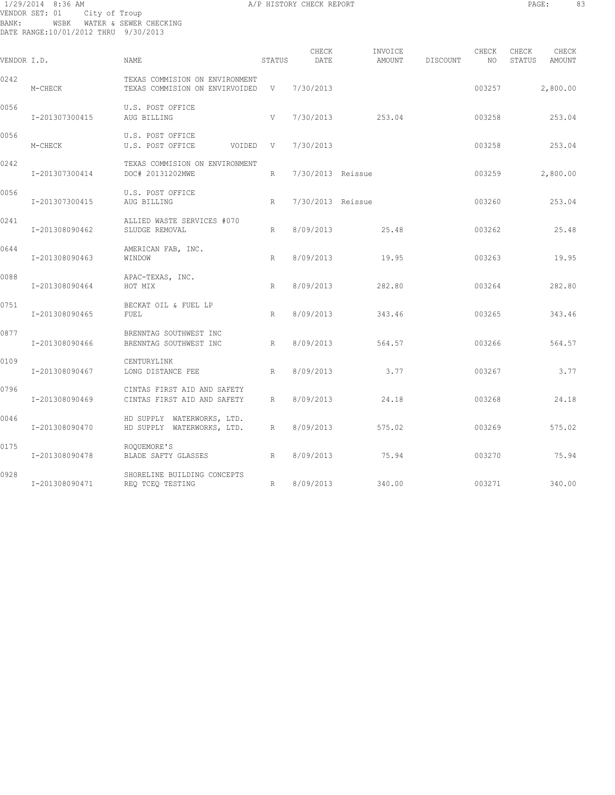## 1/29/2014 8:36 AM A/P HISTORY CHECK REPORT PAGE: 83 VENDOR SET: 01 City of Troup BANK: WSBK WATER & SEWER CHECKING DATE RANGE:10/01/2012 THRU 9/30/2013

| VENDOR I.D. |                | <b>NAME</b>                                                        | STATUS | CHECK<br>DATE     | INVOICE<br>AMOUNT | DISCOUNT | CHECK<br>NO | CHECK<br>CHECK<br>STATUS<br>AMOUNT |
|-------------|----------------|--------------------------------------------------------------------|--------|-------------------|-------------------|----------|-------------|------------------------------------|
| 0242        | M-CHECK        | TEXAS COMMISION ON ENVIRONMENT<br>TEXAS COMMISION ON ENVIRVOIDED V |        | 7/30/2013         |                   |          | 003257      | 2,800.00                           |
| 0056        | I-201307300415 | U.S. POST OFFICE<br>AUG BILLING                                    | V      | 7/30/2013         | 253.04            |          | 003258      | 253.04                             |
| 0056        | M-CHECK        | U.S. POST OFFICE<br>U.S. POST OFFICE<br>VOIDED V                   |        | 7/30/2013         |                   |          | 003258      | 253.04                             |
| 0242        | I-201307300414 | TEXAS COMMISION ON ENVIRONMENT<br>DOC# 20131202MWE                 | R      | 7/30/2013 Reissue |                   |          | 003259      | 2,800.00                           |
| 0056        | I-201307300415 | U.S. POST OFFICE<br>AUG BILLING                                    | R      | 7/30/2013 Reissue |                   |          | 003260      | 253.04                             |
| 0241        | I-201308090462 | ALLIED WASTE SERVICES #070<br>SLUDGE REMOVAL                       | R      | 8/09/2013         | 25.48             |          | 003262      | 25.48                              |
| 0644        | I-201308090463 | AMERICAN FAB, INC.<br>WINDOW                                       | R      | 8/09/2013         | 19.95             |          | 003263      | 19.95                              |
| 0088        | I-201308090464 | APAC-TEXAS, INC.<br>HOT MIX                                        | R      | 8/09/2013         | 282.80            |          | 003264      | 282.80                             |
| 0751        | I-201308090465 | BECKAT OIL & FUEL LP<br>FUEL                                       | R      | 8/09/2013         | 343.46            |          | 003265      | 343.46                             |
| 0877        | I-201308090466 | BRENNTAG SOUTHWEST INC<br>BRENNTAG SOUTHWEST INC                   | R      | 8/09/2013         | 564.57            |          | 003266      | 564.57                             |
| 0109        | I-201308090467 | CENTURYLINK<br>LONG DISTANCE FEE                                   | R.     | 8/09/2013         | 3.77              |          | 003267      | 3.77                               |
| 0796        | I-201308090469 | CINTAS FIRST AID AND SAFETY<br>CINTAS FIRST AID AND SAFETY         | R      | 8/09/2013         | 24.18             |          | 003268      | 24.18                              |
| 0046        | I-201308090470 | HD SUPPLY WATERWORKS, LTD.<br>HD SUPPLY WATERWORKS, LTD.           | R      | 8/09/2013         | 575.02            |          | 003269      | 575.02                             |
| 0175        | I-201308090478 | ROOUEMORE'S<br>BLADE SAFTY GLASSES                                 | R      | 8/09/2013         | 75.94             |          | 003270      | 75.94                              |
| 0928        | I-201308090471 | SHORELINE BUILDING CONCEPTS<br>REQ TCEQ TESTING                    | R      |                   | 8/09/2013 340.00  |          | 003271      | 340.00                             |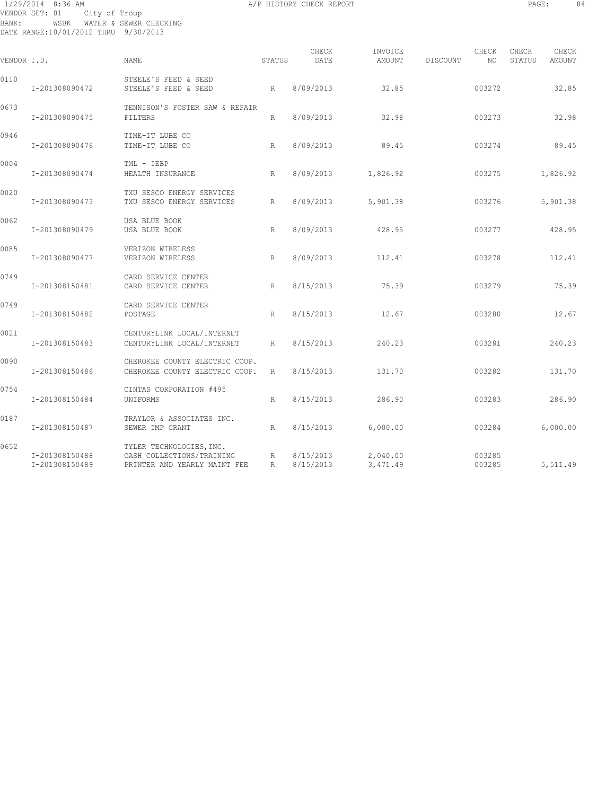## 1/29/2014 8:36 AM A/P HISTORY CHECK REPORT PAGE: 84 VENDOR SET: 01 City of Troup BANK: WSBK WATER & SEWER CHECKING DATE RANGE:10/01/2012 THRU 9/30/2013

| т<br>ı<br>۰<br><b>.</b> | ٠ |  |
|-------------------------|---|--|
|                         |   |  |

| VENDOR I.D. |                                  | NAME                                                                                  | STATUS | CHECK<br>DATE          | INVOICE<br>AMOUNT    | DISCOUNT | CHECK<br>NO      | CHECK<br>STATUS | CHECK<br>AMOUNT |
|-------------|----------------------------------|---------------------------------------------------------------------------------------|--------|------------------------|----------------------|----------|------------------|-----------------|-----------------|
| 0110        | I-201308090472                   | STEELE'S FEED & SEED<br>STEELE'S FEED & SEED                                          | R      | 8/09/2013              | 32.85                |          | 003272           |                 | 32.85           |
| 0673        | I-201308090475                   | TENNISON'S FOSTER SAW & REPAIR<br>FILTERS                                             | R      | 8/09/2013              | 32.98                |          | 003273           |                 | 32.98           |
| 0946        | I-201308090476                   | TIME-IT LUBE CO<br>TIME-IT LUBE CO                                                    | R      | 8/09/2013              | 89.45                |          | 003274           |                 | 89.45           |
| 0004        | I-201308090474                   | TML - IEBP<br>HEALTH INSURANCE                                                        | R      | 8/09/2013              | 1,826.92             |          | 003275           |                 | 1,826.92        |
| 0020        | I-201308090473                   | TXU SESCO ENERGY SERVICES<br>TXU SESCO ENERGY SERVICES                                | R      | 8/09/2013              | 5,901.38             |          | 003276           |                 | 5,901.38        |
| 0062        | I-201308090479                   | USA BLUE BOOK<br>USA BLUE BOOK                                                        | R      | 8/09/2013              | 428.95               |          | 003277           |                 | 428.95          |
| 0085        | I-201308090477                   | VERIZON WIRELESS<br>VERIZON WIRELESS                                                  | R      | 8/09/2013              | 112.41               |          | 003278           |                 | 112.41          |
| 0749        | I-201308150481                   | CARD SERVICE CENTER<br>CARD SERVICE CENTER                                            | R      | 8/15/2013              | 75.39                |          | 003279           |                 | 75.39           |
| 0749        | I-201308150482                   | CARD SERVICE CENTER<br>POSTAGE                                                        | R      | 8/15/2013              | 12.67                |          | 003280           |                 | 12.67           |
| 0021        | I-201308150483                   | CENTURYLINK LOCAL/INTERNET<br>CENTURYLINK LOCAL/INTERNET                              | R      | 8/15/2013              | 240.23               |          | 003281           |                 | 240.23          |
| 0090        | I-201308150486                   | CHEROKEE COUNTY ELECTRIC COOP.<br>CHEROKEE COUNTY ELECTRIC COOP.                      | R      | 8/15/2013              | 131.70               |          | 003282           |                 | 131.70          |
| 0754        | I-201308150484                   | CINTAS CORPORATION #495<br>UNIFORMS                                                   | R      | 8/15/2013              | 286.90               |          | 003283           |                 | 286.90          |
| 0187        | I-201308150487                   | TRAYLOR & ASSOCIATES INC.<br>SEWER IMP GRANT                                          | R.     | 8/15/2013              | 6,000.00             |          | 003284           |                 | 6,000.00        |
| 0652        | I-201308150488<br>I-201308150489 | TYLER TECHNOLOGIES, INC.<br>CASH COLLECTIONS/TRAINING<br>PRINTER AND YEARLY MAINT FEE | R<br>R | 8/15/2013<br>8/15/2013 | 2,040.00<br>3,471.49 |          | 003285<br>003285 |                 | 5,511.49        |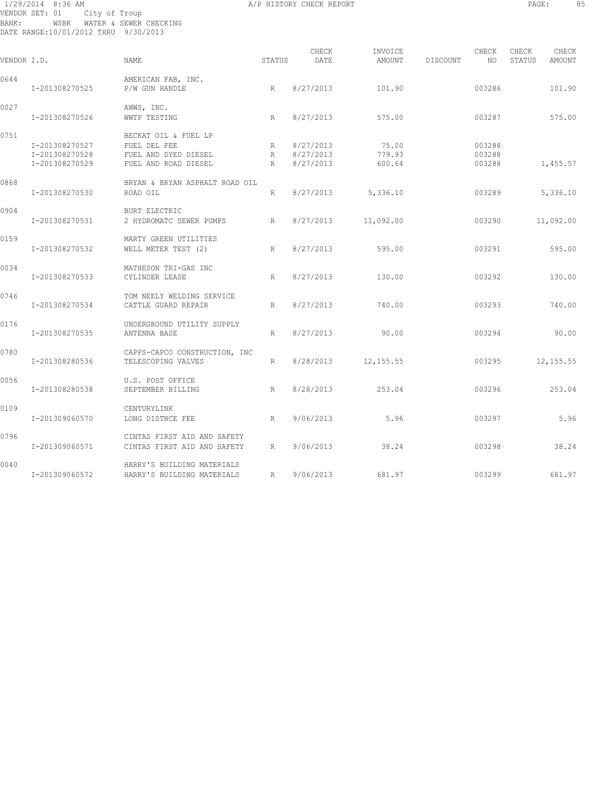## 1/29/2014 8:36 AM A/P HISTORY CHECK REPORT PAGE: 85 VENDOR SET: 01 City of Troup BANK: WSBK WATER & SEWER CHECKING DATE RANGE:10/01/2012 THRU 9/30/2013

| VENDOR I.D. |                | <b>NAME</b>                          | STATUS          | CHECK<br>DATE | INVOICE<br>AMOUNT | DISCOUNT | CHECK<br>NO | CHECK<br>STATUS | CHECK<br>AMOUNT |
|-------------|----------------|--------------------------------------|-----------------|---------------|-------------------|----------|-------------|-----------------|-----------------|
| 0644        | I-201308270525 | AMERICAN FAB, INC.<br>P/W GUN HANDLE | R               | 8/27/2013     | 101.90            |          | 003286      |                 | 101.90          |
| 0027        | I-201308270526 | AWWS, INC.<br>WWTP TESTING           | R               | 8/27/2013     | 575.00            |          | 003287      |                 | 575.00          |
| 0751        |                | BECKAT OIL & FUEL LP                 |                 |               |                   |          |             |                 |                 |
|             | I-201308270527 | FUEL DEL FEE                         | R               | 8/27/2013     | 75.00             |          | 003288      |                 |                 |
|             | I-201308270528 | FUEL AND DYED DIESEL                 | R               | 8/27/2013     | 779.93            |          | 003288      |                 |                 |
|             | I-201308270529 | FUEL AND ROAD DIESEL                 | R               | 8/27/2013     | 600.64            |          | 003288      |                 | 1,455.57        |
| 0868        |                | BRYAN & BRYAN ASPHALT ROAD OIL       |                 |               |                   |          |             |                 |                 |
|             | I-201308270530 | ROAD OIL                             | R               | 8/27/2013     | 5,336.10          |          | 003289      |                 | 5,336.10        |
| 0904        |                | <b>BURT ELECTRIC</b>                 |                 |               |                   |          |             |                 |                 |
|             | I-201308270531 | 2 HYDROMATC SEWER PUMPS              | R               | 8/27/2013     | 11,092.00         |          | 003290      |                 | 11,092.00       |
| 0159        |                | MARTY GREEN UTILITIES                |                 |               |                   |          |             |                 |                 |
|             | I-201308270532 | WELL METER TEST (2)                  | R               | 8/27/2013     | 595.00            |          | 003291      |                 | 595.00          |
| 0034        |                | MATHESON TRI-GAS INC                 |                 |               |                   |          |             |                 |                 |
|             | I-201308270533 | CYLINDER LEASE                       | R               | 8/27/2013     | 130.00            |          | 003292      |                 | 130.00          |
| 0746        |                | TOM NEELY WELDING SERVICE            |                 |               |                   |          |             |                 |                 |
|             | I-201308270534 | CATTLE GUARD REPAIR                  | R               | 8/27/2013     | 740.00            |          | 003293      |                 | 740.00          |
| 0176        |                | UNDERGROUND UTILITY SUPPLY           |                 |               |                   |          |             |                 |                 |
|             | I-201308270535 | ANTENNA BASE                         | R               | 8/27/2013     | 90.00             |          | 003294      |                 | 90.00           |
| 0780        |                | CAPPS-CAPCO CONSTRUCTION, INC        |                 |               |                   |          |             |                 |                 |
|             | I-201308280536 | TELESCOPING VALVES                   | R               | 8/28/2013     | 12, 155.55        |          | 003295      |                 | 12, 155.55      |
| 0056        |                | U.S. POST OFFICE                     |                 |               |                   |          |             |                 |                 |
|             | I-201308280538 | SEPTEMBER BILLING                    | R               | 8/28/2013     | 253.04            |          | 003296      |                 | 253.04          |
| 0109        |                | CENTURYLINK                          |                 |               |                   |          |             |                 |                 |
|             | I-201309060570 | LONG DISTNCE FEE                     | R               | 9/06/2013     | 5.96              |          | 003297      |                 | 5.96            |
| 0796        |                | CINTAS FIRST AID AND SAFETY          |                 |               |                   |          |             |                 |                 |
|             | I-201309060571 | CINTAS FIRST AID AND SAFETY          | $R_{\parallel}$ | 9/06/2013     | 38.24             |          | 003298      |                 | 38.24           |
| 0040        |                | HARRY'S BUILDING MATERIALS           |                 |               |                   |          |             |                 |                 |
|             | I-201309060572 | HARRY'S BUILDING MATERIALS           | R               | 9/06/2013     | 681.97            |          | 003299      |                 | 681.97          |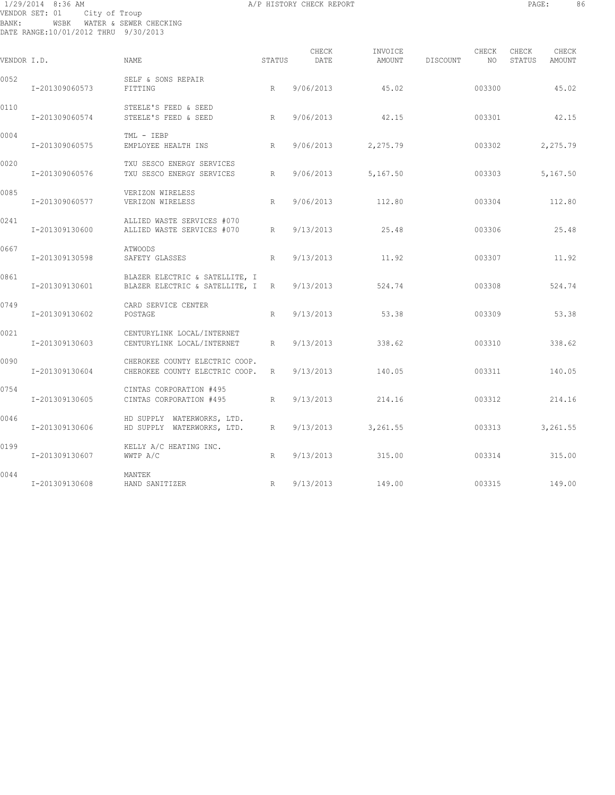## 1/29/2014 8:36 AM A/P HISTORY CHECK REPORT PAGE: 86 VENDOR SET: 01 City of Troup BANK: WSBK WATER & SEWER CHECKING DATE RANGE:10/01/2012 THRU 9/30/2013

| VENDOR I.D. |                | <b>NAME</b>                                                        | STATUS | CHECK<br>DATE | INVOICE<br>AMOUNT | DISCOUNT | CHECK<br>NO. | CHECK<br>STATUS | CHECK<br>AMOUNT |
|-------------|----------------|--------------------------------------------------------------------|--------|---------------|-------------------|----------|--------------|-----------------|-----------------|
| 0052        | I-201309060573 | SELF & SONS REPAIR<br>FITTING                                      | R      | 9/06/2013     | 45.02             |          | 003300       |                 | 45.02           |
| 0110        | I-201309060574 | STEELE'S FEED & SEED<br>STEELE'S FEED & SEED                       | R      | 9/06/2013     | 42.15             |          | 003301       |                 | 42.15           |
| 0004        | I-201309060575 | TML - IEBP<br>EMPLOYEE HEALTH INS                                  | R      | 9/06/2013     | 2,275.79          |          | 003302       |                 | 2,275.79        |
| 0020        | I-201309060576 | TXU SESCO ENERGY SERVICES<br>TXU SESCO ENERGY SERVICES             | R      | 9/06/2013     | 5,167.50          |          | 003303       |                 | 5,167.50        |
| 0085        | I-201309060577 | VERIZON WIRELESS<br>VERIZON WIRELESS                               | R      | 9/06/2013     | 112.80            |          | 003304       |                 | 112.80          |
| 0241        | I-201309130600 | ALLIED WASTE SERVICES #070<br>ALLIED WASTE SERVICES #070           | R      | 9/13/2013     | 25.48             |          | 003306       |                 | 25.48           |
| 0667        | I-201309130598 | <b>ATWOODS</b><br>SAFETY GLASSES                                   | R      | 9/13/2013     | 11.92             |          | 003307       |                 | 11.92           |
| 0861        | I-201309130601 | BLAZER ELECTRIC & SATELLITE, I<br>BLAZER ELECTRIC & SATELLITE, I R |        | 9/13/2013     | 524.74            |          | 003308       |                 | 524.74          |
| 0749        | I-201309130602 | CARD SERVICE CENTER<br>POSTAGE                                     | R      | 9/13/2013     | 53.38             |          | 003309       |                 | 53.38           |
| 0021        | I-201309130603 | CENTURYLINK LOCAL/INTERNET<br>CENTURYLINK LOCAL/INTERNET           | R      | 9/13/2013     | 338.62            |          | 003310       |                 | 338.62          |
| 0090        | I-201309130604 | CHEROKEE COUNTY ELECTRIC COOP.<br>CHEROKEE COUNTY ELECTRIC COOP.   | R      | 9/13/2013     | 140.05            |          | 003311       |                 | 140.05          |
| 0754        | I-201309130605 | CINTAS CORPORATION #495<br>CINTAS CORPORATION #495                 | R      | 9/13/2013     | 214.16            |          | 003312       |                 | 214.16          |
| 0046        | I-201309130606 | HD SUPPLY WATERWORKS, LTD.<br>HD SUPPLY WATERWORKS, LTD.           | R      | 9/13/2013     | 3,261.55          |          | 003313       |                 | 3,261.55        |
| 0199        | I-201309130607 | KELLY A/C HEATING INC.<br>WWTP A/C                                 | R      | 9/13/2013     | 315.00            |          | 003314       |                 | 315.00          |
| 0044        | I-201309130608 | MANTEK<br>HAND SANITIZER                                           | R      | 9/13/2013     | 149.00            |          | 003315       |                 | 149.00          |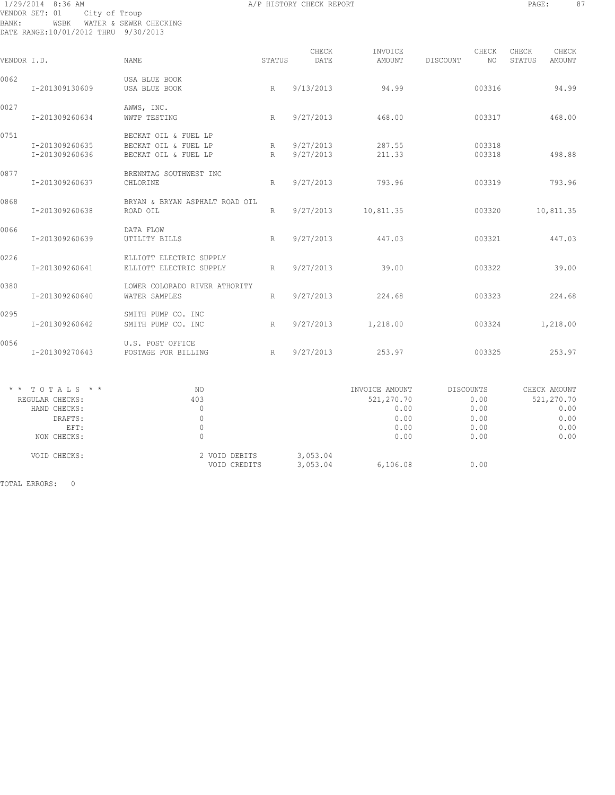## 1/29/2014 8:36 AM A/P HISTORY CHECK REPORT PAGE: 87 VENDOR SET: 01 City of Troup BANK: WSBK WATER & SEWER CHECKING DATE RANGE:10/01/2012 THRU 9/30/2013

| VENDOR I.D. |                                                                                       | NAME.                                                                | STATUS | CHECK<br>DATE          | INVOICE<br>AMOUNT                                            | DISCOUNT                                          | CHECK<br>NO.     | CHECK<br>STATUS | CHECK<br>AMOUNT                                            |
|-------------|---------------------------------------------------------------------------------------|----------------------------------------------------------------------|--------|------------------------|--------------------------------------------------------------|---------------------------------------------------|------------------|-----------------|------------------------------------------------------------|
| 0062        | I-201309130609                                                                        | USA BLUE BOOK<br>USA BLUE BOOK                                       | R      | 9/13/2013              | 94.99                                                        |                                                   | 003316           |                 | 94.99                                                      |
| 0027        | I-201309260634                                                                        | AWWS, INC.<br>WWTP TESTING                                           | R      | 9/27/2013              | 468.00                                                       |                                                   | 003317           |                 | 468.00                                                     |
| 0751        | I-201309260635<br>I-201309260636                                                      | BECKAT OIL & FUEL LP<br>BECKAT OIL & FUEL LP<br>BECKAT OIL & FUEL LP | R<br>R | 9/27/2013<br>9/27/2013 | 287.55<br>211.33                                             |                                                   | 003318<br>003318 |                 | 498.88                                                     |
| 0877        | I-201309260637                                                                        | BRENNTAG SOUTHWEST INC<br>CHLORINE                                   | R      | 9/27/2013              | 793.96                                                       |                                                   | 003319           |                 | 793.96                                                     |
| 0868        | I-201309260638                                                                        | BRYAN & BRYAN ASPHALT ROAD OIL<br>ROAD OIL                           | R      | 9/27/2013              | 10,811.35                                                    |                                                   | 003320           |                 | 10,811.35                                                  |
| 0066        | I-201309260639                                                                        | DATA FLOW<br>UTILITY BILLS                                           | R      | 9/27/2013              | 447.03                                                       |                                                   | 003321           |                 | 447.03                                                     |
| 0226        | I-201309260641                                                                        | ELLIOTT ELECTRIC SUPPLY<br>ELLIOTT ELECTRIC SUPPLY                   | R      | 9/27/2013              | 39.00                                                        |                                                   | 003322           |                 | 39.00                                                      |
| 0380        | I-201309260640                                                                        | LOWER COLORADO RIVER ATHORITY<br>WATER SAMPLES                       | R      | 9/27/2013              | 224.68                                                       |                                                   | 003323           |                 | 224.68                                                     |
| 0295        | I-201309260642                                                                        | SMITH PUMP CO. INC<br>SMITH PUMP CO. INC                             | R      | 9/27/2013              | 1,218.00                                                     |                                                   | 003324           |                 | 1,218.00                                                   |
| 0056        | I-201309270643                                                                        | U.S. POST OFFICE<br>POSTAGE FOR BILLING                              | R      | 9/27/2013              | 253.97                                                       |                                                   | 003325           |                 | 253.97                                                     |
|             | $*$ * TOTALS * *<br>REGULAR CHECKS:<br>HAND CHECKS:<br>DRAFTS:<br>EFT:<br>NON CHECKS: | NO<br>403<br>$\mathbf{0}$<br>$\mathbb O$<br>$\mathbf{0}$<br>$\Omega$ |        |                        | INVOICE AMOUNT<br>521,270.70<br>0.00<br>0.00<br>0.00<br>0.00 | DISCOUNTS<br>0.00<br>0.00<br>0.00<br>0.00<br>0.00 |                  |                 | CHECK AMOUNT<br>521,270.70<br>0.00<br>0.00<br>0.00<br>0.00 |
|             | VOID CHECKS:                                                                          | 2 VOID DEBITS<br>VOID CREDITS                                        |        | 3,053.04<br>3,053.04   | 6,106.08                                                     | 0.00                                              |                  |                 |                                                            |
|             | TOTAL ERRORS: 0                                                                       |                                                                      |        |                        |                                                              |                                                   |                  |                 |                                                            |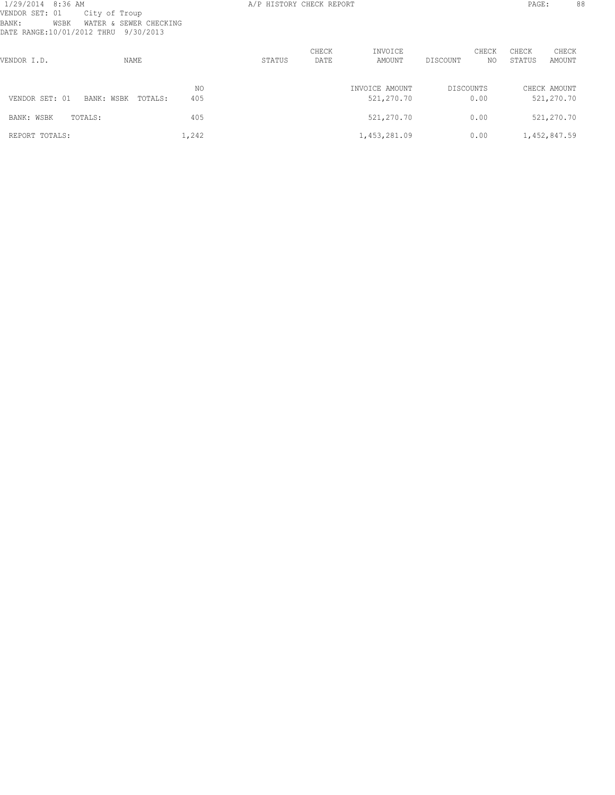# 1/29/2014 8:36 AM A/P HISTORY CHECK REPORT PAGE: 88 VENDOR SET: 01 City of Troup BANK: WSBK WATER & SEWER CHECKING DATE RANGE:10/01/2012 THRU 9/30/2013

| VENDOR I.D.    | NAME                  |            | STATUS | CHECK<br>DATE | INVOICE<br>AMOUNT            | CHECK<br>DISCOUNT | CHECK<br>STATUS<br>NO. | CHECK<br>AMOUNT            |
|----------------|-----------------------|------------|--------|---------------|------------------------------|-------------------|------------------------|----------------------------|
| VENDOR SET: 01 | TOTALS:<br>BANK: WSBK | NO.<br>405 |        |               | INVOICE AMOUNT<br>521,270.70 | DISCOUNTS<br>0.00 |                        | CHECK AMOUNT<br>521,270.70 |
| BANK: WSBK     | TOTALS:               | 405        |        |               | 521,270.70                   | 0.00              |                        | 521,270.70                 |
| REPORT TOTALS: |                       | 1,242      |        |               | 1,453,281.09                 | 0.00              |                        | 1,452,847.59               |